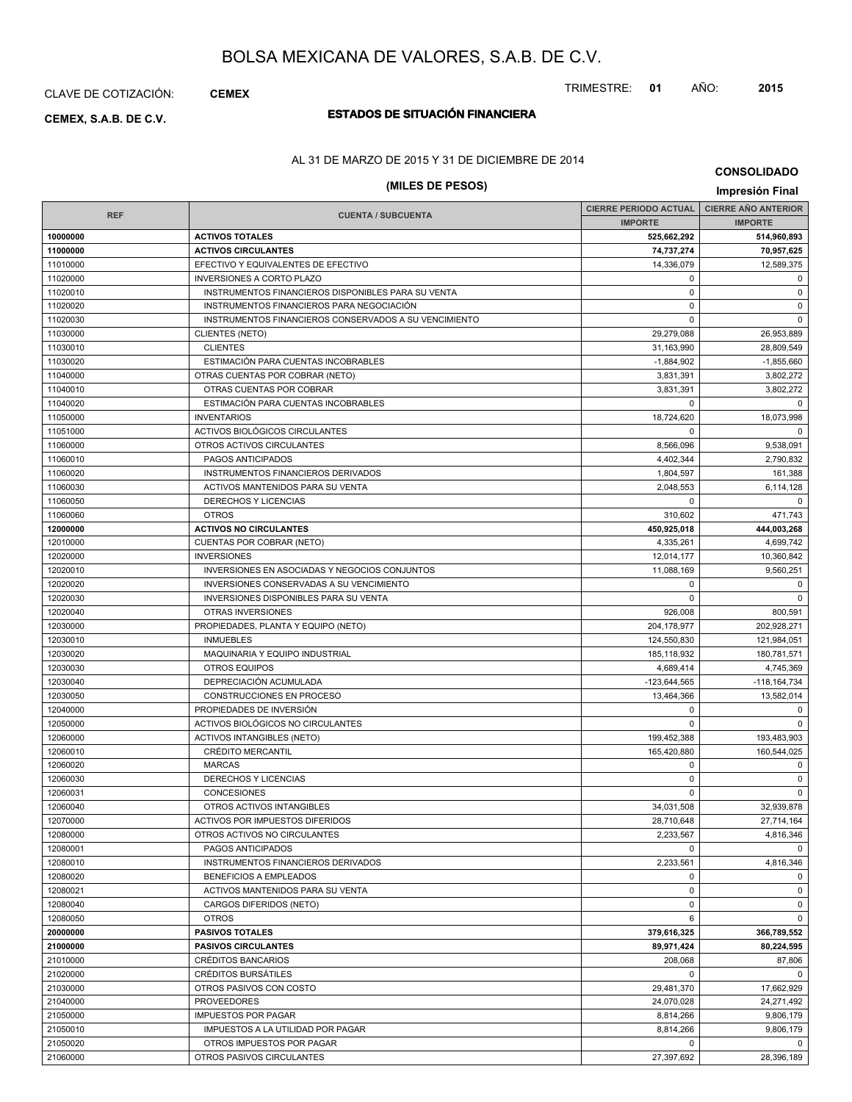## CLAVE DE COTIZACIÓN: **CEMEX**

# **ESTADOS DE SITUACIÓN FINANCIERA CEMEX, S.A.B. DE C.V.**

## TRIMESTRE: **01** AÑO: **2015**

AL 31 DE MARZO DE 2015 Y 31 DE DICIEMBRE DE 2014

# **(MILES DE PESOS) Impresión Final**

**CONSOLIDADO**

|            |                                                       | CIERRE PERIODO ACTUAL   CIERRE AÑO ANTERIOR |                  |
|------------|-------------------------------------------------------|---------------------------------------------|------------------|
| <b>REF</b> | <b>CUENTA / SUBCUENTA</b>                             | <b>IMPORTE</b>                              | <b>IMPORTE</b>   |
| 10000000   | <b>ACTIVOS TOTALES</b>                                | 525,662,292                                 | 514,960,893      |
| 11000000   | <b>ACTIVOS CIRCULANTES</b>                            | 74,737,274                                  | 70,957,625       |
| 11010000   | EFECTIVO Y EQUIVALENTES DE EFECTIVO                   | 14,336,079                                  | 12,589,375       |
| 11020000   | <b>INVERSIONES A CORTO PLAZO</b>                      | $\mathbf 0$                                 | $\mathbf 0$      |
| 11020010   | INSTRUMENTOS FINANCIEROS DISPONIBLES PARA SU VENTA    | $\mathbf 0$                                 | $\mathbf 0$      |
| 11020020   | INSTRUMENTOS FINANCIEROS PARA NEGOCIACIÓN             | 0                                           | $\mathbf 0$      |
| 11020030   | INSTRUMENTOS FINANCIEROS CONSERVADOS A SU VENCIMIENTO | $\Omega$                                    | $\mathbf 0$      |
| 11030000   | <b>CLIENTES (NETO)</b>                                | 29,279,088                                  | 26,953,889       |
| 11030010   | <b>CLIENTES</b>                                       | 31,163,990                                  | 28,809,549       |
| 11030020   | ESTIMACIÓN PARA CUENTAS INCOBRABLES                   | $-1,884,902$                                | $-1,855,660$     |
| 11040000   | OTRAS CUENTAS POR COBRAR (NETO)                       | 3,831,391                                   | 3,802,272        |
| 11040010   | OTRAS CUENTAS POR COBRAR                              | 3,831,391                                   | 3,802,272        |
| 11040020   | ESTIMACIÓN PARA CUENTAS INCOBRABLES                   | $\Omega$                                    | $\Omega$         |
| 11050000   | <b>INVENTARIOS</b>                                    | 18,724,620                                  | 18,073,998       |
| 11051000   | ACTIVOS BIOLÓGICOS CIRCULANTES                        | $\Omega$                                    | $\Omega$         |
| 11060000   | OTROS ACTIVOS CIRCULANTES                             | 8,566,096                                   | 9,538,091        |
| 11060010   | PAGOS ANTICIPADOS                                     | 4,402,344                                   | 2,790,832        |
| 11060020   | INSTRUMENTOS FINANCIEROS DERIVADOS                    | 1,804,597                                   | 161,388          |
| 11060030   | ACTIVOS MANTENIDOS PARA SU VENTA                      | 2,048,553                                   | 6,114,128        |
| 11060050   | <b>DERECHOS Y LICENCIAS</b>                           | $\Omega$                                    | $\mathbf 0$      |
| 11060060   | <b>OTROS</b>                                          | 310,602                                     | 471,743          |
| 12000000   | <b>ACTIVOS NO CIRCULANTES</b>                         | 450,925,018                                 | 444,003,268      |
| 12010000   | CUENTAS POR COBRAR (NETO)                             | 4,335,261                                   | 4,699,742        |
| 12020000   | <b>INVERSIONES</b>                                    | 12,014,177                                  | 10,360,842       |
| 12020010   | INVERSIONES EN ASOCIADAS Y NEGOCIOS CONJUNTOS         | 11,088,169                                  | 9,560,251        |
| 12020020   | INVERSIONES CONSERVADAS A SU VENCIMIENTO              | $\mathbf 0$                                 | 0                |
| 12020030   | <b>INVERSIONES DISPONIBLES PARA SU VENTA</b>          | $\Omega$                                    | $\mathbf 0$      |
| 12020040   | OTRAS INVERSIONES                                     | 926,008                                     | 800,591          |
| 12030000   | PROPIEDADES, PLANTA Y EQUIPO (NETO)                   | 204, 178, 977                               | 202,928,271      |
| 12030010   | <b>INMUEBLES</b>                                      | 124,550,830                                 | 121,984,051      |
| 12030020   | MAQUINARIA Y EQUIPO INDUSTRIAL                        | 185,118,932                                 | 180,781,571      |
| 12030030   | <b>OTROS EQUIPOS</b>                                  | 4,689,414                                   | 4,745,369        |
| 12030040   | DEPRECIACIÓN ACUMULADA                                | $-123,644,565$                              | $-118, 164, 734$ |
| 12030050   | CONSTRUCCIONES EN PROCESO                             | 13,464,366                                  | 13,582,014       |
| 12040000   | PROPIEDADES DE INVERSIÓN                              | $\mathbf 0$                                 | 0                |
| 12050000   | ACTIVOS BIOLÓGICOS NO CIRCULANTES                     | $\Omega$                                    | $\Omega$         |
| 12060000   | <b>ACTIVOS INTANGIBLES (NETO)</b>                     | 199,452,388                                 | 193,483,903      |
| 12060010   | <b>CRÉDITO MERCANTIL</b>                              | 165,420,880                                 | 160,544,025      |
| 12060020   | <b>MARCAS</b>                                         | 0                                           | 0                |
| 12060030   | DERECHOS Y LICENCIAS                                  | $\Omega$                                    | $\mathbf 0$      |
| 12060031   | <b>CONCESIONES</b>                                    | $\Omega$                                    | $\mathbf 0$      |
| 12060040   | OTROS ACTIVOS INTANGIBLES                             | 34,031,508                                  | 32,939,878       |
| 12070000   | ACTIVOS POR IMPUESTOS DIFERIDOS                       | 28,710,648                                  | 27,714,164       |
| 12080000   | OTROS ACTIVOS NO CIRCULANTES                          | 2,233,567                                   | 4,816,346        |
| 12080001   | PAGOS ANTICIPADOS                                     | 0                                           | $\Omega$         |
| 12080010   | INSTRUMENTOS FINANCIEROS DERIVADOS                    | 2,233,561                                   | 4,816,346        |
| 12080020   | <b>BENEFICIOS A EMPLEADOS</b>                         | $\mathbf 0$                                 | 0                |
| 12080021   | ACTIVOS MANTENIDOS PARA SU VENTA                      | $\mathbf 0$                                 | $\mathbf 0$      |
| 12080040   | CARGOS DIFERIDOS (NETO)                               | $\mathbf 0$                                 | $\mathbf 0$      |
| 12080050   | <b>OTROS</b>                                          | 6                                           | $\mathbf 0$      |
| 20000000   | <b>PASIVOS TOTALES</b>                                | 379,616,325                                 | 366,789,552      |
| 21000000   | <b>PASIVOS CIRCULANTES</b>                            | 89,971,424                                  | 80,224,595       |
| 21010000   | CRÉDITOS BANCARIOS                                    | 208,068                                     | 87,806           |
| 21020000   | CRÉDITOS BURSÁTILES                                   | $\mathbf 0$                                 | 0                |
| 21030000   | OTROS PASIVOS CON COSTO                               | 29,481,370                                  | 17,662,929       |
| 21040000   | <b>PROVEEDORES</b>                                    | 24,070,028                                  | 24,271,492       |
| 21050000   | <b>IMPUESTOS POR PAGAR</b>                            | 8,814,266                                   | 9,806,179        |
| 21050010   | IMPUESTOS A LA UTILIDAD POR PAGAR                     | 8,814,266                                   | 9,806,179        |
| 21050020   | OTROS IMPUESTOS POR PAGAR                             | $\mathbf 0$                                 | 0                |
| 21060000   | OTROS PASIVOS CIRCULANTES                             | 27,397,692                                  | 28,396,189       |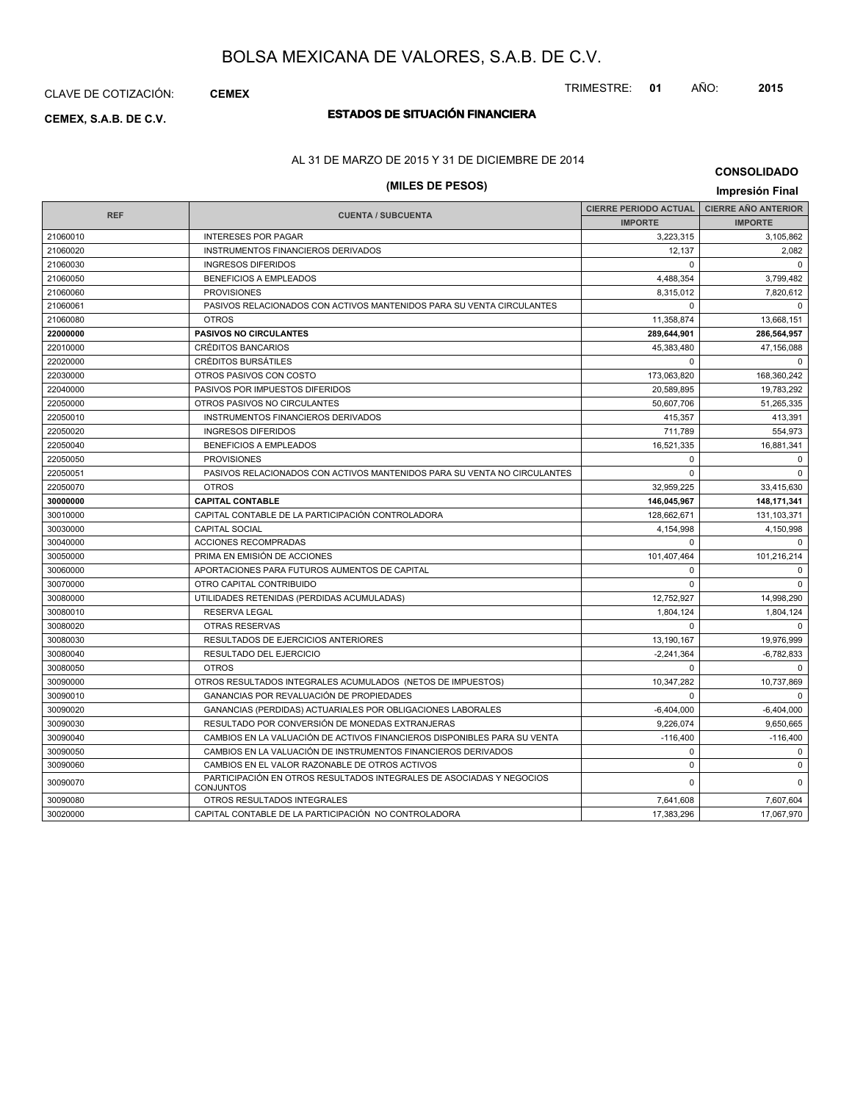TRIMESTRE: **01** AÑO: **2015**

# **ESTADOS DE SITUACIÓN FINANCIERA CEMEX, S.A.B. DE C.V.**

## AL 31 DE MARZO DE 2015 Y 31 DE DICIEMBRE DE 2014

# **(MILES DE PESOS) Impresión Final**

**CONSOLIDADO**

| <b>REF</b> | <b>CUENTA / SUBCUENTA</b>                                                                | <b>CIERRE PERIODO ACTUAL</b> | <b>CIERRE AÑO ANTERIOR</b> |
|------------|------------------------------------------------------------------------------------------|------------------------------|----------------------------|
|            |                                                                                          | <b>IMPORTE</b>               | <b>IMPORTE</b>             |
| 21060010   | <b>INTERESES POR PAGAR</b>                                                               | 3,223,315                    | 3,105,862                  |
| 21060020   | <b>INSTRUMENTOS FINANCIEROS DERIVADOS</b>                                                | 12.137                       | 2,082                      |
| 21060030   | <b>INGRESOS DIFERIDOS</b>                                                                | $\Omega$                     | $\Omega$                   |
| 21060050   | <b>BENEFICIOS A EMPLEADOS</b>                                                            | 4,488,354                    | 3,799,482                  |
| 21060060   | <b>PROVISIONES</b>                                                                       | 8.315.012                    | 7,820,612                  |
| 21060061   | PASIVOS RELACIONADOS CON ACTIVOS MANTENIDOS PARA SU VENTA CIRCULANTES                    | $\Omega$                     | $\Omega$                   |
| 21060080   | <b>OTROS</b>                                                                             | 11,358,874                   | 13,668,151                 |
| 22000000   | <b>PASIVOS NO CIRCULANTES</b>                                                            | 289,644,901                  | 286,564,957                |
| 22010000   | <b>CRÉDITOS BANCARIOS</b>                                                                | 45,383,480                   | 47,156,088                 |
| 22020000   | CRÉDITOS BURSÁTILES                                                                      | $\Omega$                     | $\Omega$                   |
| 22030000   | OTROS PASIVOS CON COSTO                                                                  | 173,063,820                  | 168,360,242                |
| 22040000   | PASIVOS POR IMPUESTOS DIFERIDOS                                                          | 20,589,895                   | 19,783,292                 |
| 22050000   | OTROS PASIVOS NO CIRCULANTES                                                             | 50,607,706                   | 51,265,335                 |
| 22050010   | INSTRUMENTOS FINANCIEROS DERIVADOS                                                       | 415.357                      | 413,391                    |
| 22050020   | <b>INGRESOS DIFERIDOS</b>                                                                | 711,789                      | 554,973                    |
| 22050040   | <b>BENEFICIOS A EMPLEADOS</b>                                                            | 16,521,335                   | 16,881,341                 |
| 22050050   | <b>PROVISIONES</b>                                                                       | $\mathbf 0$                  | $\mathbf 0$                |
| 22050051   | PASIVOS RELACIONADOS CON ACTIVOS MANTENIDOS PARA SU VENTA NO CIRCULANTES                 | $\mathbf 0$                  | $\mathbf 0$                |
| 22050070   | <b>OTROS</b>                                                                             | 32,959,225                   | 33,415,630                 |
| 30000000   | <b>CAPITAL CONTABLE</b>                                                                  | 146,045,967                  | 148,171,341                |
| 30010000   | CAPITAL CONTABLE DE LA PARTICIPACIÓN CONTROLADORA                                        | 128,662,671                  | 131,103,371                |
| 30030000   | <b>CAPITAL SOCIAL</b>                                                                    | 4,154,998                    | 4.150.998                  |
| 30040000   | <b>ACCIONES RECOMPRADAS</b>                                                              | $\Omega$                     | $\Omega$                   |
| 30050000   | PRIMA EN EMISIÓN DE ACCIONES                                                             | 101,407,464                  | 101,216,214                |
| 30060000   | APORTACIONES PARA FUTUROS AUMENTOS DE CAPITAL                                            | $\mathbf 0$                  | $\mathbf 0$                |
| 30070000   | OTRO CAPITAL CONTRIBUIDO                                                                 | $\mathbf 0$                  | $\mathbf 0$                |
| 30080000   | UTILIDADES RETENIDAS (PERDIDAS ACUMULADAS)                                               | 12,752,927                   | 14,998,290                 |
| 30080010   | <b>RESERVA LEGAL</b>                                                                     | 1,804,124                    | 1,804,124                  |
| 30080020   | <b>OTRAS RESERVAS</b>                                                                    | $\Omega$                     | $\Omega$                   |
| 30080030   | RESULTADOS DE EJERCICIOS ANTERIORES                                                      | 13,190,167                   | 19,976,999                 |
| 30080040   | <b>RESULTADO DEL EJERCICIO</b>                                                           | $-2,241,364$                 | $-6,782,833$               |
| 30080050   | <b>OTROS</b>                                                                             | $\Omega$                     | $\Omega$                   |
| 30090000   | OTROS RESULTADOS INTEGRALES ACUMULADOS (NETOS DE IMPUESTOS)                              | 10,347,282                   | 10,737,869                 |
| 30090010   | GANANCIAS POR REVALUACIÓN DE PROPIEDADES                                                 | $\mathbf 0$                  | $\mathbf 0$                |
| 30090020   | GANANCIAS (PERDIDAS) ACTUARIALES POR OBLIGACIONES LABORALES                              | $-6,404,000$                 | $-6,404,000$               |
| 30090030   | RESULTADO POR CONVERSIÓN DE MONEDAS EXTRANJERAS                                          | 9,226,074                    | 9,650,665                  |
| 30090040   | CAMBIOS EN LA VALUACIÓN DE ACTIVOS FINANCIEROS DISPONIBLES PARA SU VENTA                 | $-116,400$                   | $-116,400$                 |
| 30090050   | CAMBIOS EN LA VALUACIÓN DE INSTRUMENTOS FINANCIEROS DERIVADOS                            | $\Omega$                     | $\mathbf 0$                |
| 30090060   | CAMBIOS EN EL VALOR RAZONABLE DE OTROS ACTIVOS                                           | $\Omega$                     | $\mathbf 0$                |
| 30090070   | PARTICIPACIÓN EN OTROS RESULTADOS INTEGRALES DE ASOCIADAS Y NEGOCIOS<br><b>CONJUNTOS</b> | $\Omega$                     | $\Omega$                   |
| 30090080   | OTROS RESULTADOS INTEGRALES                                                              | 7,641,608                    | 7,607,604                  |
| 30020000   | CAPITAL CONTABLE DE LA PARTICIPACIÓN NO CONTROLADORA                                     | 17.383.296                   | 17,067,970                 |
|            |                                                                                          |                              |                            |

## CLAVE DE COTIZACIÓN: **CEMEX**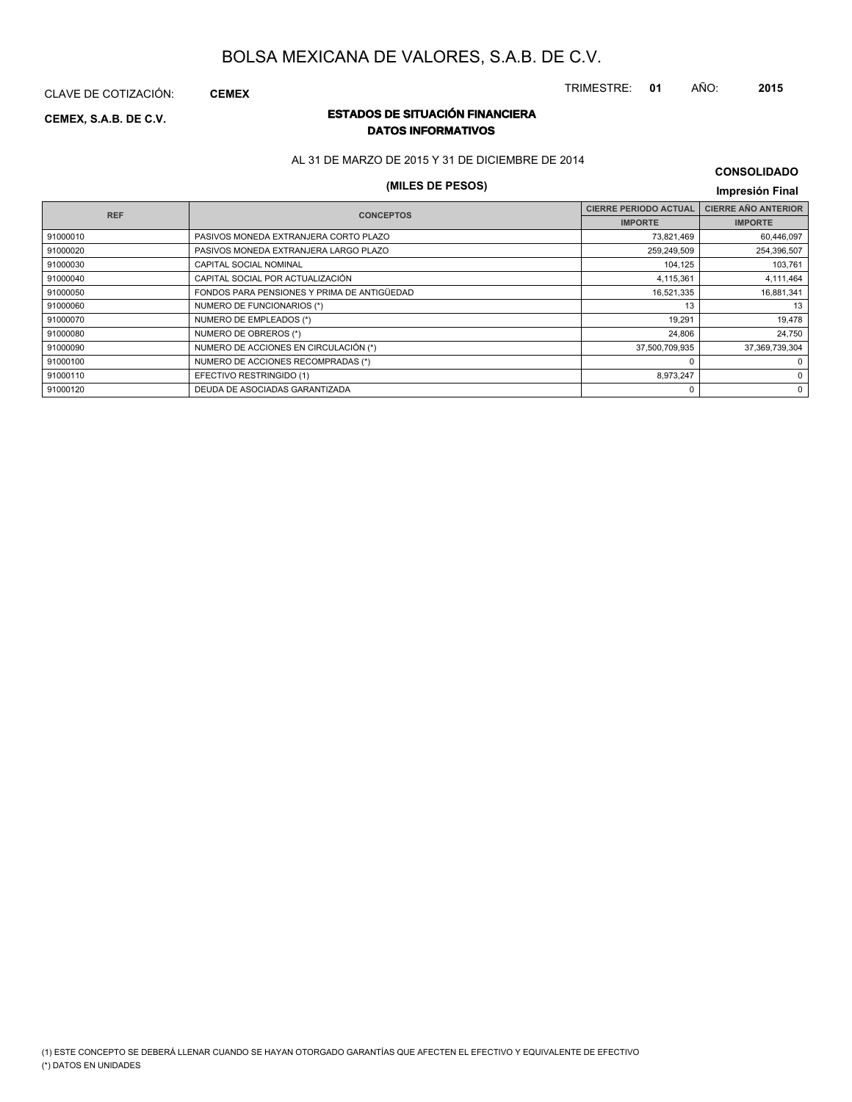TRIMESTRE: **01** AÑO: **2015**

CLAVE DE COTIZACIÓN: **CEMEX**

## **ESTADOS DE SITUACIÓN FINANCIERA CEMEX, S.A.B. DE C.V. DATOS INFORMATIVOS**

AL 31 DE MARZO DE 2015 Y 31 DE DICIEMBRE DE 2014

# **(MILES DE PESOS) Impresión Final**

| <b>CONSOLIDADO</b> |  |
|--------------------|--|
|--------------------|--|

| <b>REF</b> | <b>CONCEPTOS</b>                            | <b>CIERRE PERIODO ACTUAL</b> | <b>CIERRE AÑO ANTERIOR</b> |
|------------|---------------------------------------------|------------------------------|----------------------------|
|            |                                             | <b>IMPORTE</b>               | <b>IMPORTE</b>             |
| 91000010   | PASIVOS MONEDA EXTRANJERA CORTO PLAZO       | 73,821,469                   | 60,446,097                 |
| 91000020   | PASIVOS MONEDA EXTRANJERA LARGO PLAZO       | 259,249,509                  | 254,396,507                |
| 91000030   | CAPITAL SOCIAL NOMINAL                      | 104,125                      | 103,761                    |
| 91000040   | CAPITAL SOCIAL POR ACTUALIZACIÓN            | 4,115,361                    | 4,111,464                  |
| 91000050   | FONDOS PARA PENSIONES Y PRIMA DE ANTIGÜEDAD | 16,521,335                   | 16,881,341                 |
| 91000060   | NUMERO DE FUNCIONARIOS (*)                  | 13                           | 13                         |
| 91000070   | NUMERO DE EMPLEADOS (*)                     | 19,291                       | 19,478                     |
| 91000080   | NUMERO DE OBREROS (*)                       | 24,806                       | 24,750                     |
| 91000090   | NUMERO DE ACCIONES EN CIRCULACIÓN (*)       | 37,500,709,935               | 37,369,739,304             |
| 91000100   | NUMERO DE ACCIONES RECOMPRADAS (*)          |                              | 0                          |
| 91000110   | EFECTIVO RESTRINGIDO (1)                    | 8,973,247                    | 0                          |
| 91000120   | DEUDA DE ASOCIADAS GARANTIZADA              | 0                            | 0                          |
|            |                                             |                              |                            |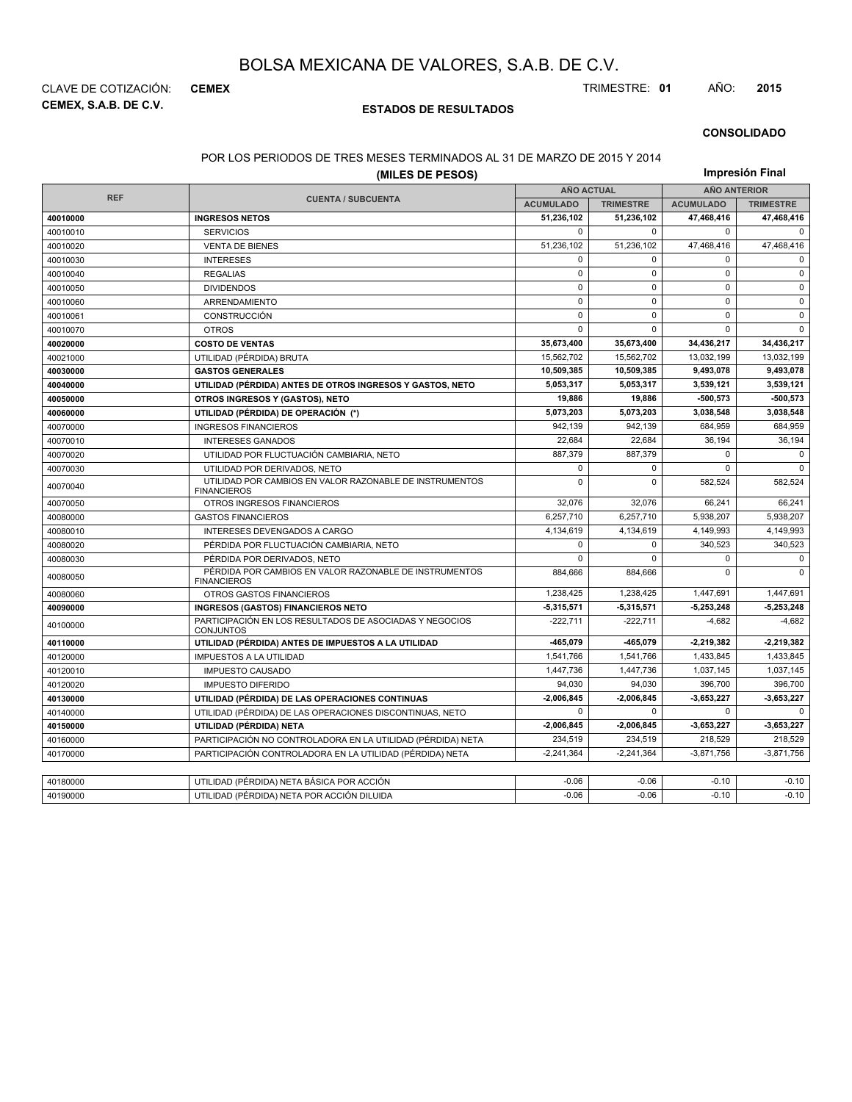**CEMEX, S.A.B. DE C.V.** CLAVE DE COTIZACIÓN: **CEMEX** TRIMESTRE: **01** AÑO: **2015**

## **ESTADOS DE RESULTADOS**

### **CONSOLIDADO**

#### POR LOS PERIODOS DE TRES MESES TERMINADOS AL 31 DE MARZO DE 2015 Y 2014

| (MILES DE PESOS) |                                                                               |                   |                  | Impresión Final     |                  |  |  |
|------------------|-------------------------------------------------------------------------------|-------------------|------------------|---------------------|------------------|--|--|
|                  |                                                                               | <b>AÑO ACTUAL</b> |                  | <b>AÑO ANTERIOR</b> |                  |  |  |
| <b>REF</b>       | <b>CUENTA / SUBCUENTA</b>                                                     | <b>ACUMULADO</b>  | <b>TRIMESTRE</b> | <b>ACUMULADO</b>    | <b>TRIMESTRE</b> |  |  |
| 40010000         | <b>INGRESOS NETOS</b>                                                         | 51,236,102        | 51,236,102       | 47,468,416          | 47,468,416       |  |  |
| 40010010         | <b>SERVICIOS</b>                                                              | $\mathbf 0$       | $\Omega$         | 0                   | $\Omega$         |  |  |
| 40010020         | <b>VENTA DE BIENES</b>                                                        | 51,236,102        | 51,236,102       | 47,468,416          | 47,468,416       |  |  |
| 40010030         | <b>INTERESES</b>                                                              | $\mathbf 0$       | $\mathbf 0$      | 0                   | $\mathbf 0$      |  |  |
| 40010040         | <b>REGALIAS</b>                                                               | $\pmb{0}$         | $\mathsf 0$      | 0                   | $\mathsf 0$      |  |  |
| 40010050         | <b>DIVIDENDOS</b>                                                             | $\mathbf 0$       | $\mathbf 0$      | $\mathbf 0$         | $\mathbf 0$      |  |  |
| 40010060         | ARRENDAMIENTO                                                                 | $\mathbf 0$       | $\mathbf 0$      | $\mathbf 0$         | $\mathsf 0$      |  |  |
| 40010061         | CONSTRUCCIÓN                                                                  | $\mathbf 0$       | $\mathbf 0$      | $\mathbf 0$         | $\mathbf 0$      |  |  |
| 40010070         | <b>OTROS</b>                                                                  | $\mathbf 0$       | $\mathbf 0$      | 0                   | $\mathbf 0$      |  |  |
| 40020000         | <b>COSTO DE VENTAS</b>                                                        | 35,673,400        | 35,673,400       | 34,436,217          | 34,436,217       |  |  |
| 40021000         | UTILIDAD (PÉRDIDA) BRUTA                                                      | 15,562,702        | 15,562,702       | 13,032,199          | 13,032,199       |  |  |
| 40030000         | <b>GASTOS GENERALES</b>                                                       | 10,509,385        | 10,509,385       | 9,493,078           | 9,493,078        |  |  |
| 40040000         | UTILIDAD (PÉRDIDA) ANTES DE OTROS INGRESOS Y GASTOS, NETO                     | 5,053,317         | 5,053,317        | 3,539,121           | 3,539,121        |  |  |
| 40050000         | OTROS INGRESOS Y (GASTOS), NETO                                               | 19,886            | 19,886           | -500,573            | $-500,573$       |  |  |
| 40060000         | UTILIDAD (PÉRDIDA) DE OPERACIÓN (*)                                           | 5,073,203         | 5,073,203        | 3,038,548           | 3,038,548        |  |  |
| 40070000         | <b>INGRESOS FINANCIEROS</b>                                                   | 942,139           | 942.139          | 684,959             | 684,959          |  |  |
| 40070010         | <b>INTERESES GANADOS</b>                                                      | 22,684            | 22,684           | 36,194              | 36,194           |  |  |
| 40070020         | UTILIDAD POR FLUCTUACIÓN CAMBIARIA, NETO                                      | 887,379           | 887,379          | 0                   | $\mathbf 0$      |  |  |
| 40070030         | UTILIDAD POR DERIVADOS, NETO                                                  |                   | $\mathbf 0$      | 0                   | $\mathbf 0$      |  |  |
| 40070040         | UTILIDAD POR CAMBIOS EN VALOR RAZONABLE DE INSTRUMENTOS<br><b>FINANCIEROS</b> | $\mathbf 0$       | $\Omega$         | 582.524             | 582,524          |  |  |
| 40070050         | OTROS INGRESOS FINANCIEROS                                                    | 32,076            | 32,076           | 66,241              | 66,241           |  |  |
| 40080000         | <b>GASTOS FINANCIEROS</b>                                                     | 6,257,710         | 6,257,710        | 5,938,207           | 5,938,207        |  |  |
| 40080010         | INTERESES DEVENGADOS A CARGO                                                  | 4,134,619         | 4,134,619        | 4,149,993           | 4,149,993        |  |  |
| 40080020         | PÉRDIDA POR FLUCTUACIÓN CAMBIARIA, NETO                                       | $\Omega$          | $\Omega$         | 340,523             | 340,523          |  |  |
| 40080030         | PÉRDIDA POR DERIVADOS, NETO                                                   | 0                 | $\mathbf 0$      | 0                   | $\mathbf 0$      |  |  |
| 40080050         | PÉRDIDA POR CAMBIOS EN VALOR RAZONABLE DE INSTRUMENTOS<br><b>FINANCIEROS</b>  | 884,666           | 884,666          | $\Omega$            | $\Omega$         |  |  |
| 40080060         | OTROS GASTOS FINANCIEROS                                                      | 1,238,425         | 1,238,425        | 1,447,691           | 1,447,691        |  |  |
| 40090000         | <b>INGRESOS (GASTOS) FINANCIEROS NETO</b>                                     | $-5,315,571$      | $-5,315,571$     | $-5,253,248$        | $-5,253,248$     |  |  |
| 40100000         | PARTICIPACIÓN EN LOS RESULTADOS DE ASOCIADAS Y NEGOCIOS<br><b>CONJUNTOS</b>   | $-222,711$        | $-222,711$       | $-4,682$            | $-4,682$         |  |  |
| 40110000         | UTILIDAD (PÉRDIDA) ANTES DE IMPUESTOS A LA UTILIDAD                           | -465,079          | -465,079         | -2,219,382          | $-2,219,382$     |  |  |
| 40120000         | <b>IMPUESTOS A LA UTILIDAD</b>                                                | 1,541,766         | 1,541,766        | 1,433,845           | 1,433,845        |  |  |
| 40120010         | <b>IMPUESTO CAUSADO</b>                                                       | 1,447,736         | 1,447,736        | 1,037,145           | 1,037,145        |  |  |
| 40120020         | <b>IMPUESTO DIFERIDO</b>                                                      | 94.030            | 94,030           | 396.700             | 396.700          |  |  |
| 40130000         | UTILIDAD (PÉRDIDA) DE LAS OPERACIONES CONTINUAS                               | $-2,006,845$      | $-2,006,845$     | $-3,653,227$        | $-3,653,227$     |  |  |
| 40140000         | UTILIDAD (PÉRDIDA) DE LAS OPERACIONES DISCONTINUAS, NETO                      | $\Omega$          | $\Omega$         | $\mathbf 0$         | $\Omega$         |  |  |
| 40150000         | UTILIDAD (PÉRDIDA) NETA                                                       | $-2,006,845$      | $-2,006,845$     | -3,653,227          | $-3,653,227$     |  |  |
| 40160000         | PARTICIPACIÓN NO CONTROLADORA EN LA UTILIDAD (PÉRDIDA) NETA                   | 234,519           | 234,519          | 218,529             | 218,529          |  |  |
| 40170000         | PARTICIPACIÓN CONTROLADORA EN LA UTILIDAD (PÉRDIDA) NETA                      | $-2,241,364$      | $-2,241,364$     | $-3,871,756$        | $-3,871,756$     |  |  |
|                  |                                                                               |                   |                  |                     |                  |  |  |
| 40180000         | UTILIDAD (PÉRDIDA) NETA BÁSICA POR ACCIÓN                                     | $-0.06$           | $-0.06$          | $-0.10$             | $-0.10$          |  |  |
| 40190000         | UTILIDAD (PÉRDIDA) NETA POR ACCIÓN DILUIDA                                    | $-0.06$           | $-0.06$          | $-0.10$             | $-0.10$          |  |  |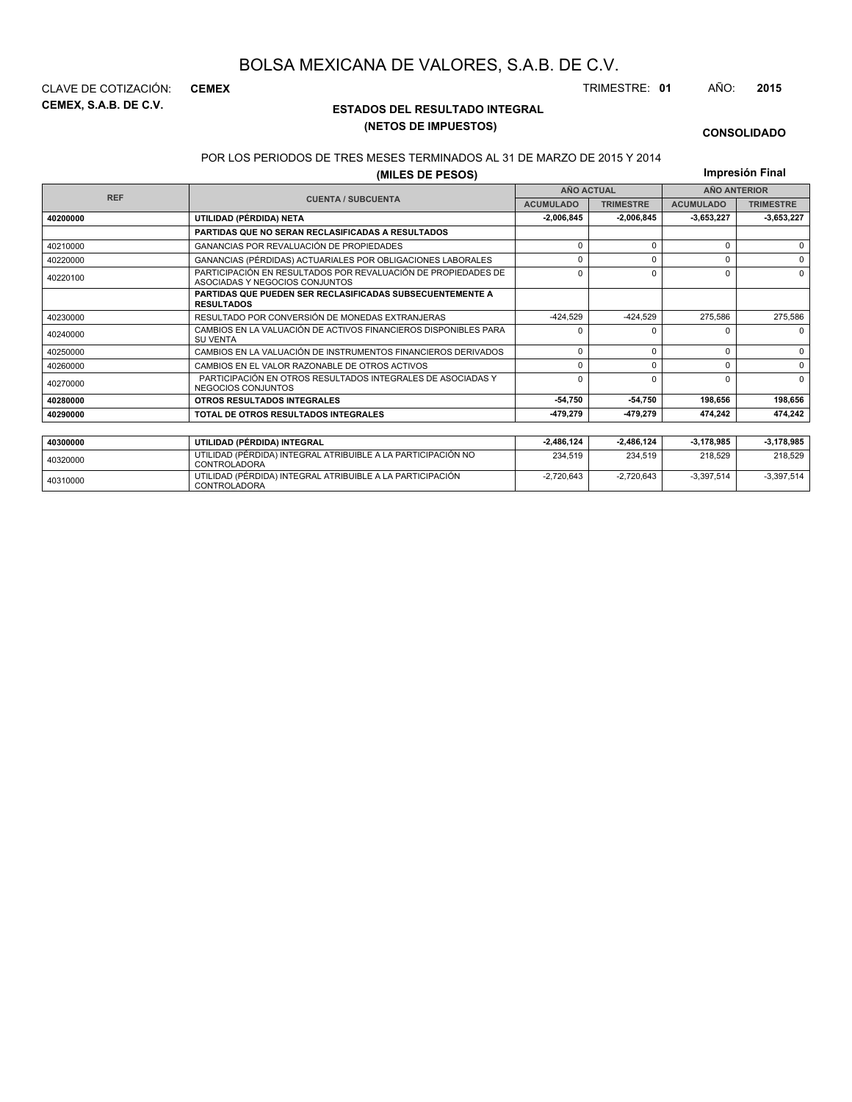**CEMEX, S.A.B. DE C.V.** CLAVE DE COTIZACIÓN: **CEMEX** TRIMESTRE: **01** AÑO: **2015**

## **ESTADOS DEL RESULTADO INTEGRAL (NETOS DE IMPUESTOS)**

### **CONSOLIDADO**

#### POR LOS PERIODOS DE TRES MESES TERMINADOS AL 31 DE MARZO DE 2015 Y 2014

**(MILES DE PESOS)**

**Impresión Final**

 $-2,720,643$   $-2,720,643$   $-3,397,514$   $-3,397,514$ 

| ושטט די ביט אוויון |                                                                                                 |                   |                  |                     |                  |
|--------------------|-------------------------------------------------------------------------------------------------|-------------------|------------------|---------------------|------------------|
| <b>REF</b>         |                                                                                                 | <b>AÑO ACTUAL</b> |                  | <b>AÑO ANTERIOR</b> |                  |
|                    | <b>CUENTA / SUBCUENTA</b>                                                                       | <b>ACUMULADO</b>  | <b>TRIMESTRE</b> | <b>ACUMULADO</b>    | <b>TRIMESTRE</b> |
| 40200000           | UTILIDAD (PÉRDIDA) NETA                                                                         | 2.006.845         | 2.006.845        | 3,653,227           | 3,653,227        |
|                    | <b>PARTIDAS QUE NO SERAN RECLASIFICADAS A RESULTADOS</b>                                        |                   |                  |                     |                  |
| 40210000           | GANANCIAS POR REVALUACIÓN DE PROPIEDADES                                                        | $\Omega$          | $\Omega$         | 0                   | $\Omega$         |
| 40220000           | GANANCIAS (PÉRDIDAS) ACTUARIALES POR OBLIGACIONES LABORALES                                     | $\Omega$          | $\Omega$         | U                   | $\Omega$         |
| 40220100           | PARTICIPACIÓN EN RESULTADOS POR REVALUACIÓN DE PROPIEDADES DE<br>ASOCIADAS Y NEGOCIOS CONJUNTOS | $\Omega$          | $\Omega$         | 0                   | $\Omega$         |
|                    | <b>PARTIDAS QUE PUEDEN SER RECLASIFICADAS SUBSECUENTEMENTE A</b><br><b>RESULTADOS</b>           |                   |                  |                     |                  |
| 40230000           | RESULTADO POR CONVERSIÓN DE MONEDAS EXTRANJERAS                                                 | $-424.529$        | $-424.529$       | 275,586             | 275,586          |
| 40240000           | CAMBIOS EN LA VALUACIÓN DE ACTIVOS FINANCIEROS DISPONIBLES PARA<br><b>SU VENTA</b>              | $\Omega$          |                  | n                   | $\Omega$         |
| 40250000           | CAMBIOS EN LA VALUACIÓN DE INSTRUMENTOS FINANCIEROS DERIVADOS                                   | $\Omega$          | $\Omega$         | 0                   | $\Omega$         |
| 40260000           | CAMBIOS EN EL VALOR RAZONABLE DE OTROS ACTIVOS                                                  | $\Omega$          | $\Omega$         | U                   | $\Omega$         |
| 40270000           | PARTICIPACIÓN EN OTROS RESULTADOS INTEGRALES DE ASOCIADAS Y<br>NEGOCIOS CONJUNTOS               |                   | $\Omega$         | U                   | $\Omega$         |
| 40280000           | <b>OTROS RESULTADOS INTEGRALES</b>                                                              | $-54,750$         | 54,750           | 198,656             | 198,656          |
| 40290000           | TOTAL DE OTROS RESULTADOS INTEGRALES                                                            | 479.279           | -479.279         | 474.242             | 474,242          |
|                    |                                                                                                 |                   |                  |                     |                  |
| 40300000           | UTILIDAD (PÉRDIDA) INTEGRAL                                                                     | 2,486,124         | $-2,486,124$     | -3,178,985          | $-3,178,985$     |
| 40320000           | UTILIDAD (PÉRDIDA) INTEGRAL ATRIBUIBLE A LA PARTICIPACIÓN NO<br><b>CONTROLADORA</b>             | 234,519           | 234,519          | 218,529             | 218,529          |

<sup>40310000</sup> UTILIDAD (PÉRDIDA) INTEGRAL ATRIBUIBLE A LA PARTICIPACIÓN CONTROLADORA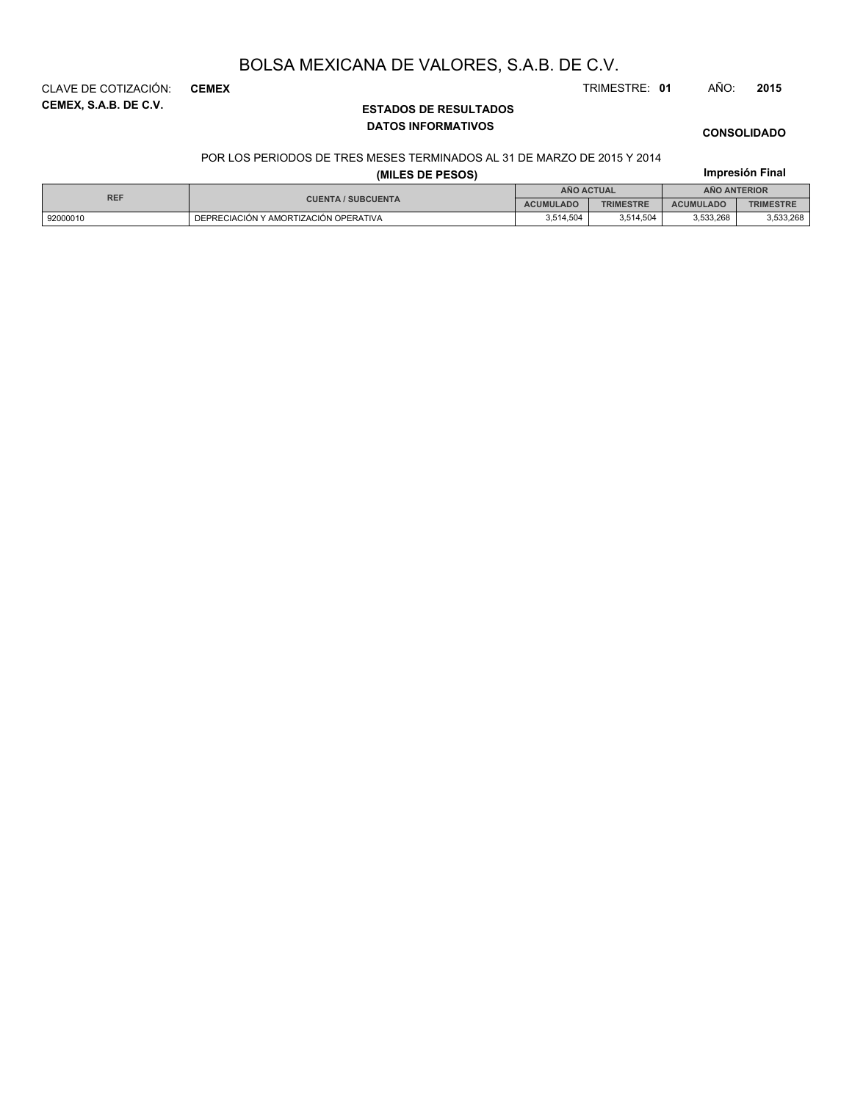**CEMEX, S.A.B. DE C.V.** CLAVE DE COTIZACIÓN: **CEMEX** TRIMESTRE: **01** AÑO: **2015**

## **ESTADOS DE RESULTADOS DATOS INFORMATIVOS**

# **CONSOLIDADO**

**Impresión Final**

### POR LOS PERIODOS DE TRES MESES TERMINADOS AL 31 DE MARZO DE 2015 Y 2014

## **(MILES DE PESOS)**

| <b>REF</b> |                                       | ANO ACTUAL<br><b>ANO ANTERIOR</b> |                  |                  |                  |
|------------|---------------------------------------|-----------------------------------|------------------|------------------|------------------|
|            | <b>CUENTA / SUBCUENTA</b>             | <b>ACUMULADO</b>                  | <b>TRIMESTRE</b> | <b>ACUMULADO</b> | <b>TRIMESTRE</b> |
| 92000010   | DEPRECIACIÓN Y AMORTIZACIÓN OPERATIVA | 3,514,504                         | 3,514,504        | 3,533,268        | 3,533,268        |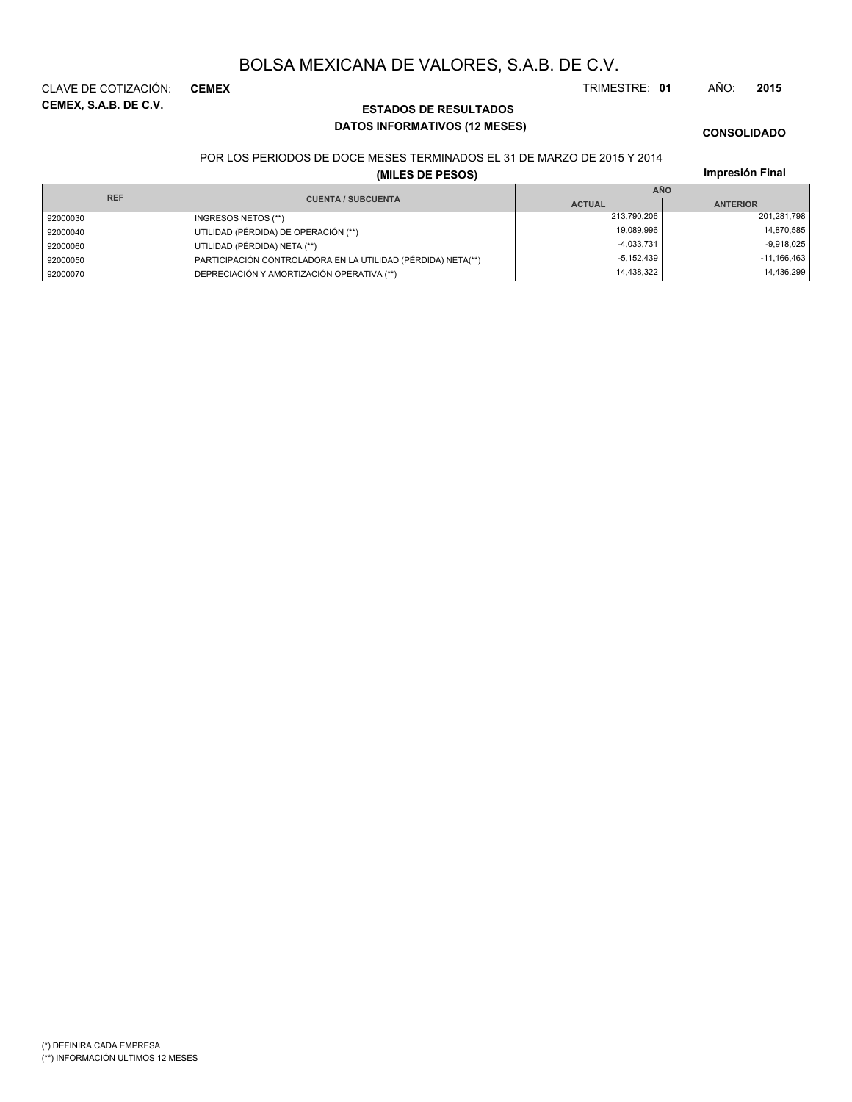**CEMEX, S.A.B. DE C.V.** CLAVE DE COTIZACIÓN: **CEMEX** TRIMESTRE: **01** AÑO: **2015**

## **ESTADOS DE RESULTADOS DATOS INFORMATIVOS (12 MESES)**

**CONSOLIDADO**

POR LOS PERIODOS DE DOCE MESES TERMINADOS EL 31 DE MARZO DE 2015 Y 2014

**(MILES DE PESOS)**

**Impresión Final**

| <b>REF</b> |                                                              |                                  | AÑO           |
|------------|--------------------------------------------------------------|----------------------------------|---------------|
|            | <b>CUENTA / SUBCUENTA</b>                                    | <b>ACTUAL</b><br><b>ANTERIOR</b> |               |
| 92000030   | INGRESOS NETOS (**)                                          | 213.790.206                      | 201,281,798   |
| 92000040   | UTILIDAD (PÉRDIDA) DE OPERACIÓN (**)                         | 19.089.996                       | 14,870,585    |
| 92000060   | UTILIDAD (PÉRDIDA) NETA (**)                                 | $-4.033.731$                     | $-9.918.025$  |
| 92000050   | PARTICIPACIÓN CONTROLADORA EN LA UTILIDAD (PÉRDIDA) NETA(**) | $-5.152.439$                     | $-11,166,463$ |
| 92000070   | DEPRECIACIÓN Y AMORTIZACIÓN OPERATIVA (**)                   | 14,438,322                       | 14,436,299    |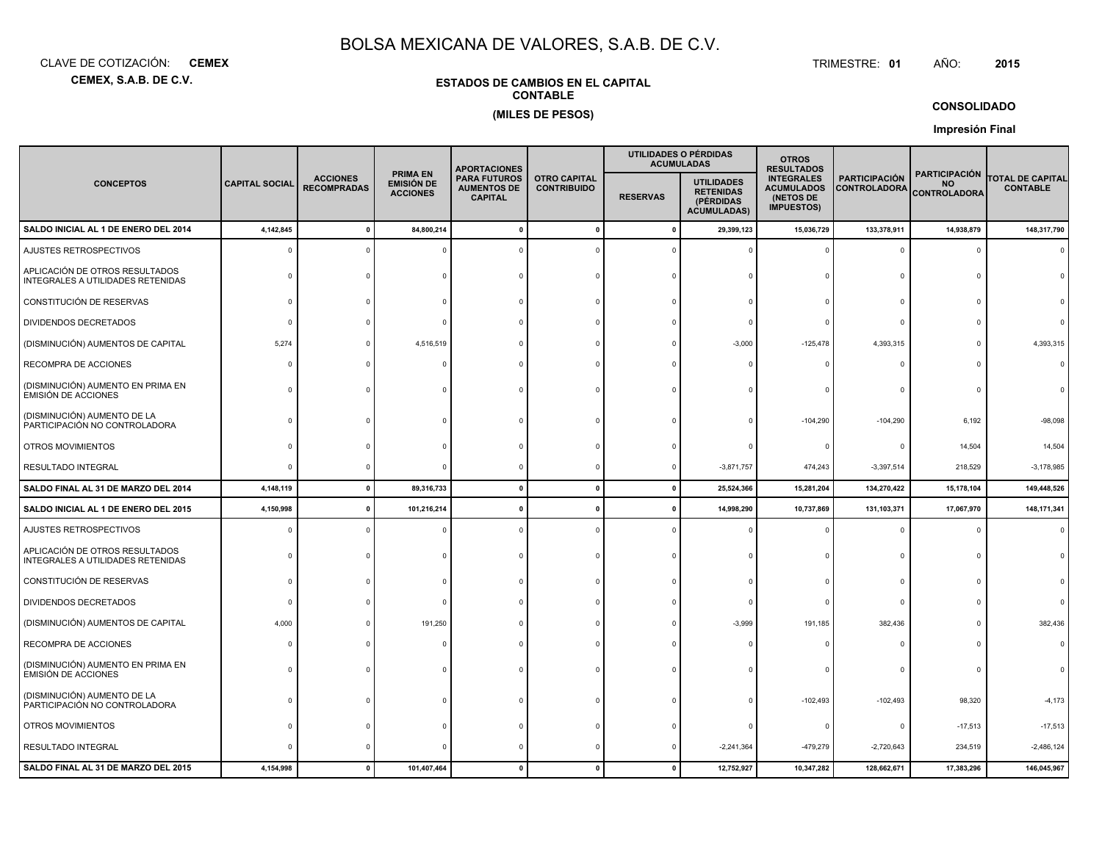**CEMEX, S.A.B. DE C.V.**CLAVE DE COTIZACIÓN:**CEMEX**: **CEMEX** TRIMESTRE:

## **ESTADOS DE CAMBIOS EN EL CAPITALCONTABLE(MILES DE PESOS)**

#### TRIMESTRE: 01 AÑO: **<sup>2015</sup>**

## **CONSOLIDADO**

**Impresión Final**

|                                                                     |                       |                                       |                                                         | <b>APORTACIONES</b>                                                                                                                                                                                                                                                                                         |              |                     | UTILIDADES O PÉRDIDAS<br><b>ACUMULADAS</b> | <b>OTROS</b><br><b>RESULTADOS</b>                        |                                            |            |               |
|---------------------------------------------------------------------|-----------------------|---------------------------------------|---------------------------------------------------------|-------------------------------------------------------------------------------------------------------------------------------------------------------------------------------------------------------------------------------------------------------------------------------------------------------------|--------------|---------------------|--------------------------------------------|----------------------------------------------------------|--------------------------------------------|------------|---------------|
| <b>CONCEPTOS</b>                                                    | <b>CAPITAL SOCIAL</b> | <b>ACCIONES</b><br><b>RECOMPRADAS</b> | <b>PRIMA EN</b><br><b>EMISIÓN DE</b><br><b>ACCIONES</b> | <b>INTEGRALES</b><br><b>PARTICIPACIÓN</b><br><b>OTRO CAPITAL</b><br><b>UTILIDADES</b><br><b>AUMENTOS DE</b><br><b>ACUMULADOS</b><br><b>CONTRIBUIDO</b><br><b>CONTROLADORA</b><br><b>RETENIDAS</b><br><b>RESERVAS</b><br>(NETOS DE<br><b>CAPITAL</b><br>(PÉRDIDAS<br><b>IMPUESTOS)</b><br><b>ACUMULADAS)</b> |              | <b>PARA FUTUROS</b> |                                            | <b>PARTICIPACIÓN</b><br><b>NO</b><br><b>CONTROLADORA</b> | <b>TOTAL DE CAPITAL</b><br><b>CONTABLE</b> |            |               |
| SALDO INICIAL AL 1 DE ENERO DEL 2014                                | 4,142,845             | $\mathbf{0}$                          | 84,800,214                                              |                                                                                                                                                                                                                                                                                                             | $\mathbf{0}$ | $\mathbf{0}$        | 29,399,123                                 | 15,036,729                                               | 133,378,911                                | 14,938,879 | 148,317,790   |
| AJUSTES RETROSPECTIVOS                                              |                       |                                       |                                                         |                                                                                                                                                                                                                                                                                                             |              |                     |                                            |                                                          | $\Omega$                                   | $\Omega$   |               |
| APLICACIÓN DE OTROS RESULTADOS<br>INTEGRALES A UTILIDADES RETENIDAS |                       |                                       |                                                         |                                                                                                                                                                                                                                                                                                             |              |                     |                                            |                                                          | $\Omega$                                   |            |               |
| CONSTITUCIÓN DE RESERVAS                                            |                       |                                       |                                                         |                                                                                                                                                                                                                                                                                                             |              |                     |                                            |                                                          | $\Omega$                                   |            |               |
| <b>DIVIDENDOS DECRETADOS</b>                                        |                       |                                       |                                                         |                                                                                                                                                                                                                                                                                                             |              |                     |                                            |                                                          | $\Omega$                                   |            |               |
| (DISMINUCIÓN) AUMENTOS DE CAPITAL                                   | 5,274                 |                                       | 4,516,519                                               |                                                                                                                                                                                                                                                                                                             |              |                     | $-3,000$                                   | $-125,478$                                               | 4,393,315                                  | $\Omega$   | 4,393,315     |
| RECOMPRA DE ACCIONES                                                |                       |                                       |                                                         |                                                                                                                                                                                                                                                                                                             |              |                     |                                            |                                                          | $\Omega$                                   |            |               |
| (DISMINUCIÓN) AUMENTO EN PRIMA EN<br><b>EMISIÓN DE ACCIONES</b>     |                       |                                       |                                                         |                                                                                                                                                                                                                                                                                                             |              |                     |                                            |                                                          | $\Omega$                                   | $\Omega$   |               |
| (DISMINUCIÓN) AUMENTO DE LA<br>PARTICIPACIÓN NO CONTROLADORA        |                       |                                       |                                                         |                                                                                                                                                                                                                                                                                                             |              |                     |                                            | $-104,290$                                               | $-104,290$                                 | 6,192      | $-98,098$     |
| OTROS MOVIMIENTOS                                                   |                       |                                       |                                                         |                                                                                                                                                                                                                                                                                                             |              |                     |                                            |                                                          | 0                                          | 14,504     | 14,504        |
| <b>RESULTADO INTEGRAL</b>                                           |                       |                                       |                                                         |                                                                                                                                                                                                                                                                                                             |              |                     | $-3,871,757$                               | 474,243                                                  | $-3,397,514$                               | 218,529    | $-3,178,985$  |
| SALDO FINAL AL 31 DE MARZO DEL 2014                                 | 4,148,119             | $\mathbf 0$                           | 89,316,733                                              | $\mathbf{r}$                                                                                                                                                                                                                                                                                                | $\mathbf{0}$ | $\mathbf 0$         | 25,524,366                                 | 15,281,204                                               | 134,270,422                                | 15,178,104 | 149,448,526   |
| SALDO INICIAL AL 1 DE ENERO DEL 2015                                | 4,150,998             | $\mathbf 0$                           | 101,216,214                                             |                                                                                                                                                                                                                                                                                                             |              | n                   | 14,998,290                                 | 10,737,869                                               | 131,103,371                                | 17,067,970 | 148, 171, 341 |
| AJUSTES RETROSPECTIVOS                                              |                       |                                       |                                                         |                                                                                                                                                                                                                                                                                                             |              |                     |                                            |                                                          | $\Omega$                                   | $\Omega$   |               |
| APLICACIÓN DE OTROS RESULTADOS<br>INTEGRALES A UTILIDADES RETENIDAS |                       |                                       |                                                         |                                                                                                                                                                                                                                                                                                             |              |                     |                                            |                                                          | 0                                          | $\Omega$   |               |
| CONSTITUCIÓN DE RESERVAS                                            |                       |                                       |                                                         |                                                                                                                                                                                                                                                                                                             |              |                     |                                            |                                                          | $\Omega$                                   |            |               |
| <b>DIVIDENDOS DECRETADOS</b>                                        |                       |                                       |                                                         |                                                                                                                                                                                                                                                                                                             |              |                     |                                            |                                                          | $\mathbf 0$                                |            |               |
| (DISMINUCIÓN) AUMENTOS DE CAPITAL                                   | 4,000                 |                                       | 191,250                                                 |                                                                                                                                                                                                                                                                                                             |              |                     | $-3,999$                                   | 191,185                                                  | 382,436                                    |            | 382,436       |
| RECOMPRA DE ACCIONES                                                |                       |                                       |                                                         |                                                                                                                                                                                                                                                                                                             |              |                     |                                            |                                                          | $\Omega$                                   |            |               |
| (DISMINUCIÓN) AUMENTO EN PRIMA EN<br>EMISIÓN DE ACCIONES            |                       |                                       |                                                         |                                                                                                                                                                                                                                                                                                             |              |                     |                                            |                                                          | $\Omega$                                   |            |               |
| (DISMINUCIÓN) AUMENTO DE LA<br>PARTICIPACIÓN NO CONTROLADORA        |                       |                                       |                                                         |                                                                                                                                                                                                                                                                                                             |              |                     |                                            | $-102,493$                                               | $-102,493$                                 | 98,320     | $-4,173$      |
| OTROS MOVIMIENTOS                                                   |                       |                                       |                                                         |                                                                                                                                                                                                                                                                                                             |              |                     |                                            |                                                          | 0                                          | $-17,513$  | $-17,513$     |
| RESULTADO INTEGRAL                                                  |                       |                                       |                                                         |                                                                                                                                                                                                                                                                                                             |              |                     | $-2,241,364$                               | -479,279                                                 | $-2,720,643$                               | 234,519    | $-2,486,124$  |
| SALDO FINAL AL 31 DE MARZO DEL 2015                                 | 4,154,998             | $\mathbf{0}$                          | 101,407,464                                             |                                                                                                                                                                                                                                                                                                             |              | $\mathbf{r}$        | 12,752,927                                 | 10,347,282                                               | 128,662,671                                | 17,383,296 | 146,045,967   |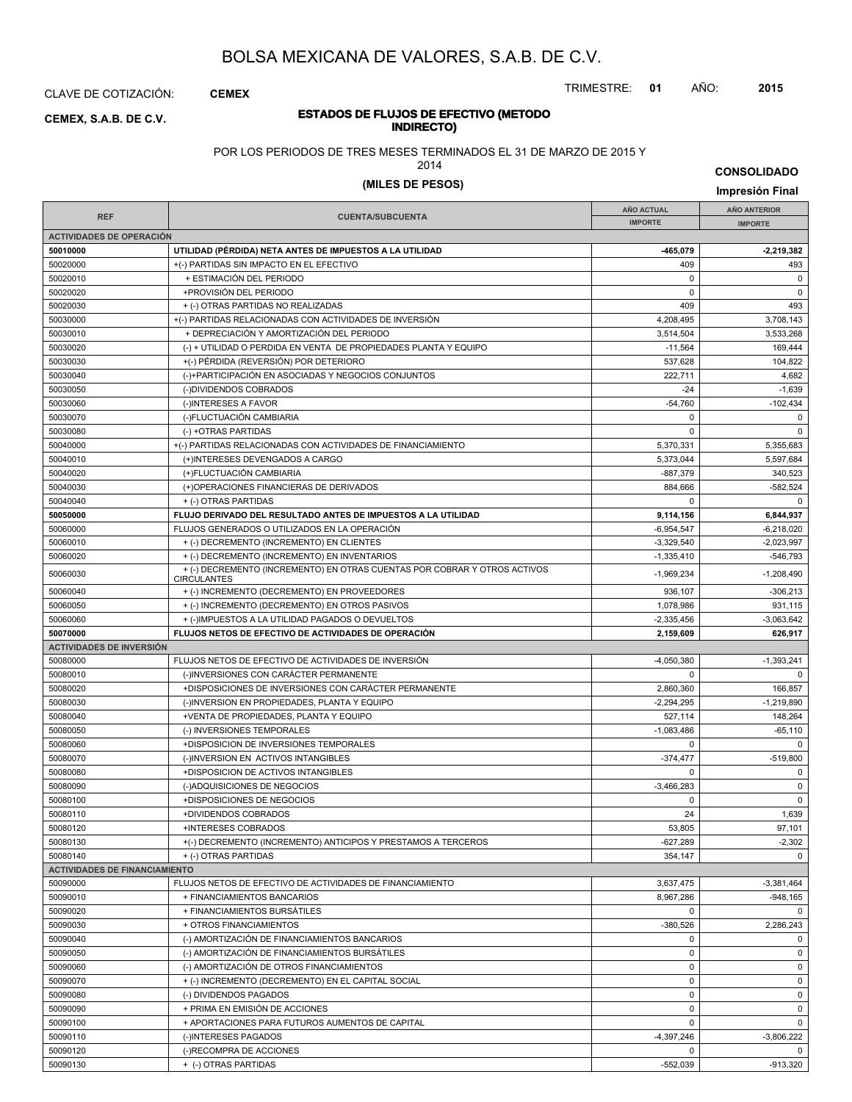CLAVE DE COTIZACIÓN: **CEMEX**

## **INDIRECTO) CEMEX, S.A.B. DE C.V.**

TRIMESTRE: **01** AÑO: **2015**

# **ESTADOS DE FLUJOS DE EFECTIVO (METODO**

POR LOS PERIODOS DE TRES MESES TERMINADOS EL 31 DE MARZO DE 2015 Y

2014

**CONSOLIDADO**

# **(MILES DE PESOS) Impresión Final**

|                                      |                                                                                                 | <b>AÑO ACTUAL</b> | <b>AÑO ANTERIOR</b> |
|--------------------------------------|-------------------------------------------------------------------------------------------------|-------------------|---------------------|
| <b>REF</b>                           | <b>CUENTA/SUBCUENTA</b>                                                                         | <b>IMPORTE</b>    | <b>IMPORTE</b>      |
| <b>ACTIVIDADES DE OPERACIÓN</b>      |                                                                                                 |                   |                     |
| 50010000                             | UTILIDAD (PÉRDIDA) NETA ANTES DE IMPUESTOS A LA UTILIDAD                                        | -465,079          | $-2,219,382$        |
| 50020000                             | +(-) PARTIDAS SIN IMPACTO EN EL EFECTIVO                                                        | 409               | 493                 |
| 50020010                             | + ESTIMACIÓN DEL PERIODO                                                                        | $\mathbf 0$       | $\mathbf 0$         |
| 50020020                             | +PROVISIÓN DEL PERIODO                                                                          | 0                 | $\mathbf 0$         |
| 50020030                             | + (-) OTRAS PARTIDAS NO REALIZADAS                                                              | 409               | 493                 |
|                                      |                                                                                                 |                   |                     |
| 50030000                             | +(-) PARTIDAS RELACIONADAS CON ACTIVIDADES DE INVERSIÓN                                         | 4,208,495         | 3,708,143           |
| 50030010                             | + DEPRECIACIÓN Y AMORTIZACIÓN DEL PERIODO                                                       | 3,514,504         | 3,533,268           |
| 50030020                             | (-) + UTILIDAD O PERDIDA EN VENTA DE PROPIEDADES PLANTA Y EQUIPO                                | $-11,564$         | 169,444             |
| 50030030                             | +(-) PÉRDIDA (REVERSIÓN) POR DETERIORO                                                          | 537,628           | 104,822             |
| 50030040                             | (-)+PARTICIPACIÓN EN ASOCIADAS Y NEGOCIOS CONJUNTOS                                             | 222,711           | 4,682               |
| 50030050                             | (-)DIVIDENDOS COBRADOS                                                                          | $-24$             | $-1,639$            |
| 50030060                             | (-)INTERESES A FAVOR                                                                            | $-54,760$         | $-102,434$          |
| 50030070                             | (-)FLUCTUACIÓN CAMBIARIA                                                                        | 0                 | 0                   |
| 50030080                             | (-) +OTRAS PARTIDAS                                                                             | $\Omega$          | $\mathbf 0$         |
| 50040000                             | +(-) PARTIDAS RELACIONADAS CON ACTIVIDADES DE FINANCIAMIENTO                                    | 5,370,331         | 5,355,683           |
| 50040010                             | (+)INTERESES DEVENGADOS A CARGO                                                                 | 5,373,044         | 5,597,684           |
| 50040020                             | (+)FLUCTUACIÓN CAMBIARIA                                                                        | $-887,379$        | 340.523             |
| 50040030                             | (+)OPERACIONES FINANCIERAS DE DERIVADOS                                                         | 884,666           | $-582,524$          |
|                                      |                                                                                                 |                   |                     |
| 50040040                             | + (-) OTRAS PARTIDAS                                                                            | 0                 | $\mathbf 0$         |
| 50050000                             | FLUJO DERIVADO DEL RESULTADO ANTES DE IMPUESTOS A LA UTILIDAD                                   | 9,114,156         | 6,844,937           |
| 50060000                             | FLUJOS GENERADOS O UTILIZADOS EN LA OPERACIÓN                                                   | $-6,954,547$      | $-6,218,020$        |
| 50060010                             | + (-) DECREMENTO (INCREMENTO) EN CLIENTES                                                       | $-3,329,540$      | $-2,023,997$        |
| 50060020                             | + (-) DECREMENTO (INCREMENTO) EN INVENTARIOS                                                    | $-1,335,410$      | $-546,793$          |
| 50060030                             | + (-) DECREMENTO (INCREMENTO) EN OTRAS CUENTAS POR COBRAR Y OTROS ACTIVOS<br><b>CIRCULANTES</b> | $-1,969,234$      | $-1,208,490$        |
| 50060040                             | + (-) INCREMENTO (DECREMENTO) EN PROVEEDORES                                                    | 936,107           | $-306,213$          |
| 50060050                             | + (-) INCREMENTO (DECREMENTO) EN OTROS PASIVOS                                                  | 1,078,986         | 931,115             |
| 50060060                             | + (-)IMPUESTOS A LA UTILIDAD PAGADOS O DEVUELTOS                                                | $-2,335,456$      | $-3,063,642$        |
| 50070000                             | FLUJOS NETOS DE EFECTIVO DE ACTIVIDADES DE OPERACIÓN                                            | 2,159,609         | 626,917             |
| <b>ACTIVIDADES DE INVERSIÓN</b>      |                                                                                                 |                   |                     |
| 50080000                             | FLUJOS NETOS DE EFECTIVO DE ACTIVIDADES DE INVERSIÓN                                            | $-4,050,380$      | $-1,393,241$        |
| 50080010                             | (-)INVERSIONES CON CARÁCTER PERMANENTE                                                          | 0                 | 0                   |
|                                      | +DISPOSICIONES DE INVERSIONES CON CARÁCTER PERMANENTE                                           | 2,860,360         |                     |
| 50080020                             |                                                                                                 |                   | 166,857             |
| 50080030                             | (-)INVERSION EN PROPIEDADES, PLANTA Y EQUIPO                                                    | $-2,294,295$      | $-1,219,890$        |
| 50080040                             | +VENTA DE PROPIEDADES, PLANTA Y EQUIPO                                                          | 527,114           | 148,264             |
| 50080050                             | (-) INVERSIONES TEMPORALES                                                                      | $-1,083,486$      | $-65,110$           |
| 50080060                             | +DISPOSICION DE INVERSIONES TEMPORALES                                                          | $\Omega$          |                     |
| 50080070                             | (-)INVERSION EN ACTIVOS INTANGIBLES                                                             | $-374,477$        | $-519,800$          |
| 50080080                             | +DISPOSICION DE ACTIVOS INTANGIBLES                                                             | 0                 | 0                   |
| 50080090                             | (-)ADQUISICIONES DE NEGOCIOS                                                                    | $-3,466,283$      | $\pmb{0}$           |
| 50080100                             | +DISPOSICIONES DE NEGOCIOS                                                                      | 0                 | $\pmb{0}$           |
| 50080110                             | +DIVIDENDOS COBRADOS                                                                            | 24                | 1,639               |
| 50080120                             | +INTERESES COBRADOS                                                                             | 53,805            | 97,101              |
| 50080130                             | +(-) DECREMENTO (INCREMENTO) ANTICIPOS Y PRESTAMOS A TERCEROS                                   | $-627,289$        | $-2,302$            |
| 50080140                             | + (-) OTRAS PARTIDAS                                                                            | 354,147           | 0                   |
| <b>ACTIVIDADES DE FINANCIAMIENTO</b> |                                                                                                 |                   |                     |
| 50090000                             |                                                                                                 |                   |                     |
|                                      | FLUJOS NETOS DE EFECTIVO DE ACTIVIDADES DE FINANCIAMIENTO                                       | 3,637,475         | $-3,381,464$        |
| 50090010                             | + FINANCIAMIENTOS BANCARIOS                                                                     | 8,967,286         | $-948,165$          |
| 50090020                             | + FINANCIAMIENTOS BURSÁTILES                                                                    | 0                 | 0                   |
| 50090030                             | + OTROS FINANCIAMIENTOS                                                                         | $-380,526$        | 2,286,243           |
| 50090040                             | (-) AMORTIZACIÓN DE FINANCIAMIENTOS BANCARIOS                                                   | 0                 | 0                   |
| 50090050                             | (-) AMORTIZACIÓN DE FINANCIAMIENTOS BURSÁTILES                                                  | 0                 | $\mathsf 0$         |
| 50090060                             | (-) AMORTIZACIÓN DE OTROS FINANCIAMIENTOS                                                       | 0                 | 0                   |
| 50090070                             | + (-) INCREMENTO (DECREMENTO) EN EL CAPITAL SOCIAL                                              | 0                 | 0                   |
| 50090080                             | (-) DIVIDENDOS PAGADOS                                                                          | 0                 | 0                   |
| 50090090                             | + PRIMA EN EMISIÓN DE ACCIONES                                                                  | 0                 | 0                   |
| 50090100                             | + APORTACIONES PARA FUTUROS AUMENTOS DE CAPITAL                                                 | 0                 | 0                   |
| 50090110                             | (-)INTERESES PAGADOS                                                                            | $-4,397,246$      | $-3,806,222$        |
| 50090120                             | (-)RECOMPRA DE ACCIONES                                                                         | 0                 | $\mathbf{0}$        |
| 50090130                             | + (-) OTRAS PARTIDAS                                                                            | $-552,039$        | $-913,320$          |
|                                      |                                                                                                 |                   |                     |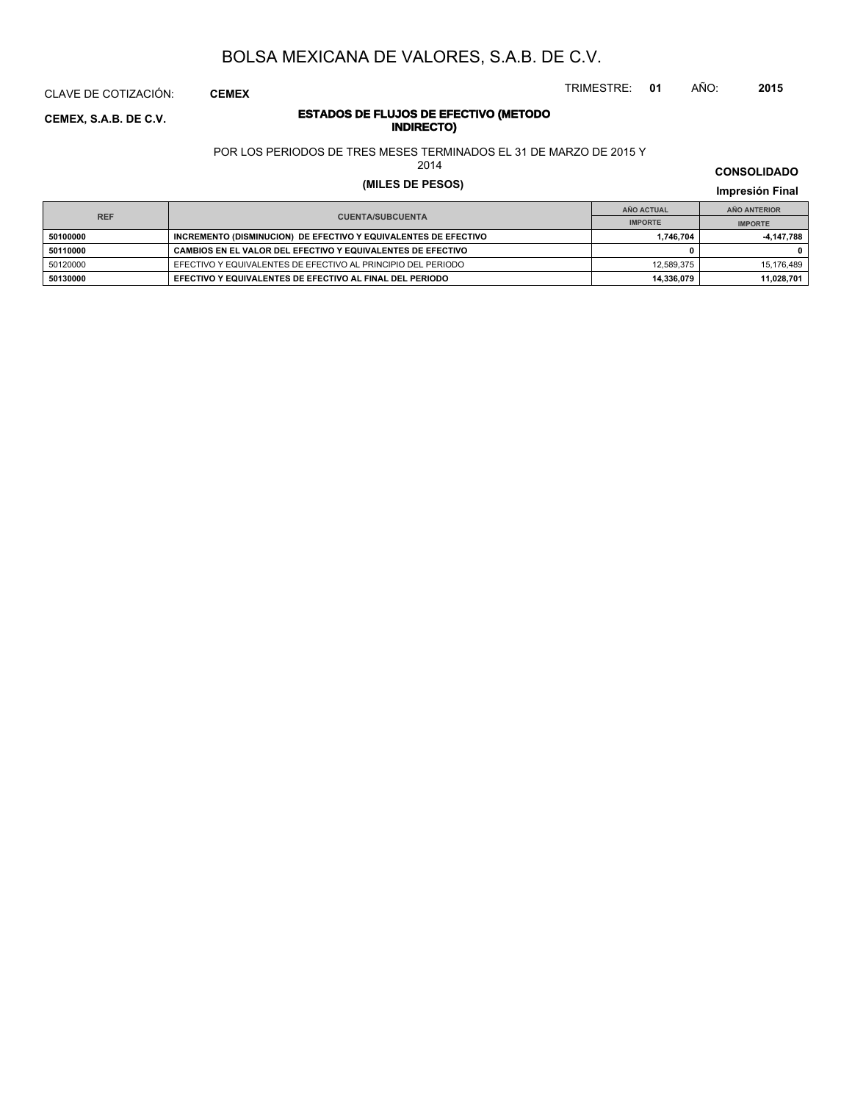CLAVE DE COTIZACIÓN: **CEMEX**

## **INDIRECTO) CEMEX, S.A.B. DE C.V.**

# **ESTADOS DE FLUJOS DE EFECTIVO (METODO**

POR LOS PERIODOS DE TRES MESES TERMINADOS EL 31 DE MARZO DE 2015 Y

2014

# **(MILES DE PESOS) Impresión Final**

**IMPRESIÓN FINAL EN EN ENCLORED EN EL ENCLORED EN EL ENCLORED EN EL ENCLORED EN EL ENCLORED EN EL ENCLORED EN EL ENCLORED EN EL ENCLORED EN EL ENCLORED EN EL ENCLORED EN EL ENCLORED EN EL ENCLORED EN EL ENCLORED EN EL ENCL AÑO ACTUAL IMPORTE IMPORTE REF AÑO ANTERIOR IMPORTE 50100000 INCREMENTO (DISMINUCION) DE EFECTIVO Y EQUIVALENTES DE EFECTIVO 1,746,704 -4,147,788 50110000 CAMBIOS EN EL VALOR DEL EFECTIVO Y EQUIVALENTES DE EFECTIVO 0 0** 50120000 EFECTIVO Y EQUIVALENTES DE EFECTIVO AL PRINCIPIO DEL PERIODO 12,589,375 15,176,489 **50130000 EFECTIVO Y EQUIVALENTES DE EFECTIVO AL FINAL DEL PERIODO 14,336,079 11,028,701**

**CONSOLIDADO**

TRIMESTRE: **01** AÑO: **2015**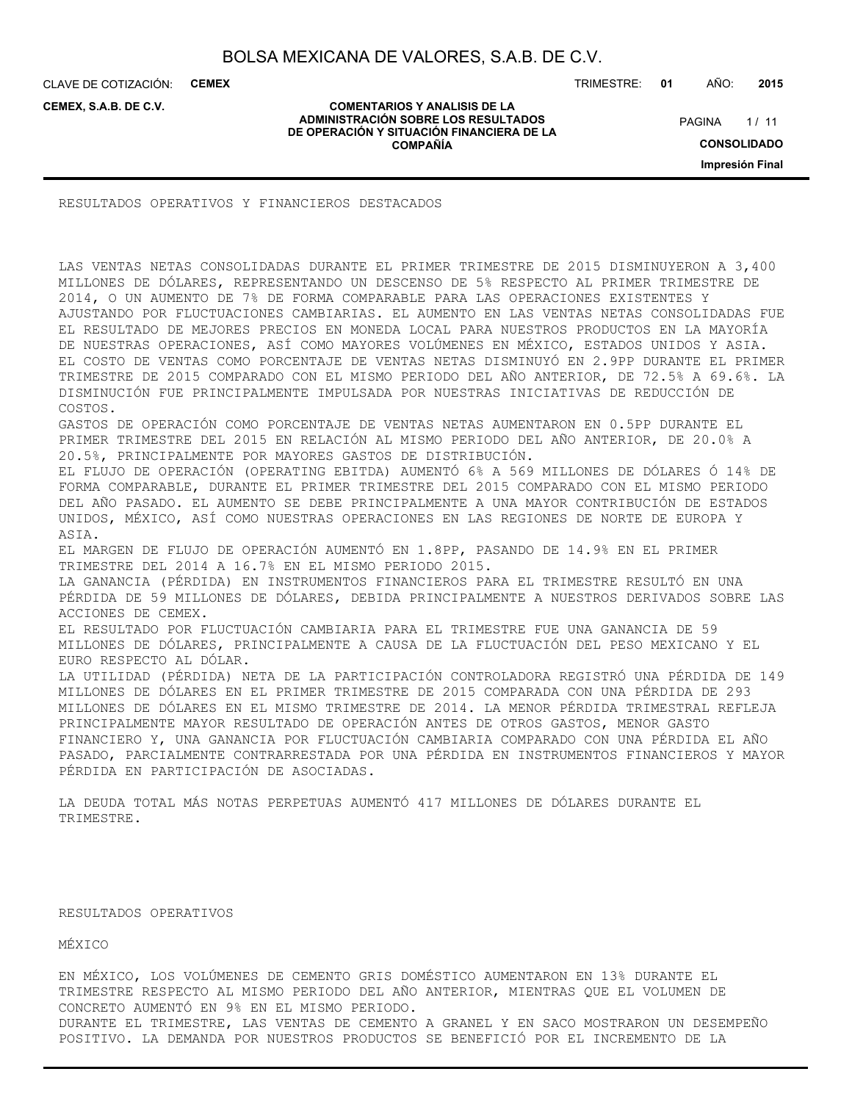**COMENTARIOS Y ANALISIS DE LA ADMINISTRACIÓN SOBRE LOS RESULTADOS DE OPERACIÓN Y SITUACIÓN FINANCIERA DE LA COMPAÑÍA**

CLAVE DE COTIZACIÓN: **CEMEX**

**CEMEX, S.A.B. DE C.V.**

TRIMESTRE: **01** AÑO: **2015**

 $1/11$ **CONSOLIDADO PAGINA** 

**Impresión Final**

RESULTADOS OPERATIVOS Y FINANCIEROS DESTACADOS

LAS VENTAS NETAS CONSOLIDADAS DURANTE EL PRIMER TRIMESTRE DE 2015 DISMINUYERON A 3,400 MILLONES DE DÓLARES, REPRESENTANDO UN DESCENSO DE 5% RESPECTO AL PRIMER TRIMESTRE DE 2014, O UN AUMENTO DE 7% DE FORMA COMPARABLE PARA LAS OPERACIONES EXISTENTES Y AJUSTANDO POR FLUCTUACIONES CAMBIARIAS. EL AUMENTO EN LAS VENTAS NETAS CONSOLIDADAS FUE EL RESULTADO DE MEJORES PRECIOS EN MONEDA LOCAL PARA NUESTROS PRODUCTOS EN LA MAYORÍA DE NUESTRAS OPERACIONES, ASÍ COMO MAYORES VOLÚMENES EN MÉXICO, ESTADOS UNIDOS Y ASIA. EL COSTO DE VENTAS COMO PORCENTAJE DE VENTAS NETAS DISMINUYÓ EN 2.9PP DURANTE EL PRIMER TRIMESTRE DE 2015 COMPARADO CON EL MISMO PERIODO DEL AÑO ANTERIOR, DE 72.5% A 69.6%. LA DISMINUCIÓN FUE PRINCIPALMENTE IMPULSADA POR NUESTRAS INICIATIVAS DE REDUCCIÓN DE COSTOS. GASTOS DE OPERACIÓN COMO PORCENTAJE DE VENTAS NETAS AUMENTARON EN 0.5PP DURANTE EL PRIMER TRIMESTRE DEL 2015 EN RELACIÓN AL MISMO PERIODO DEL AÑO ANTERIOR, DE 20.0% A 20.5%, PRINCIPALMENTE POR MAYORES GASTOS DE DISTRIBUCIÓN. EL FLUJO DE OPERACIÓN (OPERATING EBITDA) AUMENTÓ 6% A 569 MILLONES DE DÓLARES Ó 14% DE FORMA COMPARABLE, DURANTE EL PRIMER TRIMESTRE DEL 2015 COMPARADO CON EL MISMO PERIODO DEL AÑO PASADO. EL AUMENTO SE DEBE PRINCIPALMENTE A UNA MAYOR CONTRIBUCIÓN DE ESTADOS UNIDOS, MÉXICO, ASÍ COMO NUESTRAS OPERACIONES EN LAS REGIONES DE NORTE DE EUROPA Y ASIA. EL MARGEN DE FLUJO DE OPERACIÓN AUMENTÓ EN 1.8PP, PASANDO DE 14.9% EN EL PRIMER TRIMESTRE DEL 2014 A 16.7% EN EL MISMO PERIODO 2015. LA GANANCIA (PÉRDIDA) EN INSTRUMENTOS FINANCIEROS PARA EL TRIMESTRE RESULTÓ EN UNA PÉRDIDA DE 59 MILLONES DE DÓLARES, DEBIDA PRINCIPALMENTE A NUESTROS DERIVADOS SOBRE LAS ACCIONES DE CEMEX. EL RESULTADO POR FLUCTUACIÓN CAMBIARIA PARA EL TRIMESTRE FUE UNA GANANCIA DE 59 MILLONES DE DÓLARES, PRINCIPALMENTE A CAUSA DE LA FLUCTUACIÓN DEL PESO MEXICANO Y EL EURO RESPECTO AL DÓLAR. LA UTILIDAD (PÉRDIDA) NETA DE LA PARTICIPACIÓN CONTROLADORA REGISTRÓ UNA PÉRDIDA DE 149 MILLONES DE DÓLARES EN EL PRIMER TRIMESTRE DE 2015 COMPARADA CON UNA PÉRDIDA DE 293 MILLONES DE DÓLARES EN EL MISMO TRIMESTRE DE 2014. LA MENOR PÉRDIDA TRIMESTRAL REFLEJA PRINCIPALMENTE MAYOR RESULTADO DE OPERACIÓN ANTES DE OTROS GASTOS, MENOR GASTO FINANCIERO Y, UNA GANANCIA POR FLUCTUACIÓN CAMBIARIA COMPARADO CON UNA PÉRDIDA EL AÑO PASADO, PARCIALMENTE CONTRARRESTADA POR UNA PÉRDIDA EN INSTRUMENTOS FINANCIEROS Y MAYOR PÉRDIDA EN PARTICIPACIÓN DE ASOCIADAS.

LA DEUDA TOTAL MÁS NOTAS PERPETUAS AUMENTÓ 417 MILLONES DE DÓLARES DURANTE EL TRIMESTRE.

RESULTADOS OPERATIVOS

MÉXICO

EN MÉXICO, LOS VOLÚMENES DE CEMENTO GRIS DOMÉSTICO AUMENTARON EN 13% DURANTE EL TRIMESTRE RESPECTO AL MISMO PERIODO DEL AÑO ANTERIOR, MIENTRAS QUE EL VOLUMEN DE CONCRETO AUMENTÓ EN 9% EN EL MISMO PERIODO. DURANTE EL TRIMESTRE, LAS VENTAS DE CEMENTO A GRANEL Y EN SACO MOSTRARON UN DESEMPEÑO POSITIVO. LA DEMANDA POR NUESTROS PRODUCTOS SE BENEFICIÓ POR EL INCREMENTO DE LA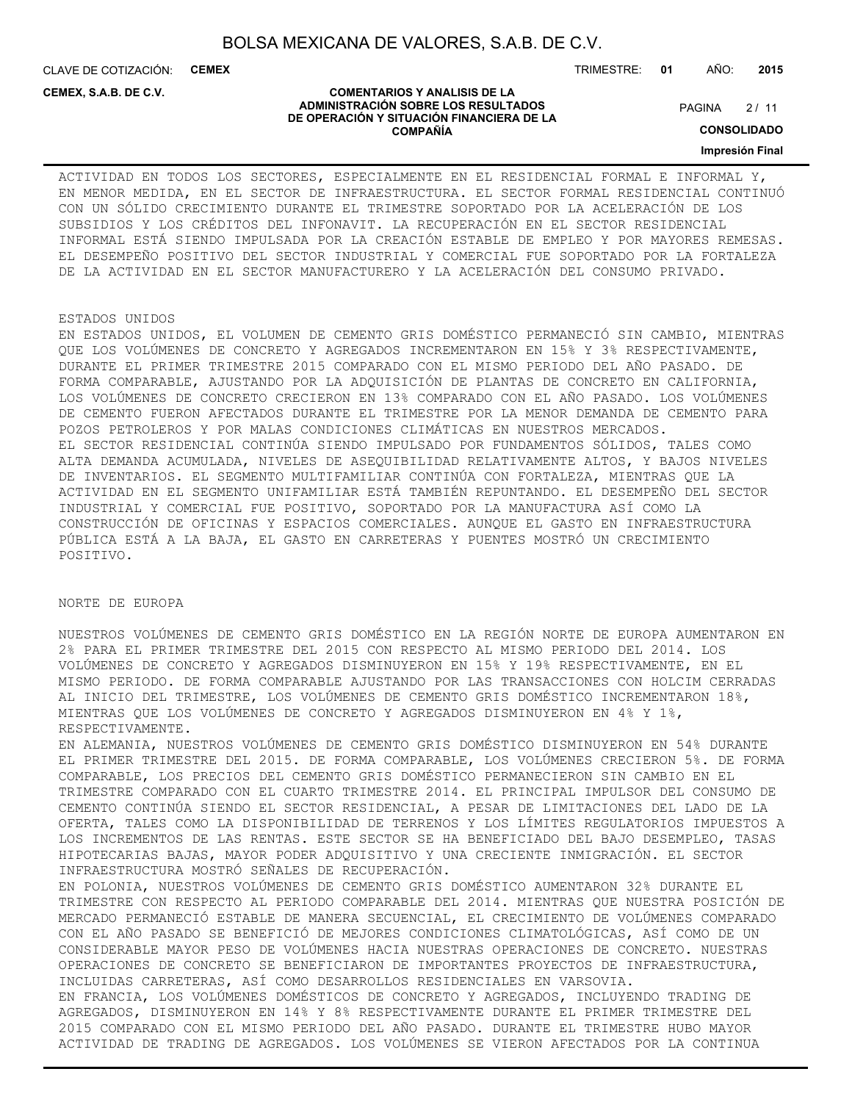**COMENTARIOS Y ANALISIS DE LA ADMINISTRACIÓN SOBRE LOS RESULTADOS DE OPERACIÓN Y SITUACIÓN FINANCIERA DE LA COMPAÑÍA**

CLAVE DE COTIZACIÓN: **CEMEX**

TRIMESTRE: **01** AÑO: **2015**

**CEMEX, S.A.B. DE C.V.**

 $2/11$ **PAGINA** 

**CONSOLIDADO**

**Impresión Final**

ACTIVIDAD EN TODOS LOS SECTORES, ESPECIALMENTE EN EL RESIDENCIAL FORMAL E INFORMAL Y, EN MENOR MEDIDA, EN EL SECTOR DE INFRAESTRUCTURA. EL SECTOR FORMAL RESIDENCIAL CONTINUÓ CON UN SÓLIDO CRECIMIENTO DURANTE EL TRIMESTRE SOPORTADO POR LA ACELERACIÓN DE LOS SUBSIDIOS Y LOS CRÉDITOS DEL INFONAVIT. LA RECUPERACIÓN EN EL SECTOR RESIDENCIAL INFORMAL ESTÁ SIENDO IMPULSADA POR LA CREACIÓN ESTABLE DE EMPLEO Y POR MAYORES REMESAS. EL DESEMPEÑO POSITIVO DEL SECTOR INDUSTRIAL Y COMERCIAL FUE SOPORTADO POR LA FORTALEZA DE LA ACTIVIDAD EN EL SECTOR MANUFACTURERO Y LA ACELERACIÓN DEL CONSUMO PRIVADO.

## ESTADOS UNIDOS

EN ESTADOS UNIDOS, EL VOLUMEN DE CEMENTO GRIS DOMÉSTICO PERMANECIÓ SIN CAMBIO, MIENTRAS QUE LOS VOLÚMENES DE CONCRETO Y AGREGADOS INCREMENTARON EN 15% Y 3% RESPECTIVAMENTE, DURANTE EL PRIMER TRIMESTRE 2015 COMPARADO CON EL MISMO PERIODO DEL AÑO PASADO. DE FORMA COMPARABLE, AJUSTANDO POR LA ADQUISICIÓN DE PLANTAS DE CONCRETO EN CALIFORNIA, LOS VOLÚMENES DE CONCRETO CRECIERON EN 13% COMPARADO CON EL AÑO PASADO. LOS VOLÚMENES DE CEMENTO FUERON AFECTADOS DURANTE EL TRIMESTRE POR LA MENOR DEMANDA DE CEMENTO PARA POZOS PETROLEROS Y POR MALAS CONDICIONES CLIMÁTICAS EN NUESTROS MERCADOS. EL SECTOR RESIDENCIAL CONTINÚA SIENDO IMPULSADO POR FUNDAMENTOS SÓLIDOS, TALES COMO ALTA DEMANDA ACUMULADA, NIVELES DE ASEQUIBILIDAD RELATIVAMENTE ALTOS, Y BAJOS NIVELES DE INVENTARIOS. EL SEGMENTO MULTIFAMILIAR CONTINÚA CON FORTALEZA, MIENTRAS QUE LA ACTIVIDAD EN EL SEGMENTO UNIFAMILIAR ESTÁ TAMBIÉN REPUNTANDO. EL DESEMPEÑO DEL SECTOR INDUSTRIAL Y COMERCIAL FUE POSITIVO, SOPORTADO POR LA MANUFACTURA ASÍ COMO LA CONSTRUCCIÓN DE OFICINAS Y ESPACIOS COMERCIALES. AUNQUE EL GASTO EN INFRAESTRUCTURA PÚBLICA ESTÁ A LA BAJA, EL GASTO EN CARRETERAS Y PUENTES MOSTRÓ UN CRECIMIENTO POSITIVO.

## NORTE DE EUROPA

NUESTROS VOLÚMENES DE CEMENTO GRIS DOMÉSTICO EN LA REGIÓN NORTE DE EUROPA AUMENTARON EN 2% PARA EL PRIMER TRIMESTRE DEL 2015 CON RESPECTO AL MISMO PERIODO DEL 2014. LOS VOLÚMENES DE CONCRETO Y AGREGADOS DISMINUYERON EN 15% Y 19% RESPECTIVAMENTE, EN EL MISMO PERIODO. DE FORMA COMPARABLE AJUSTANDO POR LAS TRANSACCIONES CON HOLCIM CERRADAS AL INICIO DEL TRIMESTRE, LOS VOLÚMENES DE CEMENTO GRIS DOMÉSTICO INCREMENTARON 18%, MIENTRAS QUE LOS VOLÚMENES DE CONCRETO Y AGREGADOS DISMINUYERON EN 4% Y 1%, RESPECTIVAMENTE.

EN ALEMANIA, NUESTROS VOLÚMENES DE CEMENTO GRIS DOMÉSTICO DISMINUYERON EN 54% DURANTE EL PRIMER TRIMESTRE DEL 2015. DE FORMA COMPARABLE, LOS VOLÚMENES CRECIERON 5%. DE FORMA COMPARABLE, LOS PRECIOS DEL CEMENTO GRIS DOMÉSTICO PERMANECIERON SIN CAMBIO EN EL TRIMESTRE COMPARADO CON EL CUARTO TRIMESTRE 2014. EL PRINCIPAL IMPULSOR DEL CONSUMO DE CEMENTO CONTINÚA SIENDO EL SECTOR RESIDENCIAL, A PESAR DE LIMITACIONES DEL LADO DE LA OFERTA, TALES COMO LA DISPONIBILIDAD DE TERRENOS Y LOS LÍMITES REGULATORIOS IMPUESTOS A LOS INCREMENTOS DE LAS RENTAS. ESTE SECTOR SE HA BENEFICIADO DEL BAJO DESEMPLEO, TASAS HIPOTECARIAS BAJAS, MAYOR PODER ADQUISITIVO Y UNA CRECIENTE INMIGRACIÓN. EL SECTOR INFRAESTRUCTURA MOSTRÓ SEÑALES DE RECUPERACIÓN.

EN POLONIA, NUESTROS VOLÚMENES DE CEMENTO GRIS DOMÉSTICO AUMENTARON 32% DURANTE EL TRIMESTRE CON RESPECTO AL PERIODO COMPARABLE DEL 2014. MIENTRAS QUE NUESTRA POSICIÓN DE MERCADO PERMANECIÓ ESTABLE DE MANERA SECUENCIAL, EL CRECIMIENTO DE VOLÚMENES COMPARADO CON EL AÑO PASADO SE BENEFICIÓ DE MEJORES CONDICIONES CLIMATOLÓGICAS, ASÍ COMO DE UN CONSIDERABLE MAYOR PESO DE VOLÚMENES HACIA NUESTRAS OPERACIONES DE CONCRETO. NUESTRAS OPERACIONES DE CONCRETO SE BENEFICIARON DE IMPORTANTES PROYECTOS DE INFRAESTRUCTURA, INCLUIDAS CARRETERAS, ASÍ COMO DESARROLLOS RESIDENCIALES EN VARSOVIA. EN FRANCIA, LOS VOLÚMENES DOMÉSTICOS DE CONCRETO Y AGREGADOS, INCLUYENDO TRADING DE AGREGADOS, DISMINUYERON EN 14% Y 8% RESPECTIVAMENTE DURANTE EL PRIMER TRIMESTRE DEL 2015 COMPARADO CON EL MISMO PERIODO DEL AÑO PASADO. DURANTE EL TRIMESTRE HUBO MAYOR ACTIVIDAD DE TRADING DE AGREGADOS. LOS VOLÚMENES SE VIERON AFECTADOS POR LA CONTINUA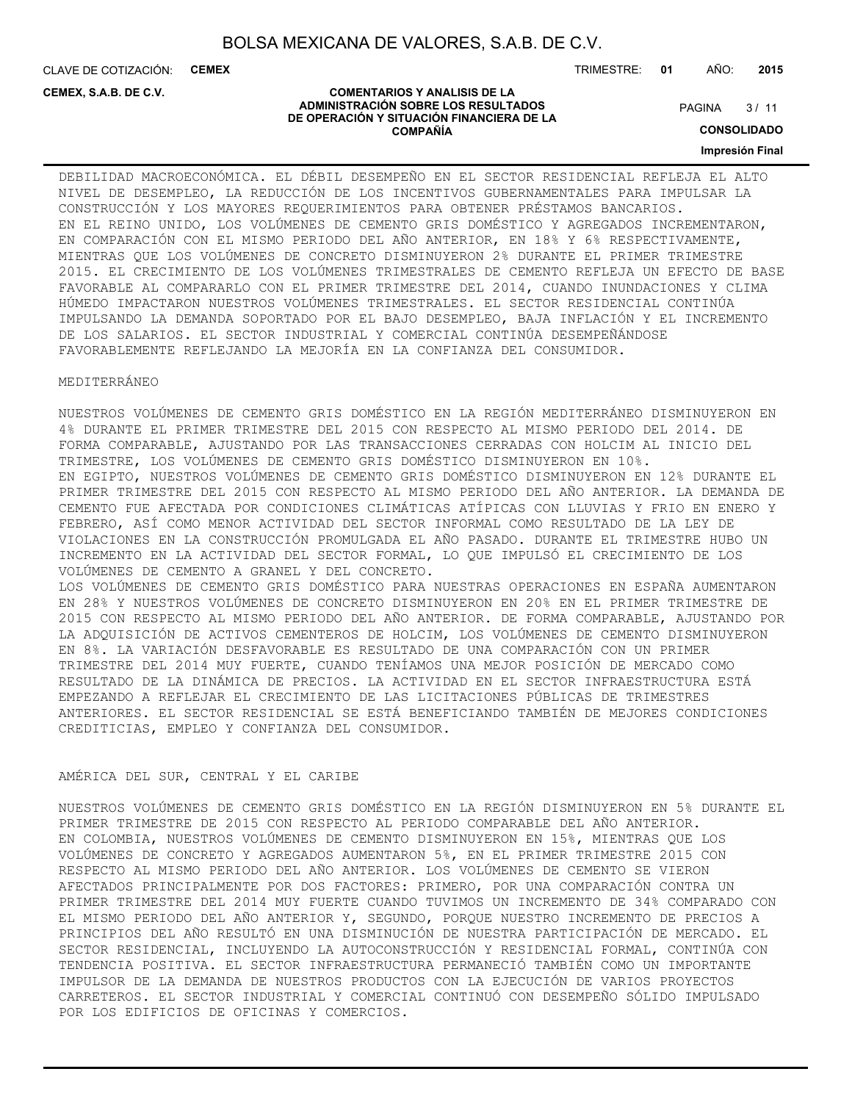**COMENTARIOS Y ANALISIS DE LA ADMINISTRACIÓN SOBRE LOS RESULTADOS DE OPERACIÓN Y SITUACIÓN FINANCIERA DE LA COMPAÑÍA**

CLAVE DE COTIZACIÓN: **CEMEX**

**CEMEX, S.A.B. DE C.V.**

TRIMESTRE: **01** AÑO: **2015**

#### $3/11$ **PAGINA**

**CONSOLIDADO**

#### **Impresión Final**

## DEBILIDAD MACROECONÓMICA. EL DÉBIL DESEMPEÑO EN EL SECTOR RESIDENCIAL REFLEJA EL ALTO NIVEL DE DESEMPLEO, LA REDUCCIÓN DE LOS INCENTIVOS GUBERNAMENTALES PARA IMPULSAR LA CONSTRUCCIÓN Y LOS MAYORES REQUERIMIENTOS PARA OBTENER PRÉSTAMOS BANCARIOS. EN EL REINO UNIDO, LOS VOLÚMENES DE CEMENTO GRIS DOMÉSTICO Y AGREGADOS INCREMENTARON, EN COMPARACIÓN CON EL MISMO PERIODO DEL AÑO ANTERIOR, EN 18% Y 6% RESPECTIVAMENTE, MIENTRAS QUE LOS VOLÚMENES DE CONCRETO DISMINUYERON 2% DURANTE EL PRIMER TRIMESTRE 2015. EL CRECIMIENTO DE LOS VOLÚMENES TRIMESTRALES DE CEMENTO REFLEJA UN EFECTO DE BASE FAVORABLE AL COMPARARLO CON EL PRIMER TRIMESTRE DEL 2014, CUANDO INUNDACIONES Y CLIMA HÚMEDO IMPACTARON NUESTROS VOLÚMENES TRIMESTRALES. EL SECTOR RESIDENCIAL CONTINÚA IMPULSANDO LA DEMANDA SOPORTADO POR EL BAJO DESEMPLEO, BAJA INFLACIÓN Y EL INCREMENTO DE LOS SALARIOS. EL SECTOR INDUSTRIAL Y COMERCIAL CONTINÚA DESEMPEÑÁNDOSE FAVORABLEMENTE REFLEJANDO LA MEJORÍA EN LA CONFIANZA DEL CONSUMIDOR.

## MEDITERRÁNEO

NUESTROS VOLÚMENES DE CEMENTO GRIS DOMÉSTICO EN LA REGIÓN MEDITERRÁNEO DISMINUYERON EN 4% DURANTE EL PRIMER TRIMESTRE DEL 2015 CON RESPECTO AL MISMO PERIODO DEL 2014. DE FORMA COMPARABLE, AJUSTANDO POR LAS TRANSACCIONES CERRADAS CON HOLCIM AL INICIO DEL TRIMESTRE, LOS VOLÚMENES DE CEMENTO GRIS DOMÉSTICO DISMINUYERON EN 10%. EN EGIPTO, NUESTROS VOLÚMENES DE CEMENTO GRIS DOMÉSTICO DISMINUYERON EN 12% DURANTE EL PRIMER TRIMESTRE DEL 2015 CON RESPECTO AL MISMO PERIODO DEL AÑO ANTERIOR. LA DEMANDA DE CEMENTO FUE AFECTADA POR CONDICIONES CLIMÁTICAS ATÍPICAS CON LLUVIAS Y FRIO EN ENERO Y FEBRERO, ASÍ COMO MENOR ACTIVIDAD DEL SECTOR INFORMAL COMO RESULTADO DE LA LEY DE VIOLACIONES EN LA CONSTRUCCIÓN PROMULGADA EL AÑO PASADO. DURANTE EL TRIMESTRE HUBO UN INCREMENTO EN LA ACTIVIDAD DEL SECTOR FORMAL, LO QUE IMPULSÓ EL CRECIMIENTO DE LOS VOLÚMENES DE CEMENTO A GRANEL Y DEL CONCRETO. LOS VOLÚMENES DE CEMENTO GRIS DOMÉSTICO PARA NUESTRAS OPERACIONES EN ESPAÑA AUMENTARON EN 28% Y NUESTROS VOLÚMENES DE CONCRETO DISMINUYERON EN 20% EN EL PRIMER TRIMESTRE DE 2015 CON RESPECTO AL MISMO PERIODO DEL AÑO ANTERIOR. DE FORMA COMPARABLE, AJUSTANDO POR LA ADQUISICIÓN DE ACTIVOS CEMENTEROS DE HOLCIM, LOS VOLÚMENES DE CEMENTO DISMINUYERON EN 8%. LA VARIACIÓN DESFAVORABLE ES RESULTADO DE UNA COMPARACIÓN CON UN PRIMER TRIMESTRE DEL 2014 MUY FUERTE, CUANDO TENÍAMOS UNA MEJOR POSICIÓN DE MERCADO COMO RESULTADO DE LA DINÁMICA DE PRECIOS. LA ACTIVIDAD EN EL SECTOR INFRAESTRUCTURA ESTÁ EMPEZANDO A REFLEJAR EL CRECIMIENTO DE LAS LICITACIONES PÚBLICAS DE TRIMESTRES ANTERIORES. EL SECTOR RESIDENCIAL SE ESTÁ BENEFICIANDO TAMBIÉN DE MEJORES CONDICIONES

#### AMÉRICA DEL SUR, CENTRAL Y EL CARIBE

CREDITICIAS, EMPLEO Y CONFIANZA DEL CONSUMIDOR.

NUESTROS VOLÚMENES DE CEMENTO GRIS DOMÉSTICO EN LA REGIÓN DISMINUYERON EN 5% DURANTE EL PRIMER TRIMESTRE DE 2015 CON RESPECTO AL PERIODO COMPARABLE DEL AÑO ANTERIOR. EN COLOMBIA, NUESTROS VOLÚMENES DE CEMENTO DISMINUYERON EN 15%, MIENTRAS QUE LOS VOLÚMENES DE CONCRETO Y AGREGADOS AUMENTARON 5%, EN EL PRIMER TRIMESTRE 2015 CON RESPECTO AL MISMO PERIODO DEL AÑO ANTERIOR. LOS VOLÚMENES DE CEMENTO SE VIERON AFECTADOS PRINCIPALMENTE POR DOS FACTORES: PRIMERO, POR UNA COMPARACIÓN CONTRA UN PRIMER TRIMESTRE DEL 2014 MUY FUERTE CUANDO TUVIMOS UN INCREMENTO DE 34% COMPARADO CON EL MISMO PERIODO DEL AÑO ANTERIOR Y, SEGUNDO, PORQUE NUESTRO INCREMENTO DE PRECIOS A PRINCIPIOS DEL AÑO RESULTÓ EN UNA DISMINUCIÓN DE NUESTRA PARTICIPACIÓN DE MERCADO. EL SECTOR RESIDENCIAL, INCLUYENDO LA AUTOCONSTRUCCIÓN Y RESIDENCIAL FORMAL, CONTINÚA CON TENDENCIA POSITIVA. EL SECTOR INFRAESTRUCTURA PERMANECIÓ TAMBIÉN COMO UN IMPORTANTE IMPULSOR DE LA DEMANDA DE NUESTROS PRODUCTOS CON LA EJECUCIÓN DE VARIOS PROYECTOS CARRETEROS. EL SECTOR INDUSTRIAL Y COMERCIAL CONTINUÓ CON DESEMPEÑO SÓLIDO IMPULSADO POR LOS EDIFICIOS DE OFICINAS Y COMERCIOS.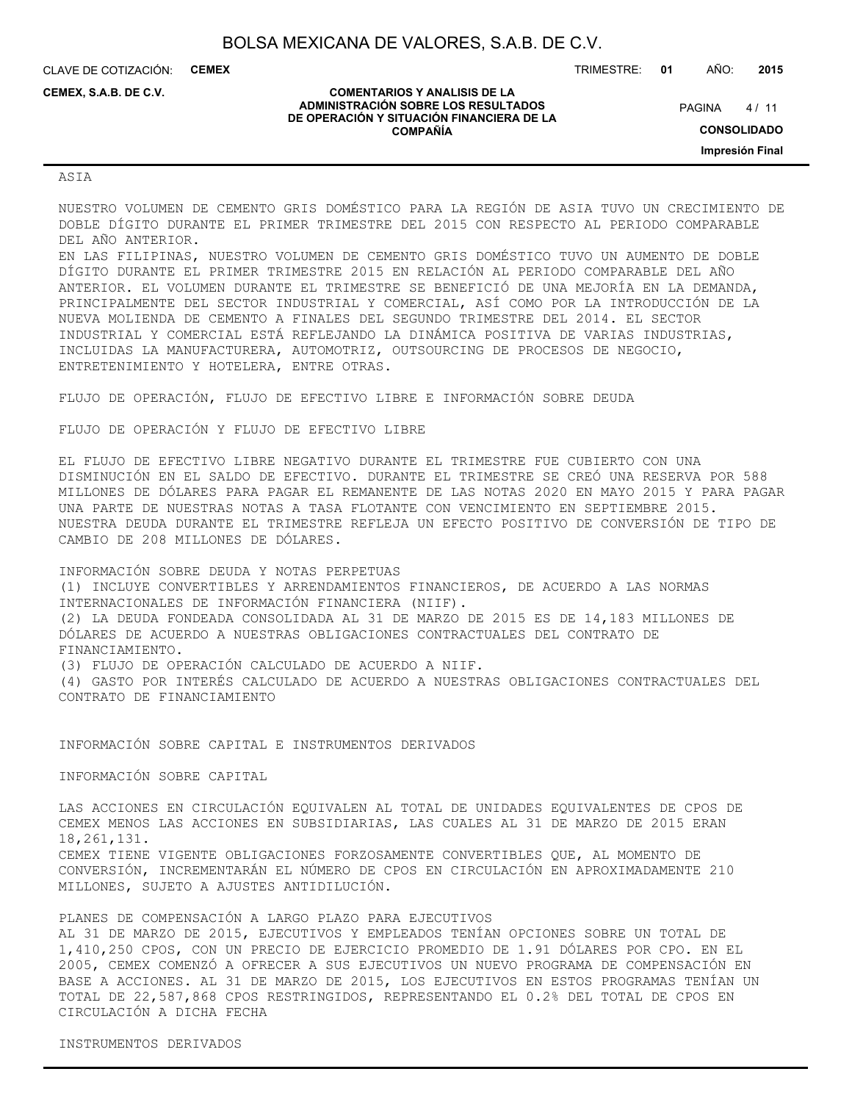**COMENTARIOS Y ANALISIS DE LA ADMINISTRACIÓN SOBRE LOS RESULTADOS DE OPERACIÓN Y SITUACIÓN FINANCIERA DE LA COMPAÑÍA**

CLAVE DE COTIZACIÓN: **CEMEX**

**CEMEX, S.A.B. DE C.V.**

TRIMESTRE: **01** AÑO: **2015**

 $4/11$ **PAGINA** 

**CONSOLIDADO**

**Impresión Final**

#### ASIA

NUESTRO VOLUMEN DE CEMENTO GRIS DOMÉSTICO PARA LA REGIÓN DE ASIA TUVO UN CRECIMIENTO DE DOBLE DÍGITO DURANTE EL PRIMER TRIMESTRE DEL 2015 CON RESPECTO AL PERIODO COMPARABLE DEL AÑO ANTERIOR.

EN LAS FILIPINAS, NUESTRO VOLUMEN DE CEMENTO GRIS DOMÉSTICO TUVO UN AUMENTO DE DOBLE DÍGITO DURANTE EL PRIMER TRIMESTRE 2015 EN RELACIÓN AL PERIODO COMPARABLE DEL AÑO ANTERIOR. EL VOLUMEN DURANTE EL TRIMESTRE SE BENEFICIÓ DE UNA MEJORÍA EN LA DEMANDA, PRINCIPALMENTE DEL SECTOR INDUSTRIAL Y COMERCIAL, ASÍ COMO POR LA INTRODUCCIÓN DE LA NUEVA MOLIENDA DE CEMENTO A FINALES DEL SEGUNDO TRIMESTRE DEL 2014. EL SECTOR INDUSTRIAL Y COMERCIAL ESTÁ REFLEJANDO LA DINÁMICA POSITIVA DE VARIAS INDUSTRIAS, INCLUIDAS LA MANUFACTURERA, AUTOMOTRIZ, OUTSOURCING DE PROCESOS DE NEGOCIO, ENTRETENIMIENTO Y HOTELERA, ENTRE OTRAS.

FLUJO DE OPERACIÓN, FLUJO DE EFECTIVO LIBRE E INFORMACIÓN SOBRE DEUDA

FLUJO DE OPERACIÓN Y FLUJO DE EFECTIVO LIBRE

EL FLUJO DE EFECTIVO LIBRE NEGATIVO DURANTE EL TRIMESTRE FUE CUBIERTO CON UNA DISMINUCIÓN EN EL SALDO DE EFECTIVO. DURANTE EL TRIMESTRE SE CREÓ UNA RESERVA POR 588 MILLONES DE DÓLARES PARA PAGAR EL REMANENTE DE LAS NOTAS 2020 EN MAYO 2015 Y PARA PAGAR UNA PARTE DE NUESTRAS NOTAS A TASA FLOTANTE CON VENCIMIENTO EN SEPTIEMBRE 2015. NUESTRA DEUDA DURANTE EL TRIMESTRE REFLEJA UN EFECTO POSITIVO DE CONVERSIÓN DE TIPO DE CAMBIO DE 208 MILLONES DE DÓLARES.

INFORMACIÓN SOBRE DEUDA Y NOTAS PERPETUAS (1) INCLUYE CONVERTIBLES Y ARRENDAMIENTOS FINANCIEROS, DE ACUERDO A LAS NORMAS INTERNACIONALES DE INFORMACIÓN FINANCIERA (NIIF). (2) LA DEUDA FONDEADA CONSOLIDADA AL 31 DE MARZO DE 2015 ES DE 14,183 MILLONES DE DÓLARES DE ACUERDO A NUESTRAS OBLIGACIONES CONTRACTUALES DEL CONTRATO DE FINANCIAMIENTO. (3) FLUJO DE OPERACIÓN CALCULADO DE ACUERDO A NIIF. (4) GASTO POR INTERÉS CALCULADO DE ACUERDO A NUESTRAS OBLIGACIONES CONTRACTUALES DEL

INFORMACIÓN SOBRE CAPITAL E INSTRUMENTOS DERIVADOS

INFORMACIÓN SOBRE CAPITAL

CONTRATO DE FINANCIAMIENTO

LAS ACCIONES EN CIRCULACIÓN EQUIVALEN AL TOTAL DE UNIDADES EQUIVALENTES DE CPOS DE CEMEX MENOS LAS ACCIONES EN SUBSIDIARIAS, LAS CUALES AL 31 DE MARZO DE 2015 ERAN 18,261,131. CEMEX TIENE VIGENTE OBLIGACIONES FORZOSAMENTE CONVERTIBLES QUE, AL MOMENTO DE CONVERSIÓN, INCREMENTARÁN EL NÚMERO DE CPOS EN CIRCULACIÓN EN APROXIMADAMENTE 210 MILLONES, SUJETO A AJUSTES ANTIDILUCIÓN.

PLANES DE COMPENSACIÓN A LARGO PLAZO PARA EJECUTIVOS AL 31 DE MARZO DE 2015, EJECUTIVOS Y EMPLEADOS TENÍAN OPCIONES SOBRE UN TOTAL DE 1,410,250 CPOS, CON UN PRECIO DE EJERCICIO PROMEDIO DE 1.91 DÓLARES POR CPO. EN EL 2005, CEMEX COMENZÓ A OFRECER A SUS EJECUTIVOS UN NUEVO PROGRAMA DE COMPENSACIÓN EN BASE A ACCIONES. AL 31 DE MARZO DE 2015, LOS EJECUTIVOS EN ESTOS PROGRAMAS TENÍAN UN TOTAL DE 22,587,868 CPOS RESTRINGIDOS, REPRESENTANDO EL 0.2% DEL TOTAL DE CPOS EN CIRCULACIÓN A DICHA FECHA

INSTRUMENTOS DERIVADOS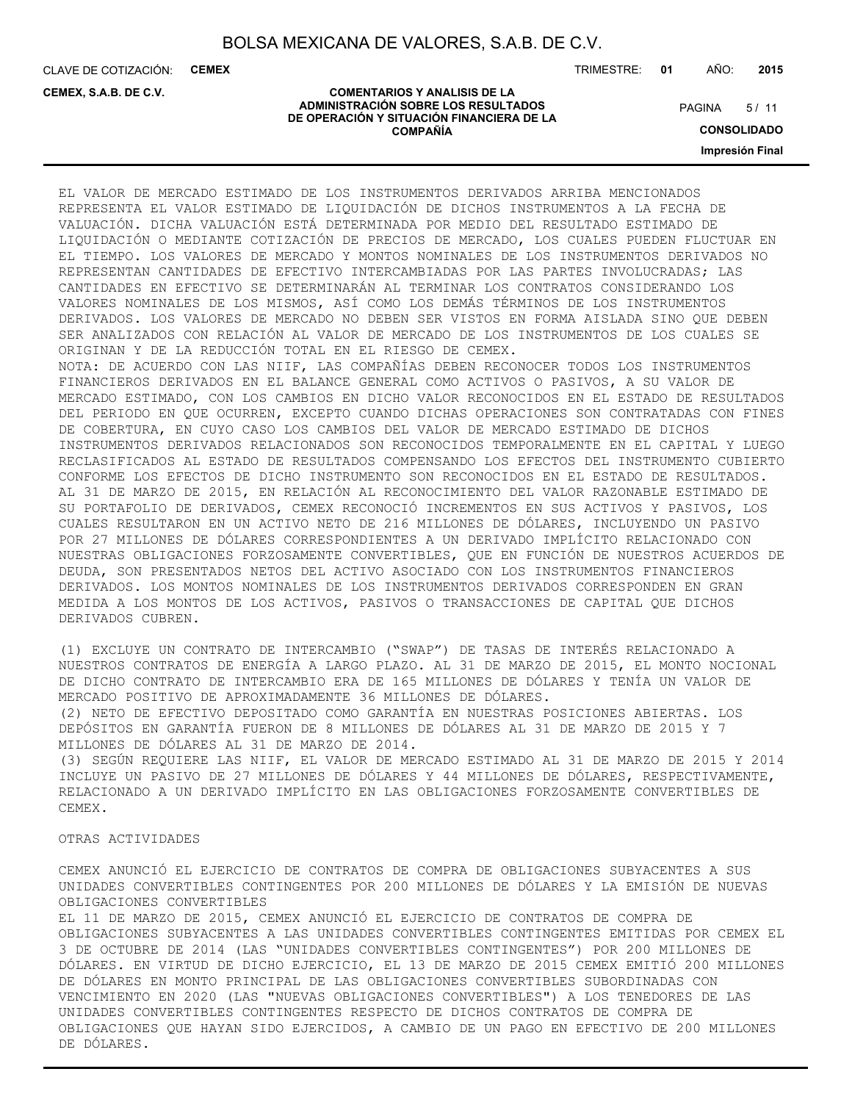CLAVE DE COTIZACIÓN: **CEMEX**

**CEMEX, S.A.B. DE C.V.**

TRIMESTRE: **01** AÑO: **2015**

 $5/11$ **PAGINA** 

#### **COMENTARIOS Y ANALISIS DE LA ADMINISTRACIÓN SOBRE LOS RESULTADOS DE OPERACIÓN Y SITUACIÓN FINANCIERA DE LA COMPAÑÍA**

**CONSOLIDADO**

**Impresión Final**

EL VALOR DE MERCADO ESTIMADO DE LOS INSTRUMENTOS DERIVADOS ARRIBA MENCIONADOS REPRESENTA EL VALOR ESTIMADO DE LIQUIDACIÓN DE DICHOS INSTRUMENTOS A LA FECHA DE VALUACIÓN. DICHA VALUACIÓN ESTÁ DETERMINADA POR MEDIO DEL RESULTADO ESTIMADO DE LIQUIDACIÓN O MEDIANTE COTIZACIÓN DE PRECIOS DE MERCADO, LOS CUALES PUEDEN FLUCTUAR EN EL TIEMPO. LOS VALORES DE MERCADO Y MONTOS NOMINALES DE LOS INSTRUMENTOS DERIVADOS NO REPRESENTAN CANTIDADES DE EFECTIVO INTERCAMBIADAS POR LAS PARTES INVOLUCRADAS; LAS CANTIDADES EN EFECTIVO SE DETERMINARÁN AL TERMINAR LOS CONTRATOS CONSIDERANDO LOS VALORES NOMINALES DE LOS MISMOS, ASÍ COMO LOS DEMÁS TÉRMINOS DE LOS INSTRUMENTOS DERIVADOS. LOS VALORES DE MERCADO NO DEBEN SER VISTOS EN FORMA AISLADA SINO QUE DEBEN SER ANALIZADOS CON RELACIÓN AL VALOR DE MERCADO DE LOS INSTRUMENTOS DE LOS CUALES SE ORIGINAN Y DE LA REDUCCIÓN TOTAL EN EL RIESGO DE CEMEX. NOTA: DE ACUERDO CON LAS NIIF, LAS COMPAÑÍAS DEBEN RECONOCER TODOS LOS INSTRUMENTOS FINANCIEROS DERIVADOS EN EL BALANCE GENERAL COMO ACTIVOS O PASIVOS, A SU VALOR DE MERCADO ESTIMADO, CON LOS CAMBIOS EN DICHO VALOR RECONOCIDOS EN EL ESTADO DE RESULTADOS DEL PERIODO EN QUE OCURREN, EXCEPTO CUANDO DICHAS OPERACIONES SON CONTRATADAS CON FINES DE COBERTURA, EN CUYO CASO LOS CAMBIOS DEL VALOR DE MERCADO ESTIMADO DE DICHOS INSTRUMENTOS DERIVADOS RELACIONADOS SON RECONOCIDOS TEMPORALMENTE EN EL CAPITAL Y LUEGO RECLASIFICADOS AL ESTADO DE RESULTADOS COMPENSANDO LOS EFECTOS DEL INSTRUMENTO CUBIERTO CONFORME LOS EFECTOS DE DICHO INSTRUMENTO SON RECONOCIDOS EN EL ESTADO DE RESULTADOS. AL 31 DE MARZO DE 2015, EN RELACIÓN AL RECONOCIMIENTO DEL VALOR RAZONABLE ESTIMADO DE SU PORTAFOLIO DE DERIVADOS, CEMEX RECONOCIÓ INCREMENTOS EN SUS ACTIVOS Y PASIVOS, LOS CUALES RESULTARON EN UN ACTIVO NETO DE 216 MILLONES DE DÓLARES, INCLUYENDO UN PASIVO POR 27 MILLONES DE DÓLARES CORRESPONDIENTES A UN DERIVADO IMPLÍCITO RELACIONADO CON NUESTRAS OBLIGACIONES FORZOSAMENTE CONVERTIBLES, QUE EN FUNCIÓN DE NUESTROS ACUERDOS DE DEUDA, SON PRESENTADOS NETOS DEL ACTIVO ASOCIADO CON LOS INSTRUMENTOS FINANCIEROS DERIVADOS. LOS MONTOS NOMINALES DE LOS INSTRUMENTOS DERIVADOS CORRESPONDEN EN GRAN MEDIDA A LOS MONTOS DE LOS ACTIVOS, PASIVOS O TRANSACCIONES DE CAPITAL QUE DICHOS DERIVADOS CUBREN.

(1) EXCLUYE UN CONTRATO DE INTERCAMBIO ("SWAP") DE TASAS DE INTERÉS RELACIONADO A NUESTROS CONTRATOS DE ENERGÍA A LARGO PLAZO. AL 31 DE MARZO DE 2015, EL MONTO NOCIONAL DE DICHO CONTRATO DE INTERCAMBIO ERA DE 165 MILLONES DE DÓLARES Y TENÍA UN VALOR DE MERCADO POSITIVO DE APROXIMADAMENTE 36 MILLONES DE DÓLARES.

(2) NETO DE EFECTIVO DEPOSITADO COMO GARANTÍA EN NUESTRAS POSICIONES ABIERTAS. LOS DEPÓSITOS EN GARANTÍA FUERON DE 8 MILLONES DE DÓLARES AL 31 DE MARZO DE 2015 Y 7 MILLONES DE DÓLARES AL 31 DE MARZO DE 2014.

(3) SEGÚN REQUIERE LAS NIIF, EL VALOR DE MERCADO ESTIMADO AL 31 DE MARZO DE 2015 Y 2014 INCLUYE UN PASIVO DE 27 MILLONES DE DÓLARES Y 44 MILLONES DE DÓLARES, RESPECTIVAMENTE, RELACIONADO A UN DERIVADO IMPLÍCITO EN LAS OBLIGACIONES FORZOSAMENTE CONVERTIBLES DE CEMEX.

## OTRAS ACTIVIDADES

CEMEX ANUNCIÓ EL EJERCICIO DE CONTRATOS DE COMPRA DE OBLIGACIONES SUBYACENTES A SUS UNIDADES CONVERTIBLES CONTINGENTES POR 200 MILLONES DE DÓLARES Y LA EMISIÓN DE NUEVAS OBLIGACIONES CONVERTIBLES

EL 11 DE MARZO DE 2015, CEMEX ANUNCIÓ EL EJERCICIO DE CONTRATOS DE COMPRA DE OBLIGACIONES SUBYACENTES A LAS UNIDADES CONVERTIBLES CONTINGENTES EMITIDAS POR CEMEX EL 3 DE OCTUBRE DE 2014 (LAS "UNIDADES CONVERTIBLES CONTINGENTES") POR 200 MILLONES DE DÓLARES. EN VIRTUD DE DICHO EJERCICIO, EL 13 DE MARZO DE 2015 CEMEX EMITIÓ 200 MILLONES DE DÓLARES EN MONTO PRINCIPAL DE LAS OBLIGACIONES CONVERTIBLES SUBORDINADAS CON VENCIMIENTO EN 2020 (LAS "NUEVAS OBLIGACIONES CONVERTIBLES") A LOS TENEDORES DE LAS UNIDADES CONVERTIBLES CONTINGENTES RESPECTO DE DICHOS CONTRATOS DE COMPRA DE OBLIGACIONES QUE HAYAN SIDO EJERCIDOS, A CAMBIO DE UN PAGO EN EFECTIVO DE 200 MILLONES DE DÓLARES.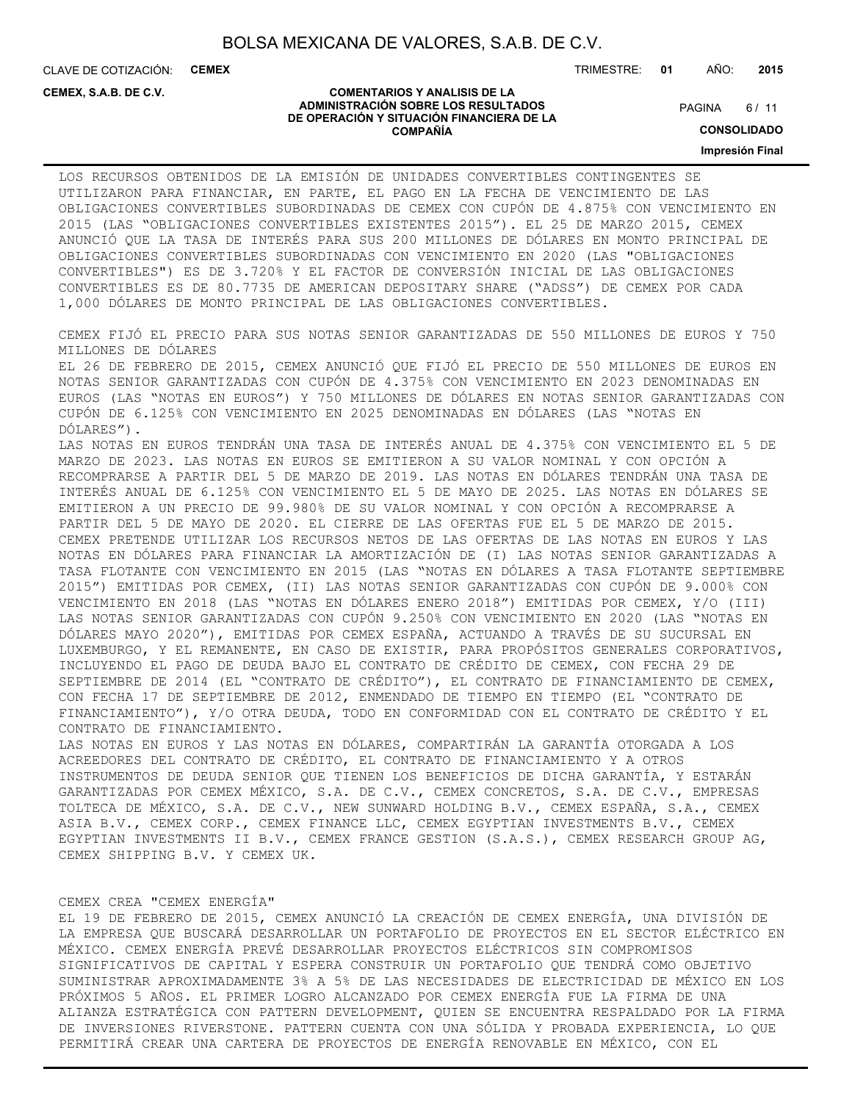CLAVE DE COTIZACIÓN: **CEMEX**

**CEMEX, S.A.B. DE C.V.**

TRIMESTRE: **01** AÑO: **2015**

 $6/11$ **PAGINA** 

#### **COMENTARIOS Y ANALISIS DE LA ADMINISTRACIÓN SOBRE LOS RESULTADOS DE OPERACIÓN Y SITUACIÓN FINANCIERA DE LA COMPAÑÍA**

**CONSOLIDADO**

**Impresión Final**

LOS RECURSOS OBTENIDOS DE LA EMISIÓN DE UNIDADES CONVERTIBLES CONTINGENTES SE UTILIZARON PARA FINANCIAR, EN PARTE, EL PAGO EN LA FECHA DE VENCIMIENTO DE LAS OBLIGACIONES CONVERTIBLES SUBORDINADAS DE CEMEX CON CUPÓN DE 4.875% CON VENCIMIENTO EN 2015 (LAS "OBLIGACIONES CONVERTIBLES EXISTENTES 2015"). EL 25 DE MARZO 2015, CEMEX ANUNCIÓ QUE LA TASA DE INTERÉS PARA SUS 200 MILLONES DE DÓLARES EN MONTO PRINCIPAL DE OBLIGACIONES CONVERTIBLES SUBORDINADAS CON VENCIMIENTO EN 2020 (LAS "OBLIGACIONES CONVERTIBLES") ES DE 3.720% Y EL FACTOR DE CONVERSIÓN INICIAL DE LAS OBLIGACIONES CONVERTIBLES ES DE 80.7735 DE AMERICAN DEPOSITARY SHARE ("ADSS") DE CEMEX POR CADA 1,000 DÓLARES DE MONTO PRINCIPAL DE LAS OBLIGACIONES CONVERTIBLES.

CEMEX FIJÓ EL PRECIO PARA SUS NOTAS SENIOR GARANTIZADAS DE 550 MILLONES DE EUROS Y 750 MILLONES DE DÓLARES

EL 26 DE FEBRERO DE 2015, CEMEX ANUNCIÓ QUE FIJÓ EL PRECIO DE 550 MILLONES DE EUROS EN NOTAS SENIOR GARANTIZADAS CON CUPÓN DE 4.375% CON VENCIMIENTO EN 2023 DENOMINADAS EN EUROS (LAS "NOTAS EN EUROS") Y 750 MILLONES DE DÓLARES EN NOTAS SENIOR GARANTIZADAS CON CUPÓN DE 6.125% CON VENCIMIENTO EN 2025 DENOMINADAS EN DÓLARES (LAS "NOTAS EN DÓLARES").

LAS NOTAS EN EUROS TENDRÁN UNA TASA DE INTERÉS ANUAL DE 4.375% CON VENCIMIENTO EL 5 DE MARZO DE 2023. LAS NOTAS EN EUROS SE EMITIERON A SU VALOR NOMINAL Y CON OPCIÓN A RECOMPRARSE A PARTIR DEL 5 DE MARZO DE 2019. LAS NOTAS EN DÓLARES TENDRÁN UNA TASA DE INTERÉS ANUAL DE 6.125% CON VENCIMIENTO EL 5 DE MAYO DE 2025. LAS NOTAS EN DÓLARES SE EMITIERON A UN PRECIO DE 99.980% DE SU VALOR NOMINAL Y CON OPCIÓN A RECOMPRARSE A PARTIR DEL 5 DE MAYO DE 2020. EL CIERRE DE LAS OFERTAS FUE EL 5 DE MARZO DE 2015. CEMEX PRETENDE UTILIZAR LOS RECURSOS NETOS DE LAS OFERTAS DE LAS NOTAS EN EUROS Y LAS NOTAS EN DÓLARES PARA FINANCIAR LA AMORTIZACIÓN DE (I) LAS NOTAS SENIOR GARANTIZADAS A TASA FLOTANTE CON VENCIMIENTO EN 2015 (LAS "NOTAS EN DÓLARES A TASA FLOTANTE SEPTIEMBRE 2015") EMITIDAS POR CEMEX, (II) LAS NOTAS SENIOR GARANTIZADAS CON CUPÓN DE 9.000% CON VENCIMIENTO EN 2018 (LAS "NOTAS EN DÓLARES ENERO 2018") EMITIDAS POR CEMEX, Y/O (III) LAS NOTAS SENIOR GARANTIZADAS CON CUPÓN 9.250% CON VENCIMIENTO EN 2020 (LAS "NOTAS EN DÓLARES MAYO 2020"), EMITIDAS POR CEMEX ESPAÑA, ACTUANDO A TRAVÉS DE SU SUCURSAL EN LUXEMBURGO, Y EL REMANENTE, EN CASO DE EXISTIR, PARA PROPÓSITOS GENERALES CORPORATIVOS, INCLUYENDO EL PAGO DE DEUDA BAJO EL CONTRATO DE CRÉDITO DE CEMEX, CON FECHA 29 DE SEPTIEMBRE DE 2014 (EL "CONTRATO DE CRÉDITO"), EL CONTRATO DE FINANCIAMIENTO DE CEMEX, CON FECHA 17 DE SEPTIEMBRE DE 2012, ENMENDADO DE TIEMPO EN TIEMPO (EL "CONTRATO DE FINANCIAMIENTO"), Y/O OTRA DEUDA, TODO EN CONFORMIDAD CON EL CONTRATO DE CRÉDITO Y EL CONTRATO DE FINANCIAMIENTO.

LAS NOTAS EN EUROS Y LAS NOTAS EN DÓLARES, COMPARTIRÁN LA GARANTÍA OTORGADA A LOS ACREEDORES DEL CONTRATO DE CRÉDITO, EL CONTRATO DE FINANCIAMIENTO Y A OTROS INSTRUMENTOS DE DEUDA SENIOR QUE TIENEN LOS BENEFICIOS DE DICHA GARANTÍA, Y ESTARÁN GARANTIZADAS POR CEMEX MÉXICO, S.A. DE C.V., CEMEX CONCRETOS, S.A. DE C.V., EMPRESAS TOLTECA DE MÉXICO, S.A. DE C.V., NEW SUNWARD HOLDING B.V., CEMEX ESPAÑA, S.A., CEMEX ASIA B.V., CEMEX CORP., CEMEX FINANCE LLC, CEMEX EGYPTIAN INVESTMENTS B.V., CEMEX EGYPTIAN INVESTMENTS II B.V., CEMEX FRANCE GESTION (S.A.S.), CEMEX RESEARCH GROUP AG, CEMEX SHIPPING B.V. Y CEMEX UK.

## CEMEX CREA "CEMEX ENERGÍA"

EL 19 DE FEBRERO DE 2015, CEMEX ANUNCIÓ LA CREACIÓN DE CEMEX ENERGÍA, UNA DIVISIÓN DE LA EMPRESA QUE BUSCARÁ DESARROLLAR UN PORTAFOLIO DE PROYECTOS EN EL SECTOR ELÉCTRICO EN MÉXICO. CEMEX ENERGÍA PREVÉ DESARROLLAR PROYECTOS ELÉCTRICOS SIN COMPROMISOS SIGNIFICATIVOS DE CAPITAL Y ESPERA CONSTRUIR UN PORTAFOLIO QUE TENDRÁ COMO OBJETIVO SUMINISTRAR APROXIMADAMENTE 3% A 5% DE LAS NECESIDADES DE ELECTRICIDAD DE MÉXICO EN LOS PRÓXIMOS 5 AÑOS. EL PRIMER LOGRO ALCANZADO POR CEMEX ENERGÍA FUE LA FIRMA DE UNA ALIANZA ESTRATÉGICA CON PATTERN DEVELOPMENT, QUIEN SE ENCUENTRA RESPALDADO POR LA FIRMA DE INVERSIONES RIVERSTONE. PATTERN CUENTA CON UNA SÓLIDA Y PROBADA EXPERIENCIA, LO QUE PERMITIRÁ CREAR UNA CARTERA DE PROYECTOS DE ENERGÍA RENOVABLE EN MÉXICO, CON EL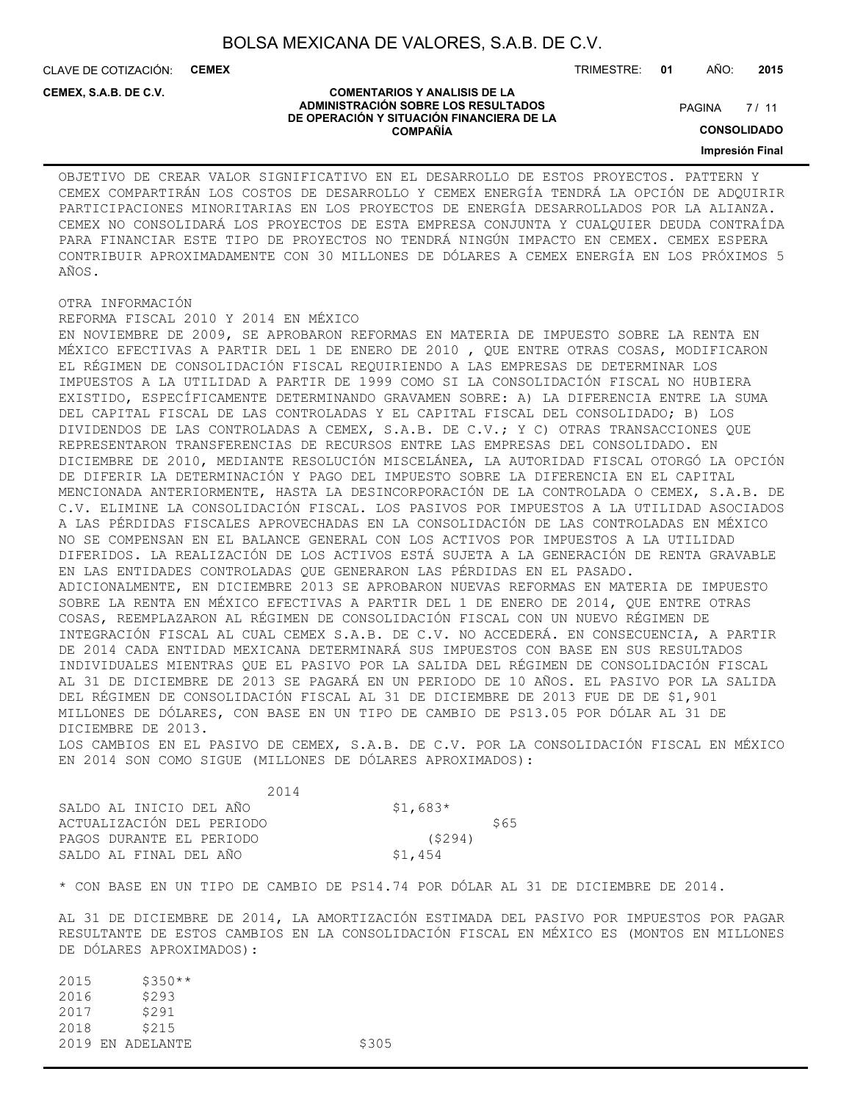**COMENTARIOS Y ANALISIS DE LA ADMINISTRACIÓN SOBRE LOS RESULTADOS DE OPERACIÓN Y SITUACIÓN FINANCIERA DE LA COMPAÑÍA**

CLAVE DE COTIZACIÓN: **CEMEX** TRIMESTRE: **01** AÑO: **2015**

#### **CEMEX, S.A.B. DE C.V.**

 $7/11$ **PAGINA** 

**CONSOLIDADO**

**Impresión Final**

OBJETIVO DE CREAR VALOR SIGNIFICATIVO EN EL DESARROLLO DE ESTOS PROYECTOS. PATTERN Y CEMEX COMPARTIRÁN LOS COSTOS DE DESARROLLO Y CEMEX ENERGÍA TENDRÁ LA OPCIÓN DE ADQUIRIR PARTICIPACIONES MINORITARIAS EN LOS PROYECTOS DE ENERGÍA DESARROLLADOS POR LA ALIANZA. CEMEX NO CONSOLIDARÁ LOS PROYECTOS DE ESTA EMPRESA CONJUNTA Y CUALQUIER DEUDA CONTRAÍDA PARA FINANCIAR ESTE TIPO DE PROYECTOS NO TENDRÁ NINGÚN IMPACTO EN CEMEX. CEMEX ESPERA CONTRIBUIR APROXIMADAMENTE CON 30 MILLONES DE DÓLARES A CEMEX ENERGÍA EN LOS PRÓXIMOS 5 AÑOS.

## OTRA INFORMACIÓN

REFORMA FISCAL 2010 Y 2014 EN MÉXICO EN NOVIEMBRE DE 2009, SE APROBARON REFORMAS EN MATERIA DE IMPUESTO SOBRE LA RENTA EN MÉXICO EFECTIVAS A PARTIR DEL 1 DE ENERO DE 2010 , QUE ENTRE OTRAS COSAS, MODIFICARON EL RÉGIMEN DE CONSOLIDACIÓN FISCAL REQUIRIENDO A LAS EMPRESAS DE DETERMINAR LOS IMPUESTOS A LA UTILIDAD A PARTIR DE 1999 COMO SI LA CONSOLIDACIÓN FISCAL NO HUBIERA EXISTIDO, ESPECÍFICAMENTE DETERMINANDO GRAVAMEN SOBRE: A) LA DIFERENCIA ENTRE LA SUMA DEL CAPITAL FISCAL DE LAS CONTROLADAS Y EL CAPITAL FISCAL DEL CONSOLIDADO; B) LOS DIVIDENDOS DE LAS CONTROLADAS A CEMEX, S.A.B. DE C.V.; Y C) OTRAS TRANSACCIONES QUE REPRESENTARON TRANSFERENCIAS DE RECURSOS ENTRE LAS EMPRESAS DEL CONSOLIDADO. EN DICIEMBRE DE 2010, MEDIANTE RESOLUCIÓN MISCELÁNEA, LA AUTORIDAD FISCAL OTORGÓ LA OPCIÓN DE DIFERIR LA DETERMINACIÓN Y PAGO DEL IMPUESTO SOBRE LA DIFERENCIA EN EL CAPITAL MENCIONADA ANTERIORMENTE, HASTA LA DESINCORPORACIÓN DE LA CONTROLADA O CEMEX, S.A.B. DE C.V. ELIMINE LA CONSOLIDACIÓN FISCAL. LOS PASIVOS POR IMPUESTOS A LA UTILIDAD ASOCIADOS A LAS PÉRDIDAS FISCALES APROVECHADAS EN LA CONSOLIDACIÓN DE LAS CONTROLADAS EN MÉXICO NO SE COMPENSAN EN EL BALANCE GENERAL CON LOS ACTIVOS POR IMPUESTOS A LA UTILIDAD DIFERIDOS. LA REALIZACIÓN DE LOS ACTIVOS ESTÁ SUJETA A LA GENERACIÓN DE RENTA GRAVABLE EN LAS ENTIDADES CONTROLADAS QUE GENERARON LAS PÉRDIDAS EN EL PASADO. ADICIONALMENTE, EN DICIEMBRE 2013 SE APROBARON NUEVAS REFORMAS EN MATERIA DE IMPUESTO SOBRE LA RENTA EN MÉXICO EFECTIVAS A PARTIR DEL 1 DE ENERO DE 2014, QUE ENTRE OTRAS COSAS, REEMPLAZARON AL RÉGIMEN DE CONSOLIDACIÓN FISCAL CON UN NUEVO RÉGIMEN DE INTEGRACIÓN FISCAL AL CUAL CEMEX S.A.B. DE C.V. NO ACCEDERÁ. EN CONSECUENCIA, A PARTIR DE 2014 CADA ENTIDAD MEXICANA DETERMINARÁ SUS IMPUESTOS CON BASE EN SUS RESULTADOS INDIVIDUALES MIENTRAS QUE EL PASIVO POR LA SALIDA DEL RÉGIMEN DE CONSOLIDACIÓN FISCAL AL 31 DE DICIEMBRE DE 2013 SE PAGARÁ EN UN PERIODO DE 10 AÑOS. EL PASIVO POR LA SALIDA DEL RÉGIMEN DE CONSOLIDACIÓN FISCAL AL 31 DE DICIEMBRE DE 2013 FUE DE DE \$1,901 MILLONES DE DÓLARES, CON BASE EN UN TIPO DE CAMBIO DE PS13.05 POR DÓLAR AL 31 DE DICIEMBRE DE 2013.

LOS CAMBIOS EN EL PASIVO DE CEMEX, S.A.B. DE C.V. POR LA CONSOLIDACIÓN FISCAL EN MÉXICO EN 2014 SON COMO SIGUE (MILLONES DE DÓLARES APROXIMADOS):

| 2014                      |           |      |
|---------------------------|-----------|------|
| SALDO AL INICIO DEL AÑO   | $$1,683*$ |      |
| ACTUALIZACIÓN DEL PERIODO |           | \$65 |
| PAGOS DURANTE EL PERIODO  | (5294)    |      |
| SALDO AL FINAL DEL AÑO    | \$1,454   |      |

\* CON BASE EN UN TIPO DE CAMBIO DE PS14.74 POR DÓLAR AL 31 DE DICIEMBRE DE 2014.

AL 31 DE DICIEMBRE DE 2014, LA AMORTIZACIÓN ESTIMADA DEL PASIVO POR IMPUESTOS POR PAGAR RESULTANTE DE ESTOS CAMBIOS EN LA CONSOLIDACIÓN FISCAL EN MÉXICO ES (MONTOS EN MILLONES DE DÓLARES APROXIMADOS):

| 2015 | $$350**$         |       |
|------|------------------|-------|
| 2016 | \$293            |       |
| 2017 | \$291            |       |
| 2018 | \$215            |       |
|      | 2019 EN ADELANTE | \$305 |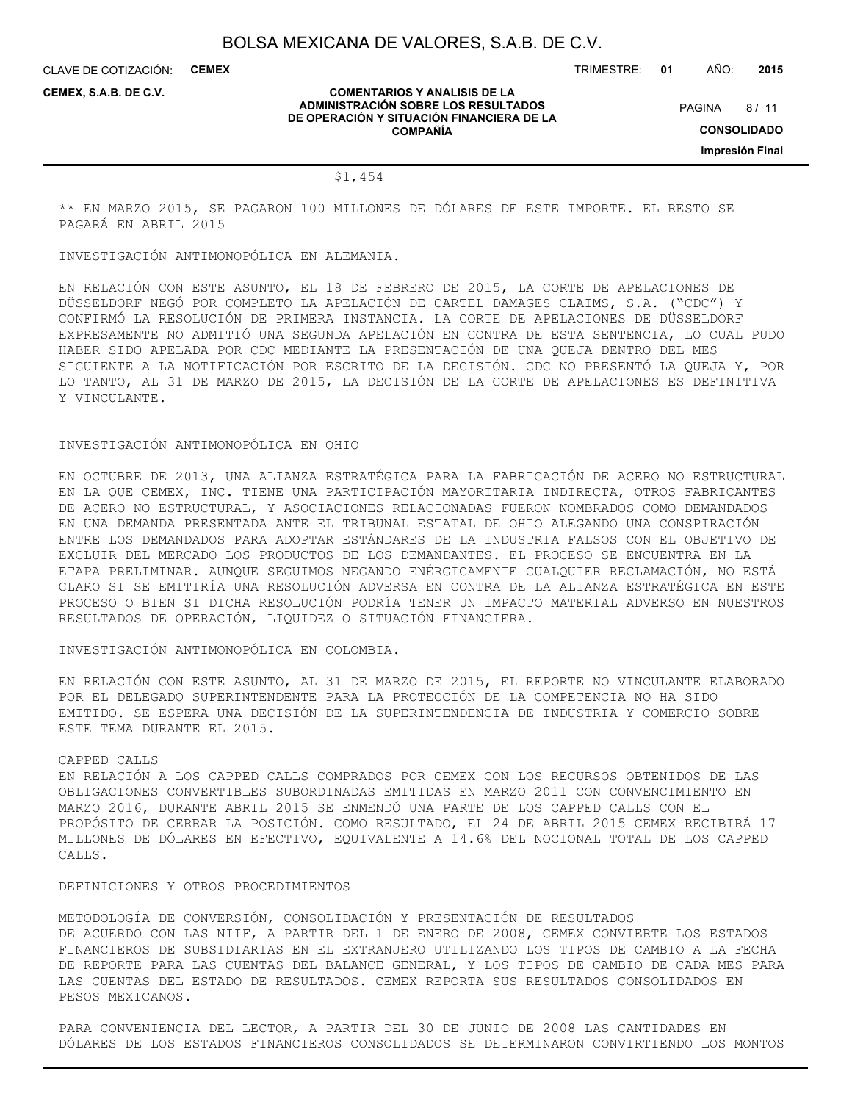CLAVE DE COTIZACIÓN: **CEMEX**

TRIMESTRE: **01** AÑO: **2015**

**CEMEX, S.A.B. DE C.V.**

#### **COMENTARIOS Y ANALISIS DE LA ADMINISTRACIÓN SOBRE LOS RESULTADOS DE OPERACIÓN Y SITUACIÓN FINANCIERA DE LA COMPAÑÍA**

 $8/11$ **PAGINA** 

**CONSOLIDADO**

**Impresión Final**

## \$1,454

\*\* EN MARZO 2015, SE PAGARON 100 MILLONES DE DÓLARES DE ESTE IMPORTE. EL RESTO SE PAGARÁ EN ABRIL 2015

INVESTIGACIÓN ANTIMONOPÓLICA EN ALEMANIA.

EN RELACIÓN CON ESTE ASUNTO, EL 18 DE FEBRERO DE 2015, LA CORTE DE APELACIONES DE DÜSSELDORF NEGÓ POR COMPLETO LA APELACIÓN DE CARTEL DAMAGES CLAIMS, S.A. ("CDC") Y CONFIRMÓ LA RESOLUCIÓN DE PRIMERA INSTANCIA. LA CORTE DE APELACIONES DE DÜSSELDORF EXPRESAMENTE NO ADMITIÓ UNA SEGUNDA APELACIÓN EN CONTRA DE ESTA SENTENCIA, LO CUAL PUDO HABER SIDO APELADA POR CDC MEDIANTE LA PRESENTACIÓN DE UNA QUEJA DENTRO DEL MES SIGUIENTE A LA NOTIFICACIÓN POR ESCRITO DE LA DECISIÓN. CDC NO PRESENTÓ LA QUEJA Y, POR LO TANTO, AL 31 DE MARZO DE 2015, LA DECISIÓN DE LA CORTE DE APELACIONES ES DEFINITIVA Y VINCULANTE.

## INVESTIGACIÓN ANTIMONOPÓLICA EN OHIO

EN OCTUBRE DE 2013, UNA ALIANZA ESTRATÉGICA PARA LA FABRICACIÓN DE ACERO NO ESTRUCTURAL EN LA QUE CEMEX, INC. TIENE UNA PARTICIPACIÓN MAYORITARIA INDIRECTA, OTROS FABRICANTES DE ACERO NO ESTRUCTURAL, Y ASOCIACIONES RELACIONADAS FUERON NOMBRADOS COMO DEMANDADOS EN UNA DEMANDA PRESENTADA ANTE EL TRIBUNAL ESTATAL DE OHIO ALEGANDO UNA CONSPIRACIÓN ENTRE LOS DEMANDADOS PARA ADOPTAR ESTÁNDARES DE LA INDUSTRIA FALSOS CON EL OBJETIVO DE EXCLUIR DEL MERCADO LOS PRODUCTOS DE LOS DEMANDANTES. EL PROCESO SE ENCUENTRA EN LA ETAPA PRELIMINAR. AUNQUE SEGUIMOS NEGANDO ENÉRGICAMENTE CUALQUIER RECLAMACIÓN, NO ESTÁ CLARO SI SE EMITIRÍA UNA RESOLUCIÓN ADVERSA EN CONTRA DE LA ALIANZA ESTRATÉGICA EN ESTE PROCESO O BIEN SI DICHA RESOLUCIÓN PODRÍA TENER UN IMPACTO MATERIAL ADVERSO EN NUESTROS RESULTADOS DE OPERACIÓN, LIQUIDEZ O SITUACIÓN FINANCIERA.

INVESTIGACIÓN ANTIMONOPÓLICA EN COLOMBIA.

EN RELACIÓN CON ESTE ASUNTO, AL 31 DE MARZO DE 2015, EL REPORTE NO VINCULANTE ELABORADO POR EL DELEGADO SUPERINTENDENTE PARA LA PROTECCIÓN DE LA COMPETENCIA NO HA SIDO EMITIDO. SE ESPERA UNA DECISIÓN DE LA SUPERINTENDENCIA DE INDUSTRIA Y COMERCIO SOBRE ESTE TEMA DURANTE EL 2015.

#### CAPPED CALLS

EN RELACIÓN A LOS CAPPED CALLS COMPRADOS POR CEMEX CON LOS RECURSOS OBTENIDOS DE LAS OBLIGACIONES CONVERTIBLES SUBORDINADAS EMITIDAS EN MARZO 2011 CON CONVENCIMIENTO EN MARZO 2016, DURANTE ABRIL 2015 SE ENMENDÓ UNA PARTE DE LOS CAPPED CALLS CON EL PROPÓSITO DE CERRAR LA POSICIÓN. COMO RESULTADO, EL 24 DE ABRIL 2015 CEMEX RECIBIRÁ 17 MILLONES DE DÓLARES EN EFECTIVO, EQUIVALENTE A 14.6% DEL NOCIONAL TOTAL DE LOS CAPPED CALLS.

DEFINICIONES Y OTROS PROCEDIMIENTOS

METODOLOGÍA DE CONVERSIÓN, CONSOLIDACIÓN Y PRESENTACIÓN DE RESULTADOS DE ACUERDO CON LAS NIIF, A PARTIR DEL 1 DE ENERO DE 2008, CEMEX CONVIERTE LOS ESTADOS FINANCIEROS DE SUBSIDIARIAS EN EL EXTRANJERO UTILIZANDO LOS TIPOS DE CAMBIO A LA FECHA DE REPORTE PARA LAS CUENTAS DEL BALANCE GENERAL, Y LOS TIPOS DE CAMBIO DE CADA MES PARA LAS CUENTAS DEL ESTADO DE RESULTADOS. CEMEX REPORTA SUS RESULTADOS CONSOLIDADOS EN PESOS MEXICANOS.

PARA CONVENIENCIA DEL LECTOR, A PARTIR DEL 30 DE JUNIO DE 2008 LAS CANTIDADES EN DÓLARES DE LOS ESTADOS FINANCIEROS CONSOLIDADOS SE DETERMINARON CONVIRTIENDO LOS MONTOS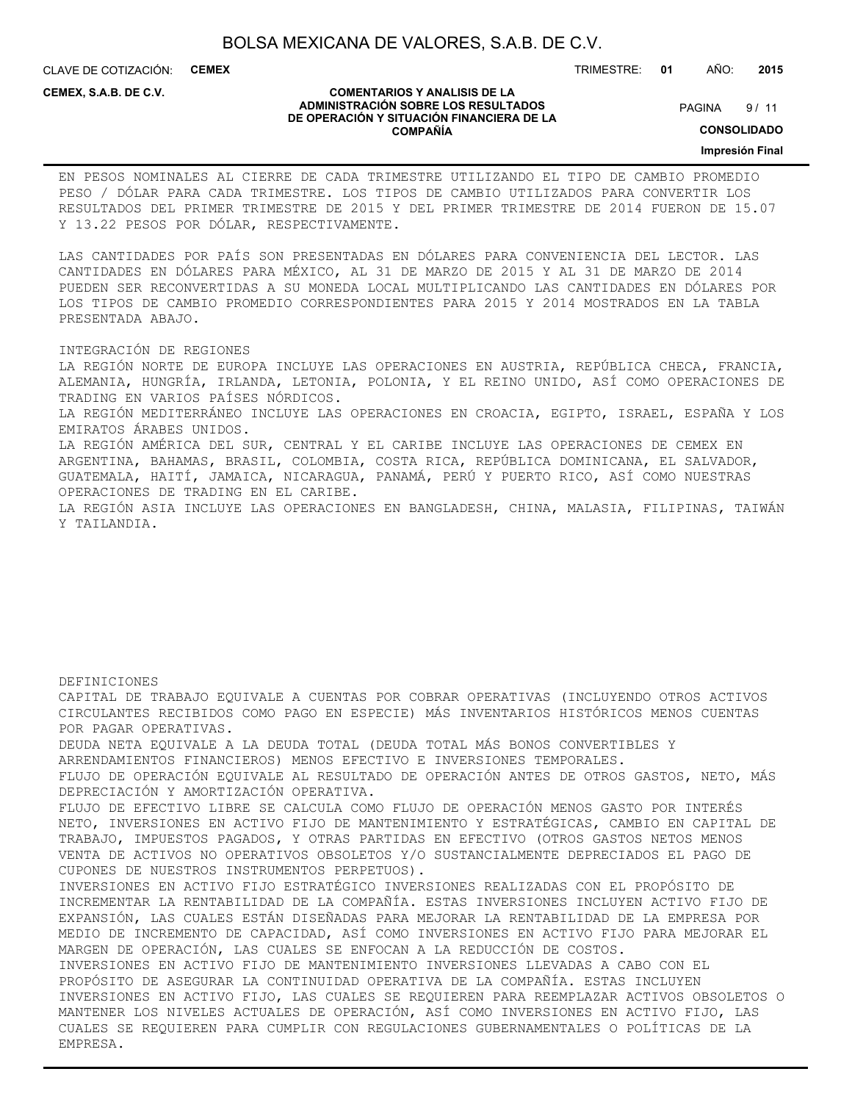CLAVE DE COTIZACIÓN: **CEMEX**

**CEMEX, S.A.B. DE C.V.**

#### **COMENTARIOS Y ANALISIS DE LA ADMINISTRACIÓN SOBRE LOS RESULTADOS DE OPERACIÓN Y SITUACIÓN FINANCIERA DE LA COMPAÑÍA**

 $9/11$ **PAGINA** 

TRIMESTRE: **01** AÑO: **2015**

**CONSOLIDADO**

**Impresión Final**

EN PESOS NOMINALES AL CIERRE DE CADA TRIMESTRE UTILIZANDO EL TIPO DE CAMBIO PROMEDIO PESO / DÓLAR PARA CADA TRIMESTRE. LOS TIPOS DE CAMBIO UTILIZADOS PARA CONVERTIR LOS RESULTADOS DEL PRIMER TRIMESTRE DE 2015 Y DEL PRIMER TRIMESTRE DE 2014 FUERON DE 15.07 Y 13.22 PESOS POR DÓLAR, RESPECTIVAMENTE.

LAS CANTIDADES POR PAÍS SON PRESENTADAS EN DÓLARES PARA CONVENIENCIA DEL LECTOR. LAS CANTIDADES EN DÓLARES PARA MÉXICO, AL 31 DE MARZO DE 2015 Y AL 31 DE MARZO DE 2014 PUEDEN SER RECONVERTIDAS A SU MONEDA LOCAL MULTIPLICANDO LAS CANTIDADES EN DÓLARES POR LOS TIPOS DE CAMBIO PROMEDIO CORRESPONDIENTES PARA 2015 Y 2014 MOSTRADOS EN LA TABLA PRESENTADA ABAJO.

INTEGRACIÓN DE REGIONES

LA REGIÓN NORTE DE EUROPA INCLUYE LAS OPERACIONES EN AUSTRIA, REPÚBLICA CHECA, FRANCIA, ALEMANIA, HUNGRÍA, IRLANDA, LETONIA, POLONIA, Y EL REINO UNIDO, ASÍ COMO OPERACIONES DE TRADING EN VARIOS PAÍSES NÓRDICOS. LA REGIÓN MEDITERRÁNEO INCLUYE LAS OPERACIONES EN CROACIA, EGIPTO, ISRAEL, ESPAÑA Y LOS EMIRATOS ÁRABES UNIDOS. LA REGIÓN AMÉRICA DEL SUR, CENTRAL Y EL CARIBE INCLUYE LAS OPERACIONES DE CEMEX EN ARGENTINA, BAHAMAS, BRASIL, COLOMBIA, COSTA RICA, REPÚBLICA DOMINICANA, EL SALVADOR, GUATEMALA, HAITÍ, JAMAICA, NICARAGUA, PANAMÁ, PERÚ Y PUERTO RICO, ASÍ COMO NUESTRAS OPERACIONES DE TRADING EN EL CARIBE. LA REGIÓN ASIA INCLUYE LAS OPERACIONES EN BANGLADESH, CHINA, MALASIA, FILIPINAS, TAIWÁN Y TAILANDIA.

DEFINICIONES

CAPITAL DE TRABAJO EQUIVALE A CUENTAS POR COBRAR OPERATIVAS (INCLUYENDO OTROS ACTIVOS CIRCULANTES RECIBIDOS COMO PAGO EN ESPECIE) MÁS INVENTARIOS HISTÓRICOS MENOS CUENTAS POR PAGAR OPERATIVAS. DEUDA NETA EQUIVALE A LA DEUDA TOTAL (DEUDA TOTAL MÁS BONOS CONVERTIBLES Y ARRENDAMIENTOS FINANCIEROS) MENOS EFECTIVO E INVERSIONES TEMPORALES. FLUJO DE OPERACIÓN EQUIVALE AL RESULTADO DE OPERACIÓN ANTES DE OTROS GASTOS, NETO, MÁS DEPRECIACIÓN Y AMORTIZACIÓN OPERATIVA. FLUJO DE EFECTIVO LIBRE SE CALCULA COMO FLUJO DE OPERACIÓN MENOS GASTO POR INTERÉS NETO, INVERSIONES EN ACTIVO FIJO DE MANTENIMIENTO Y ESTRATÉGICAS, CAMBIO EN CAPITAL DE TRABAJO, IMPUESTOS PAGADOS, Y OTRAS PARTIDAS EN EFECTIVO (OTROS GASTOS NETOS MENOS VENTA DE ACTIVOS NO OPERATIVOS OBSOLETOS Y/O SUSTANCIALMENTE DEPRECIADOS EL PAGO DE CUPONES DE NUESTROS INSTRUMENTOS PERPETUOS). INVERSIONES EN ACTIVO FIJO ESTRATÉGICO INVERSIONES REALIZADAS CON EL PROPÓSITO DE INCREMENTAR LA RENTABILIDAD DE LA COMPAÑÍA. ESTAS INVERSIONES INCLUYEN ACTIVO FIJO DE EXPANSIÓN, LAS CUALES ESTÁN DISEÑADAS PARA MEJORAR LA RENTABILIDAD DE LA EMPRESA POR MEDIO DE INCREMENTO DE CAPACIDAD, ASÍ COMO INVERSIONES EN ACTIVO FIJO PARA MEJORAR EL MARGEN DE OPERACIÓN, LAS CUALES SE ENFOCAN A LA REDUCCIÓN DE COSTOS. INVERSIONES EN ACTIVO FIJO DE MANTENIMIENTO INVERSIONES LLEVADAS A CABO CON EL PROPÓSITO DE ASEGURAR LA CONTINUIDAD OPERATIVA DE LA COMPAÑÍA. ESTAS INCLUYEN INVERSIONES EN ACTIVO FIJO, LAS CUALES SE REQUIEREN PARA REEMPLAZAR ACTIVOS OBSOLETOS O MANTENER LOS NIVELES ACTUALES DE OPERACIÓN, ASÍ COMO INVERSIONES EN ACTIVO FIJO, LAS CUALES SE REQUIEREN PARA CUMPLIR CON REGULACIONES GUBERNAMENTALES O POLÍTICAS DE LA EMPRESA.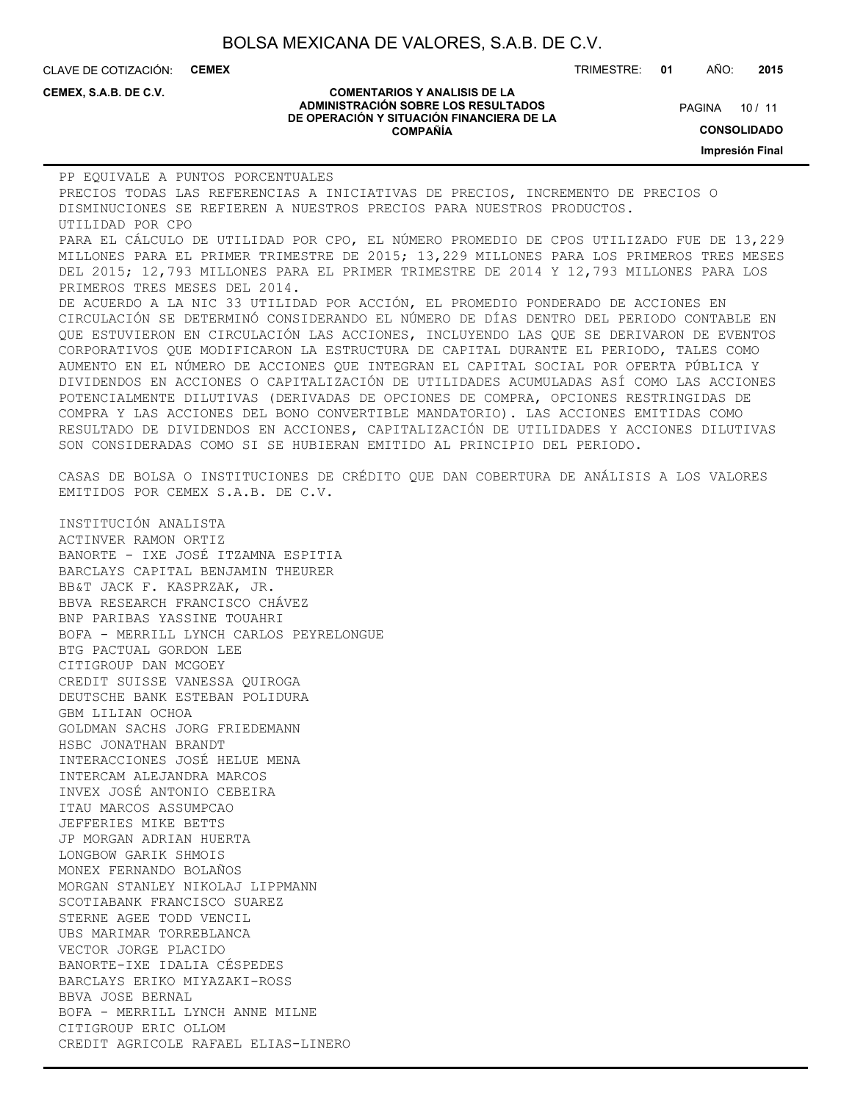CLAVE DE COTIZACIÓN: **CEMEX** TRIMESTRE: **01** AÑO: **2015**

**CEMEX, S.A.B. DE C.V.**

#### **COMENTARIOS Y ANALISIS DE LA ADMINISTRACIÓN SOBRE LOS RESULTADOS DE OPERACIÓN Y SITUACIÓN FINANCIERA DE LA COMPAÑÍA**

PAGINA 10 / 11

**CONSOLIDADO**

**Impresión Final**

PP EQUIVALE A PUNTOS PORCENTUALES PRECIOS TODAS LAS REFERENCIAS A INICIATIVAS DE PRECIOS, INCREMENTO DE PRECIOS O DISMINUCIONES SE REFIEREN A NUESTROS PRECIOS PARA NUESTROS PRODUCTOS. UTILIDAD POR CPO PARA EL CÁLCULO DE UTILIDAD POR CPO, EL NÚMERO PROMEDIO DE CPOS UTILIZADO FUE DE 13,229 MILLONES PARA EL PRIMER TRIMESTRE DE 2015; 13,229 MILLONES PARA LOS PRIMEROS TRES MESES DEL 2015; 12,793 MILLONES PARA EL PRIMER TRIMESTRE DE 2014 Y 12,793 MILLONES PARA LOS PRIMEROS TRES MESES DEL 2014. DE ACUERDO A LA NIC 33 UTILIDAD POR ACCIÓN, EL PROMEDIO PONDERADO DE ACCIONES EN CIRCULACIÓN SE DETERMINÓ CONSIDERANDO EL NÚMERO DE DÍAS DENTRO DEL PERIODO CONTABLE EN QUE ESTUVIERON EN CIRCULACIÓN LAS ACCIONES, INCLUYENDO LAS QUE SE DERIVARON DE EVENTOS CORPORATIVOS QUE MODIFICARON LA ESTRUCTURA DE CAPITAL DURANTE EL PERIODO, TALES COMO AUMENTO EN EL NÚMERO DE ACCIONES QUE INTEGRAN EL CAPITAL SOCIAL POR OFERTA PÚBLICA Y DIVIDENDOS EN ACCIONES O CAPITALIZACIÓN DE UTILIDADES ACUMULADAS ASÍ COMO LAS ACCIONES POTENCIALMENTE DILUTIVAS (DERIVADAS DE OPCIONES DE COMPRA, OPCIONES RESTRINGIDAS DE COMPRA Y LAS ACCIONES DEL BONO CONVERTIBLE MANDATORIO). LAS ACCIONES EMITIDAS COMO RESULTADO DE DIVIDENDOS EN ACCIONES, CAPITALIZACIÓN DE UTILIDADES Y ACCIONES DILUTIVAS SON CONSIDERADAS COMO SI SE HUBIERAN EMITIDO AL PRINCIPIO DEL PERIODO. CASAS DE BOLSA O INSTITUCIONES DE CRÉDITO QUE DAN COBERTURA DE ANÁLISIS A LOS VALORES EMITIDOS POR CEMEX S.A.B. DE C.V. INSTITUCIÓN ANALISTA ACTINVER RAMON ORTIZ BANORTE - IXE JOSÉ ITZAMNA ESPITIA BARCLAYS CAPITAL BENJAMIN THEURER BB&T JACK F. KASPRZAK, JR. BBVA RESEARCH FRANCISCO CHÁVEZ BNP PARIBAS YASSINE TOUAHRI BOFA - MERRILL LYNCH CARLOS PEYRELONGUE BTG PACTUAL GORDON LEE CITIGROUP DAN MCGOEY CREDIT SUISSE VANESSA QUIROGA DEUTSCHE BANK ESTEBAN POLIDURA GBM LILIAN OCHOA

GOLDMAN SACHS JORG FRIEDEMANN HSBC JONATHAN BRANDT INTERACCIONES JOSÉ HELUE MENA INTERCAM ALEJANDRA MARCOS INVEX JOSÉ ANTONIO CEBEIRA ITAU MARCOS ASSUMPCAO JEFFERIES MIKE BETTS JP MORGAN ADRIAN HUERTA LONGBOW GARIK SHMOIS MONEX FERNANDO BOLAÑOS MORGAN STANLEY NIKOLAJ LIPPMANN SCOTIABANK FRANCISCO SUAREZ STERNE AGEE TODD VENCIL UBS MARIMAR TORREBLANCA VECTOR JORGE PLACIDO BANORTE-IXE IDALIA CÉSPEDES BARCLAYS ERIKO MIYAZAKI-ROSS BBVA JOSE BERNAL BOFA - MERRILL LYNCH ANNE MILNE CITIGROUP ERIC OLLOM CREDIT AGRICOLE RAFAEL ELIAS-LINERO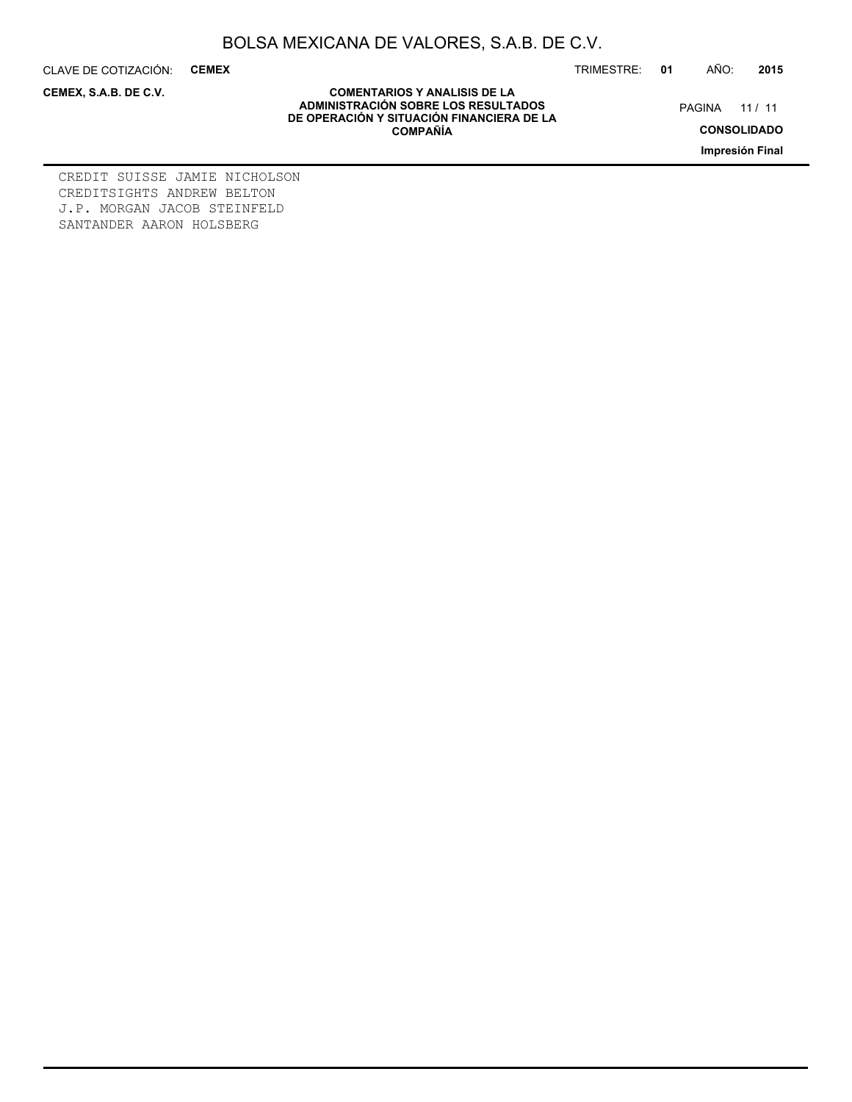CLAVE DE COTIZACIÓN: **CEMEX** TRIMESTRE: **01** AÑO: **2015**

**CEMEX, S.A.B. DE C.V.**

PAGINA 11 / 11

**CONSOLIDADO**

**Impresión Final**

**COMENTARIOS Y ANALISIS DE LA ADMINISTRACIÓN SOBRE LOS RESULTADOS DE OPERACIÓN Y SITUACIÓN FINANCIERA DE LA COMPAÑÍA**

CREDIT SUISSE JAMIE NICHOLSON CREDITSIGHTS ANDREW BELTON J.P. MORGAN JACOB STEINFELD SANTANDER AARON HOLSBERG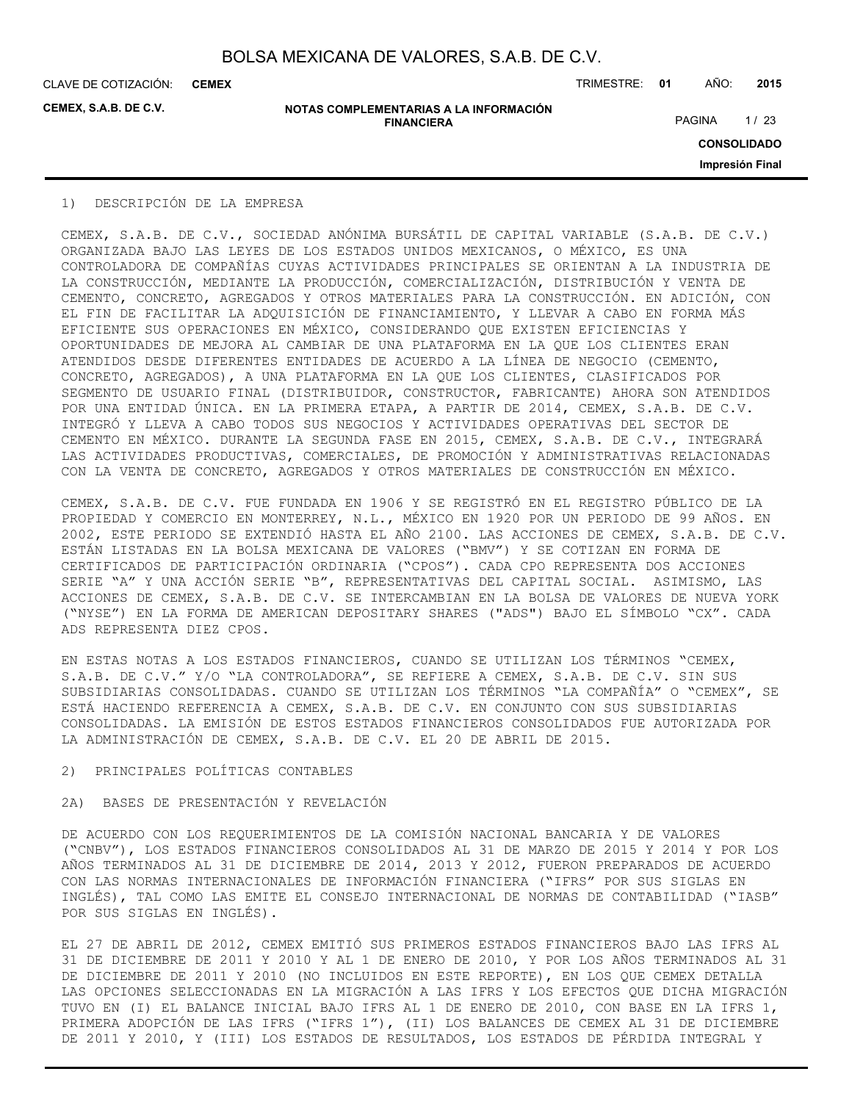**CEMEX**

**CEMEX, S.A.B. DE C.V.**

**NOTAS COMPLEMENTARIAS A LA INFORMACIÓN FINANCIERA**

CLAVE DE COTIZACIÓN: TRIMESTRE: **01** AÑO: **2015**

PAGINA 1/23

**CONSOLIDADO**

**Impresión Final**

## 1) DESCRIPCIÓN DE LA EMPRESA

CEMEX, S.A.B. DE C.V., SOCIEDAD ANÓNIMA BURSÁTIL DE CAPITAL VARIABLE (S.A.B. DE C.V.) ORGANIZADA BAJO LAS LEYES DE LOS ESTADOS UNIDOS MEXICANOS, O MÉXICO, ES UNA CONTROLADORA DE COMPAÑÍAS CUYAS ACTIVIDADES PRINCIPALES SE ORIENTAN A LA INDUSTRIA DE LA CONSTRUCCIÓN, MEDIANTE LA PRODUCCIÓN, COMERCIALIZACIÓN, DISTRIBUCIÓN Y VENTA DE CEMENTO, CONCRETO, AGREGADOS Y OTROS MATERIALES PARA LA CONSTRUCCIÓN. EN ADICIÓN, CON EL FIN DE FACILITAR LA ADQUISICIÓN DE FINANCIAMIENTO, Y LLEVAR A CABO EN FORMA MÁS EFICIENTE SUS OPERACIONES EN MÉXICO, CONSIDERANDO QUE EXISTEN EFICIENCIAS Y OPORTUNIDADES DE MEJORA AL CAMBIAR DE UNA PLATAFORMA EN LA QUE LOS CLIENTES ERAN ATENDIDOS DESDE DIFERENTES ENTIDADES DE ACUERDO A LA LÍNEA DE NEGOCIO (CEMENTO, CONCRETO, AGREGADOS), A UNA PLATAFORMA EN LA QUE LOS CLIENTES, CLASIFICADOS POR SEGMENTO DE USUARIO FINAL (DISTRIBUIDOR, CONSTRUCTOR, FABRICANTE) AHORA SON ATENDIDOS POR UNA ENTIDAD ÚNICA. EN LA PRIMERA ETAPA, A PARTIR DE 2014, CEMEX, S.A.B. DE C.V. INTEGRÓ Y LLEVA A CABO TODOS SUS NEGOCIOS Y ACTIVIDADES OPERATIVAS DEL SECTOR DE CEMENTO EN MÉXICO. DURANTE LA SEGUNDA FASE EN 2015, CEMEX, S.A.B. DE C.V., INTEGRARÁ LAS ACTIVIDADES PRODUCTIVAS, COMERCIALES, DE PROMOCIÓN Y ADMINISTRATIVAS RELACIONADAS CON LA VENTA DE CONCRETO, AGREGADOS Y OTROS MATERIALES DE CONSTRUCCIÓN EN MÉXICO.

CEMEX, S.A.B. DE C.V. FUE FUNDADA EN 1906 Y SE REGISTRÓ EN EL REGISTRO PÚBLICO DE LA PROPIEDAD Y COMERCIO EN MONTERREY, N.L., MÉXICO EN 1920 POR UN PERIODO DE 99 AÑOS. EN 2002, ESTE PERIODO SE EXTENDIÓ HASTA EL AÑO 2100. LAS ACCIONES DE CEMEX, S.A.B. DE C.V. ESTÁN LISTADAS EN LA BOLSA MEXICANA DE VALORES ("BMV") Y SE COTIZAN EN FORMA DE CERTIFICADOS DE PARTICIPACIÓN ORDINARIA ("CPOS"). CADA CPO REPRESENTA DOS ACCIONES SERIE "A" Y UNA ACCIÓN SERIE "B", REPRESENTATIVAS DEL CAPITAL SOCIAL. ASIMISMO, LAS ACCIONES DE CEMEX, S.A.B. DE C.V. SE INTERCAMBIAN EN LA BOLSA DE VALORES DE NUEVA YORK ("NYSE") EN LA FORMA DE AMERICAN DEPOSITARY SHARES ("ADS") BAJO EL SÍMBOLO "CX". CADA ADS REPRESENTA DIEZ CPOS.

EN ESTAS NOTAS A LOS ESTADOS FINANCIEROS, CUANDO SE UTILIZAN LOS TÉRMINOS "CEMEX, S.A.B. DE C.V." Y/O "LA CONTROLADORA", SE REFIERE A CEMEX, S.A.B. DE C.V. SIN SUS SUBSIDIARIAS CONSOLIDADAS. CUANDO SE UTILIZAN LOS TÉRMINOS "LA COMPAÑÍA" O "CEMEX", SE ESTÁ HACIENDO REFERENCIA A CEMEX, S.A.B. DE C.V. EN CONJUNTO CON SUS SUBSIDIARIAS CONSOLIDADAS. LA EMISIÓN DE ESTOS ESTADOS FINANCIEROS CONSOLIDADOS FUE AUTORIZADA POR LA ADMINISTRACIÓN DE CEMEX, S.A.B. DE C.V. EL 20 DE ABRIL DE 2015.

## 2) PRINCIPALES POLÍTICAS CONTABLES

## 2A) BASES DE PRESENTACIÓN Y REVELACIÓN

DE ACUERDO CON LOS REQUERIMIENTOS DE LA COMISIÓN NACIONAL BANCARIA Y DE VALORES ("CNBV"), LOS ESTADOS FINANCIEROS CONSOLIDADOS AL 31 DE MARZO DE 2015 Y 2014 Y POR LOS AÑOS TERMINADOS AL 31 DE DICIEMBRE DE 2014, 2013 Y 2012, FUERON PREPARADOS DE ACUERDO CON LAS NORMAS INTERNACIONALES DE INFORMACIÓN FINANCIERA ("IFRS" POR SUS SIGLAS EN INGLÉS), TAL COMO LAS EMITE EL CONSEJO INTERNACIONAL DE NORMAS DE CONTABILIDAD ("IASB" POR SUS SIGLAS EN INGLÉS).

EL 27 DE ABRIL DE 2012, CEMEX EMITIÓ SUS PRIMEROS ESTADOS FINANCIEROS BAJO LAS IFRS AL 31 DE DICIEMBRE DE 2011 Y 2010 Y AL 1 DE ENERO DE 2010, Y POR LOS AÑOS TERMINADOS AL 31 DE DICIEMBRE DE 2011 Y 2010 (NO INCLUIDOS EN ESTE REPORTE), EN LOS QUE CEMEX DETALLA LAS OPCIONES SELECCIONADAS EN LA MIGRACIÓN A LAS IFRS Y LOS EFECTOS QUE DICHA MIGRACIÓN TUVO EN (I) EL BALANCE INICIAL BAJO IFRS AL 1 DE ENERO DE 2010, CON BASE EN LA IFRS 1, PRIMERA ADOPCIÓN DE LAS IFRS ("IFRS 1"), (II) LOS BALANCES DE CEMEX AL 31 DE DICIEMBRE DE 2011 Y 2010, Y (III) LOS ESTADOS DE RESULTADOS, LOS ESTADOS DE PÉRDIDA INTEGRAL Y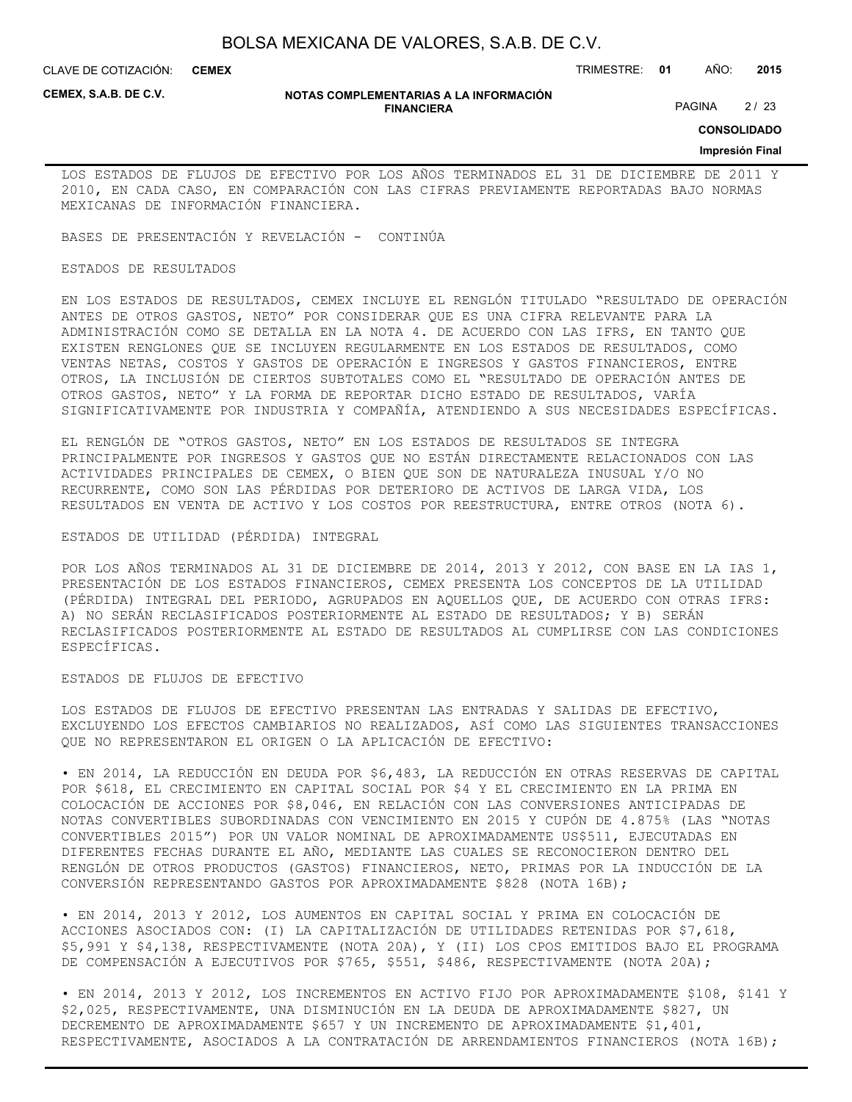CLAVE DE COTIZACIÓN: TRIMESTRE: **01** AÑO: **2015 CEMEX**

**CEMEX, S.A.B. DE C.V.**

#### **NOTAS COMPLEMENTARIAS A LA INFORMACIÓN FINANCIERA**

PAGINA 2/23

**CONSOLIDADO**

## **Impresión Final**

LOS ESTADOS DE FLUJOS DE EFECTIVO POR LOS AÑOS TERMINADOS EL 31 DE DICIEMBRE DE 2011 Y 2010, EN CADA CASO, EN COMPARACIÓN CON LAS CIFRAS PREVIAMENTE REPORTADAS BAJO NORMAS MEXICANAS DE INFORMACIÓN FINANCIERA.

BASES DE PRESENTACIÓN Y REVELACIÓN - CONTINÚA

## ESTADOS DE RESULTADOS

EN LOS ESTADOS DE RESULTADOS, CEMEX INCLUYE EL RENGLÓN TITULADO "RESULTADO DE OPERACIÓN ANTES DE OTROS GASTOS, NETO" POR CONSIDERAR QUE ES UNA CIFRA RELEVANTE PARA LA ADMINISTRACIÓN COMO SE DETALLA EN LA NOTA 4. DE ACUERDO CON LAS IFRS, EN TANTO QUE EXISTEN RENGLONES QUE SE INCLUYEN REGULARMENTE EN LOS ESTADOS DE RESULTADOS, COMO VENTAS NETAS, COSTOS Y GASTOS DE OPERACIÓN E INGRESOS Y GASTOS FINANCIEROS, ENTRE OTROS, LA INCLUSIÓN DE CIERTOS SUBTOTALES COMO EL "RESULTADO DE OPERACIÓN ANTES DE OTROS GASTOS, NETO" Y LA FORMA DE REPORTAR DICHO ESTADO DE RESULTADOS, VARÍA SIGNIFICATIVAMENTE POR INDUSTRIA Y COMPAÑÍA, ATENDIENDO A SUS NECESIDADES ESPECÍFICAS.

EL RENGLÓN DE "OTROS GASTOS, NETO" EN LOS ESTADOS DE RESULTADOS SE INTEGRA PRINCIPALMENTE POR INGRESOS Y GASTOS QUE NO ESTÁN DIRECTAMENTE RELACIONADOS CON LAS ACTIVIDADES PRINCIPALES DE CEMEX, O BIEN QUE SON DE NATURALEZA INUSUAL Y/O NO RECURRENTE, COMO SON LAS PÉRDIDAS POR DETERIORO DE ACTIVOS DE LARGA VIDA, LOS RESULTADOS EN VENTA DE ACTIVO Y LOS COSTOS POR REESTRUCTURA, ENTRE OTROS (NOTA 6).

## ESTADOS DE UTILIDAD (PÉRDIDA) INTEGRAL

POR LOS AÑOS TERMINADOS AL 31 DE DICIEMBRE DE 2014, 2013 Y 2012, CON BASE EN LA IAS 1, PRESENTACIÓN DE LOS ESTADOS FINANCIEROS, CEMEX PRESENTA LOS CONCEPTOS DE LA UTILIDAD (PÉRDIDA) INTEGRAL DEL PERIODO, AGRUPADOS EN AQUELLOS QUE, DE ACUERDO CON OTRAS IFRS: A) NO SERÁN RECLASIFICADOS POSTERIORMENTE AL ESTADO DE RESULTADOS; Y B) SERÁN RECLASIFICADOS POSTERIORMENTE AL ESTADO DE RESULTADOS AL CUMPLIRSE CON LAS CONDICIONES ESPECÍFICAS.

#### ESTADOS DE FLUJOS DE EFECTIVO

LOS ESTADOS DE FLUJOS DE EFECTIVO PRESENTAN LAS ENTRADAS Y SALIDAS DE EFECTIVO, EXCLUYENDO LOS EFECTOS CAMBIARIOS NO REALIZADOS, ASÍ COMO LAS SIGUIENTES TRANSACCIONES QUE NO REPRESENTARON EL ORIGEN O LA APLICACIÓN DE EFECTIVO:

• EN 2014, LA REDUCCIÓN EN DEUDA POR \$6,483, LA REDUCCIÓN EN OTRAS RESERVAS DE CAPITAL POR \$618, EL CRECIMIENTO EN CAPITAL SOCIAL POR \$4 Y EL CRECIMIENTO EN LA PRIMA EN COLOCACIÓN DE ACCIONES POR \$8,046, EN RELACIÓN CON LAS CONVERSIONES ANTICIPADAS DE NOTAS CONVERTIBLES SUBORDINADAS CON VENCIMIENTO EN 2015 Y CUPÓN DE 4.875% (LAS "NOTAS CONVERTIBLES 2015") POR UN VALOR NOMINAL DE APROXIMADAMENTE US\$511, EJECUTADAS EN DIFERENTES FECHAS DURANTE EL AÑO, MEDIANTE LAS CUALES SE RECONOCIERON DENTRO DEL RENGLÓN DE OTROS PRODUCTOS (GASTOS) FINANCIEROS, NETO, PRIMAS POR LA INDUCCIÓN DE LA CONVERSIÓN REPRESENTANDO GASTOS POR APROXIMADAMENTE \$828 (NOTA 16B);

• EN 2014, 2013 Y 2012, LOS AUMENTOS EN CAPITAL SOCIAL Y PRIMA EN COLOCACIÓN DE ACCIONES ASOCIADOS CON: (I) LA CAPITALIZACIÓN DE UTILIDADES RETENIDAS POR \$7,618, \$5,991 Y \$4,138, RESPECTIVAMENTE (NOTA 20A), Y (II) LOS CPOS EMITIDOS BAJO EL PROGRAMA DE COMPENSACIÓN A EJECUTIVOS POR \$765, \$551, \$486, RESPECTIVAMENTE (NOTA 20A);

• EN 2014, 2013 Y 2012, LOS INCREMENTOS EN ACTIVO FIJO POR APROXIMADAMENTE \$108, \$141 Y \$2,025, RESPECTIVAMENTE, UNA DISMINUCIÓN EN LA DEUDA DE APROXIMADAMENTE \$827, UN DECREMENTO DE APROXIMADAMENTE \$657 Y UN INCREMENTO DE APROXIMADAMENTE \$1,401, RESPECTIVAMENTE, ASOCIADOS A LA CONTRATACIÓN DE ARRENDAMIENTOS FINANCIEROS (NOTA 16B);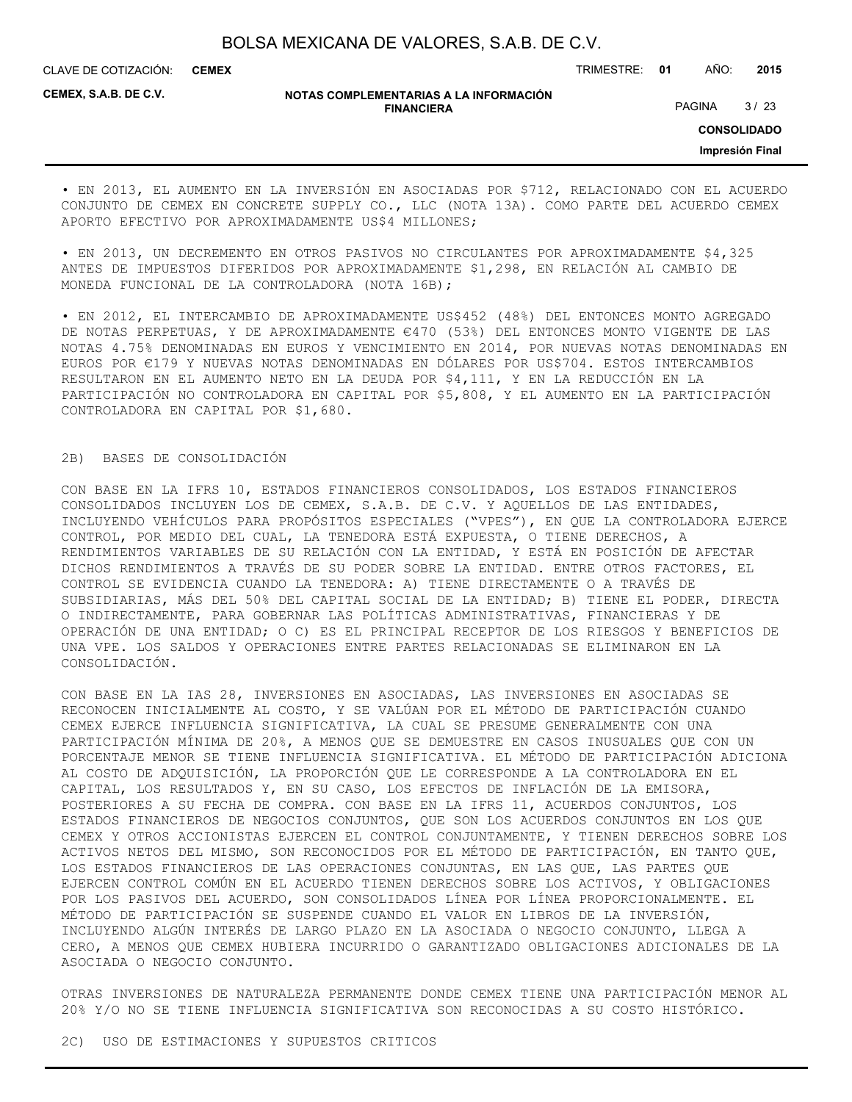CLAVE DE COTIZACIÓN: TRIMESTRE: **01** AÑO: **2015 CEMEX**

**CEMEX, S.A.B. DE C.V.**

## **NOTAS COMPLEMENTARIAS A LA INFORMACIÓN FINANCIERA**

PAGINA 3/23

**CONSOLIDADO**

**Impresión Final**

• EN 2013, EL AUMENTO EN LA INVERSIÓN EN ASOCIADAS POR \$712, RELACIONADO CON EL ACUERDO CONJUNTO DE CEMEX EN CONCRETE SUPPLY CO., LLC (NOTA 13A). COMO PARTE DEL ACUERDO CEMEX APORTO EFECTIVO POR APROXIMADAMENTE US\$4 MILLONES;

• EN 2013, UN DECREMENTO EN OTROS PASIVOS NO CIRCULANTES POR APROXIMADAMENTE \$4,325 ANTES DE IMPUESTOS DIFERIDOS POR APROXIMADAMENTE \$1,298, EN RELACIÓN AL CAMBIO DE MONEDA FUNCIONAL DE LA CONTROLADORA (NOTA 16B);

• EN 2012, EL INTERCAMBIO DE APROXIMADAMENTE US\$452 (48%) DEL ENTONCES MONTO AGREGADO DE NOTAS PERPETUAS, Y DE APROXIMADAMENTE €470 (53%) DEL ENTONCES MONTO VIGENTE DE LAS NOTAS 4.75% DENOMINADAS EN EUROS Y VENCIMIENTO EN 2014, POR NUEVAS NOTAS DENOMINADAS EN EUROS POR €179 Y NUEVAS NOTAS DENOMINADAS EN DÓLARES POR US\$704. ESTOS INTERCAMBIOS RESULTARON EN EL AUMENTO NETO EN LA DEUDA POR \$4,111, Y EN LA REDUCCIÓN EN LA PARTICIPACIÓN NO CONTROLADORA EN CAPITAL POR \$5,808, Y EL AUMENTO EN LA PARTICIPACIÓN CONTROLADORA EN CAPITAL POR \$1,680.

## 2B) BASES DE CONSOLIDACIÓN

CON BASE EN LA IFRS 10, ESTADOS FINANCIEROS CONSOLIDADOS, LOS ESTADOS FINANCIEROS CONSOLIDADOS INCLUYEN LOS DE CEMEX, S.A.B. DE C.V. Y AQUELLOS DE LAS ENTIDADES, INCLUYENDO VEHÍCULOS PARA PROPÓSITOS ESPECIALES ("VPES"), EN QUE LA CONTROLADORA EJERCE CONTROL, POR MEDIO DEL CUAL, LA TENEDORA ESTÁ EXPUESTA, O TIENE DERECHOS, A RENDIMIENTOS VARIABLES DE SU RELACIÓN CON LA ENTIDAD, Y ESTÁ EN POSICIÓN DE AFECTAR DICHOS RENDIMIENTOS A TRAVÉS DE SU PODER SOBRE LA ENTIDAD. ENTRE OTROS FACTORES, EL CONTROL SE EVIDENCIA CUANDO LA TENEDORA: A) TIENE DIRECTAMENTE O A TRAVÉS DE SUBSIDIARIAS, MÁS DEL 50% DEL CAPITAL SOCIAL DE LA ENTIDAD; B) TIENE EL PODER, DIRECTA O INDIRECTAMENTE, PARA GOBERNAR LAS POLÍTICAS ADMINISTRATIVAS, FINANCIERAS Y DE OPERACIÓN DE UNA ENTIDAD; O C) ES EL PRINCIPAL RECEPTOR DE LOS RIESGOS Y BENEFICIOS DE UNA VPE. LOS SALDOS Y OPERACIONES ENTRE PARTES RELACIONADAS SE ELIMINARON EN LA CONSOLIDACIÓN.

CON BASE EN LA IAS 28, INVERSIONES EN ASOCIADAS, LAS INVERSIONES EN ASOCIADAS SE RECONOCEN INICIALMENTE AL COSTO, Y SE VALÚAN POR EL MÉTODO DE PARTICIPACIÓN CUANDO CEMEX EJERCE INFLUENCIA SIGNIFICATIVA, LA CUAL SE PRESUME GENERALMENTE CON UNA PARTICIPACIÓN MÍNIMA DE 20%, A MENOS QUE SE DEMUESTRE EN CASOS INUSUALES QUE CON UN PORCENTAJE MENOR SE TIENE INFLUENCIA SIGNIFICATIVA. EL MÉTODO DE PARTICIPACIÓN ADICIONA AL COSTO DE ADQUISICIÓN, LA PROPORCIÓN QUE LE CORRESPONDE A LA CONTROLADORA EN EL CAPITAL, LOS RESULTADOS Y, EN SU CASO, LOS EFECTOS DE INFLACIÓN DE LA EMISORA, POSTERIORES A SU FECHA DE COMPRA. CON BASE EN LA IFRS 11, ACUERDOS CONJUNTOS, LOS ESTADOS FINANCIEROS DE NEGOCIOS CONJUNTOS, QUE SON LOS ACUERDOS CONJUNTOS EN LOS QUE CEMEX Y OTROS ACCIONISTAS EJERCEN EL CONTROL CONJUNTAMENTE, Y TIENEN DERECHOS SOBRE LOS ACTIVOS NETOS DEL MISMO, SON RECONOCIDOS POR EL MÉTODO DE PARTICIPACIÓN, EN TANTO QUE, LOS ESTADOS FINANCIEROS DE LAS OPERACIONES CONJUNTAS, EN LAS QUE, LAS PARTES QUE EJERCEN CONTROL COMÚN EN EL ACUERDO TIENEN DERECHOS SOBRE LOS ACTIVOS, Y OBLIGACIONES POR LOS PASIVOS DEL ACUERDO, SON CONSOLIDADOS LÍNEA POR LÍNEA PROPORCIONALMENTE. EL MÉTODO DE PARTICIPACIÓN SE SUSPENDE CUANDO EL VALOR EN LIBROS DE LA INVERSIÓN, INCLUYENDO ALGÚN INTERÉS DE LARGO PLAZO EN LA ASOCIADA O NEGOCIO CONJUNTO, LLEGA A CERO, A MENOS QUE CEMEX HUBIERA INCURRIDO O GARANTIZADO OBLIGACIONES ADICIONALES DE LA ASOCIADA O NEGOCIO CONJUNTO.

OTRAS INVERSIONES DE NATURALEZA PERMANENTE DONDE CEMEX TIENE UNA PARTICIPACIÓN MENOR AL 20% Y/O NO SE TIENE INFLUENCIA SIGNIFICATIVA SON RECONOCIDAS A SU COSTO HISTÓRICO.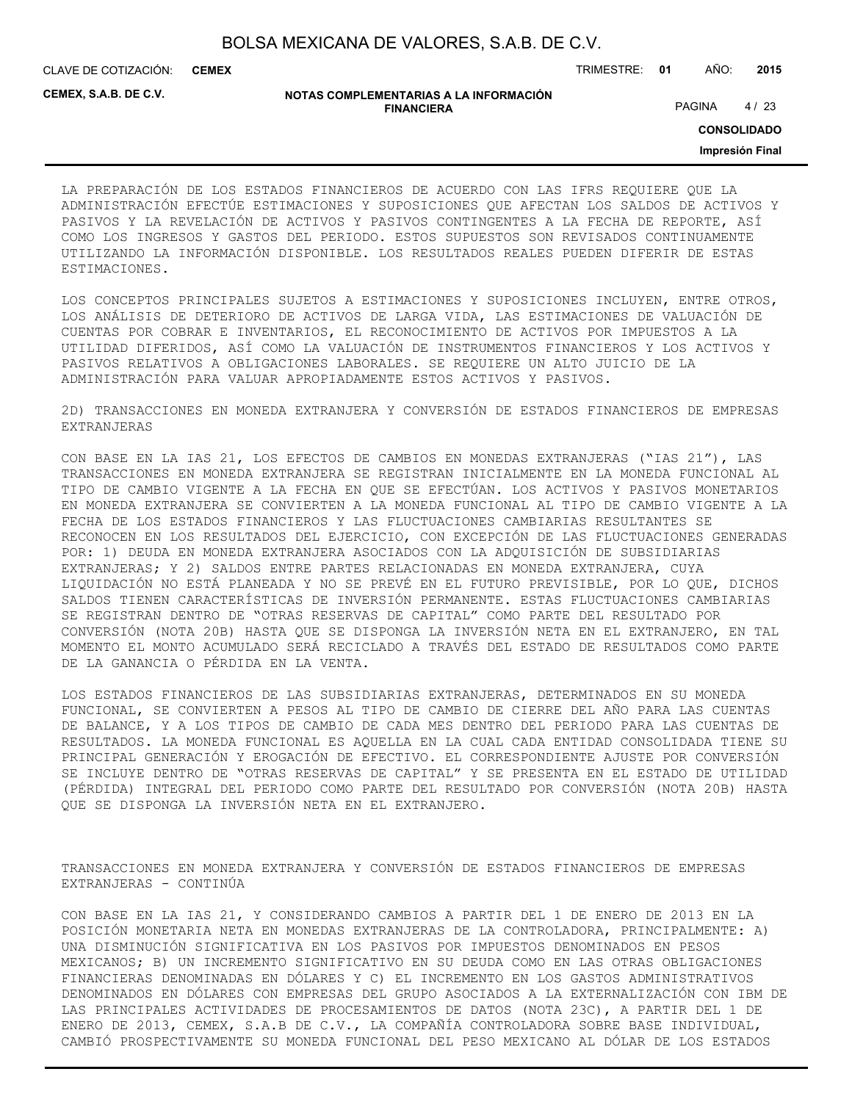CLAVE DE COTIZACIÓN: TRIMESTRE: **01** AÑO: **2015 CEMEX**

**CEMEX, S.A.B. DE C.V.**

#### **NOTAS COMPLEMENTARIAS A LA INFORMACIÓN FINANCIERA**

PAGINA 4/23

**CONSOLIDADO**

**Impresión Final**

LA PREPARACIÓN DE LOS ESTADOS FINANCIEROS DE ACUERDO CON LAS IFRS REQUIERE QUE LA ADMINISTRACIÓN EFECTÚE ESTIMACIONES Y SUPOSICIONES QUE AFECTAN LOS SALDOS DE ACTIVOS Y PASIVOS Y LA REVELACIÓN DE ACTIVOS Y PASIVOS CONTINGENTES A LA FECHA DE REPORTE, ASÍ COMO LOS INGRESOS Y GASTOS DEL PERIODO. ESTOS SUPUESTOS SON REVISADOS CONTINUAMENTE UTILIZANDO LA INFORMACIÓN DISPONIBLE. LOS RESULTADOS REALES PUEDEN DIFERIR DE ESTAS ESTIMACIONES.

LOS CONCEPTOS PRINCIPALES SUJETOS A ESTIMACIONES Y SUPOSICIONES INCLUYEN, ENTRE OTROS, LOS ANÁLISIS DE DETERIORO DE ACTIVOS DE LARGA VIDA, LAS ESTIMACIONES DE VALUACIÓN DE CUENTAS POR COBRAR E INVENTARIOS, EL RECONOCIMIENTO DE ACTIVOS POR IMPUESTOS A LA UTILIDAD DIFERIDOS, ASÍ COMO LA VALUACIÓN DE INSTRUMENTOS FINANCIEROS Y LOS ACTIVOS Y PASIVOS RELATIVOS A OBLIGACIONES LABORALES. SE REQUIERE UN ALTO JUICIO DE LA ADMINISTRACIÓN PARA VALUAR APROPIADAMENTE ESTOS ACTIVOS Y PASIVOS.

2D) TRANSACCIONES EN MONEDA EXTRANJERA Y CONVERSIÓN DE ESTADOS FINANCIEROS DE EMPRESAS EXTRANJERAS

CON BASE EN LA IAS 21, LOS EFECTOS DE CAMBIOS EN MONEDAS EXTRANJERAS ("IAS 21"), LAS TRANSACCIONES EN MONEDA EXTRANJERA SE REGISTRAN INICIALMENTE EN LA MONEDA FUNCIONAL AL TIPO DE CAMBIO VIGENTE A LA FECHA EN QUE SE EFECTÚAN. LOS ACTIVOS Y PASIVOS MONETARIOS EN MONEDA EXTRANJERA SE CONVIERTEN A LA MONEDA FUNCIONAL AL TIPO DE CAMBIO VIGENTE A LA FECHA DE LOS ESTADOS FINANCIEROS Y LAS FLUCTUACIONES CAMBIARIAS RESULTANTES SE RECONOCEN EN LOS RESULTADOS DEL EJERCICIO, CON EXCEPCIÓN DE LAS FLUCTUACIONES GENERADAS POR: 1) DEUDA EN MONEDA EXTRANJERA ASOCIADOS CON LA ADQUISICIÓN DE SUBSIDIARIAS EXTRANJERAS; Y 2) SALDOS ENTRE PARTES RELACIONADAS EN MONEDA EXTRANJERA, CUYA LIQUIDACIÓN NO ESTÁ PLANEADA Y NO SE PREVÉ EN EL FUTURO PREVISIBLE, POR LO QUE, DICHOS SALDOS TIENEN CARACTERÍSTICAS DE INVERSIÓN PERMANENTE. ESTAS FLUCTUACIONES CAMBIARIAS SE REGISTRAN DENTRO DE "OTRAS RESERVAS DE CAPITAL" COMO PARTE DEL RESULTADO POR CONVERSIÓN (NOTA 20B) HASTA QUE SE DISPONGA LA INVERSIÓN NETA EN EL EXTRANJERO, EN TAL MOMENTO EL MONTO ACUMULADO SERÁ RECICLADO A TRAVÉS DEL ESTADO DE RESULTADOS COMO PARTE DE LA GANANCIA O PÉRDIDA EN LA VENTA.

LOS ESTADOS FINANCIEROS DE LAS SUBSIDIARIAS EXTRANJERAS, DETERMINADOS EN SU MONEDA FUNCIONAL, SE CONVIERTEN A PESOS AL TIPO DE CAMBIO DE CIERRE DEL AÑO PARA LAS CUENTAS DE BALANCE, Y A LOS TIPOS DE CAMBIO DE CADA MES DENTRO DEL PERIODO PARA LAS CUENTAS DE RESULTADOS. LA MONEDA FUNCIONAL ES AQUELLA EN LA CUAL CADA ENTIDAD CONSOLIDADA TIENE SU PRINCIPAL GENERACIÓN Y EROGACIÓN DE EFECTIVO. EL CORRESPONDIENTE AJUSTE POR CONVERSIÓN SE INCLUYE DENTRO DE "OTRAS RESERVAS DE CAPITAL" Y SE PRESENTA EN EL ESTADO DE UTILIDAD (PÉRDIDA) INTEGRAL DEL PERIODO COMO PARTE DEL RESULTADO POR CONVERSIÓN (NOTA 20B) HASTA QUE SE DISPONGA LA INVERSIÓN NETA EN EL EXTRANJERO.

TRANSACCIONES EN MONEDA EXTRANJERA Y CONVERSIÓN DE ESTADOS FINANCIEROS DE EMPRESAS EXTRANJERAS - CONTINÚA

CON BASE EN LA IAS 21, Y CONSIDERANDO CAMBIOS A PARTIR DEL 1 DE ENERO DE 2013 EN LA POSICIÓN MONETARIA NETA EN MONEDAS EXTRANJERAS DE LA CONTROLADORA, PRINCIPALMENTE: A) UNA DISMINUCIÓN SIGNIFICATIVA EN LOS PASIVOS POR IMPUESTOS DENOMINADOS EN PESOS MEXICANOS; B) UN INCREMENTO SIGNIFICATIVO EN SU DEUDA COMO EN LAS OTRAS OBLIGACIONES FINANCIERAS DENOMINADAS EN DÓLARES Y C) EL INCREMENTO EN LOS GASTOS ADMINISTRATIVOS DENOMINADOS EN DÓLARES CON EMPRESAS DEL GRUPO ASOCIADOS A LA EXTERNALIZACIÓN CON IBM DE LAS PRINCIPALES ACTIVIDADES DE PROCESAMIENTOS DE DATOS (NOTA 23C), A PARTIR DEL 1 DE ENERO DE 2013, CEMEX, S.A.B DE C.V., LA COMPAÑÍA CONTROLADORA SOBRE BASE INDIVIDUAL, CAMBIÓ PROSPECTIVAMENTE SU MONEDA FUNCIONAL DEL PESO MEXICANO AL DÓLAR DE LOS ESTADOS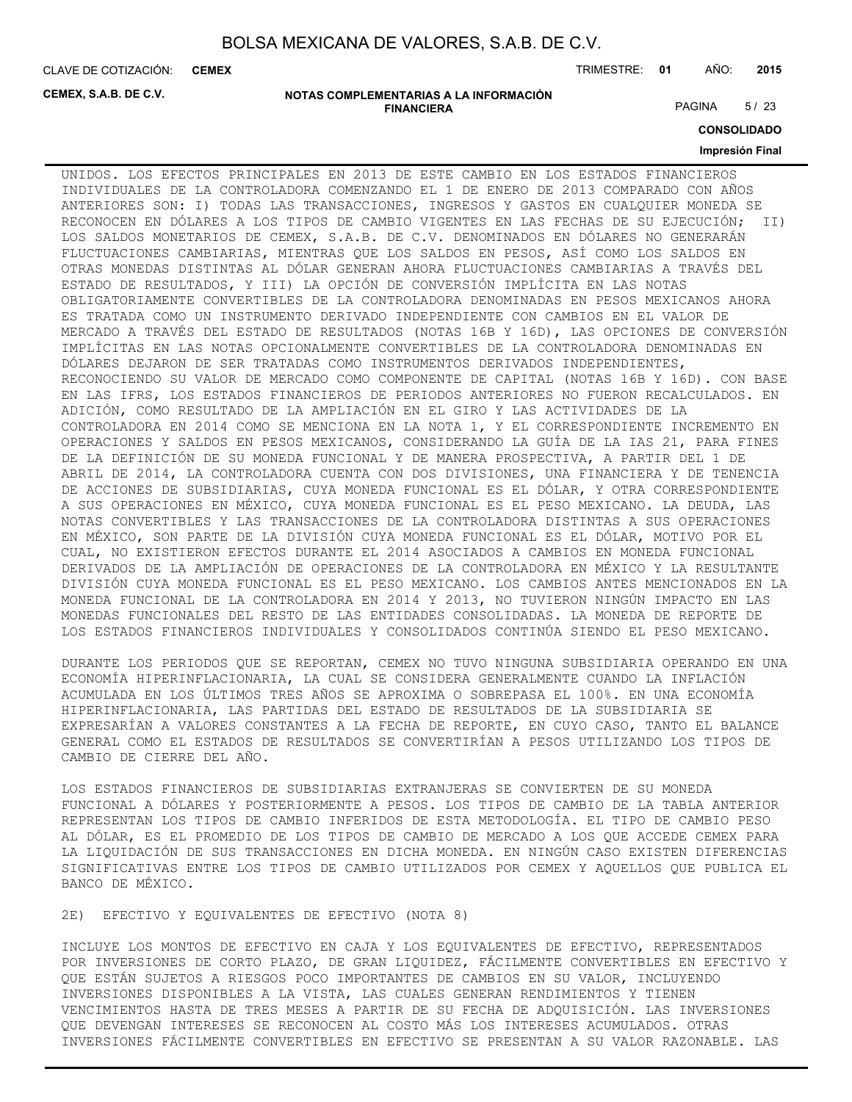**CEMEX**

CLAVE DE COTIZACIÓN: TRIMESTRE: **01** AÑO: **2015**

**CEMEX, S.A.B. DE C.V.**

#### **NOTAS COMPLEMENTARIAS A LA INFORMACIÓN FINANCIERA**

PAGINA 5/23

**CONSOLIDADO**

## **Impresión Final**

UNIDOS. LOS EFECTOS PRINCIPALES EN 2013 DE ESTE CAMBIO EN LOS ESTADOS FINANCIEROS INDIVIDUALES DE LA CONTROLADORA COMENZANDO EL 1 DE ENERO DE 2013 COMPARADO CON AÑOS ANTERIORES SON: I) TODAS LAS TRANSACCIONES, INGRESOS Y GASTOS EN CUALQUIER MONEDA SE RECONOCEN EN DÓLARES A LOS TIPOS DE CAMBIO VIGENTES EN LAS FECHAS DE SU EJECUCIÓN; II) LOS SALDOS MONETARIOS DE CEMEX, S.A.B. DE C.V. DENOMINADOS EN DÓLARES NO GENERARÁN FLUCTUACIONES CAMBIARIAS, MIENTRAS QUE LOS SALDOS EN PESOS, ASÍ COMO LOS SALDOS EN OTRAS MONEDAS DISTINTAS AL DÓLAR GENERAN AHORA FLUCTUACIONES CAMBIARIAS A TRAVÉS DEL ESTADO DE RESULTADOS, Y III) LA OPCIÓN DE CONVERSIÓN IMPLÍCITA EN LAS NOTAS OBLIGATORIAMENTE CONVERTIBLES DE LA CONTROLADORA DENOMINADAS EN PESOS MEXICANOS AHORA ES TRATADA COMO UN INSTRUMENTO DERIVADO INDEPENDIENTE CON CAMBIOS EN EL VALOR DE MERCADO A TRAVÉS DEL ESTADO DE RESULTADOS (NOTAS 16B Y 16D), LAS OPCIONES DE CONVERSIÓN IMPLÍCITAS EN LAS NOTAS OPCIONALMENTE CONVERTIBLES DE LA CONTROLADORA DENOMINADAS EN DÓLARES DEJARON DE SER TRATADAS COMO INSTRUMENTOS DERIVADOS INDEPENDIENTES, RECONOCIENDO SU VALOR DE MERCADO COMO COMPONENTE DE CAPITAL (NOTAS 16B Y 16D). CON BASE EN LAS IFRS, LOS ESTADOS FINANCIEROS DE PERIODOS ANTERIORES NO FUERON RECALCULADOS. EN ADICIÓN, COMO RESULTADO DE LA AMPLIACIÓN EN EL GIRO Y LAS ACTIVIDADES DE LA CONTROLADORA EN 2014 COMO SE MENCIONA EN LA NOTA 1, Y EL CORRESPONDIENTE INCREMENTO EN OPERACIONES Y SALDOS EN PESOS MEXICANOS, CONSIDERANDO LA GUÍA DE LA IAS 21, PARA FINES DE LA DEFINICIÓN DE SU MONEDA FUNCIONAL Y DE MANERA PROSPECTIVA, A PARTIR DEL 1 DE ABRIL DE 2014, LA CONTROLADORA CUENTA CON DOS DIVISIONES, UNA FINANCIERA Y DE TENENCIA DE ACCIONES DE SUBSIDIARIAS, CUYA MONEDA FUNCIONAL ES EL DÓLAR, Y OTRA CORRESPONDIENTE A SUS OPERACIONES EN MÉXICO, CUYA MONEDA FUNCIONAL ES EL PESO MEXICANO. LA DEUDA, LAS NOTAS CONVERTIBLES Y LAS TRANSACCIONES DE LA CONTROLADORA DISTINTAS A SUS OPERACIONES EN MÉXICO, SON PARTE DE LA DIVISIÓN CUYA MONEDA FUNCIONAL ES EL DÓLAR, MOTIVO POR EL CUAL, NO EXISTIERON EFECTOS DURANTE EL 2014 ASOCIADOS A CAMBIOS EN MONEDA FUNCIONAL DERIVADOS DE LA AMPLIACIÓN DE OPERACIONES DE LA CONTROLADORA EN MÉXICO Y LA RESULTANTE DIVISIÓN CUYA MONEDA FUNCIONAL ES EL PESO MEXICANO. LOS CAMBIOS ANTES MENCIONADOS EN LA MONEDA FUNCIONAL DE LA CONTROLADORA EN 2014 Y 2013, NO TUVIERON NINGÚN IMPACTO EN LAS MONEDAS FUNCIONALES DEL RESTO DE LAS ENTIDADES CONSOLIDADAS. LA MONEDA DE REPORTE DE LOS ESTADOS FINANCIEROS INDIVIDUALES Y CONSOLIDADOS CONTINÚA SIENDO EL PESO MEXICANO.

DURANTE LOS PERIODOS QUE SE REPORTAN, CEMEX NO TUVO NINGUNA SUBSIDIARIA OPERANDO EN UNA ECONOMÍA HIPERINFLACIONARIA, LA CUAL SE CONSIDERA GENERALMENTE CUANDO LA INFLACIÓN ACUMULADA EN LOS ÚLTIMOS TRES AÑOS SE APROXIMA O SOBREPASA EL 100%. EN UNA ECONOMÍA HIPERINFLACIONARIA, LAS PARTIDAS DEL ESTADO DE RESULTADOS DE LA SUBSIDIARIA SE EXPRESARÍAN A VALORES CONSTANTES A LA FECHA DE REPORTE, EN CUYO CASO, TANTO EL BALANCE GENERAL COMO EL ESTADOS DE RESULTADOS SE CONVERTIRÍAN A PESOS UTILIZANDO LOS TIPOS DE CAMBIO DE CIERRE DEL AÑO.

LOS ESTADOS FINANCIEROS DE SUBSIDIARIAS EXTRANJERAS SE CONVIERTEN DE SU MONEDA FUNCIONAL A DÓLARES Y POSTERIORMENTE A PESOS. LOS TIPOS DE CAMBIO DE LA TABLA ANTERIOR REPRESENTAN LOS TIPOS DE CAMBIO INFERIDOS DE ESTA METODOLOGÍA. EL TIPO DE CAMBIO PESO AL DÓLAR, ES EL PROMEDIO DE LOS TIPOS DE CAMBIO DE MERCADO A LOS QUE ACCEDE CEMEX PARA LA LIQUIDACIÓN DE SUS TRANSACCIONES EN DICHA MONEDA. EN NINGÚN CASO EXISTEN DIFERENCIAS SIGNIFICATIVAS ENTRE LOS TIPOS DE CAMBIO UTILIZADOS POR CEMEX Y AQUELLOS QUE PUBLICA EL BANCO DE MÉXICO.

2E) EFECTIVO Y EQUIVALENTES DE EFECTIVO (NOTA 8)

INCLUYE LOS MONTOS DE EFECTIVO EN CAJA Y LOS EQUIVALENTES DE EFECTIVO, REPRESENTADOS POR INVERSIONES DE CORTO PLAZO, DE GRAN LIQUIDEZ, FÁCILMENTE CONVERTIBLES EN EFECTIVO Y QUE ESTÁN SUJETOS A RIESGOS POCO IMPORTANTES DE CAMBIOS EN SU VALOR, INCLUYENDO INVERSIONES DISPONIBLES A LA VISTA, LAS CUALES GENERAN RENDIMIENTOS Y TIENEN VENCIMIENTOS HASTA DE TRES MESES A PARTIR DE SU FECHA DE ADQUISICIÓN. LAS INVERSIONES QUE DEVENGAN INTERESES SE RECONOCEN AL COSTO MÁS LOS INTERESES ACUMULADOS. OTRAS INVERSIONES FÁCILMENTE CONVERTIBLES EN EFECTIVO SE PRESENTAN A SU VALOR RAZONABLE. LAS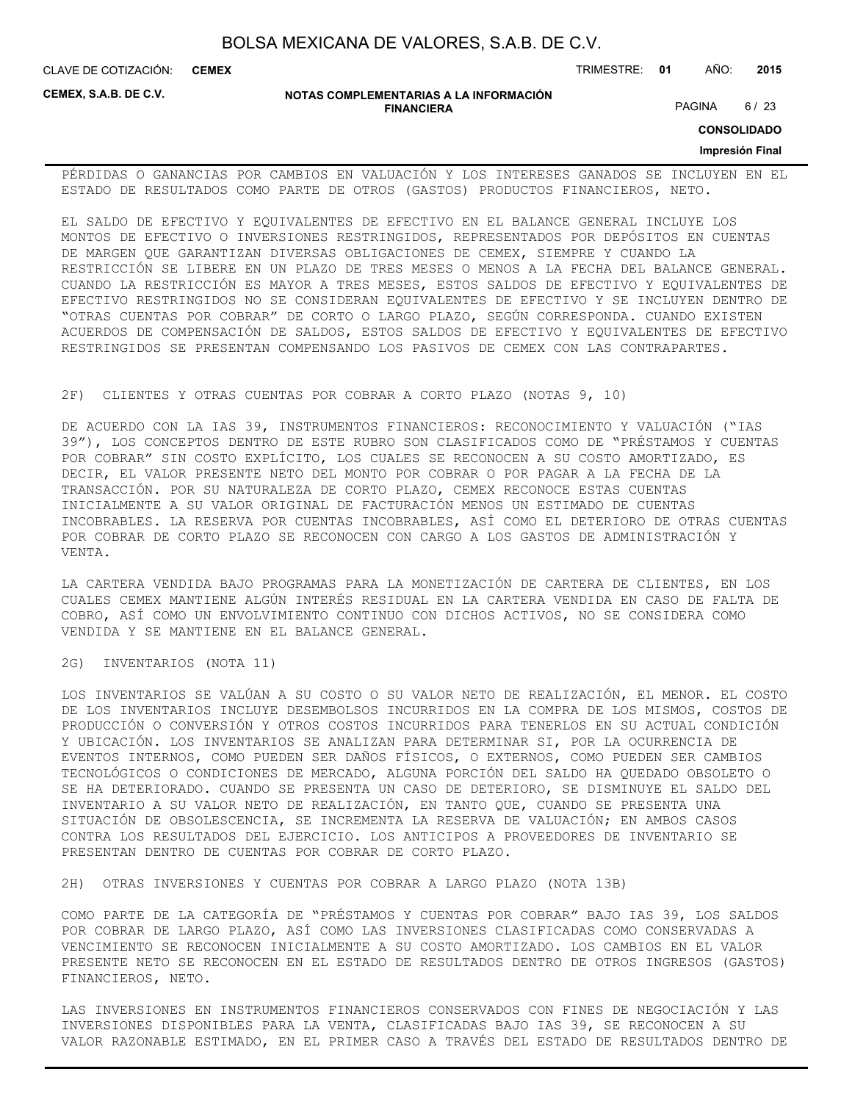CLAVE DE COTIZACIÓN: TRIMESTRE: **01** AÑO: **2015 CEMEX**

**CEMEX, S.A.B. DE C.V.**

#### **NOTAS COMPLEMENTARIAS A LA INFORMACIÓN FINANCIERA**

PAGINA 6/23

**CONSOLIDADO**

#### **Impresión Final**

PÉRDIDAS O GANANCIAS POR CAMBIOS EN VALUACIÓN Y LOS INTERESES GANADOS SE INCLUYEN EN EL ESTADO DE RESULTADOS COMO PARTE DE OTROS (GASTOS) PRODUCTOS FINANCIEROS, NETO.

EL SALDO DE EFECTIVO Y EQUIVALENTES DE EFECTIVO EN EL BALANCE GENERAL INCLUYE LOS MONTOS DE EFECTIVO O INVERSIONES RESTRINGIDOS, REPRESENTADOS POR DEPÓSITOS EN CUENTAS DE MARGEN QUE GARANTIZAN DIVERSAS OBLIGACIONES DE CEMEX, SIEMPRE Y CUANDO LA RESTRICCIÓN SE LIBERE EN UN PLAZO DE TRES MESES O MENOS A LA FECHA DEL BALANCE GENERAL. CUANDO LA RESTRICCIÓN ES MAYOR A TRES MESES, ESTOS SALDOS DE EFECTIVO Y EQUIVALENTES DE EFECTIVO RESTRINGIDOS NO SE CONSIDERAN EQUIVALENTES DE EFECTIVO Y SE INCLUYEN DENTRO DE "OTRAS CUENTAS POR COBRAR" DE CORTO O LARGO PLAZO, SEGÚN CORRESPONDA. CUANDO EXISTEN ACUERDOS DE COMPENSACIÓN DE SALDOS, ESTOS SALDOS DE EFECTIVO Y EQUIVALENTES DE EFECTIVO RESTRINGIDOS SE PRESENTAN COMPENSANDO LOS PASIVOS DE CEMEX CON LAS CONTRAPARTES.

#### 2F) CLIENTES Y OTRAS CUENTAS POR COBRAR A CORTO PLAZO (NOTAS 9, 10)

DE ACUERDO CON LA IAS 39, INSTRUMENTOS FINANCIEROS: RECONOCIMIENTO Y VALUACIÓN ("IAS 39"), LOS CONCEPTOS DENTRO DE ESTE RUBRO SON CLASIFICADOS COMO DE "PRÉSTAMOS Y CUENTAS POR COBRAR" SIN COSTO EXPLÍCITO, LOS CUALES SE RECONOCEN A SU COSTO AMORTIZADO, ES DECIR, EL VALOR PRESENTE NETO DEL MONTO POR COBRAR O POR PAGAR A LA FECHA DE LA TRANSACCIÓN. POR SU NATURALEZA DE CORTO PLAZO, CEMEX RECONOCE ESTAS CUENTAS INICIALMENTE A SU VALOR ORIGINAL DE FACTURACIÓN MENOS UN ESTIMADO DE CUENTAS INCOBRABLES. LA RESERVA POR CUENTAS INCOBRABLES, ASÍ COMO EL DETERIORO DE OTRAS CUENTAS POR COBRAR DE CORTO PLAZO SE RECONOCEN CON CARGO A LOS GASTOS DE ADMINISTRACIÓN Y VENTA.

LA CARTERA VENDIDA BAJO PROGRAMAS PARA LA MONETIZACIÓN DE CARTERA DE CLIENTES, EN LOS CUALES CEMEX MANTIENE ALGÚN INTERÉS RESIDUAL EN LA CARTERA VENDIDA EN CASO DE FALTA DE COBRO, ASÍ COMO UN ENVOLVIMIENTO CONTINUO CON DICHOS ACTIVOS, NO SE CONSIDERA COMO VENDIDA Y SE MANTIENE EN EL BALANCE GENERAL.

2G) INVENTARIOS (NOTA 11)

LOS INVENTARIOS SE VALÚAN A SU COSTO O SU VALOR NETO DE REALIZACIÓN, EL MENOR. EL COSTO DE LOS INVENTARIOS INCLUYE DESEMBOLSOS INCURRIDOS EN LA COMPRA DE LOS MISMOS, COSTOS DE PRODUCCIÓN O CONVERSIÓN Y OTROS COSTOS INCURRIDOS PARA TENERLOS EN SU ACTUAL CONDICIÓN Y UBICACIÓN. LOS INVENTARIOS SE ANALIZAN PARA DETERMINAR SI, POR LA OCURRENCIA DE EVENTOS INTERNOS, COMO PUEDEN SER DAÑOS FÍSICOS, O EXTERNOS, COMO PUEDEN SER CAMBIOS TECNOLÓGICOS O CONDICIONES DE MERCADO, ALGUNA PORCIÓN DEL SALDO HA QUEDADO OBSOLETO O SE HA DETERIORADO. CUANDO SE PRESENTA UN CASO DE DETERIORO, SE DISMINUYE EL SALDO DEL INVENTARIO A SU VALOR NETO DE REALIZACIÓN, EN TANTO QUE, CUANDO SE PRESENTA UNA SITUACIÓN DE OBSOLESCENCIA, SE INCREMENTA LA RESERVA DE VALUACIÓN; EN AMBOS CASOS CONTRA LOS RESULTADOS DEL EJERCICIO. LOS ANTICIPOS A PROVEEDORES DE INVENTARIO SE PRESENTAN DENTRO DE CUENTAS POR COBRAR DE CORTO PLAZO.

2H) OTRAS INVERSIONES Y CUENTAS POR COBRAR A LARGO PLAZO (NOTA 13B)

COMO PARTE DE LA CATEGORÍA DE "PRÉSTAMOS Y CUENTAS POR COBRAR" BAJO IAS 39, LOS SALDOS POR COBRAR DE LARGO PLAZO, ASÍ COMO LAS INVERSIONES CLASIFICADAS COMO CONSERVADAS A VENCIMIENTO SE RECONOCEN INICIALMENTE A SU COSTO AMORTIZADO. LOS CAMBIOS EN EL VALOR PRESENTE NETO SE RECONOCEN EN EL ESTADO DE RESULTADOS DENTRO DE OTROS INGRESOS (GASTOS) FINANCIEROS, NETO.

LAS INVERSIONES EN INSTRUMENTOS FINANCIEROS CONSERVADOS CON FINES DE NEGOCIACIÓN Y LAS INVERSIONES DISPONIBLES PARA LA VENTA, CLASIFICADAS BAJO IAS 39, SE RECONOCEN A SU VALOR RAZONABLE ESTIMADO, EN EL PRIMER CASO A TRAVÉS DEL ESTADO DE RESULTADOS DENTRO DE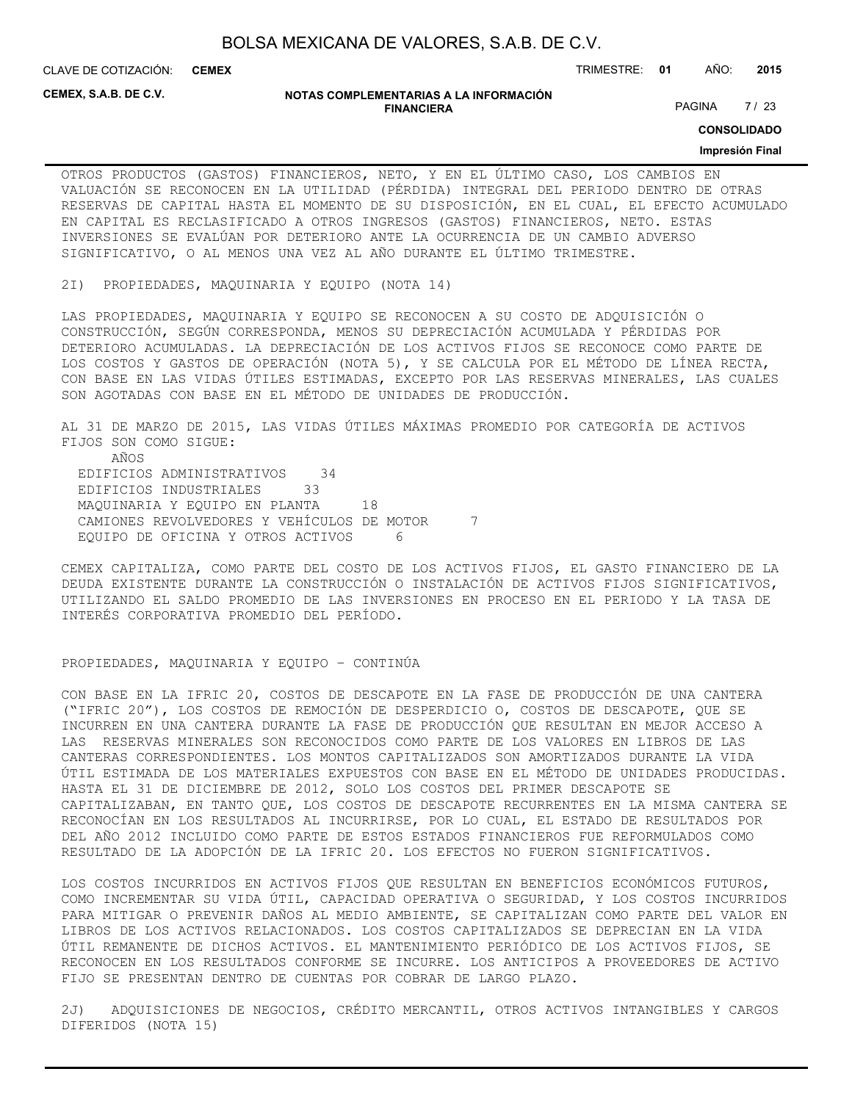**CEMEX**

CLAVE DE COTIZACIÓN: TRIMESTRE: **01** AÑO: **2015**

**CEMEX, S.A.B. DE C.V.**

#### **NOTAS COMPLEMENTARIAS A LA INFORMACIÓN FINANCIERA**

PAGINA 7/23

**CONSOLIDADO**

## **Impresión Final**

OTROS PRODUCTOS (GASTOS) FINANCIEROS, NETO, Y EN EL ÚLTIMO CASO, LOS CAMBIOS EN VALUACIÓN SE RECONOCEN EN LA UTILIDAD (PÉRDIDA) INTEGRAL DEL PERIODO DENTRO DE OTRAS RESERVAS DE CAPITAL HASTA EL MOMENTO DE SU DISPOSICIÓN, EN EL CUAL, EL EFECTO ACUMULADO EN CAPITAL ES RECLASIFICADO A OTROS INGRESOS (GASTOS) FINANCIEROS, NETO. ESTAS INVERSIONES SE EVALÚAN POR DETERIORO ANTE LA OCURRENCIA DE UN CAMBIO ADVERSO SIGNIFICATIVO, O AL MENOS UNA VEZ AL AÑO DURANTE EL ÚLTIMO TRIMESTRE.

2I) PROPIEDADES, MAQUINARIA Y EQUIPO (NOTA 14)

LAS PROPIEDADES, MAQUINARIA Y EQUIPO SE RECONOCEN A SU COSTO DE ADQUISICIÓN O CONSTRUCCIÓN, SEGÚN CORRESPONDA, MENOS SU DEPRECIACIÓN ACUMULADA Y PÉRDIDAS POR DETERIORO ACUMULADAS. LA DEPRECIACIÓN DE LOS ACTIVOS FIJOS SE RECONOCE COMO PARTE DE LOS COSTOS Y GASTOS DE OPERACIÓN (NOTA 5), Y SE CALCULA POR EL MÉTODO DE LÍNEA RECTA, CON BASE EN LAS VIDAS ÚTILES ESTIMADAS, EXCEPTO POR LAS RESERVAS MINERALES, LAS CUALES SON AGOTADAS CON BASE EN EL MÉTODO DE UNIDADES DE PRODUCCIÓN.

AL 31 DE MARZO DE 2015, LAS VIDAS ÚTILES MÁXIMAS PROMEDIO POR CATEGORÍA DE ACTIVOS FIJOS SON COMO SIGUE: AÑOS EDIFICIOS ADMINISTRATIVOS 34 EDIFICIOS INDUSTRIALES 33 MAQUINARIA Y EQUIPO EN PLANTA 18 CAMIONES REVOLVEDORES Y VEHÍCULOS DE MOTOR 7 EQUIPO DE OFICINA Y OTROS ACTIVOS 6

CEMEX CAPITALIZA, COMO PARTE DEL COSTO DE LOS ACTIVOS FIJOS, EL GASTO FINANCIERO DE LA DEUDA EXISTENTE DURANTE LA CONSTRUCCIÓN O INSTALACIÓN DE ACTIVOS FIJOS SIGNIFICATIVOS, UTILIZANDO EL SALDO PROMEDIO DE LAS INVERSIONES EN PROCESO EN EL PERIODO Y LA TASA DE INTERÉS CORPORATIVA PROMEDIO DEL PERÍODO.

## PROPIEDADES, MAQUINARIA Y EQUIPO – CONTINÚA

CON BASE EN LA IFRIC 20, COSTOS DE DESCAPOTE EN LA FASE DE PRODUCCIÓN DE UNA CANTERA ("IFRIC 20"), LOS COSTOS DE REMOCIÓN DE DESPERDICIO O, COSTOS DE DESCAPOTE, QUE SE INCURREN EN UNA CANTERA DURANTE LA FASE DE PRODUCCIÓN QUE RESULTAN EN MEJOR ACCESO A LAS RESERVAS MINERALES SON RECONOCIDOS COMO PARTE DE LOS VALORES EN LIBROS DE LAS CANTERAS CORRESPONDIENTES. LOS MONTOS CAPITALIZADOS SON AMORTIZADOS DURANTE LA VIDA ÚTIL ESTIMADA DE LOS MATERIALES EXPUESTOS CON BASE EN EL MÉTODO DE UNIDADES PRODUCIDAS. HASTA EL 31 DE DICIEMBRE DE 2012, SOLO LOS COSTOS DEL PRIMER DESCAPOTE SE CAPITALIZABAN, EN TANTO QUE, LOS COSTOS DE DESCAPOTE RECURRENTES EN LA MISMA CANTERA SE RECONOCÍAN EN LOS RESULTADOS AL INCURRIRSE, POR LO CUAL, EL ESTADO DE RESULTADOS POR DEL AÑO 2012 INCLUIDO COMO PARTE DE ESTOS ESTADOS FINANCIEROS FUE REFORMULADOS COMO RESULTADO DE LA ADOPCIÓN DE LA IFRIC 20. LOS EFECTOS NO FUERON SIGNIFICATIVOS.

LOS COSTOS INCURRIDOS EN ACTIVOS FIJOS QUE RESULTAN EN BENEFICIOS ECONÓMICOS FUTUROS, COMO INCREMENTAR SU VIDA ÚTIL, CAPACIDAD OPERATIVA O SEGURIDAD, Y LOS COSTOS INCURRIDOS PARA MITIGAR O PREVENIR DAÑOS AL MEDIO AMBIENTE, SE CAPITALIZAN COMO PARTE DEL VALOR EN LIBROS DE LOS ACTIVOS RELACIONADOS. LOS COSTOS CAPITALIZADOS SE DEPRECIAN EN LA VIDA ÚTIL REMANENTE DE DICHOS ACTIVOS. EL MANTENIMIENTO PERIÓDICO DE LOS ACTIVOS FIJOS, SE RECONOCEN EN LOS RESULTADOS CONFORME SE INCURRE. LOS ANTICIPOS A PROVEEDORES DE ACTIVO FIJO SE PRESENTAN DENTRO DE CUENTAS POR COBRAR DE LARGO PLAZO.

2J) ADQUISICIONES DE NEGOCIOS, CRÉDITO MERCANTIL, OTROS ACTIVOS INTANGIBLES Y CARGOS DIFERIDOS (NOTA 15)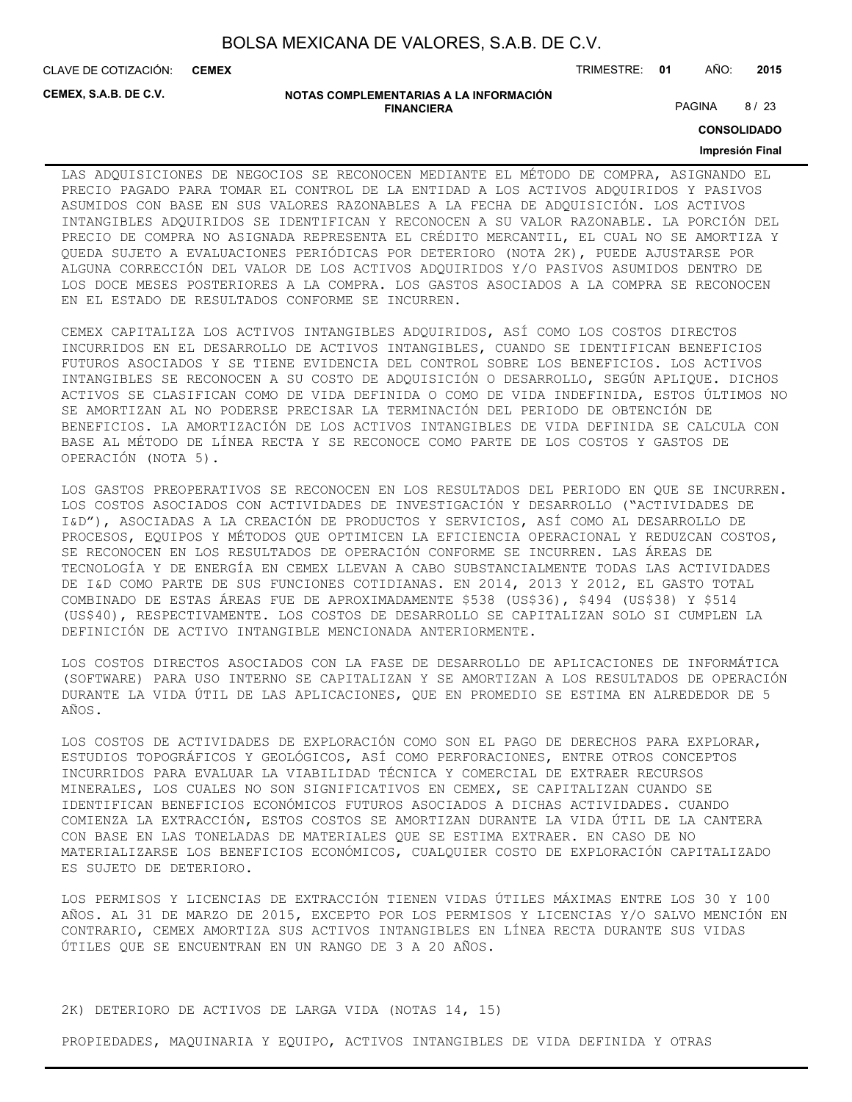CLAVE DE COTIZACIÓN: TRIMESTRE: **01** AÑO: **2015 CEMEX**

**CEMEX, S.A.B. DE C.V.**

#### **NOTAS COMPLEMENTARIAS A LA INFORMACIÓN FINANCIERA**

PAGINA 8/23

**CONSOLIDADO**

## **Impresión Final**

LAS ADQUISICIONES DE NEGOCIOS SE RECONOCEN MEDIANTE EL MÉTODO DE COMPRA, ASIGNANDO EL PRECIO PAGADO PARA TOMAR EL CONTROL DE LA ENTIDAD A LOS ACTIVOS ADQUIRIDOS Y PASIVOS ASUMIDOS CON BASE EN SUS VALORES RAZONABLES A LA FECHA DE ADQUISICIÓN. LOS ACTIVOS INTANGIBLES ADQUIRIDOS SE IDENTIFICAN Y RECONOCEN A SU VALOR RAZONABLE. LA PORCIÓN DEL PRECIO DE COMPRA NO ASIGNADA REPRESENTA EL CRÉDITO MERCANTIL, EL CUAL NO SE AMORTIZA Y QUEDA SUJETO A EVALUACIONES PERIÓDICAS POR DETERIORO (NOTA 2K), PUEDE AJUSTARSE POR ALGUNA CORRECCIÓN DEL VALOR DE LOS ACTIVOS ADQUIRIDOS Y/O PASIVOS ASUMIDOS DENTRO DE LOS DOCE MESES POSTERIORES A LA COMPRA. LOS GASTOS ASOCIADOS A LA COMPRA SE RECONOCEN EN EL ESTADO DE RESULTADOS CONFORME SE INCURREN.

CEMEX CAPITALIZA LOS ACTIVOS INTANGIBLES ADQUIRIDOS, ASÍ COMO LOS COSTOS DIRECTOS INCURRIDOS EN EL DESARROLLO DE ACTIVOS INTANGIBLES, CUANDO SE IDENTIFICAN BENEFICIOS FUTUROS ASOCIADOS Y SE TIENE EVIDENCIA DEL CONTROL SOBRE LOS BENEFICIOS. LOS ACTIVOS INTANGIBLES SE RECONOCEN A SU COSTO DE ADQUISICIÓN O DESARROLLO, SEGÚN APLIQUE. DICHOS ACTIVOS SE CLASIFICAN COMO DE VIDA DEFINIDA O COMO DE VIDA INDEFINIDA, ESTOS ÚLTIMOS NO SE AMORTIZAN AL NO PODERSE PRECISAR LA TERMINACIÓN DEL PERIODO DE OBTENCIÓN DE BENEFICIOS. LA AMORTIZACIÓN DE LOS ACTIVOS INTANGIBLES DE VIDA DEFINIDA SE CALCULA CON BASE AL MÉTODO DE LÍNEA RECTA Y SE RECONOCE COMO PARTE DE LOS COSTOS Y GASTOS DE OPERACIÓN (NOTA 5).

LOS GASTOS PREOPERATIVOS SE RECONOCEN EN LOS RESULTADOS DEL PERIODO EN QUE SE INCURREN. LOS COSTOS ASOCIADOS CON ACTIVIDADES DE INVESTIGACIÓN Y DESARROLLO ("ACTIVIDADES DE I&D"), ASOCIADAS A LA CREACIÓN DE PRODUCTOS Y SERVICIOS, ASÍ COMO AL DESARROLLO DE PROCESOS, EQUIPOS Y MÉTODOS QUE OPTIMICEN LA EFICIENCIA OPERACIONAL Y REDUZCAN COSTOS, SE RECONOCEN EN LOS RESULTADOS DE OPERACIÓN CONFORME SE INCURREN. LAS ÁREAS DE TECNOLOGÍA Y DE ENERGÍA EN CEMEX LLEVAN A CABO SUBSTANCIALMENTE TODAS LAS ACTIVIDADES DE I&D COMO PARTE DE SUS FUNCIONES COTIDIANAS. EN 2014, 2013 Y 2012, EL GASTO TOTAL COMBINADO DE ESTAS ÁREAS FUE DE APROXIMADAMENTE \$538 (US\$36), \$494 (US\$38) Y \$514 (US\$40), RESPECTIVAMENTE. LOS COSTOS DE DESARROLLO SE CAPITALIZAN SOLO SI CUMPLEN LA DEFINICIÓN DE ACTIVO INTANGIBLE MENCIONADA ANTERIORMENTE.

LOS COSTOS DIRECTOS ASOCIADOS CON LA FASE DE DESARROLLO DE APLICACIONES DE INFORMÁTICA (SOFTWARE) PARA USO INTERNO SE CAPITALIZAN Y SE AMORTIZAN A LOS RESULTADOS DE OPERACIÓN DURANTE LA VIDA ÚTIL DE LAS APLICACIONES, QUE EN PROMEDIO SE ESTIMA EN ALREDEDOR DE 5 AÑOS.

LOS COSTOS DE ACTIVIDADES DE EXPLORACIÓN COMO SON EL PAGO DE DERECHOS PARA EXPLORAR, ESTUDIOS TOPOGRÁFICOS Y GEOLÓGICOS, ASÍ COMO PERFORACIONES, ENTRE OTROS CONCEPTOS INCURRIDOS PARA EVALUAR LA VIABILIDAD TÉCNICA Y COMERCIAL DE EXTRAER RECURSOS MINERALES, LOS CUALES NO SON SIGNIFICATIVOS EN CEMEX, SE CAPITALIZAN CUANDO SE IDENTIFICAN BENEFICIOS ECONÓMICOS FUTUROS ASOCIADOS A DICHAS ACTIVIDADES. CUANDO COMIENZA LA EXTRACCIÓN, ESTOS COSTOS SE AMORTIZAN DURANTE LA VIDA ÚTIL DE LA CANTERA CON BASE EN LAS TONELADAS DE MATERIALES QUE SE ESTIMA EXTRAER. EN CASO DE NO MATERIALIZARSE LOS BENEFICIOS ECONÓMICOS, CUALQUIER COSTO DE EXPLORACIÓN CAPITALIZADO ES SUJETO DE DETERIORO.

LOS PERMISOS Y LICENCIAS DE EXTRACCIÓN TIENEN VIDAS ÚTILES MÁXIMAS ENTRE LOS 30 Y 100 AÑOS. AL 31 DE MARZO DE 2015, EXCEPTO POR LOS PERMISOS Y LICENCIAS Y/O SALVO MENCIÓN EN CONTRARIO, CEMEX AMORTIZA SUS ACTIVOS INTANGIBLES EN LÍNEA RECTA DURANTE SUS VIDAS ÚTILES QUE SE ENCUENTRAN EN UN RANGO DE 3 A 20 AÑOS.

## 2K) DETERIORO DE ACTIVOS DE LARGA VIDA (NOTAS 14, 15)

PROPIEDADES, MAQUINARIA Y EQUIPO, ACTIVOS INTANGIBLES DE VIDA DEFINIDA Y OTRAS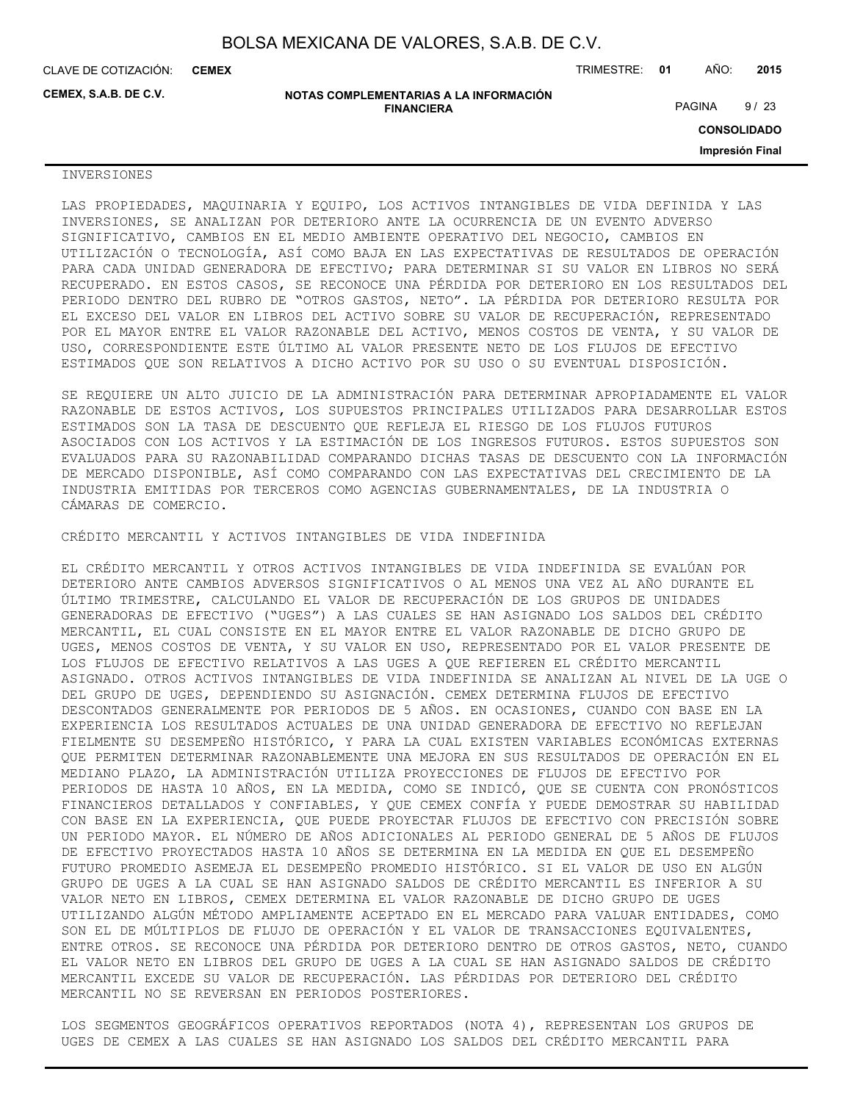**CEMEX**

CLAVE DE COTIZACIÓN: TRIMESTRE: **01** AÑO: **2015**

**CEMEX, S.A.B. DE C.V.**

**NOTAS COMPLEMENTARIAS A LA INFORMACIÓN FINANCIERA**

PAGINA 9/23

**CONSOLIDADO**

**Impresión Final**

## INVERSIONES

LAS PROPIEDADES, MAQUINARIA Y EQUIPO, LOS ACTIVOS INTANGIBLES DE VIDA DEFINIDA Y LAS INVERSIONES, SE ANALIZAN POR DETERIORO ANTE LA OCURRENCIA DE UN EVENTO ADVERSO SIGNIFICATIVO, CAMBIOS EN EL MEDIO AMBIENTE OPERATIVO DEL NEGOCIO, CAMBIOS EN UTILIZACIÓN O TECNOLOGÍA, ASÍ COMO BAJA EN LAS EXPECTATIVAS DE RESULTADOS DE OPERACIÓN PARA CADA UNIDAD GENERADORA DE EFECTIVO; PARA DETERMINAR SI SU VALOR EN LIBROS NO SERÁ RECUPERADO. EN ESTOS CASOS, SE RECONOCE UNA PÉRDIDA POR DETERIORO EN LOS RESULTADOS DEL PERIODO DENTRO DEL RUBRO DE "OTROS GASTOS, NETO". LA PÉRDIDA POR DETERIORO RESULTA POR EL EXCESO DEL VALOR EN LIBROS DEL ACTIVO SOBRE SU VALOR DE RECUPERACIÓN, REPRESENTADO POR EL MAYOR ENTRE EL VALOR RAZONABLE DEL ACTIVO, MENOS COSTOS DE VENTA, Y SU VALOR DE USO, CORRESPONDIENTE ESTE ÚLTIMO AL VALOR PRESENTE NETO DE LOS FLUJOS DE EFECTIVO ESTIMADOS QUE SON RELATIVOS A DICHO ACTIVO POR SU USO O SU EVENTUAL DISPOSICIÓN.

SE REQUIERE UN ALTO JUICIO DE LA ADMINISTRACIÓN PARA DETERMINAR APROPIADAMENTE EL VALOR RAZONABLE DE ESTOS ACTIVOS, LOS SUPUESTOS PRINCIPALES UTILIZADOS PARA DESARROLLAR ESTOS ESTIMADOS SON LA TASA DE DESCUENTO QUE REFLEJA EL RIESGO DE LOS FLUJOS FUTUROS ASOCIADOS CON LOS ACTIVOS Y LA ESTIMACIÓN DE LOS INGRESOS FUTUROS. ESTOS SUPUESTOS SON EVALUADOS PARA SU RAZONABILIDAD COMPARANDO DICHAS TASAS DE DESCUENTO CON LA INFORMACIÓN DE MERCADO DISPONIBLE, ASÍ COMO COMPARANDO CON LAS EXPECTATIVAS DEL CRECIMIENTO DE LA INDUSTRIA EMITIDAS POR TERCEROS COMO AGENCIAS GUBERNAMENTALES, DE LA INDUSTRIA O CÁMARAS DE COMERCIO.

CRÉDITO MERCANTIL Y ACTIVOS INTANGIBLES DE VIDA INDEFINIDA

EL CRÉDITO MERCANTIL Y OTROS ACTIVOS INTANGIBLES DE VIDA INDEFINIDA SE EVALÚAN POR DETERIORO ANTE CAMBIOS ADVERSOS SIGNIFICATIVOS O AL MENOS UNA VEZ AL AÑO DURANTE EL ÚLTIMO TRIMESTRE, CALCULANDO EL VALOR DE RECUPERACIÓN DE LOS GRUPOS DE UNIDADES GENERADORAS DE EFECTIVO ("UGES") A LAS CUALES SE HAN ASIGNADO LOS SALDOS DEL CRÉDITO MERCANTIL, EL CUAL CONSISTE EN EL MAYOR ENTRE EL VALOR RAZONABLE DE DICHO GRUPO DE UGES, MENOS COSTOS DE VENTA, Y SU VALOR EN USO, REPRESENTADO POR EL VALOR PRESENTE DE LOS FLUJOS DE EFECTIVO RELATIVOS A LAS UGES A QUE REFIEREN EL CRÉDITO MERCANTIL ASIGNADO. OTROS ACTIVOS INTANGIBLES DE VIDA INDEFINIDA SE ANALIZAN AL NIVEL DE LA UGE O DEL GRUPO DE UGES, DEPENDIENDO SU ASIGNACIÓN. CEMEX DETERMINA FLUJOS DE EFECTIVO DESCONTADOS GENERALMENTE POR PERIODOS DE 5 AÑOS. EN OCASIONES, CUANDO CON BASE EN LA EXPERIENCIA LOS RESULTADOS ACTUALES DE UNA UNIDAD GENERADORA DE EFECTIVO NO REFLEJAN FIELMENTE SU DESEMPEÑO HISTÓRICO, Y PARA LA CUAL EXISTEN VARIABLES ECONÓMICAS EXTERNAS QUE PERMITEN DETERMINAR RAZONABLEMENTE UNA MEJORA EN SUS RESULTADOS DE OPERACIÓN EN EL MEDIANO PLAZO, LA ADMINISTRACIÓN UTILIZA PROYECCIONES DE FLUJOS DE EFECTIVO POR PERIODOS DE HASTA 10 AÑOS, EN LA MEDIDA, COMO SE INDICÓ, QUE SE CUENTA CON PRONÓSTICOS FINANCIEROS DETALLADOS Y CONFIABLES, Y QUE CEMEX CONFÍA Y PUEDE DEMOSTRAR SU HABILIDAD CON BASE EN LA EXPERIENCIA, QUE PUEDE PROYECTAR FLUJOS DE EFECTIVO CON PRECISIÓN SOBRE UN PERIODO MAYOR. EL NÚMERO DE AÑOS ADICIONALES AL PERIODO GENERAL DE 5 AÑOS DE FLUJOS DE EFECTIVO PROYECTADOS HASTA 10 AÑOS SE DETERMINA EN LA MEDIDA EN QUE EL DESEMPEÑO FUTURO PROMEDIO ASEMEJA EL DESEMPEÑO PROMEDIO HISTÓRICO. SI EL VALOR DE USO EN ALGÚN GRUPO DE UGES A LA CUAL SE HAN ASIGNADO SALDOS DE CRÉDITO MERCANTIL ES INFERIOR A SU VALOR NETO EN LIBROS, CEMEX DETERMINA EL VALOR RAZONABLE DE DICHO GRUPO DE UGES UTILIZANDO ALGÚN MÉTODO AMPLIAMENTE ACEPTADO EN EL MERCADO PARA VALUAR ENTIDADES, COMO SON EL DE MÚLTIPLOS DE FLUJO DE OPERACIÓN Y EL VALOR DE TRANSACCIONES EQUIVALENTES, ENTRE OTROS. SE RECONOCE UNA PÉRDIDA POR DETERIORO DENTRO DE OTROS GASTOS, NETO, CUANDO EL VALOR NETO EN LIBROS DEL GRUPO DE UGES A LA CUAL SE HAN ASIGNADO SALDOS DE CRÉDITO MERCANTIL EXCEDE SU VALOR DE RECUPERACIÓN. LAS PÉRDIDAS POR DETERIORO DEL CRÉDITO MERCANTIL NO SE REVERSAN EN PERIODOS POSTERIORES.

LOS SEGMENTOS GEOGRÁFICOS OPERATIVOS REPORTADOS (NOTA 4), REPRESENTAN LOS GRUPOS DE UGES DE CEMEX A LAS CUALES SE HAN ASIGNADO LOS SALDOS DEL CRÉDITO MERCANTIL PARA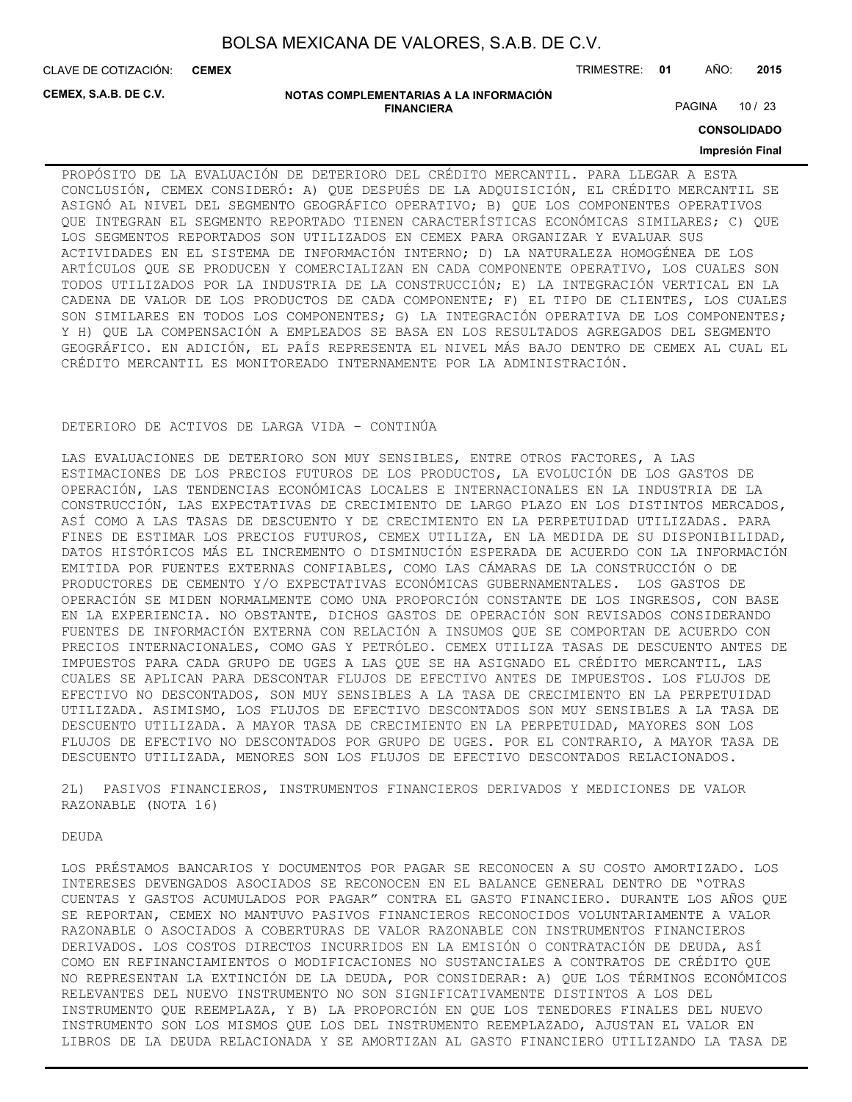CLAVE DE COTIZACIÓN: TRIMESTRE: **01** AÑO: **2015 CEMEX**

**CEMEX, S.A.B. DE C.V.**

#### **NOTAS COMPLEMENTARIAS A LA INFORMACIÓN FINANCIERA**

PAGINA 10 / 23

**CONSOLIDADO**

## **Impresión Final**

PROPÓSITO DE LA EVALUACIÓN DE DETERIORO DEL CRÉDITO MERCANTIL. PARA LLEGAR A ESTA CONCLUSIÓN, CEMEX CONSIDERÓ: A) QUE DESPUÉS DE LA ADQUISICIÓN, EL CRÉDITO MERCANTIL SE ASIGNÓ AL NIVEL DEL SEGMENTO GEOGRÁFICO OPERATIVO; B) QUE LOS COMPONENTES OPERATIVOS QUE INTEGRAN EL SEGMENTO REPORTADO TIENEN CARACTERÍSTICAS ECONÓMICAS SIMILARES; C) QUE LOS SEGMENTOS REPORTADOS SON UTILIZADOS EN CEMEX PARA ORGANIZAR Y EVALUAR SUS ACTIVIDADES EN EL SISTEMA DE INFORMACIÓN INTERNO; D) LA NATURALEZA HOMOGÉNEA DE LOS ARTÍCULOS QUE SE PRODUCEN Y COMERCIALIZAN EN CADA COMPONENTE OPERATIVO, LOS CUALES SON TODOS UTILIZADOS POR LA INDUSTRIA DE LA CONSTRUCCIÓN; E) LA INTEGRACIÓN VERTICAL EN LA CADENA DE VALOR DE LOS PRODUCTOS DE CADA COMPONENTE; F) EL TIPO DE CLIENTES, LOS CUALES SON SIMILARES EN TODOS LOS COMPONENTES; G) LA INTEGRACIÓN OPERATIVA DE LOS COMPONENTES; Y H) QUE LA COMPENSACIÓN A EMPLEADOS SE BASA EN LOS RESULTADOS AGREGADOS DEL SEGMENTO GEOGRÁFICO. EN ADICIÓN, EL PAÍS REPRESENTA EL NIVEL MÁS BAJO DENTRO DE CEMEX AL CUAL EL CRÉDITO MERCANTIL ES MONITOREADO INTERNAMENTE POR LA ADMINISTRACIÓN.

## DETERIORO DE ACTIVOS DE LARGA VIDA – CONTINÚA

LAS EVALUACIONES DE DETERIORO SON MUY SENSIBLES, ENTRE OTROS FACTORES, A LAS ESTIMACIONES DE LOS PRECIOS FUTUROS DE LOS PRODUCTOS, LA EVOLUCIÓN DE LOS GASTOS DE OPERACIÓN, LAS TENDENCIAS ECONÓMICAS LOCALES E INTERNACIONALES EN LA INDUSTRIA DE LA CONSTRUCCIÓN, LAS EXPECTATIVAS DE CRECIMIENTO DE LARGO PLAZO EN LOS DISTINTOS MERCADOS, ASÍ COMO A LAS TASAS DE DESCUENTO Y DE CRECIMIENTO EN LA PERPETUIDAD UTILIZADAS. PARA FINES DE ESTIMAR LOS PRECIOS FUTUROS, CEMEX UTILIZA, EN LA MEDIDA DE SU DISPONIBILIDAD, DATOS HISTÓRICOS MÁS EL INCREMENTO O DISMINUCIÓN ESPERADA DE ACUERDO CON LA INFORMACIÓN EMITIDA POR FUENTES EXTERNAS CONFIABLES, COMO LAS CÁMARAS DE LA CONSTRUCCIÓN O DE PRODUCTORES DE CEMENTO Y/O EXPECTATIVAS ECONÓMICAS GUBERNAMENTALES. LOS GASTOS DE OPERACIÓN SE MIDEN NORMALMENTE COMO UNA PROPORCIÓN CONSTANTE DE LOS INGRESOS, CON BASE EN LA EXPERIENCIA. NO OBSTANTE, DICHOS GASTOS DE OPERACIÓN SON REVISADOS CONSIDERANDO FUENTES DE INFORMACIÓN EXTERNA CON RELACIÓN A INSUMOS QUE SE COMPORTAN DE ACUERDO CON PRECIOS INTERNACIONALES, COMO GAS Y PETRÓLEO. CEMEX UTILIZA TASAS DE DESCUENTO ANTES DE IMPUESTOS PARA CADA GRUPO DE UGES A LAS QUE SE HA ASIGNADO EL CRÉDITO MERCANTIL, LAS CUALES SE APLICAN PARA DESCONTAR FLUJOS DE EFECTIVO ANTES DE IMPUESTOS. LOS FLUJOS DE EFECTIVO NO DESCONTADOS, SON MUY SENSIBLES A LA TASA DE CRECIMIENTO EN LA PERPETUIDAD UTILIZADA. ASIMISMO, LOS FLUJOS DE EFECTIVO DESCONTADOS SON MUY SENSIBLES A LA TASA DE DESCUENTO UTILIZADA. A MAYOR TASA DE CRECIMIENTO EN LA PERPETUIDAD, MAYORES SON LOS FLUJOS DE EFECTIVO NO DESCONTADOS POR GRUPO DE UGES. POR EL CONTRARIO, A MAYOR TASA DE DESCUENTO UTILIZADA, MENORES SON LOS FLUJOS DE EFECTIVO DESCONTADOS RELACIONADOS.

2L) PASIVOS FINANCIEROS, INSTRUMENTOS FINANCIEROS DERIVADOS Y MEDICIONES DE VALOR RAZONABLE (NOTA 16)

**DEUDA** 

LOS PRÉSTAMOS BANCARIOS Y DOCUMENTOS POR PAGAR SE RECONOCEN A SU COSTO AMORTIZADO. LOS INTERESES DEVENGADOS ASOCIADOS SE RECONOCEN EN EL BALANCE GENERAL DENTRO DE "OTRAS CUENTAS Y GASTOS ACUMULADOS POR PAGAR" CONTRA EL GASTO FINANCIERO. DURANTE LOS AÑOS QUE SE REPORTAN, CEMEX NO MANTUVO PASIVOS FINANCIEROS RECONOCIDOS VOLUNTARIAMENTE A VALOR RAZONABLE O ASOCIADOS A COBERTURAS DE VALOR RAZONABLE CON INSTRUMENTOS FINANCIEROS DERIVADOS. LOS COSTOS DIRECTOS INCURRIDOS EN LA EMISIÓN O CONTRATACIÓN DE DEUDA, ASÍ COMO EN REFINANCIAMIENTOS O MODIFICACIONES NO SUSTANCIALES A CONTRATOS DE CRÉDITO QUE NO REPRESENTAN LA EXTINCIÓN DE LA DEUDA, POR CONSIDERAR: A) QUE LOS TÉRMINOS ECONÓMICOS RELEVANTES DEL NUEVO INSTRUMENTO NO SON SIGNIFICATIVAMENTE DISTINTOS A LOS DEL INSTRUMENTO QUE REEMPLAZA, Y B) LA PROPORCIÓN EN QUE LOS TENEDORES FINALES DEL NUEVO INSTRUMENTO SON LOS MISMOS QUE LOS DEL INSTRUMENTO REEMPLAZADO, AJUSTAN EL VALOR EN LIBROS DE LA DEUDA RELACIONADA Y SE AMORTIZAN AL GASTO FINANCIERO UTILIZANDO LA TASA DE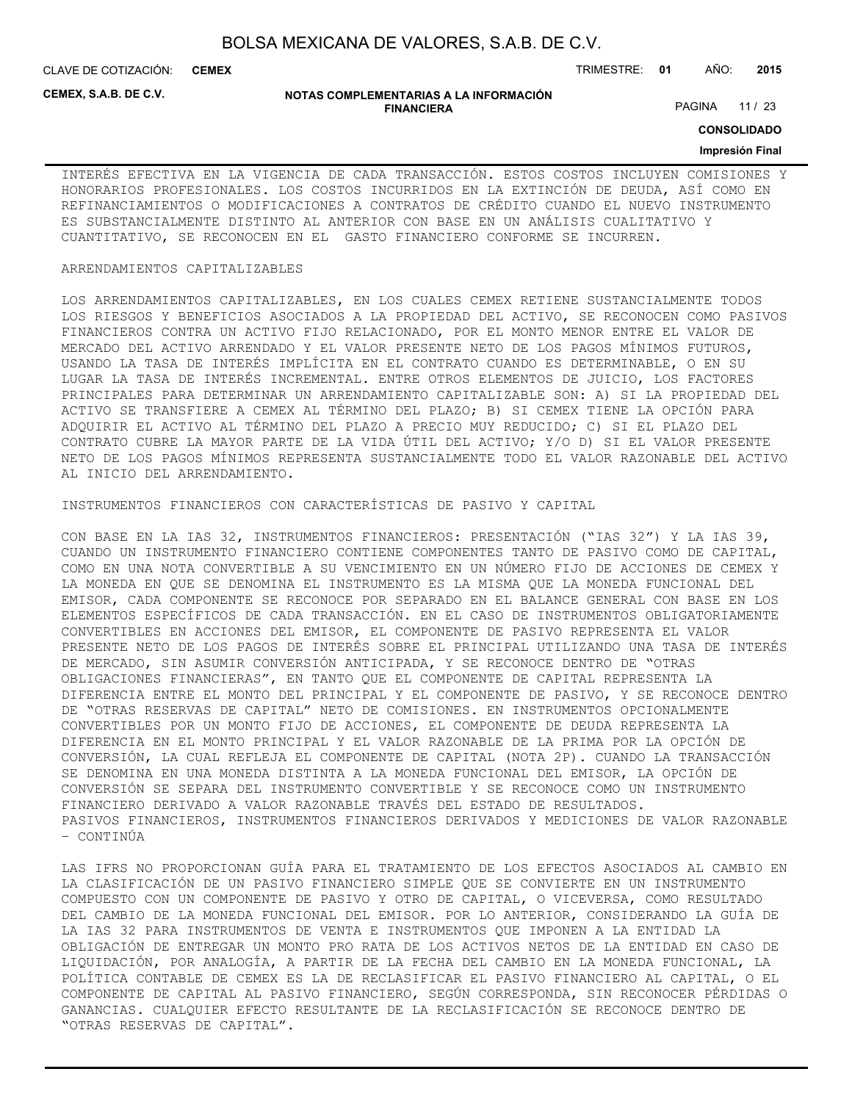CLAVE DE COTIZACIÓN: TRIMESTRE: **01** AÑO: **2015 CEMEX**

**CEMEX, S.A.B. DE C.V.**

#### **NOTAS COMPLEMENTARIAS A LA INFORMACIÓN FINANCIERA**

PAGINA 11 / 23

**CONSOLIDADO**

## **Impresión Final**

INTERÉS EFECTIVA EN LA VIGENCIA DE CADA TRANSACCIÓN. ESTOS COSTOS INCLUYEN COMISIONES Y HONORARIOS PROFESIONALES. LOS COSTOS INCURRIDOS EN LA EXTINCIÓN DE DEUDA, ASÍ COMO EN REFINANCIAMIENTOS O MODIFICACIONES A CONTRATOS DE CRÉDITO CUANDO EL NUEVO INSTRUMENTO ES SUBSTANCIALMENTE DISTINTO AL ANTERIOR CON BASE EN UN ANÁLISIS CUALITATIVO Y CUANTITATIVO, SE RECONOCEN EN EL GASTO FINANCIERO CONFORME SE INCURREN.

## ARRENDAMIENTOS CAPITALIZABLES

LOS ARRENDAMIENTOS CAPITALIZABLES, EN LOS CUALES CEMEX RETIENE SUSTANCIALMENTE TODOS LOS RIESGOS Y BENEFICIOS ASOCIADOS A LA PROPIEDAD DEL ACTIVO, SE RECONOCEN COMO PASIVOS FINANCIEROS CONTRA UN ACTIVO FIJO RELACIONADO, POR EL MONTO MENOR ENTRE EL VALOR DE MERCADO DEL ACTIVO ARRENDADO Y EL VALOR PRESENTE NETO DE LOS PAGOS MÍNIMOS FUTUROS, USANDO LA TASA DE INTERÉS IMPLÍCITA EN EL CONTRATO CUANDO ES DETERMINABLE, O EN SU LUGAR LA TASA DE INTERÉS INCREMENTAL. ENTRE OTROS ELEMENTOS DE JUICIO, LOS FACTORES PRINCIPALES PARA DETERMINAR UN ARRENDAMIENTO CAPITALIZABLE SON: A) SI LA PROPIEDAD DEL ACTIVO SE TRANSFIERE A CEMEX AL TÉRMINO DEL PLAZO; B) SI CEMEX TIENE LA OPCIÓN PARA ADQUIRIR EL ACTIVO AL TÉRMINO DEL PLAZO A PRECIO MUY REDUCIDO; C) SI EL PLAZO DEL CONTRATO CUBRE LA MAYOR PARTE DE LA VIDA ÚTIL DEL ACTIVO; Y/O D) SI EL VALOR PRESENTE NETO DE LOS PAGOS MÍNIMOS REPRESENTA SUSTANCIALMENTE TODO EL VALOR RAZONABLE DEL ACTIVO AL INICIO DEL ARRENDAMIENTO.

## INSTRUMENTOS FINANCIEROS CON CARACTERÍSTICAS DE PASIVO Y CAPITAL

CON BASE EN LA IAS 32, INSTRUMENTOS FINANCIEROS: PRESENTACIÓN ("IAS 32") Y LA IAS 39, CUANDO UN INSTRUMENTO FINANCIERO CONTIENE COMPONENTES TANTO DE PASIVO COMO DE CAPITAL, COMO EN UNA NOTA CONVERTIBLE A SU VENCIMIENTO EN UN NÚMERO FIJO DE ACCIONES DE CEMEX Y LA MONEDA EN QUE SE DENOMINA EL INSTRUMENTO ES LA MISMA QUE LA MONEDA FUNCIONAL DEL EMISOR, CADA COMPONENTE SE RECONOCE POR SEPARADO EN EL BALANCE GENERAL CON BASE EN LOS ELEMENTOS ESPECÍFICOS DE CADA TRANSACCIÓN. EN EL CASO DE INSTRUMENTOS OBLIGATORIAMENTE CONVERTIBLES EN ACCIONES DEL EMISOR, EL COMPONENTE DE PASIVO REPRESENTA EL VALOR PRESENTE NETO DE LOS PAGOS DE INTERÉS SOBRE EL PRINCIPAL UTILIZANDO UNA TASA DE INTERÉS DE MERCADO, SIN ASUMIR CONVERSIÓN ANTICIPADA, Y SE RECONOCE DENTRO DE "OTRAS OBLIGACIONES FINANCIERAS", EN TANTO QUE EL COMPONENTE DE CAPITAL REPRESENTA LA DIFERENCIA ENTRE EL MONTO DEL PRINCIPAL Y EL COMPONENTE DE PASIVO, Y SE RECONOCE DENTRO DE "OTRAS RESERVAS DE CAPITAL" NETO DE COMISIONES. EN INSTRUMENTOS OPCIONALMENTE CONVERTIBLES POR UN MONTO FIJO DE ACCIONES, EL COMPONENTE DE DEUDA REPRESENTA LA DIFERENCIA EN EL MONTO PRINCIPAL Y EL VALOR RAZONABLE DE LA PRIMA POR LA OPCIÓN DE CONVERSIÓN, LA CUAL REFLEJA EL COMPONENTE DE CAPITAL (NOTA 2P). CUANDO LA TRANSACCIÓN SE DENOMINA EN UNA MONEDA DISTINTA A LA MONEDA FUNCIONAL DEL EMISOR, LA OPCIÓN DE CONVERSIÓN SE SEPARA DEL INSTRUMENTO CONVERTIBLE Y SE RECONOCE COMO UN INSTRUMENTO FINANCIERO DERIVADO A VALOR RAZONABLE TRAVÉS DEL ESTADO DE RESULTADOS. PASIVOS FINANCIEROS, INSTRUMENTOS FINANCIEROS DERIVADOS Y MEDICIONES DE VALOR RAZONABLE – CONTINÚA

LAS IFRS NO PROPORCIONAN GUÍA PARA EL TRATAMIENTO DE LOS EFECTOS ASOCIADOS AL CAMBIO EN LA CLASIFICACIÓN DE UN PASIVO FINANCIERO SIMPLE QUE SE CONVIERTE EN UN INSTRUMENTO COMPUESTO CON UN COMPONENTE DE PASIVO Y OTRO DE CAPITAL, O VICEVERSA, COMO RESULTADO DEL CAMBIO DE LA MONEDA FUNCIONAL DEL EMISOR. POR LO ANTERIOR, CONSIDERANDO LA GUÍA DE LA IAS 32 PARA INSTRUMENTOS DE VENTA E INSTRUMENTOS QUE IMPONEN A LA ENTIDAD LA OBLIGACIÓN DE ENTREGAR UN MONTO PRO RATA DE LOS ACTIVOS NETOS DE LA ENTIDAD EN CASO DE LIQUIDACIÓN, POR ANALOGÍA, A PARTIR DE LA FECHA DEL CAMBIO EN LA MONEDA FUNCIONAL, LA POLÍTICA CONTABLE DE CEMEX ES LA DE RECLASIFICAR EL PASIVO FINANCIERO AL CAPITAL, O EL COMPONENTE DE CAPITAL AL PASIVO FINANCIERO, SEGÚN CORRESPONDA, SIN RECONOCER PÉRDIDAS O GANANCIAS. CUALQUIER EFECTO RESULTANTE DE LA RECLASIFICACIÓN SE RECONOCE DENTRO DE "OTRAS RESERVAS DE CAPITAL".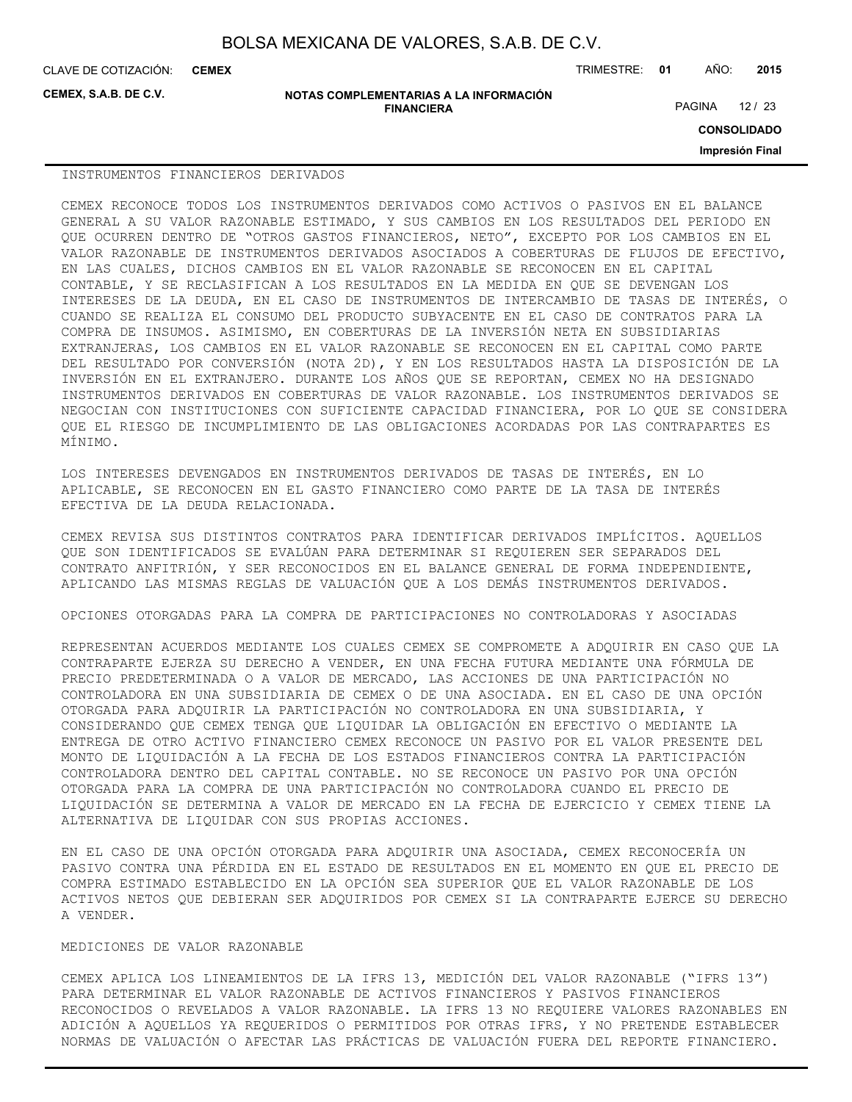**CEMEX, S.A.B. DE C.V.**

#### **NOTAS COMPLEMENTARIAS A LA INFORMACIÓN FINANCIERA**

CLAVE DE COTIZACIÓN: TRIMESTRE: **01** AÑO: **2015 CEMEX**

PAGINA 12 / 23

**CONSOLIDADO**

**Impresión Final**

#### INSTRUMENTOS FINANCIEROS DERIVADOS

CEMEX RECONOCE TODOS LOS INSTRUMENTOS DERIVADOS COMO ACTIVOS O PASIVOS EN EL BALANCE GENERAL A SU VALOR RAZONABLE ESTIMADO, Y SUS CAMBIOS EN LOS RESULTADOS DEL PERIODO EN QUE OCURREN DENTRO DE "OTROS GASTOS FINANCIEROS, NETO", EXCEPTO POR LOS CAMBIOS EN EL VALOR RAZONABLE DE INSTRUMENTOS DERIVADOS ASOCIADOS A COBERTURAS DE FLUJOS DE EFECTIVO, EN LAS CUALES, DICHOS CAMBIOS EN EL VALOR RAZONABLE SE RECONOCEN EN EL CAPITAL CONTABLE, Y SE RECLASIFICAN A LOS RESULTADOS EN LA MEDIDA EN QUE SE DEVENGAN LOS INTERESES DE LA DEUDA, EN EL CASO DE INSTRUMENTOS DE INTERCAMBIO DE TASAS DE INTERÉS, O CUANDO SE REALIZA EL CONSUMO DEL PRODUCTO SUBYACENTE EN EL CASO DE CONTRATOS PARA LA COMPRA DE INSUMOS. ASIMISMO, EN COBERTURAS DE LA INVERSIÓN NETA EN SUBSIDIARIAS EXTRANJERAS, LOS CAMBIOS EN EL VALOR RAZONABLE SE RECONOCEN EN EL CAPITAL COMO PARTE DEL RESULTADO POR CONVERSIÓN (NOTA 2D), Y EN LOS RESULTADOS HASTA LA DISPOSICIÓN DE LA INVERSIÓN EN EL EXTRANJERO. DURANTE LOS AÑOS QUE SE REPORTAN, CEMEX NO HA DESIGNADO INSTRUMENTOS DERIVADOS EN COBERTURAS DE VALOR RAZONABLE. LOS INSTRUMENTOS DERIVADOS SE NEGOCIAN CON INSTITUCIONES CON SUFICIENTE CAPACIDAD FINANCIERA, POR LO QUE SE CONSIDERA QUE EL RIESGO DE INCUMPLIMIENTO DE LAS OBLIGACIONES ACORDADAS POR LAS CONTRAPARTES ES MÍNIMO.

LOS INTERESES DEVENGADOS EN INSTRUMENTOS DERIVADOS DE TASAS DE INTERÉS, EN LO APLICABLE, SE RECONOCEN EN EL GASTO FINANCIERO COMO PARTE DE LA TASA DE INTERÉS EFECTIVA DE LA DEUDA RELACIONADA.

CEMEX REVISA SUS DISTINTOS CONTRATOS PARA IDENTIFICAR DERIVADOS IMPLÍCITOS. AQUELLOS QUE SON IDENTIFICADOS SE EVALÚAN PARA DETERMINAR SI REQUIEREN SER SEPARADOS DEL CONTRATO ANFITRIÓN, Y SER RECONOCIDOS EN EL BALANCE GENERAL DE FORMA INDEPENDIENTE, APLICANDO LAS MISMAS REGLAS DE VALUACIÓN QUE A LOS DEMÁS INSTRUMENTOS DERIVADOS.

OPCIONES OTORGADAS PARA LA COMPRA DE PARTICIPACIONES NO CONTROLADORAS Y ASOCIADAS

REPRESENTAN ACUERDOS MEDIANTE LOS CUALES CEMEX SE COMPROMETE A ADQUIRIR EN CASO QUE LA CONTRAPARTE EJERZA SU DERECHO A VENDER, EN UNA FECHA FUTURA MEDIANTE UNA FÓRMULA DE PRECIO PREDETERMINADA O A VALOR DE MERCADO, LAS ACCIONES DE UNA PARTICIPACIÓN NO CONTROLADORA EN UNA SUBSIDIARIA DE CEMEX O DE UNA ASOCIADA. EN EL CASO DE UNA OPCIÓN OTORGADA PARA ADQUIRIR LA PARTICIPACIÓN NO CONTROLADORA EN UNA SUBSIDIARIA, Y CONSIDERANDO QUE CEMEX TENGA QUE LIQUIDAR LA OBLIGACIÓN EN EFECTIVO O MEDIANTE LA ENTREGA DE OTRO ACTIVO FINANCIERO CEMEX RECONOCE UN PASIVO POR EL VALOR PRESENTE DEL MONTO DE LIQUIDACIÓN A LA FECHA DE LOS ESTADOS FINANCIEROS CONTRA LA PARTICIPACIÓN CONTROLADORA DENTRO DEL CAPITAL CONTABLE. NO SE RECONOCE UN PASIVO POR UNA OPCIÓN OTORGADA PARA LA COMPRA DE UNA PARTICIPACIÓN NO CONTROLADORA CUANDO EL PRECIO DE LIQUIDACIÓN SE DETERMINA A VALOR DE MERCADO EN LA FECHA DE EJERCICIO Y CEMEX TIENE LA ALTERNATIVA DE LIQUIDAR CON SUS PROPIAS ACCIONES.

EN EL CASO DE UNA OPCIÓN OTORGADA PARA ADQUIRIR UNA ASOCIADA, CEMEX RECONOCERÍA UN PASIVO CONTRA UNA PÉRDIDA EN EL ESTADO DE RESULTADOS EN EL MOMENTO EN QUE EL PRECIO DE COMPRA ESTIMADO ESTABLECIDO EN LA OPCIÓN SEA SUPERIOR QUE EL VALOR RAZONABLE DE LOS ACTIVOS NETOS QUE DEBIERAN SER ADQUIRIDOS POR CEMEX SI LA CONTRAPARTE EJERCE SU DERECHO A VENDER.

## MEDICIONES DE VALOR RAZONABLE

CEMEX APLICA LOS LINEAMIENTOS DE LA IFRS 13, MEDICIÓN DEL VALOR RAZONABLE ("IFRS 13") PARA DETERMINAR EL VALOR RAZONABLE DE ACTIVOS FINANCIEROS Y PASIVOS FINANCIEROS RECONOCIDOS O REVELADOS A VALOR RAZONABLE. LA IFRS 13 NO REQUIERE VALORES RAZONABLES EN ADICIÓN A AQUELLOS YA REQUERIDOS O PERMITIDOS POR OTRAS IFRS, Y NO PRETENDE ESTABLECER NORMAS DE VALUACIÓN O AFECTAR LAS PRÁCTICAS DE VALUACIÓN FUERA DEL REPORTE FINANCIERO.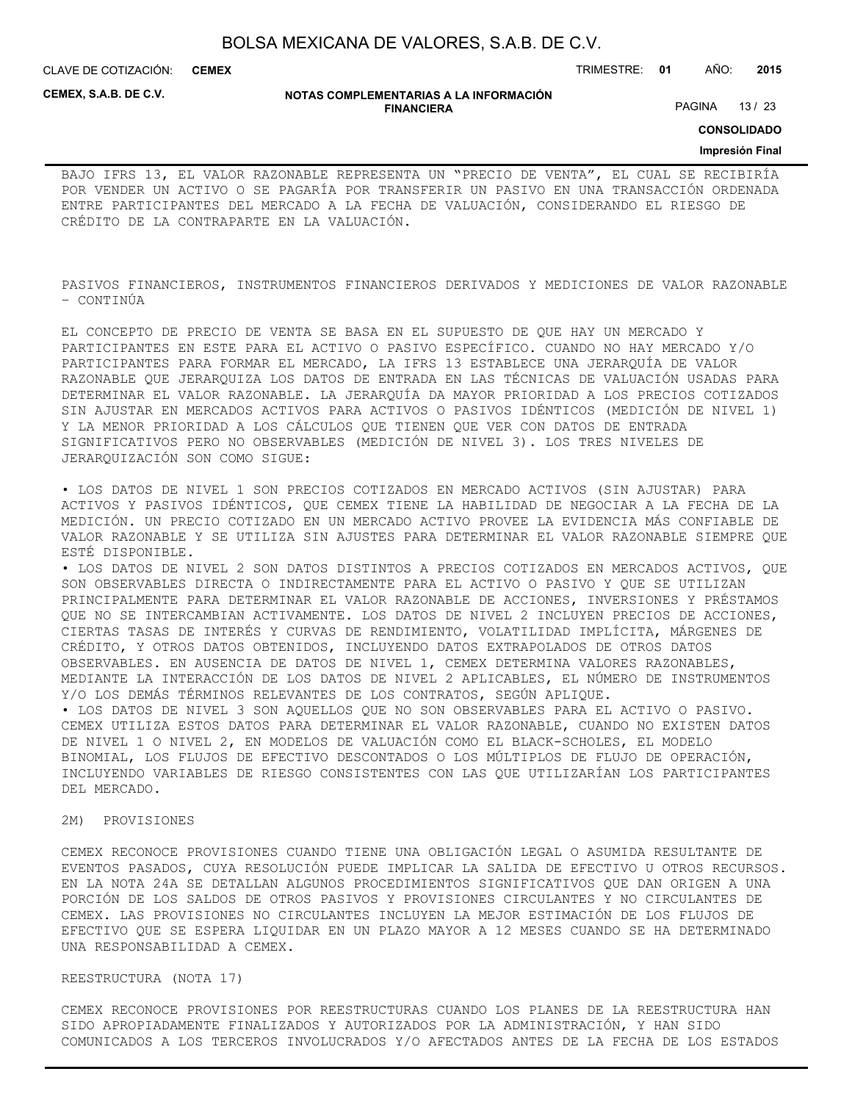CLAVE DE COTIZACIÓN: TRIMESTRE: **01** AÑO: **2015 CEMEX**

**CEMEX, S.A.B. DE C.V.**

#### **NOTAS COMPLEMENTARIAS A LA INFORMACIÓN FINANCIERA**

PAGINA 13 / 23

**CONSOLIDADO**

## **Impresión Final**

BAJO IFRS 13, EL VALOR RAZONABLE REPRESENTA UN "PRECIO DE VENTA", EL CUAL SE RECIBIRÍA POR VENDER UN ACTIVO O SE PAGARÍA POR TRANSFERIR UN PASIVO EN UNA TRANSACCIÓN ORDENADA ENTRE PARTICIPANTES DEL MERCADO A LA FECHA DE VALUACIÓN, CONSIDERANDO EL RIESGO DE CRÉDITO DE LA CONTRAPARTE EN LA VALUACIÓN.

PASIVOS FINANCIEROS, INSTRUMENTOS FINANCIEROS DERIVADOS Y MEDICIONES DE VALOR RAZONABLE – CONTINÚA

EL CONCEPTO DE PRECIO DE VENTA SE BASA EN EL SUPUESTO DE QUE HAY UN MERCADO Y PARTICIPANTES EN ESTE PARA EL ACTIVO O PASIVO ESPECÍFICO. CUANDO NO HAY MERCADO Y/O PARTICIPANTES PARA FORMAR EL MERCADO, LA IFRS 13 ESTABLECE UNA JERARQUÍA DE VALOR RAZONABLE QUE JERARQUIZA LOS DATOS DE ENTRADA EN LAS TÉCNICAS DE VALUACIÓN USADAS PARA DETERMINAR EL VALOR RAZONABLE. LA JERARQUÍA DA MAYOR PRIORIDAD A LOS PRECIOS COTIZADOS SIN AJUSTAR EN MERCADOS ACTIVOS PARA ACTIVOS O PASIVOS IDÉNTICOS (MEDICIÓN DE NIVEL 1) Y LA MENOR PRIORIDAD A LOS CÁLCULOS QUE TIENEN QUE VER CON DATOS DE ENTRADA SIGNIFICATIVOS PERO NO OBSERVABLES (MEDICIÓN DE NIVEL 3). LOS TRES NIVELES DE JERARQUIZACIÓN SON COMO SIGUE:

• LOS DATOS DE NIVEL 1 SON PRECIOS COTIZADOS EN MERCADO ACTIVOS (SIN AJUSTAR) PARA ACTIVOS Y PASIVOS IDÉNTICOS, QUE CEMEX TIENE LA HABILIDAD DE NEGOCIAR A LA FECHA DE LA MEDICIÓN. UN PRECIO COTIZADO EN UN MERCADO ACTIVO PROVEE LA EVIDENCIA MÁS CONFIABLE DE VALOR RAZONABLE Y SE UTILIZA SIN AJUSTES PARA DETERMINAR EL VALOR RAZONABLE SIEMPRE QUE ESTÉ DISPONIBLE.

• LOS DATOS DE NIVEL 2 SON DATOS DISTINTOS A PRECIOS COTIZADOS EN MERCADOS ACTIVOS, QUE SON OBSERVABLES DIRECTA O INDIRECTAMENTE PARA EL ACTIVO O PASIVO Y QUE SE UTILIZAN PRINCIPALMENTE PARA DETERMINAR EL VALOR RAZONABLE DE ACCIONES, INVERSIONES Y PRÉSTAMOS QUE NO SE INTERCAMBIAN ACTIVAMENTE. LOS DATOS DE NIVEL 2 INCLUYEN PRECIOS DE ACCIONES, CIERTAS TASAS DE INTERÉS Y CURVAS DE RENDIMIENTO, VOLATILIDAD IMPLÍCITA, MÁRGENES DE CRÉDITO, Y OTROS DATOS OBTENIDOS, INCLUYENDO DATOS EXTRAPOLADOS DE OTROS DATOS OBSERVABLES. EN AUSENCIA DE DATOS DE NIVEL 1, CEMEX DETERMINA VALORES RAZONABLES, MEDIANTE LA INTERACCIÓN DE LOS DATOS DE NIVEL 2 APLICABLES, EL NÚMERO DE INSTRUMENTOS Y/O LOS DEMÁS TÉRMINOS RELEVANTES DE LOS CONTRATOS, SEGÚN APLIQUE.

• LOS DATOS DE NIVEL 3 SON AQUELLOS QUE NO SON OBSERVABLES PARA EL ACTIVO O PASIVO. CEMEX UTILIZA ESTOS DATOS PARA DETERMINAR EL VALOR RAZONABLE, CUANDO NO EXISTEN DATOS DE NIVEL 1 O NIVEL 2, EN MODELOS DE VALUACIÓN COMO EL BLACK-SCHOLES, EL MODELO BINOMIAL, LOS FLUJOS DE EFECTIVO DESCONTADOS O LOS MÚLTIPLOS DE FLUJO DE OPERACIÓN, INCLUYENDO VARIABLES DE RIESGO CONSISTENTES CON LAS QUE UTILIZARÍAN LOS PARTICIPANTES DEL MERCADO.

## 2M) PROVISIONES

CEMEX RECONOCE PROVISIONES CUANDO TIENE UNA OBLIGACIÓN LEGAL O ASUMIDA RESULTANTE DE EVENTOS PASADOS, CUYA RESOLUCIÓN PUEDE IMPLICAR LA SALIDA DE EFECTIVO U OTROS RECURSOS. EN LA NOTA 24A SE DETALLAN ALGUNOS PROCEDIMIENTOS SIGNIFICATIVOS QUE DAN ORIGEN A UNA PORCIÓN DE LOS SALDOS DE OTROS PASIVOS Y PROVISIONES CIRCULANTES Y NO CIRCULANTES DE CEMEX. LAS PROVISIONES NO CIRCULANTES INCLUYEN LA MEJOR ESTIMACIÓN DE LOS FLUJOS DE EFECTIVO QUE SE ESPERA LIQUIDAR EN UN PLAZO MAYOR A 12 MESES CUANDO SE HA DETERMINADO UNA RESPONSABILIDAD A CEMEX.

REESTRUCTURA (NOTA 17)

CEMEX RECONOCE PROVISIONES POR REESTRUCTURAS CUANDO LOS PLANES DE LA REESTRUCTURA HAN SIDO APROPIADAMENTE FINALIZADOS Y AUTORIZADOS POR LA ADMINISTRACIÓN, Y HAN SIDO COMUNICADOS A LOS TERCEROS INVOLUCRADOS Y/O AFECTADOS ANTES DE LA FECHA DE LOS ESTADOS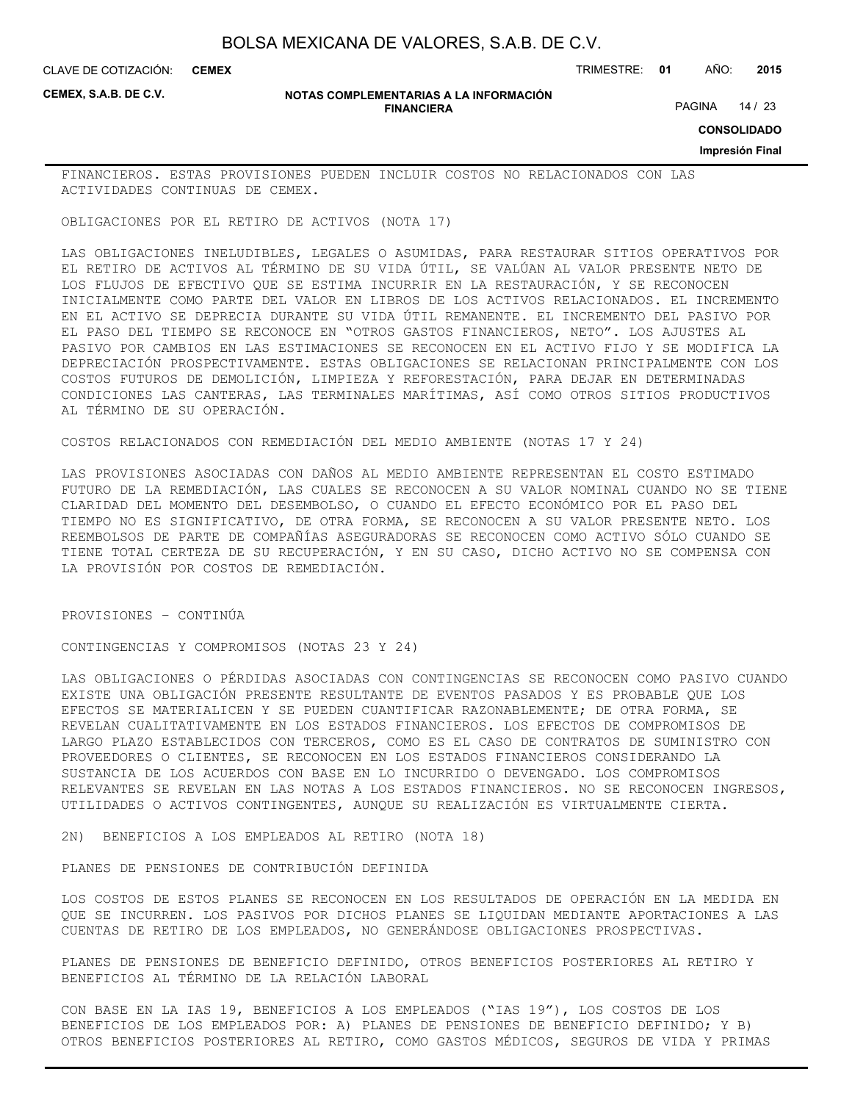CLAVE DE COTIZACIÓN: TRIMESTRE: **01** AÑO: **2015 CEMEX**

**CEMEX, S.A.B. DE C.V.**

#### **NOTAS COMPLEMENTARIAS A LA INFORMACIÓN FINANCIERA**

PAGINA 14 / 23

**CONSOLIDADO**

**Impresión Final**

FINANCIEROS. ESTAS PROVISIONES PUEDEN INCLUIR COSTOS NO RELACIONADOS CON LAS ACTIVIDADES CONTINUAS DE CEMEX.

OBLIGACIONES POR EL RETIRO DE ACTIVOS (NOTA 17)

LAS OBLIGACIONES INELUDIBLES, LEGALES O ASUMIDAS, PARA RESTAURAR SITIOS OPERATIVOS POR EL RETIRO DE ACTIVOS AL TÉRMINO DE SU VIDA ÚTIL, SE VALÚAN AL VALOR PRESENTE NETO DE LOS FLUJOS DE EFECTIVO QUE SE ESTIMA INCURRIR EN LA RESTAURACIÓN, Y SE RECONOCEN INICIALMENTE COMO PARTE DEL VALOR EN LIBROS DE LOS ACTIVOS RELACIONADOS. EL INCREMENTO EN EL ACTIVO SE DEPRECIA DURANTE SU VIDA ÚTIL REMANENTE. EL INCREMENTO DEL PASIVO POR EL PASO DEL TIEMPO SE RECONOCE EN "OTROS GASTOS FINANCIEROS, NETO". LOS AJUSTES AL PASIVO POR CAMBIOS EN LAS ESTIMACIONES SE RECONOCEN EN EL ACTIVO FIJO Y SE MODIFICA LA DEPRECIACIÓN PROSPECTIVAMENTE. ESTAS OBLIGACIONES SE RELACIONAN PRINCIPALMENTE CON LOS COSTOS FUTUROS DE DEMOLICIÓN, LIMPIEZA Y REFORESTACIÓN, PARA DEJAR EN DETERMINADAS CONDICIONES LAS CANTERAS, LAS TERMINALES MARÍTIMAS, ASÍ COMO OTROS SITIOS PRODUCTIVOS AL TÉRMINO DE SU OPERACIÓN.

COSTOS RELACIONADOS CON REMEDIACIÓN DEL MEDIO AMBIENTE (NOTAS 17 Y 24)

LAS PROVISIONES ASOCIADAS CON DAÑOS AL MEDIO AMBIENTE REPRESENTAN EL COSTO ESTIMADO FUTURO DE LA REMEDIACIÓN, LAS CUALES SE RECONOCEN A SU VALOR NOMINAL CUANDO NO SE TIENE CLARIDAD DEL MOMENTO DEL DESEMBOLSO, O CUANDO EL EFECTO ECONÓMICO POR EL PASO DEL TIEMPO NO ES SIGNIFICATIVO, DE OTRA FORMA, SE RECONOCEN A SU VALOR PRESENTE NETO. LOS REEMBOLSOS DE PARTE DE COMPAÑÍAS ASEGURADORAS SE RECONOCEN COMO ACTIVO SÓLO CUANDO SE TIENE TOTAL CERTEZA DE SU RECUPERACIÓN, Y EN SU CASO, DICHO ACTIVO NO SE COMPENSA CON LA PROVISIÓN POR COSTOS DE REMEDIACIÓN.

PROVISIONES – CONTINÚA

CONTINGENCIAS Y COMPROMISOS (NOTAS 23 Y 24)

LAS OBLIGACIONES O PÉRDIDAS ASOCIADAS CON CONTINGENCIAS SE RECONOCEN COMO PASIVO CUANDO EXISTE UNA OBLIGACIÓN PRESENTE RESULTANTE DE EVENTOS PASADOS Y ES PROBABLE QUE LOS EFECTOS SE MATERIALICEN Y SE PUEDEN CUANTIFICAR RAZONABLEMENTE; DE OTRA FORMA, SE REVELAN CUALITATIVAMENTE EN LOS ESTADOS FINANCIEROS. LOS EFECTOS DE COMPROMISOS DE LARGO PLAZO ESTABLECIDOS CON TERCEROS, COMO ES EL CASO DE CONTRATOS DE SUMINISTRO CON PROVEEDORES O CLIENTES, SE RECONOCEN EN LOS ESTADOS FINANCIEROS CONSIDERANDO LA SUSTANCIA DE LOS ACUERDOS CON BASE EN LO INCURRIDO O DEVENGADO. LOS COMPROMISOS RELEVANTES SE REVELAN EN LAS NOTAS A LOS ESTADOS FINANCIEROS. NO SE RECONOCEN INGRESOS, UTILIDADES O ACTIVOS CONTINGENTES, AUNQUE SU REALIZACIÓN ES VIRTUALMENTE CIERTA.

2N) BENEFICIOS A LOS EMPLEADOS AL RETIRO (NOTA 18)

PLANES DE PENSIONES DE CONTRIBUCIÓN DEFINIDA

LOS COSTOS DE ESTOS PLANES SE RECONOCEN EN LOS RESULTADOS DE OPERACIÓN EN LA MEDIDA EN QUE SE INCURREN. LOS PASIVOS POR DICHOS PLANES SE LIQUIDAN MEDIANTE APORTACIONES A LAS CUENTAS DE RETIRO DE LOS EMPLEADOS, NO GENERÁNDOSE OBLIGACIONES PROSPECTIVAS.

PLANES DE PENSIONES DE BENEFICIO DEFINIDO, OTROS BENEFICIOS POSTERIORES AL RETIRO Y BENEFICIOS AL TÉRMINO DE LA RELACIÓN LABORAL

CON BASE EN LA IAS 19, BENEFICIOS A LOS EMPLEADOS ("IAS 19"), LOS COSTOS DE LOS BENEFICIOS DE LOS EMPLEADOS POR: A) PLANES DE PENSIONES DE BENEFICIO DEFINIDO; Y B) OTROS BENEFICIOS POSTERIORES AL RETIRO, COMO GASTOS MÉDICOS, SEGUROS DE VIDA Y PRIMAS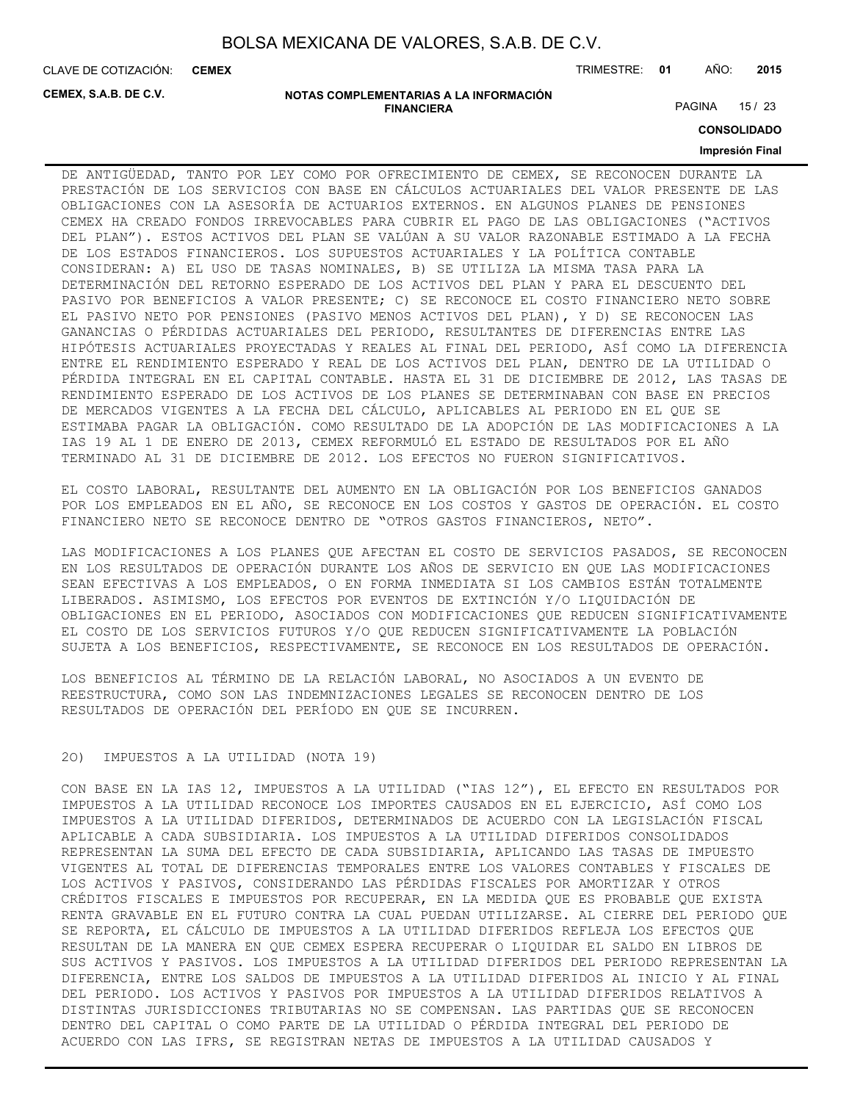**CEMEX**

CLAVE DE COTIZACIÓN: TRIMESTRE: **01** AÑO: **2015**

**CEMEX, S.A.B. DE C.V.**

#### **NOTAS COMPLEMENTARIAS A LA INFORMACIÓN FINANCIERA**

PAGINA 15 / 23

**CONSOLIDADO**

## **Impresión Final**

DE ANTIGÜEDAD, TANTO POR LEY COMO POR OFRECIMIENTO DE CEMEX, SE RECONOCEN DURANTE LA PRESTACIÓN DE LOS SERVICIOS CON BASE EN CÁLCULOS ACTUARIALES DEL VALOR PRESENTE DE LAS OBLIGACIONES CON LA ASESORÍA DE ACTUARIOS EXTERNOS. EN ALGUNOS PLANES DE PENSIONES CEMEX HA CREADO FONDOS IRREVOCABLES PARA CUBRIR EL PAGO DE LAS OBLIGACIONES ("ACTIVOS DEL PLAN"). ESTOS ACTIVOS DEL PLAN SE VALÚAN A SU VALOR RAZONABLE ESTIMADO A LA FECHA DE LOS ESTADOS FINANCIEROS. LOS SUPUESTOS ACTUARIALES Y LA POLÍTICA CONTABLE CONSIDERAN: A) EL USO DE TASAS NOMINALES, B) SE UTILIZA LA MISMA TASA PARA LA DETERMINACIÓN DEL RETORNO ESPERADO DE LOS ACTIVOS DEL PLAN Y PARA EL DESCUENTO DEL PASIVO POR BENEFICIOS A VALOR PRESENTE; C) SE RECONOCE EL COSTO FINANCIERO NETO SOBRE EL PASIVO NETO POR PENSIONES (PASIVO MENOS ACTIVOS DEL PLAN), Y D) SE RECONOCEN LAS GANANCIAS O PÉRDIDAS ACTUARIALES DEL PERIODO, RESULTANTES DE DIFERENCIAS ENTRE LAS HIPÓTESIS ACTUARIALES PROYECTADAS Y REALES AL FINAL DEL PERIODO, ASÍ COMO LA DIFERENCIA ENTRE EL RENDIMIENTO ESPERADO Y REAL DE LOS ACTIVOS DEL PLAN, DENTRO DE LA UTILIDAD O PÉRDIDA INTEGRAL EN EL CAPITAL CONTABLE. HASTA EL 31 DE DICIEMBRE DE 2012, LAS TASAS DE RENDIMIENTO ESPERADO DE LOS ACTIVOS DE LOS PLANES SE DETERMINABAN CON BASE EN PRECIOS DE MERCADOS VIGENTES A LA FECHA DEL CÁLCULO, APLICABLES AL PERIODO EN EL QUE SE ESTIMABA PAGAR LA OBLIGACIÓN. COMO RESULTADO DE LA ADOPCIÓN DE LAS MODIFICACIONES A LA IAS 19 AL 1 DE ENERO DE 2013, CEMEX REFORMULÓ EL ESTADO DE RESULTADOS POR EL AÑO TERMINADO AL 31 DE DICIEMBRE DE 2012. LOS EFECTOS NO FUERON SIGNIFICATIVOS.

EL COSTO LABORAL, RESULTANTE DEL AUMENTO EN LA OBLIGACIÓN POR LOS BENEFICIOS GANADOS POR LOS EMPLEADOS EN EL AÑO, SE RECONOCE EN LOS COSTOS Y GASTOS DE OPERACIÓN. EL COSTO FINANCIERO NETO SE RECONOCE DENTRO DE "OTROS GASTOS FINANCIEROS, NETO".

LAS MODIFICACIONES A LOS PLANES QUE AFECTAN EL COSTO DE SERVICIOS PASADOS, SE RECONOCEN EN LOS RESULTADOS DE OPERACIÓN DURANTE LOS AÑOS DE SERVICIO EN QUE LAS MODIFICACIONES SEAN EFECTIVAS A LOS EMPLEADOS, O EN FORMA INMEDIATA SI LOS CAMBIOS ESTÁN TOTALMENTE LIBERADOS. ASIMISMO, LOS EFECTOS POR EVENTOS DE EXTINCIÓN Y/O LIQUIDACIÓN DE OBLIGACIONES EN EL PERIODO, ASOCIADOS CON MODIFICACIONES QUE REDUCEN SIGNIFICATIVAMENTE EL COSTO DE LOS SERVICIOS FUTUROS Y/O QUE REDUCEN SIGNIFICATIVAMENTE LA POBLACIÓN SUJETA A LOS BENEFICIOS, RESPECTIVAMENTE, SE RECONOCE EN LOS RESULTADOS DE OPERACIÓN.

LOS BENEFICIOS AL TÉRMINO DE LA RELACIÓN LABORAL, NO ASOCIADOS A UN EVENTO DE REESTRUCTURA, COMO SON LAS INDEMNIZACIONES LEGALES SE RECONOCEN DENTRO DE LOS RESULTADOS DE OPERACIÓN DEL PERÍODO EN QUE SE INCURREN.

## 2O) IMPUESTOS A LA UTILIDAD (NOTA 19)

CON BASE EN LA IAS 12, IMPUESTOS A LA UTILIDAD ("IAS 12"), EL EFECTO EN RESULTADOS POR IMPUESTOS A LA UTILIDAD RECONOCE LOS IMPORTES CAUSADOS EN EL EJERCICIO, ASÍ COMO LOS IMPUESTOS A LA UTILIDAD DIFERIDOS, DETERMINADOS DE ACUERDO CON LA LEGISLACIÓN FISCAL APLICABLE A CADA SUBSIDIARIA. LOS IMPUESTOS A LA UTILIDAD DIFERIDOS CONSOLIDADOS REPRESENTAN LA SUMA DEL EFECTO DE CADA SUBSIDIARIA, APLICANDO LAS TASAS DE IMPUESTO VIGENTES AL TOTAL DE DIFERENCIAS TEMPORALES ENTRE LOS VALORES CONTABLES Y FISCALES DE LOS ACTIVOS Y PASIVOS, CONSIDERANDO LAS PÉRDIDAS FISCALES POR AMORTIZAR Y OTROS CRÉDITOS FISCALES E IMPUESTOS POR RECUPERAR, EN LA MEDIDA QUE ES PROBABLE QUE EXISTA RENTA GRAVABLE EN EL FUTURO CONTRA LA CUAL PUEDAN UTILIZARSE. AL CIERRE DEL PERIODO QUE SE REPORTA, EL CÁLCULO DE IMPUESTOS A LA UTILIDAD DIFERIDOS REFLEJA LOS EFECTOS QUE RESULTAN DE LA MANERA EN QUE CEMEX ESPERA RECUPERAR O LIQUIDAR EL SALDO EN LIBROS DE SUS ACTIVOS Y PASIVOS. LOS IMPUESTOS A LA UTILIDAD DIFERIDOS DEL PERIODO REPRESENTAN LA DIFERENCIA, ENTRE LOS SALDOS DE IMPUESTOS A LA UTILIDAD DIFERIDOS AL INICIO Y AL FINAL DEL PERIODO. LOS ACTIVOS Y PASIVOS POR IMPUESTOS A LA UTILIDAD DIFERIDOS RELATIVOS A DISTINTAS JURISDICCIONES TRIBUTARIAS NO SE COMPENSAN. LAS PARTIDAS QUE SE RECONOCEN DENTRO DEL CAPITAL O COMO PARTE DE LA UTILIDAD O PÉRDIDA INTEGRAL DEL PERIODO DE ACUERDO CON LAS IFRS, SE REGISTRAN NETAS DE IMPUESTOS A LA UTILIDAD CAUSADOS Y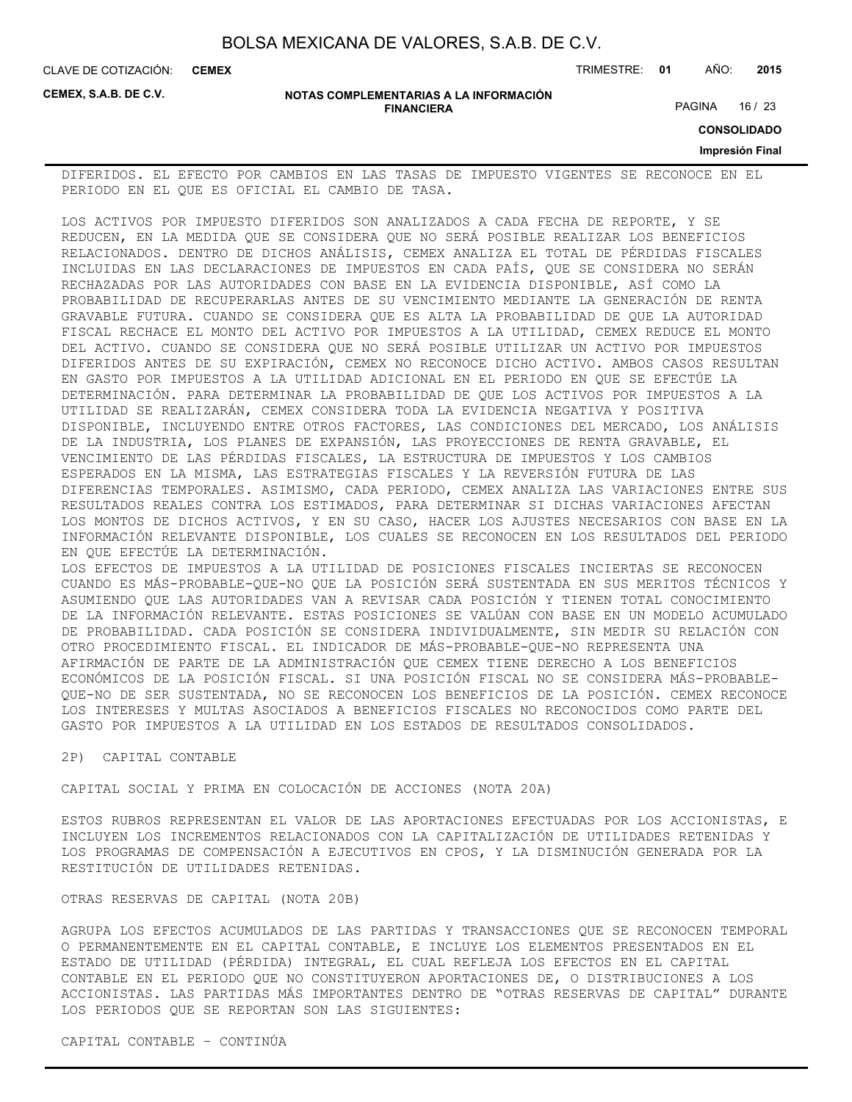CLAVE DE COTIZACIÓN: TRIMESTRE: **01** AÑO: **2015 CEMEX**

**CEMEX, S.A.B. DE C.V.**

#### **NOTAS COMPLEMENTARIAS A LA INFORMACIÓN FINANCIERA**

PAGINA 16 / 23

**CONSOLIDADO**

## **Impresión Final**

DIFERIDOS. EL EFECTO POR CAMBIOS EN LAS TASAS DE IMPUESTO VIGENTES SE RECONOCE EN EL PERIODO EN EL QUE ES OFICIAL EL CAMBIO DE TASA.

LOS ACTIVOS POR IMPUESTO DIFERIDOS SON ANALIZADOS A CADA FECHA DE REPORTE, Y SE REDUCEN, EN LA MEDIDA QUE SE CONSIDERA QUE NO SERÁ POSIBLE REALIZAR LOS BENEFICIOS RELACIONADOS. DENTRO DE DICHOS ANÁLISIS, CEMEX ANALIZA EL TOTAL DE PÉRDIDAS FISCALES INCLUIDAS EN LAS DECLARACIONES DE IMPUESTOS EN CADA PAÍS, QUE SE CONSIDERA NO SERÁN RECHAZADAS POR LAS AUTORIDADES CON BASE EN LA EVIDENCIA DISPONIBLE, ASÍ COMO LA PROBABILIDAD DE RECUPERARLAS ANTES DE SU VENCIMIENTO MEDIANTE LA GENERACIÓN DE RENTA GRAVABLE FUTURA. CUANDO SE CONSIDERA QUE ES ALTA LA PROBABILIDAD DE QUE LA AUTORIDAD FISCAL RECHACE EL MONTO DEL ACTIVO POR IMPUESTOS A LA UTILIDAD, CEMEX REDUCE EL MONTO DEL ACTIVO. CUANDO SE CONSIDERA QUE NO SERÁ POSIBLE UTILIZAR UN ACTIVO POR IMPUESTOS DIFERIDOS ANTES DE SU EXPIRACIÓN, CEMEX NO RECONOCE DICHO ACTIVO. AMBOS CASOS RESULTAN EN GASTO POR IMPUESTOS A LA UTILIDAD ADICIONAL EN EL PERIODO EN QUE SE EFECTÚE LA DETERMINACIÓN. PARA DETERMINAR LA PROBABILIDAD DE QUE LOS ACTIVOS POR IMPUESTOS A LA UTILIDAD SE REALIZARÁN, CEMEX CONSIDERA TODA LA EVIDENCIA NEGATIVA Y POSITIVA DISPONIBLE, INCLUYENDO ENTRE OTROS FACTORES, LAS CONDICIONES DEL MERCADO, LOS ANÁLISIS DE LA INDUSTRIA, LOS PLANES DE EXPANSIÓN, LAS PROYECCIONES DE RENTA GRAVABLE, EL VENCIMIENTO DE LAS PÉRDIDAS FISCALES, LA ESTRUCTURA DE IMPUESTOS Y LOS CAMBIOS ESPERADOS EN LA MISMA, LAS ESTRATEGIAS FISCALES Y LA REVERSIÓN FUTURA DE LAS DIFERENCIAS TEMPORALES. ASIMISMO, CADA PERIODO, CEMEX ANALIZA LAS VARIACIONES ENTRE SUS RESULTADOS REALES CONTRA LOS ESTIMADOS, PARA DETERMINAR SI DICHAS VARIACIONES AFECTAN LOS MONTOS DE DICHOS ACTIVOS, Y EN SU CASO, HACER LOS AJUSTES NECESARIOS CON BASE EN LA INFORMACIÓN RELEVANTE DISPONIBLE, LOS CUALES SE RECONOCEN EN LOS RESULTADOS DEL PERIODO EN QUE EFECTÚE LA DETERMINACIÓN. LOS EFECTOS DE IMPUESTOS A LA UTILIDAD DE POSICIONES FISCALES INCIERTAS SE RECONOCEN CUANDO ES MÁS-PROBABLE-QUE-NO QUE LA POSICIÓN SERÁ SUSTENTADA EN SUS MERITOS TÉCNICOS Y ASUMIENDO QUE LAS AUTORIDADES VAN A REVISAR CADA POSICIÓN Y TIENEN TOTAL CONOCIMIENTO

DE LA INFORMACIÓN RELEVANTE. ESTAS POSICIONES SE VALÚAN CON BASE EN UN MODELO ACUMULADO DE PROBABILIDAD. CADA POSICIÓN SE CONSIDERA INDIVIDUALMENTE, SIN MEDIR SU RELACIÓN CON OTRO PROCEDIMIENTO FISCAL. EL INDICADOR DE MÁS-PROBABLE-QUE-NO REPRESENTA UNA AFIRMACIÓN DE PARTE DE LA ADMINISTRACIÓN QUE CEMEX TIENE DERECHO A LOS BENEFICIOS ECONÓMICOS DE LA POSICIÓN FISCAL. SI UNA POSICIÓN FISCAL NO SE CONSIDERA MÁS-PROBABLE-QUE-NO DE SER SUSTENTADA, NO SE RECONOCEN LOS BENEFICIOS DE LA POSICIÓN. CEMEX RECONOCE LOS INTERESES Y MULTAS ASOCIADOS A BENEFICIOS FISCALES NO RECONOCIDOS COMO PARTE DEL GASTO POR IMPUESTOS A LA UTILIDAD EN LOS ESTADOS DE RESULTADOS CONSOLIDADOS.

## 2P) CAPITAL CONTABLE

CAPITAL SOCIAL Y PRIMA EN COLOCACIÓN DE ACCIONES (NOTA 20A)

ESTOS RUBROS REPRESENTAN EL VALOR DE LAS APORTACIONES EFECTUADAS POR LOS ACCIONISTAS, E INCLUYEN LOS INCREMENTOS RELACIONADOS CON LA CAPITALIZACIÓN DE UTILIDADES RETENIDAS Y LOS PROGRAMAS DE COMPENSACIÓN A EJECUTIVOS EN CPOS, Y LA DISMINUCIÓN GENERADA POR LA RESTITUCIÓN DE UTILIDADES RETENIDAS.

## OTRAS RESERVAS DE CAPITAL (NOTA 20B)

AGRUPA LOS EFECTOS ACUMULADOS DE LAS PARTIDAS Y TRANSACCIONES QUE SE RECONOCEN TEMPORAL O PERMANENTEMENTE EN EL CAPITAL CONTABLE, E INCLUYE LOS ELEMENTOS PRESENTADOS EN EL ESTADO DE UTILIDAD (PÉRDIDA) INTEGRAL, EL CUAL REFLEJA LOS EFECTOS EN EL CAPITAL CONTABLE EN EL PERIODO QUE NO CONSTITUYERON APORTACIONES DE, O DISTRIBUCIONES A LOS ACCIONISTAS. LAS PARTIDAS MÁS IMPORTANTES DENTRO DE "OTRAS RESERVAS DE CAPITAL" DURANTE LOS PERIODOS QUE SE REPORTAN SON LAS SIGUIENTES: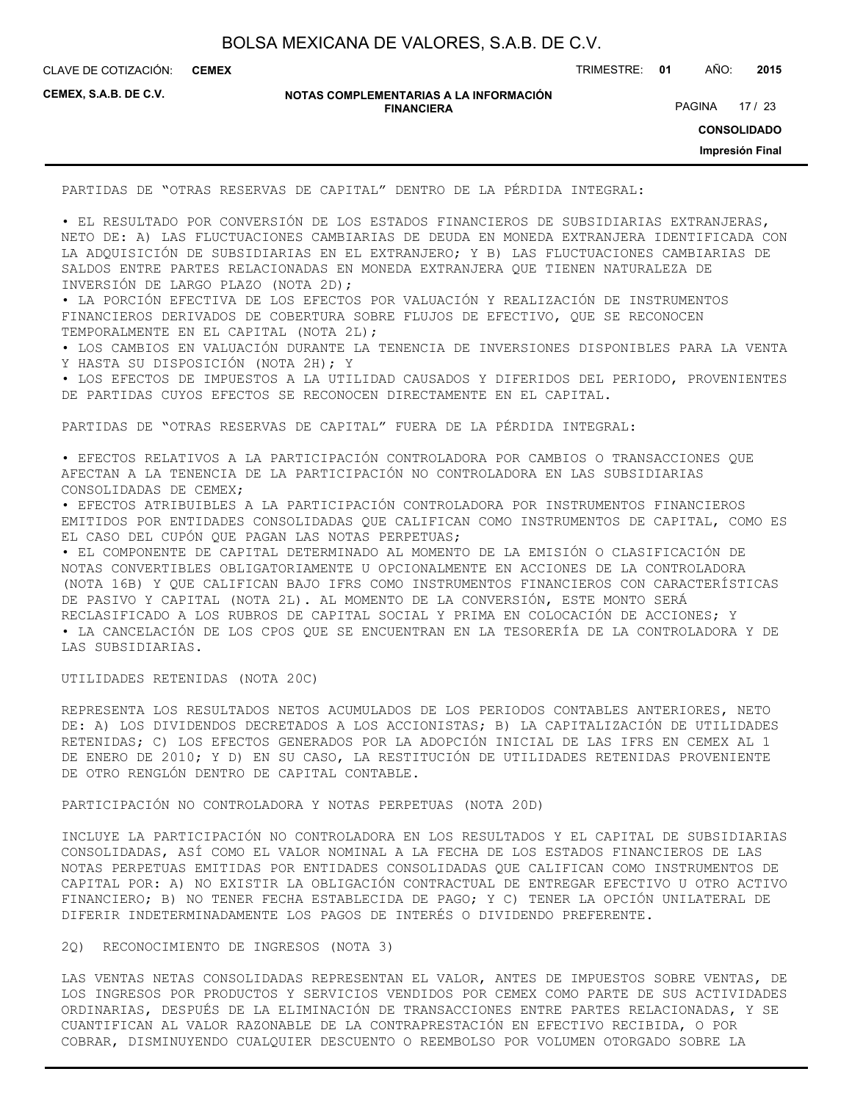CLAVE DE COTIZACIÓN: TRIMESTRE: **01** AÑO: **2015 CEMEX**

**CEMEX, S.A.B. DE C.V.**

#### **NOTAS COMPLEMENTARIAS A LA INFORMACIÓN FINANCIERA**

PAGINA 17 / 23

**CONSOLIDADO**

**Impresión Final**

PARTIDAS DE "OTRAS RESERVAS DE CAPITAL" DENTRO DE LA PÉRDIDA INTEGRAL:

• EL RESULTADO POR CONVERSIÓN DE LOS ESTADOS FINANCIEROS DE SUBSIDIARIAS EXTRANJERAS, NETO DE: A) LAS FLUCTUACIONES CAMBIARIAS DE DEUDA EN MONEDA EXTRANJERA IDENTIFICADA CON LA ADQUISICIÓN DE SUBSIDIARIAS EN EL EXTRANJERO; Y B) LAS FLUCTUACIONES CAMBIARIAS DE SALDOS ENTRE PARTES RELACIONADAS EN MONEDA EXTRANJERA QUE TIENEN NATURALEZA DE INVERSIÓN DE LARGO PLAZO (NOTA 2D);

• LA PORCIÓN EFECTIVA DE LOS EFECTOS POR VALUACIÓN Y REALIZACIÓN DE INSTRUMENTOS FINANCIEROS DERIVADOS DE COBERTURA SOBRE FLUJOS DE EFECTIVO, QUE SE RECONOCEN TEMPORALMENTE EN EL CAPITAL (NOTA 2L);

• LOS CAMBIOS EN VALUACIÓN DURANTE LA TENENCIA DE INVERSIONES DISPONIBLES PARA LA VENTA Y HASTA SU DISPOSICIÓN (NOTA 2H); Y

• LOS EFECTOS DE IMPUESTOS A LA UTILIDAD CAUSADOS Y DIFERIDOS DEL PERIODO, PROVENIENTES DE PARTIDAS CUYOS EFECTOS SE RECONOCEN DIRECTAMENTE EN EL CAPITAL.

PARTIDAS DE "OTRAS RESERVAS DE CAPITAL" FUERA DE LA PÉRDIDA INTEGRAL:

• EFECTOS RELATIVOS A LA PARTICIPACIÓN CONTROLADORA POR CAMBIOS O TRANSACCIONES QUE AFECTAN A LA TENENCIA DE LA PARTICIPACIÓN NO CONTROLADORA EN LAS SUBSIDIARIAS CONSOLIDADAS DE CEMEX;

• EFECTOS ATRIBUIBLES A LA PARTICIPACIÓN CONTROLADORA POR INSTRUMENTOS FINANCIEROS EMITIDOS POR ENTIDADES CONSOLIDADAS QUE CALIFICAN COMO INSTRUMENTOS DE CAPITAL, COMO ES EL CASO DEL CUPÓN QUE PAGAN LAS NOTAS PERPETUAS;

• EL COMPONENTE DE CAPITAL DETERMINADO AL MOMENTO DE LA EMISIÓN O CLASIFICACIÓN DE NOTAS CONVERTIBLES OBLIGATORIAMENTE U OPCIONALMENTE EN ACCIONES DE LA CONTROLADORA (NOTA 16B) Y QUE CALIFICAN BAJO IFRS COMO INSTRUMENTOS FINANCIEROS CON CARACTERÍSTICAS DE PASIVO Y CAPITAL (NOTA 2L). AL MOMENTO DE LA CONVERSIÓN, ESTE MONTO SERÁ RECLASIFICADO A LOS RUBROS DE CAPITAL SOCIAL Y PRIMA EN COLOCACIÓN DE ACCIONES; Y • LA CANCELACIÓN DE LOS CPOS QUE SE ENCUENTRAN EN LA TESORERÍA DE LA CONTROLADORA Y DE LAS SUBSIDIARIAS.

UTILIDADES RETENIDAS (NOTA 20C)

REPRESENTA LOS RESULTADOS NETOS ACUMULADOS DE LOS PERIODOS CONTABLES ANTERIORES, NETO DE: A) LOS DIVIDENDOS DECRETADOS A LOS ACCIONISTAS; B) LA CAPITALIZACIÓN DE UTILIDADES RETENIDAS; C) LOS EFECTOS GENERADOS POR LA ADOPCIÓN INICIAL DE LAS IFRS EN CEMEX AL 1 DE ENERO DE 2010; Y D) EN SU CASO, LA RESTITUCIÓN DE UTILIDADES RETENIDAS PROVENIENTE DE OTRO RENGLÓN DENTRO DE CAPITAL CONTABLE.

PARTICIPACIÓN NO CONTROLADORA Y NOTAS PERPETUAS (NOTA 20D)

INCLUYE LA PARTICIPACIÓN NO CONTROLADORA EN LOS RESULTADOS Y EL CAPITAL DE SUBSIDIARIAS CONSOLIDADAS, ASÍ COMO EL VALOR NOMINAL A LA FECHA DE LOS ESTADOS FINANCIEROS DE LAS NOTAS PERPETUAS EMITIDAS POR ENTIDADES CONSOLIDADAS QUE CALIFICAN COMO INSTRUMENTOS DE CAPITAL POR: A) NO EXISTIR LA OBLIGACIÓN CONTRACTUAL DE ENTREGAR EFECTIVO U OTRO ACTIVO FINANCIERO; B) NO TENER FECHA ESTABLECIDA DE PAGO; Y C) TENER LA OPCIÓN UNILATERAL DE DIFERIR INDETERMINADAMENTE LOS PAGOS DE INTERÉS O DIVIDENDO PREFERENTE.

2Q) RECONOCIMIENTO DE INGRESOS (NOTA 3)

LAS VENTAS NETAS CONSOLIDADAS REPRESENTAN EL VALOR, ANTES DE IMPUESTOS SOBRE VENTAS, DE LOS INGRESOS POR PRODUCTOS Y SERVICIOS VENDIDOS POR CEMEX COMO PARTE DE SUS ACTIVIDADES ORDINARIAS, DESPUÉS DE LA ELIMINACIÓN DE TRANSACCIONES ENTRE PARTES RELACIONADAS, Y SE CUANTIFICAN AL VALOR RAZONABLE DE LA CONTRAPRESTACIÓN EN EFECTIVO RECIBIDA, O POR COBRAR, DISMINUYENDO CUALQUIER DESCUENTO O REEMBOLSO POR VOLUMEN OTORGADO SOBRE LA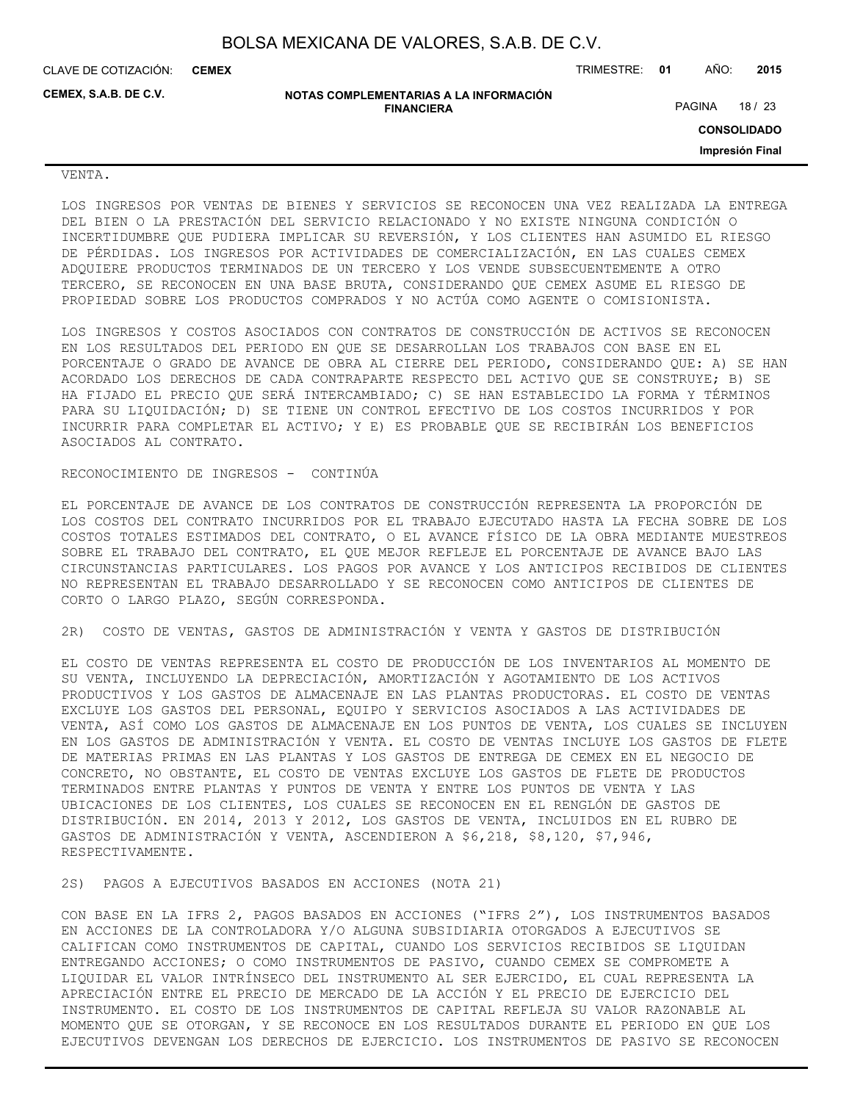CLAVE DE COTIZACIÓN: TRIMESTRE: **01** AÑO: **2015 CEMEX**

**CEMEX, S.A.B. DE C.V.**

**NOTAS COMPLEMENTARIAS A LA INFORMACIÓN FINANCIERA**

PAGINA 18 / 23

**CONSOLIDADO**

**Impresión Final**

VENTA.

LOS INGRESOS POR VENTAS DE BIENES Y SERVICIOS SE RECONOCEN UNA VEZ REALIZADA LA ENTREGA DEL BIEN O LA PRESTACIÓN DEL SERVICIO RELACIONADO Y NO EXISTE NINGUNA CONDICIÓN O INCERTIDUMBRE QUE PUDIERA IMPLICAR SU REVERSIÓN, Y LOS CLIENTES HAN ASUMIDO EL RIESGO DE PÉRDIDAS. LOS INGRESOS POR ACTIVIDADES DE COMERCIALIZACIÓN, EN LAS CUALES CEMEX ADQUIERE PRODUCTOS TERMINADOS DE UN TERCERO Y LOS VENDE SUBSECUENTEMENTE A OTRO TERCERO, SE RECONOCEN EN UNA BASE BRUTA, CONSIDERANDO QUE CEMEX ASUME EL RIESGO DE PROPIEDAD SOBRE LOS PRODUCTOS COMPRADOS Y NO ACTÚA COMO AGENTE O COMISIONISTA.

LOS INGRESOS Y COSTOS ASOCIADOS CON CONTRATOS DE CONSTRUCCIÓN DE ACTIVOS SE RECONOCEN EN LOS RESULTADOS DEL PERIODO EN QUE SE DESARROLLAN LOS TRABAJOS CON BASE EN EL PORCENTAJE O GRADO DE AVANCE DE OBRA AL CIERRE DEL PERIODO, CONSIDERANDO QUE: A) SE HAN ACORDADO LOS DERECHOS DE CADA CONTRAPARTE RESPECTO DEL ACTIVO QUE SE CONSTRUYE; B) SE HA FIJADO EL PRECIO QUE SERÁ INTERCAMBIADO; C) SE HAN ESTABLECIDO LA FORMA Y TÉRMINOS PARA SU LIQUIDACIÓN; D) SE TIENE UN CONTROL EFECTIVO DE LOS COSTOS INCURRIDOS Y POR INCURRIR PARA COMPLETAR EL ACTIVO; Y E) ES PROBABLE QUE SE RECIBIRÁN LOS BENEFICIOS ASOCIADOS AL CONTRATO.

### RECONOCIMIENTO DE INGRESOS - CONTINÚA

EL PORCENTAJE DE AVANCE DE LOS CONTRATOS DE CONSTRUCCIÓN REPRESENTA LA PROPORCIÓN DE LOS COSTOS DEL CONTRATO INCURRIDOS POR EL TRABAJO EJECUTADO HASTA LA FECHA SOBRE DE LOS COSTOS TOTALES ESTIMADOS DEL CONTRATO, O EL AVANCE FÍSICO DE LA OBRA MEDIANTE MUESTREOS SOBRE EL TRABAJO DEL CONTRATO, EL QUE MEJOR REFLEJE EL PORCENTAJE DE AVANCE BAJO LAS CIRCUNSTANCIAS PARTICULARES. LOS PAGOS POR AVANCE Y LOS ANTICIPOS RECIBIDOS DE CLIENTES NO REPRESENTAN EL TRABAJO DESARROLLADO Y SE RECONOCEN COMO ANTICIPOS DE CLIENTES DE CORTO O LARGO PLAZO, SEGÚN CORRESPONDA.

2R) COSTO DE VENTAS, GASTOS DE ADMINISTRACIÓN Y VENTA Y GASTOS DE DISTRIBUCIÓN

EL COSTO DE VENTAS REPRESENTA EL COSTO DE PRODUCCIÓN DE LOS INVENTARIOS AL MOMENTO DE SU VENTA, INCLUYENDO LA DEPRECIACIÓN, AMORTIZACIÓN Y AGOTAMIENTO DE LOS ACTIVOS PRODUCTIVOS Y LOS GASTOS DE ALMACENAJE EN LAS PLANTAS PRODUCTORAS. EL COSTO DE VENTAS EXCLUYE LOS GASTOS DEL PERSONAL, EQUIPO Y SERVICIOS ASOCIADOS A LAS ACTIVIDADES DE VENTA, ASÍ COMO LOS GASTOS DE ALMACENAJE EN LOS PUNTOS DE VENTA, LOS CUALES SE INCLUYEN EN LOS GASTOS DE ADMINISTRACIÓN Y VENTA. EL COSTO DE VENTAS INCLUYE LOS GASTOS DE FLETE DE MATERIAS PRIMAS EN LAS PLANTAS Y LOS GASTOS DE ENTREGA DE CEMEX EN EL NEGOCIO DE CONCRETO, NO OBSTANTE, EL COSTO DE VENTAS EXCLUYE LOS GASTOS DE FLETE DE PRODUCTOS TERMINADOS ENTRE PLANTAS Y PUNTOS DE VENTA Y ENTRE LOS PUNTOS DE VENTA Y LAS UBICACIONES DE LOS CLIENTES, LOS CUALES SE RECONOCEN EN EL RENGLÓN DE GASTOS DE DISTRIBUCIÓN. EN 2014, 2013 Y 2012, LOS GASTOS DE VENTA, INCLUIDOS EN EL RUBRO DE GASTOS DE ADMINISTRACIÓN Y VENTA, ASCENDIERON A \$6,218, \$8,120, \$7,946, RESPECTIVAMENTE.

2S) PAGOS A EJECUTIVOS BASADOS EN ACCIONES (NOTA 21)

CON BASE EN LA IFRS 2, PAGOS BASADOS EN ACCIONES ("IFRS 2"), LOS INSTRUMENTOS BASADOS EN ACCIONES DE LA CONTROLADORA Y/O ALGUNA SUBSIDIARIA OTORGADOS A EJECUTIVOS SE CALIFICAN COMO INSTRUMENTOS DE CAPITAL, CUANDO LOS SERVICIOS RECIBIDOS SE LIQUIDAN ENTREGANDO ACCIONES; O COMO INSTRUMENTOS DE PASIVO, CUANDO CEMEX SE COMPROMETE A LIQUIDAR EL VALOR INTRÍNSECO DEL INSTRUMENTO AL SER EJERCIDO, EL CUAL REPRESENTA LA APRECIACIÓN ENTRE EL PRECIO DE MERCADO DE LA ACCIÓN Y EL PRECIO DE EJERCICIO DEL INSTRUMENTO. EL COSTO DE LOS INSTRUMENTOS DE CAPITAL REFLEJA SU VALOR RAZONABLE AL MOMENTO QUE SE OTORGAN, Y SE RECONOCE EN LOS RESULTADOS DURANTE EL PERIODO EN QUE LOS EJECUTIVOS DEVENGAN LOS DERECHOS DE EJERCICIO. LOS INSTRUMENTOS DE PASIVO SE RECONOCEN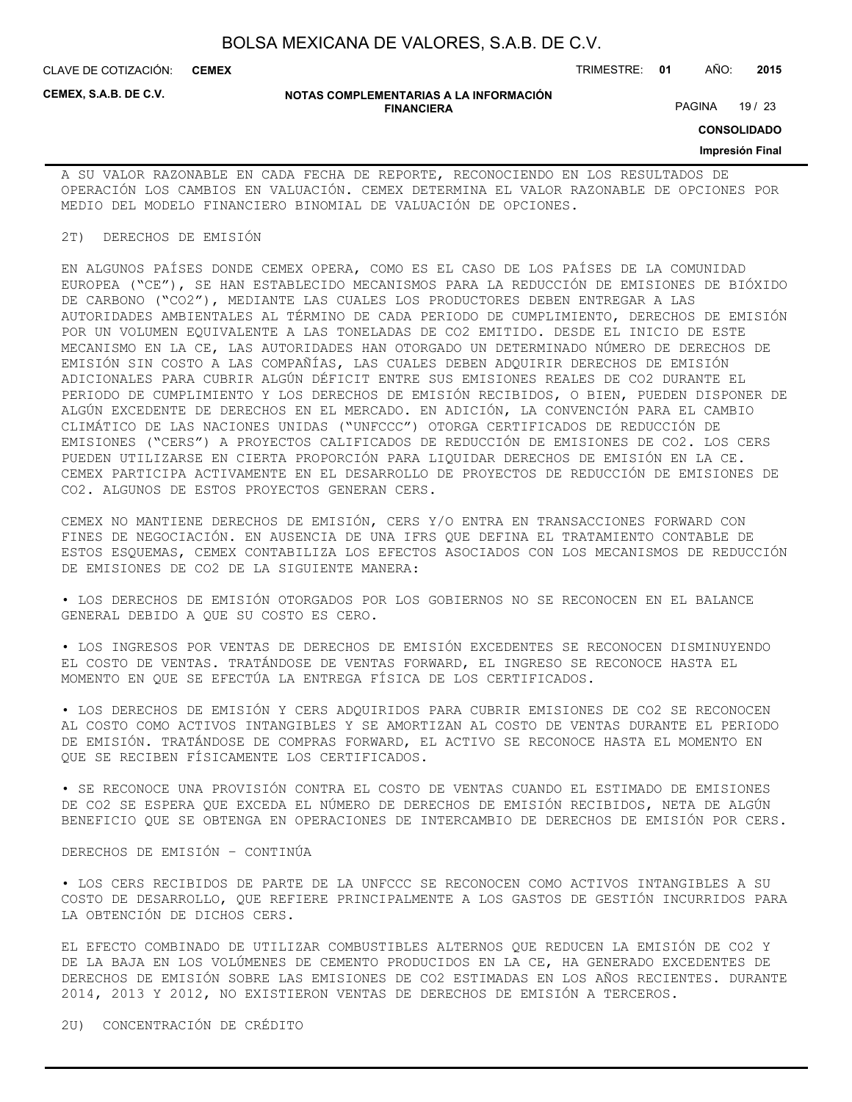CLAVE DE COTIZACIÓN: TRIMESTRE: **01** AÑO: **2015 CEMEX**

**CEMEX, S.A.B. DE C.V.**

#### **NOTAS COMPLEMENTARIAS A LA INFORMACIÓN FINANCIERA**

PAGINA 19 / 23

**CONSOLIDADO**

#### **Impresión Final**

A SU VALOR RAZONABLE EN CADA FECHA DE REPORTE, RECONOCIENDO EN LOS RESULTADOS DE OPERACIÓN LOS CAMBIOS EN VALUACIÓN. CEMEX DETERMINA EL VALOR RAZONABLE DE OPCIONES POR MEDIO DEL MODELO FINANCIERO BINOMIAL DE VALUACIÓN DE OPCIONES.

#### 2T) DERECHOS DE EMISIÓN

EN ALGUNOS PAÍSES DONDE CEMEX OPERA, COMO ES EL CASO DE LOS PAÍSES DE LA COMUNIDAD EUROPEA ("CE"), SE HAN ESTABLECIDO MECANISMOS PARA LA REDUCCIÓN DE EMISIONES DE BIÓXIDO DE CARBONO ("CO2"), MEDIANTE LAS CUALES LOS PRODUCTORES DEBEN ENTREGAR A LAS AUTORIDADES AMBIENTALES AL TÉRMINO DE CADA PERIODO DE CUMPLIMIENTO, DERECHOS DE EMISIÓN POR UN VOLUMEN EQUIVALENTE A LAS TONELADAS DE CO2 EMITIDO. DESDE EL INICIO DE ESTE MECANISMO EN LA CE, LAS AUTORIDADES HAN OTORGADO UN DETERMINADO NÚMERO DE DERECHOS DE EMISIÓN SIN COSTO A LAS COMPAÑÍAS, LAS CUALES DEBEN ADQUIRIR DERECHOS DE EMISIÓN ADICIONALES PARA CUBRIR ALGÚN DÉFICIT ENTRE SUS EMISIONES REALES DE CO2 DURANTE EL PERIODO DE CUMPLIMIENTO Y LOS DERECHOS DE EMISIÓN RECIBIDOS, O BIEN, PUEDEN DISPONER DE ALGÚN EXCEDENTE DE DERECHOS EN EL MERCADO. EN ADICIÓN, LA CONVENCIÓN PARA EL CAMBIO CLIMÁTICO DE LAS NACIONES UNIDAS ("UNFCCC") OTORGA CERTIFICADOS DE REDUCCIÓN DE EMISIONES ("CERS") A PROYECTOS CALIFICADOS DE REDUCCIÓN DE EMISIONES DE CO2. LOS CERS PUEDEN UTILIZARSE EN CIERTA PROPORCIÓN PARA LIQUIDAR DERECHOS DE EMISIÓN EN LA CE. CEMEX PARTICIPA ACTIVAMENTE EN EL DESARROLLO DE PROYECTOS DE REDUCCIÓN DE EMISIONES DE CO2. ALGUNOS DE ESTOS PROYECTOS GENERAN CERS.

CEMEX NO MANTIENE DERECHOS DE EMISIÓN, CERS Y/O ENTRA EN TRANSACCIONES FORWARD CON FINES DE NEGOCIACIÓN. EN AUSENCIA DE UNA IFRS QUE DEFINA EL TRATAMIENTO CONTABLE DE ESTOS ESQUEMAS, CEMEX CONTABILIZA LOS EFECTOS ASOCIADOS CON LOS MECANISMOS DE REDUCCIÓN DE EMISIONES DE CO2 DE LA SIGUIENTE MANERA:

• LOS DERECHOS DE EMISIÓN OTORGADOS POR LOS GOBIERNOS NO SE RECONOCEN EN EL BALANCE GENERAL DEBIDO A QUE SU COSTO ES CERO.

• LOS INGRESOS POR VENTAS DE DERECHOS DE EMISIÓN EXCEDENTES SE RECONOCEN DISMINUYENDO EL COSTO DE VENTAS. TRATÁNDOSE DE VENTAS FORWARD, EL INGRESO SE RECONOCE HASTA EL MOMENTO EN QUE SE EFECTÚA LA ENTREGA FÍSICA DE LOS CERTIFICADOS.

• LOS DERECHOS DE EMISIÓN Y CERS ADQUIRIDOS PARA CUBRIR EMISIONES DE CO2 SE RECONOCEN AL COSTO COMO ACTIVOS INTANGIBLES Y SE AMORTIZAN AL COSTO DE VENTAS DURANTE EL PERIODO DE EMISIÓN. TRATÁNDOSE DE COMPRAS FORWARD, EL ACTIVO SE RECONOCE HASTA EL MOMENTO EN QUE SE RECIBEN FÍSICAMENTE LOS CERTIFICADOS.

• SE RECONOCE UNA PROVISIÓN CONTRA EL COSTO DE VENTAS CUANDO EL ESTIMADO DE EMISIONES DE CO2 SE ESPERA QUE EXCEDA EL NÚMERO DE DERECHOS DE EMISIÓN RECIBIDOS, NETA DE ALGÚN BENEFICIO QUE SE OBTENGA EN OPERACIONES DE INTERCAMBIO DE DERECHOS DE EMISIÓN POR CERS.

## DERECHOS DE EMISIÓN – CONTINÚA

• LOS CERS RECIBIDOS DE PARTE DE LA UNFCCC SE RECONOCEN COMO ACTIVOS INTANGIBLES A SU COSTO DE DESARROLLO, QUE REFIERE PRINCIPALMENTE A LOS GASTOS DE GESTIÓN INCURRIDOS PARA LA OBTENCIÓN DE DICHOS CERS.

EL EFECTO COMBINADO DE UTILIZAR COMBUSTIBLES ALTERNOS QUE REDUCEN LA EMISIÓN DE CO2 Y DE LA BAJA EN LOS VOLÚMENES DE CEMENTO PRODUCIDOS EN LA CE, HA GENERADO EXCEDENTES DE DERECHOS DE EMISIÓN SOBRE LAS EMISIONES DE CO2 ESTIMADAS EN LOS AÑOS RECIENTES. DURANTE 2014, 2013 Y 2012, NO EXISTIERON VENTAS DE DERECHOS DE EMISIÓN A TERCEROS.

2U) CONCENTRACIÓN DE CRÉDITO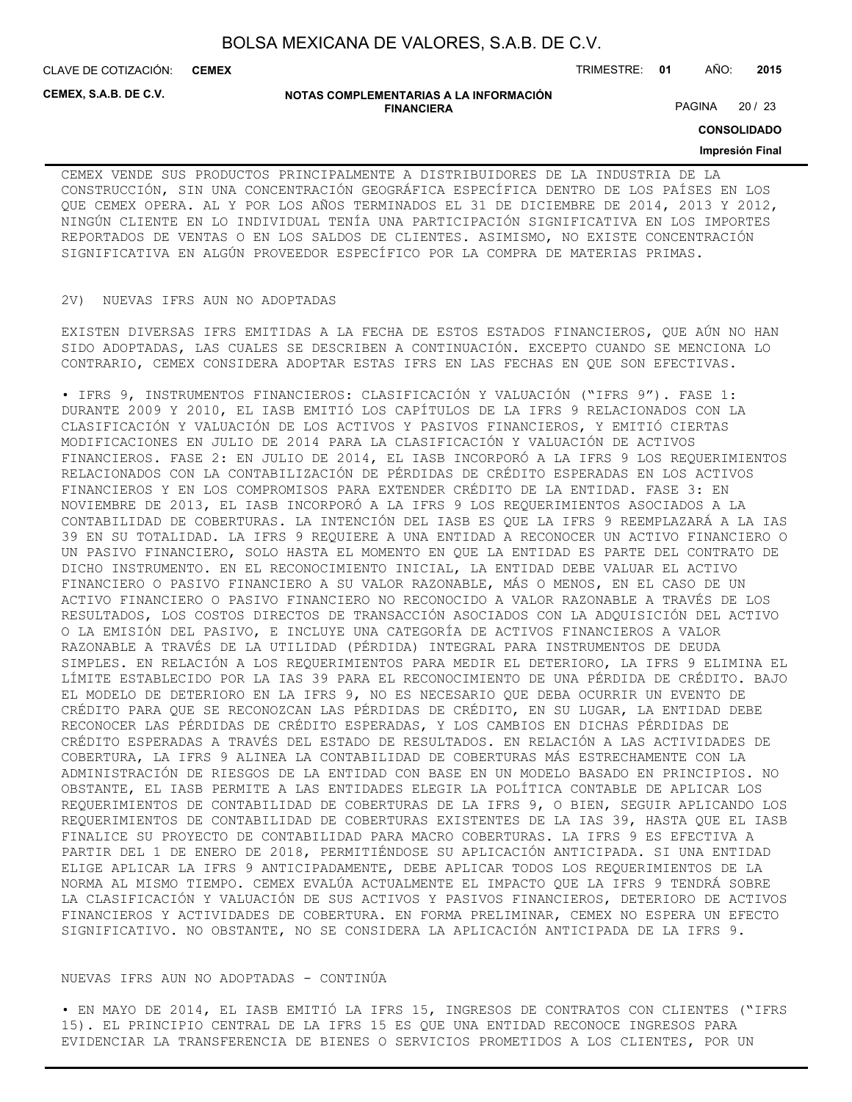**CEMEX**

CLAVE DE COTIZACIÓN: TRIMESTRE: **01** AÑO: **2015**

**CEMEX, S.A.B. DE C.V.**

#### **NOTAS COMPLEMENTARIAS A LA INFORMACIÓN FINANCIERA**

PAGINA 20 / 23

**CONSOLIDADO**

## **Impresión Final**

CEMEX VENDE SUS PRODUCTOS PRINCIPALMENTE A DISTRIBUIDORES DE LA INDUSTRIA DE LA CONSTRUCCIÓN, SIN UNA CONCENTRACIÓN GEOGRÁFICA ESPECÍFICA DENTRO DE LOS PAÍSES EN LOS QUE CEMEX OPERA. AL Y POR LOS AÑOS TERMINADOS EL 31 DE DICIEMBRE DE 2014, 2013 Y 2012, NINGÚN CLIENTE EN LO INDIVIDUAL TENÍA UNA PARTICIPACIÓN SIGNIFICATIVA EN LOS IMPORTES REPORTADOS DE VENTAS O EN LOS SALDOS DE CLIENTES. ASIMISMO, NO EXISTE CONCENTRACIÓN SIGNIFICATIVA EN ALGÚN PROVEEDOR ESPECÍFICO POR LA COMPRA DE MATERIAS PRIMAS.

#### 2V) NUEVAS IFRS AUN NO ADOPTADAS

EXISTEN DIVERSAS IFRS EMITIDAS A LA FECHA DE ESTOS ESTADOS FINANCIEROS, QUE AÚN NO HAN SIDO ADOPTADAS, LAS CUALES SE DESCRIBEN A CONTINUACIÓN. EXCEPTO CUANDO SE MENCIONA LO CONTRARIO, CEMEX CONSIDERA ADOPTAR ESTAS IFRS EN LAS FECHAS EN QUE SON EFECTIVAS.

• IFRS 9, INSTRUMENTOS FINANCIEROS: CLASIFICACIÓN Y VALUACIÓN ("IFRS 9"). FASE 1: DURANTE 2009 Y 2010, EL IASB EMITIÓ LOS CAPÍTULOS DE LA IFRS 9 RELACIONADOS CON LA CLASIFICACIÓN Y VALUACIÓN DE LOS ACTIVOS Y PASIVOS FINANCIEROS, Y EMITIÓ CIERTAS MODIFICACIONES EN JULIO DE 2014 PARA LA CLASIFICACIÓN Y VALUACIÓN DE ACTIVOS FINANCIEROS. FASE 2: EN JULIO DE 2014, EL IASB INCORPORÓ A LA IFRS 9 LOS REQUERIMIENTOS RELACIONADOS CON LA CONTABILIZACIÓN DE PÉRDIDAS DE CRÉDITO ESPERADAS EN LOS ACTIVOS FINANCIEROS Y EN LOS COMPROMISOS PARA EXTENDER CRÉDITO DE LA ENTIDAD. FASE 3: EN NOVIEMBRE DE 2013, EL IASB INCORPORÓ A LA IFRS 9 LOS REQUERIMIENTOS ASOCIADOS A LA CONTABILIDAD DE COBERTURAS. LA INTENCIÓN DEL IASB ES QUE LA IFRS 9 REEMPLAZARÁ A LA IAS 39 EN SU TOTALIDAD. LA IFRS 9 REQUIERE A UNA ENTIDAD A RECONOCER UN ACTIVO FINANCIERO O UN PASIVO FINANCIERO, SOLO HASTA EL MOMENTO EN QUE LA ENTIDAD ES PARTE DEL CONTRATO DE DICHO INSTRUMENTO. EN EL RECONOCIMIENTO INICIAL, LA ENTIDAD DEBE VALUAR EL ACTIVO FINANCIERO O PASIVO FINANCIERO A SU VALOR RAZONABLE, MÁS O MENOS, EN EL CASO DE UN ACTIVO FINANCIERO O PASIVO FINANCIERO NO RECONOCIDO A VALOR RAZONABLE A TRAVÉS DE LOS RESULTADOS, LOS COSTOS DIRECTOS DE TRANSACCIÓN ASOCIADOS CON LA ADQUISICIÓN DEL ACTIVO O LA EMISIÓN DEL PASIVO, E INCLUYE UNA CATEGORÍA DE ACTIVOS FINANCIEROS A VALOR RAZONABLE A TRAVÉS DE LA UTILIDAD (PÉRDIDA) INTEGRAL PARA INSTRUMENTOS DE DEUDA SIMPLES. EN RELACIÓN A LOS REQUERIMIENTOS PARA MEDIR EL DETERIORO, LA IFRS 9 ELIMINA EL LÍMITE ESTABLECIDO POR LA IAS 39 PARA EL RECONOCIMIENTO DE UNA PÉRDIDA DE CRÉDITO. BAJO EL MODELO DE DETERIORO EN LA IFRS 9, NO ES NECESARIO QUE DEBA OCURRIR UN EVENTO DE CRÉDITO PARA QUE SE RECONOZCAN LAS PÉRDIDAS DE CRÉDITO, EN SU LUGAR, LA ENTIDAD DEBE RECONOCER LAS PÉRDIDAS DE CRÉDITO ESPERADAS, Y LOS CAMBIOS EN DICHAS PÉRDIDAS DE CRÉDITO ESPERADAS A TRAVÉS DEL ESTADO DE RESULTADOS. EN RELACIÓN A LAS ACTIVIDADES DE COBERTURA, LA IFRS 9 ALINEA LA CONTABILIDAD DE COBERTURAS MÁS ESTRECHAMENTE CON LA ADMINISTRACIÓN DE RIESGOS DE LA ENTIDAD CON BASE EN UN MODELO BASADO EN PRINCIPIOS. NO OBSTANTE, EL IASB PERMITE A LAS ENTIDADES ELEGIR LA POLÍTICA CONTABLE DE APLICAR LOS REQUERIMIENTOS DE CONTABILIDAD DE COBERTURAS DE LA IFRS 9, O BIEN, SEGUIR APLICANDO LOS REQUERIMIENTOS DE CONTABILIDAD DE COBERTURAS EXISTENTES DE LA IAS 39, HASTA QUE EL IASB FINALICE SU PROYECTO DE CONTABILIDAD PARA MACRO COBERTURAS. LA IFRS 9 ES EFECTIVA A PARTIR DEL 1 DE ENERO DE 2018, PERMITIÉNDOSE SU APLICACIÓN ANTICIPADA. SI UNA ENTIDAD ELIGE APLICAR LA IFRS 9 ANTICIPADAMENTE, DEBE APLICAR TODOS LOS REQUERIMIENTOS DE LA NORMA AL MISMO TIEMPO. CEMEX EVALÚA ACTUALMENTE EL IMPACTO QUE LA IFRS 9 TENDRÁ SOBRE LA CLASIFICACIÓN Y VALUACIÓN DE SUS ACTIVOS Y PASIVOS FINANCIEROS, DETERIORO DE ACTIVOS FINANCIEROS Y ACTIVIDADES DE COBERTURA. EN FORMA PRELIMINAR, CEMEX NO ESPERA UN EFECTO SIGNIFICATIVO. NO OBSTANTE, NO SE CONSIDERA LA APLICACIÓN ANTICIPADA DE LA IFRS 9.

## NUEVAS IFRS AUN NO ADOPTADAS - CONTINÚA

• EN MAYO DE 2014, EL IASB EMITIÓ LA IFRS 15, INGRESOS DE CONTRATOS CON CLIENTES ("IFRS 15). EL PRINCIPIO CENTRAL DE LA IFRS 15 ES QUE UNA ENTIDAD RECONOCE INGRESOS PARA EVIDENCIAR LA TRANSFERENCIA DE BIENES O SERVICIOS PROMETIDOS A LOS CLIENTES, POR UN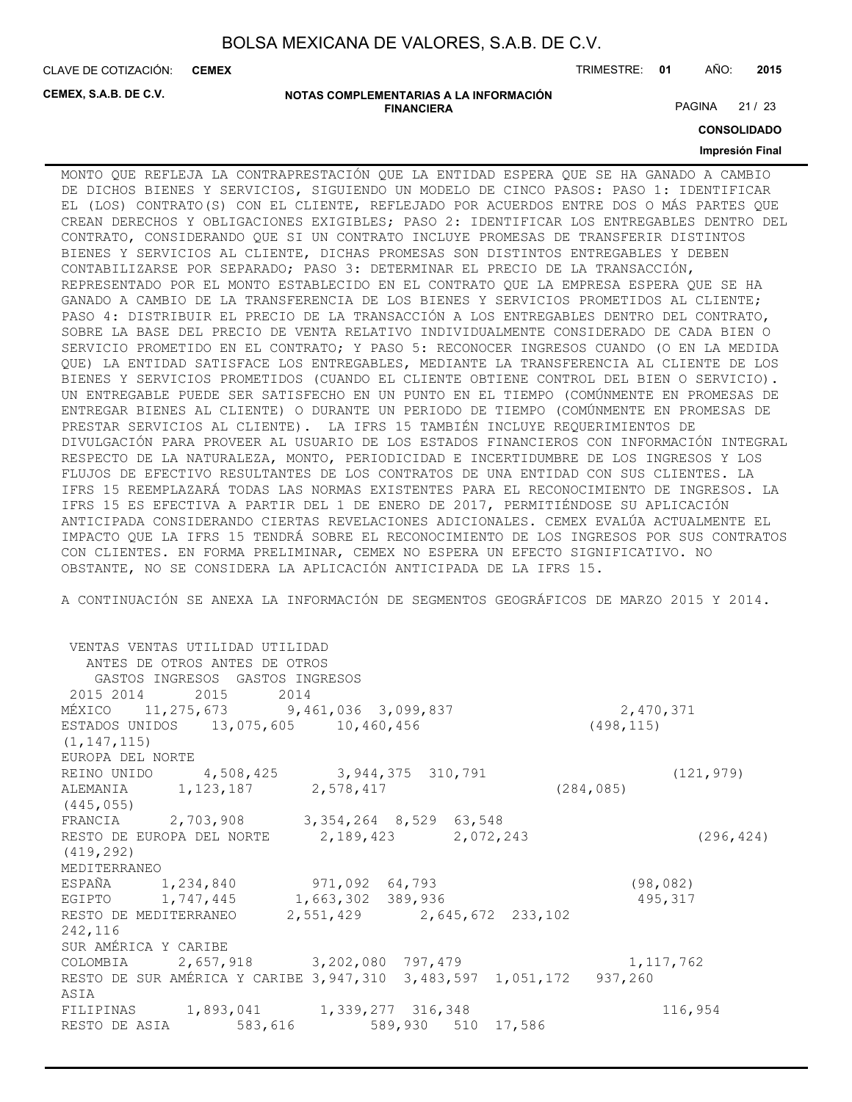CLAVE DE COTIZACIÓN: TRIMESTRE: **01** AÑO: **2015 CEMEX**

**CEMEX, S.A.B. DE C.V.**

#### **NOTAS COMPLEMENTARIAS A LA INFORMACIÓN FINANCIERA**

PAGINA 21 / 23

**CONSOLIDADO**

## **Impresión Final**

MONTO QUE REFLEJA LA CONTRAPRESTACIÓN QUE LA ENTIDAD ESPERA QUE SE HA GANADO A CAMBIO DE DICHOS BIENES Y SERVICIOS, SIGUIENDO UN MODELO DE CINCO PASOS: PASO 1: IDENTIFICAR EL (LOS) CONTRATO(S) CON EL CLIENTE, REFLEJADO POR ACUERDOS ENTRE DOS O MÁS PARTES QUE CREAN DERECHOS Y OBLIGACIONES EXIGIBLES; PASO 2: IDENTIFICAR LOS ENTREGABLES DENTRO DEL CONTRATO, CONSIDERANDO QUE SI UN CONTRATO INCLUYE PROMESAS DE TRANSFERIR DISTINTOS BIENES Y SERVICIOS AL CLIENTE, DICHAS PROMESAS SON DISTINTOS ENTREGABLES Y DEBEN CONTABILIZARSE POR SEPARADO; PASO 3: DETERMINAR EL PRECIO DE LA TRANSACCIÓN, REPRESENTADO POR EL MONTO ESTABLECIDO EN EL CONTRATO QUE LA EMPRESA ESPERA QUE SE HA GANADO A CAMBIO DE LA TRANSFERENCIA DE LOS BIENES Y SERVICIOS PROMETIDOS AL CLIENTE; PASO 4: DISTRIBUIR EL PRECIO DE LA TRANSACCIÓN A LOS ENTREGABLES DENTRO DEL CONTRATO, SOBRE LA BASE DEL PRECIO DE VENTA RELATIVO INDIVIDUALMENTE CONSIDERADO DE CADA BIEN O SERVICIO PROMETIDO EN EL CONTRATO; Y PASO 5: RECONOCER INGRESOS CUANDO (O EN LA MEDIDA QUE) LA ENTIDAD SATISFACE LOS ENTREGABLES, MEDIANTE LA TRANSFERENCIA AL CLIENTE DE LOS BIENES Y SERVICIOS PROMETIDOS (CUANDO EL CLIENTE OBTIENE CONTROL DEL BIEN O SERVICIO). UN ENTREGABLE PUEDE SER SATISFECHO EN UN PUNTO EN EL TIEMPO (COMÚNMENTE EN PROMESAS DE ENTREGAR BIENES AL CLIENTE) O DURANTE UN PERIODO DE TIEMPO (COMÚNMENTE EN PROMESAS DE PRESTAR SERVICIOS AL CLIENTE). LA IFRS 15 TAMBIÉN INCLUYE REQUERIMIENTOS DE DIVULGACIÓN PARA PROVEER AL USUARIO DE LOS ESTADOS FINANCIEROS CON INFORMACIÓN INTEGRAL RESPECTO DE LA NATURALEZA, MONTO, PERIODICIDAD E INCERTIDUMBRE DE LOS INGRESOS Y LOS FLUJOS DE EFECTIVO RESULTANTES DE LOS CONTRATOS DE UNA ENTIDAD CON SUS CLIENTES. LA IFRS 15 REEMPLAZARÁ TODAS LAS NORMAS EXISTENTES PARA EL RECONOCIMIENTO DE INGRESOS. LA IFRS 15 ES EFECTIVA A PARTIR DEL 1 DE ENERO DE 2017, PERMITIÉNDOSE SU APLICACIÓN ANTICIPADA CONSIDERANDO CIERTAS REVELACIONES ADICIONALES. CEMEX EVALÚA ACTUALMENTE EL IMPACTO QUE LA IFRS 15 TENDRÁ SOBRE EL RECONOCIMIENTO DE LOS INGRESOS POR SUS CONTRATOS CON CLIENTES. EN FORMA PRELIMINAR, CEMEX NO ESPERA UN EFECTO SIGNIFICATIVO. NO OBSTANTE, NO SE CONSIDERA LA APLICACIÓN ANTICIPADA DE LA IFRS 15.

A CONTINUACIÓN SE ANEXA LA INFORMACIÓN DE SEGMENTOS GEOGRÁFICOS DE MARZO 2015 Y 2014.

 VENTAS VENTAS UTILIDAD UTILIDAD ANTES DE OTROS ANTES DE OTROS GASTOS INGRESOS GASTOS INGRESOS 2015 2014 2015 2014 MÉXICO 11,275,673 9,461,036 3,099,837 2,470,371 ESTADOS UNIDOS 13,075,605 10,460,456 (498,115) (1,147,115) EUROPA DEL NORTE REINO UNIDO 4,508,425 3,944,375 310,791 (121,979) ALEMANIA 1,123,187 2,578,417 (284,085) (445,055) FRANCIA 2,703,908 3,354,264 8,529 63,548 RESTO DE EUROPA DEL NORTE 2,189,423 2,072,243 (296,424) (419,292) MEDITERRANEO ESPAÑA 1,234,840 971,092 64,793 (98,082) EGIPTO 1,747,445 1,663,302 389,936 495,317 RESTO DE MEDITERRANEO 2,551,429 2,645,672 233,102 242,116 SUR AMÉRICA Y CARIBE COLOMBIA 2,657,918 3,202,080 797,479 1,117,762 RESTO DE SUR AMÉRICA Y CARIBE 3,947,310 3,483,597 1,051,172 937,260 ASIA FILIPINAS 1,893,041 1,339,277 316,348 116,954 RESTO DE ASIA 583,616 589,930 510 17,586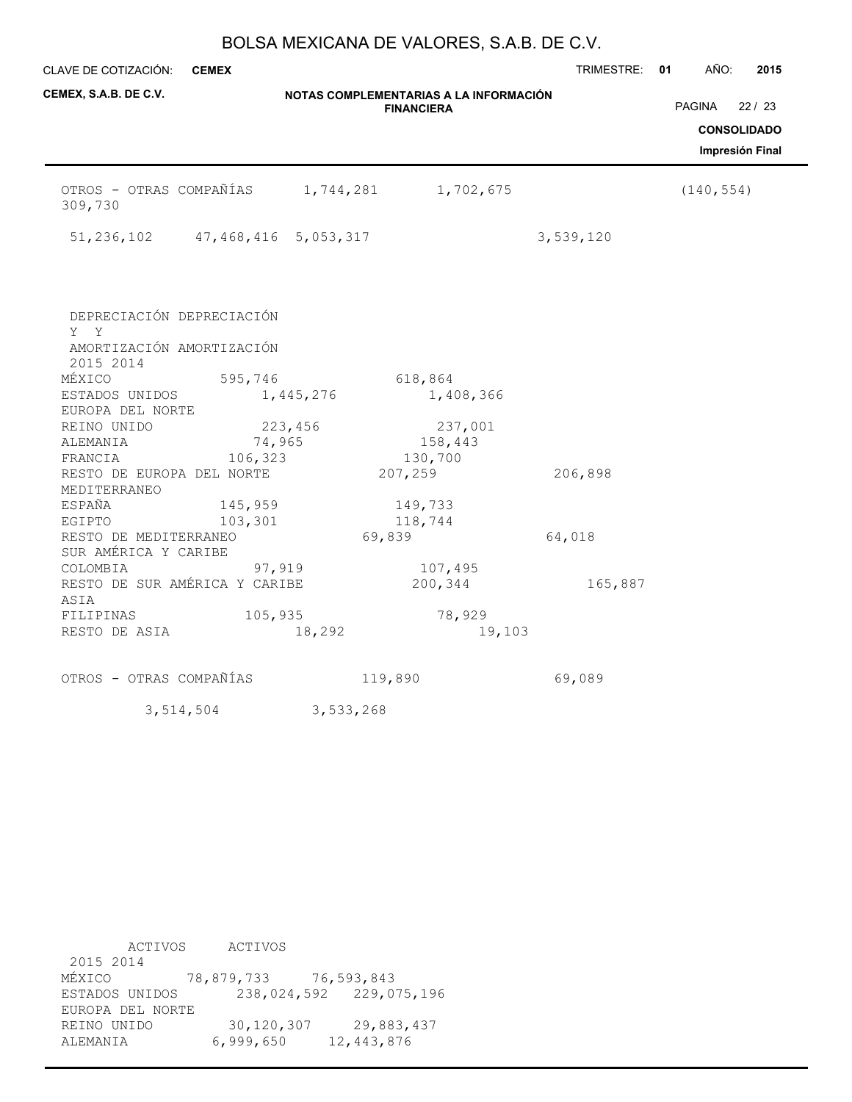| CLAVE DE COTIZACIÓN: CEMEX                                                           |                                       |           |                                                             | TRIMESTRE: 01 | AÑO:       | 2015                                                  |
|--------------------------------------------------------------------------------------|---------------------------------------|-----------|-------------------------------------------------------------|---------------|------------|-------------------------------------------------------|
| CEMEX, S.A.B. DE C.V.                                                                |                                       |           | NOTAS COMPLEMENTARIAS A LA INFORMACIÓN<br><b>FINANCIERA</b> |               | PAGINA     | 22/23<br><b>CONSOLIDADO</b><br><b>Impresión Final</b> |
| OTROS - OTRAS COMPAÑÍAS<br>309,730                                                   |                                       |           | 1,744,281 1,702,675                                         |               | (140, 554) |                                                       |
|                                                                                      | 51, 236, 102 47, 468, 416 5, 053, 317 |           |                                                             | 3,539,120     |            |                                                       |
| DEPRECIACIÓN DEPRECIACIÓN<br>Y Y<br>AMORTIZACIÓN AMORTIZACIÓN<br>2015 2014<br>MÉXICO | 595,746                               |           | 618,864                                                     |               |            |                                                       |
| ESTADOS UNIDOS                                                                       |                                       | 1,445,276 | 1,408,366                                                   |               |            |                                                       |
| EUROPA DEL NORTE<br>REINO UNIDO<br>ALEMANIA<br>FRANCIA                               | 74,965<br>106,323                     | 223,456   | 237,001<br>158,443<br>130,700                               |               |            |                                                       |
| RESTO DE EUROPA DEL NORTE<br>MEDITERRANEO                                            |                                       |           | 207,259                                                     | 206,898       |            |                                                       |
| ESPAÑA                                                                               | 145,959                               |           | 149,733                                                     |               |            |                                                       |
| EGIPTO<br>RESTO DE MEDITERRANEO<br>SUR AMÉRICA Y CARIBE                              | 103,301                               |           | 118,744<br>69,839                                           | 64,018        |            |                                                       |
| COLOMBIA<br>RESTO DE SUR AMÉRICA Y CARIBE<br>ASIA                                    | 97,919                                |           | 107,495<br>200,344                                          | 165,887       |            |                                                       |
| FILIPINAS<br>RESTO DE ASIA                                                           | 105,935                               | 18,292    | 78,929<br>19,103                                            |               |            |                                                       |
| OTROS - OTRAS COMPAÑÍAS                                                              |                                       |           | 119,890                                                     | 69,089        |            |                                                       |
|                                                                                      | 3,514,504                             | 3,533,268 |                                                             |               |            |                                                       |

 ACTIVOS ACTIVOS 2015 2014 MÉXICO 78,879,733 76,593,843 ESTADOS UNIDOS 238,024,592 229,075,196 EUROPA DEL NORTE REINO UNIDO 30,120,307 29,883,437 ALEMANIA 6,999,650 12,443,876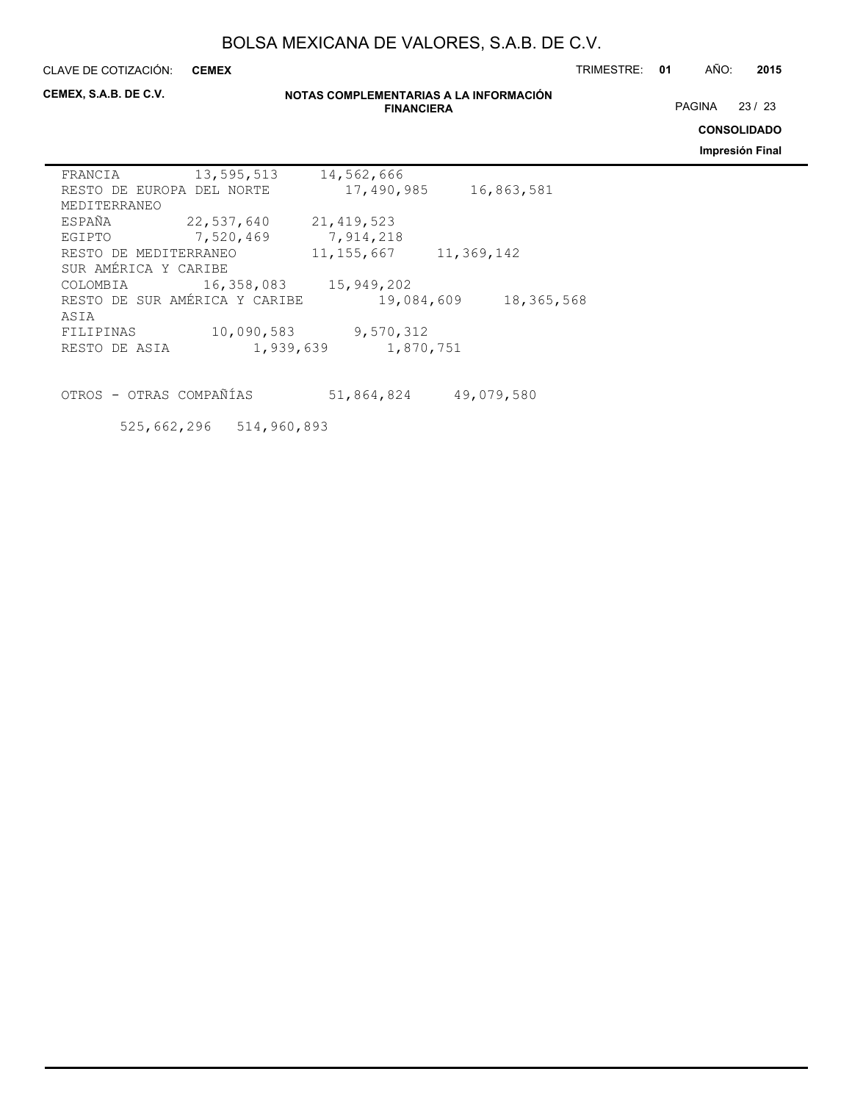**CEMEX**

CLAVE DE COTIZACIÓN: TRIMESTRE: **01** AÑO: **2015**

**CEMEX, S.A.B. DE C.V.**

### **NOTAS COMPLEMENTARIAS A LA INFORMACIÓN FINANCIERA**

PAGINA 23 / 23

**CONSOLIDADO**

**Impresión Final**

| 17,490,985<br>16,863,581<br>RESTO DE EUROPA DEL NORTE     |  |
|-----------------------------------------------------------|--|
| MEDITERRANEO                                              |  |
| ESPAÑA<br>22,537,640<br>21, 419, 523                      |  |
| 7,520,469<br>7,914,218<br>EGIPTO                          |  |
| 11, 155, 667<br>11,369,142<br>RESTO DE MEDITERRANEO       |  |
| SUR AMÉRICA Y CARIBE                                      |  |
| 16,358,083<br>15,949,202<br>COLOMBIA                      |  |
| RESTO DE SUR AMÉRICA Y CARIBE<br>19,084,609<br>18,365,568 |  |
| ASIA                                                      |  |
| 10,090,583<br>9,570,312<br>FILIPINAS                      |  |
| 1,939,639<br>1,870,751<br>RESTO DE ASIA                   |  |

OTROS - OTRAS COMPAÑÍAS 51,864,824 49,079,580

525,662,296 514,960,893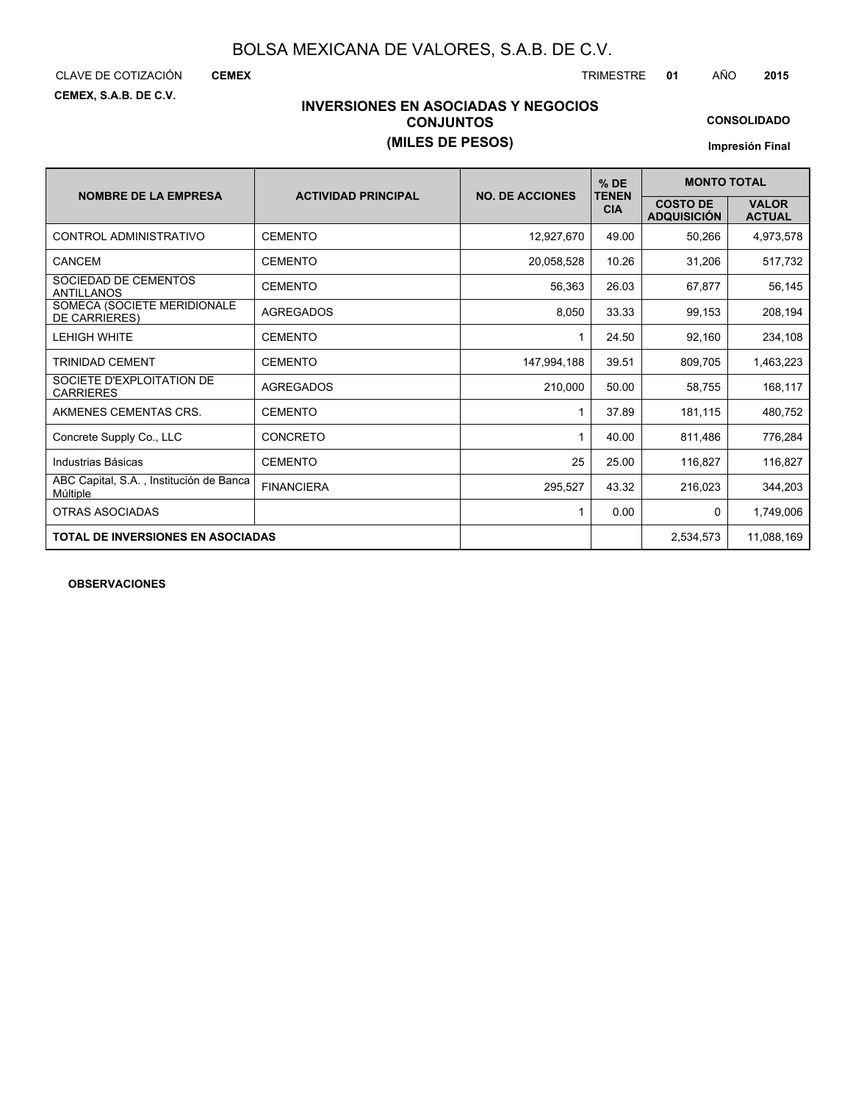**CEMEX, S.A.B. DE C.V.**

CLAVE DE COTIZACIÓN TRIMESTRE **01** AÑO **2015**

# **INVERSIONES EN ASOCIADAS Y NEGOCIOS CONJUNTOS (MILES DE PESOS)**

**CONSOLIDADO**

**Impresión Final**

|                                                     |                            |                        | $%$ DE                     | <b>MONTO TOTAL</b>                    |                               |
|-----------------------------------------------------|----------------------------|------------------------|----------------------------|---------------------------------------|-------------------------------|
| <b>NOMBRE DE LA EMPRESA</b>                         | <b>ACTIVIDAD PRINCIPAL</b> | <b>NO. DE ACCIONES</b> | <b>TENEN</b><br><b>CIA</b> | <b>COSTO DE</b><br><b>ADQUISICIÓN</b> | <b>VALOR</b><br><b>ACTUAL</b> |
| CONTROL ADMINISTRATIVO                              | <b>CEMENTO</b>             | 12,927,670             | 49.00                      | 50,266                                | 4,973,578                     |
| CANCEM                                              | <b>CEMENTO</b>             | 20,058,528             | 10.26                      | 31,206                                | 517,732                       |
| SOCIEDAD DE CEMENTOS<br><b>ANTILLANOS</b>           | <b>CEMENTO</b>             | 56.363                 | 26.03                      | 67,877                                | 56,145                        |
| SOMECA (SOCIETE MERIDIONALE<br>DE CARRIERES)        | <b>AGREGADOS</b>           | 8,050                  | 33.33                      | 99,153                                | 208,194                       |
| <b>LEHIGH WHITE</b>                                 | <b>CEMENTO</b>             |                        | 24.50                      | 92,160                                | 234,108                       |
| <b>TRINIDAD CEMENT</b>                              | <b>CEMENTO</b>             | 147.994.188            | 39.51                      | 809,705                               | 1,463,223                     |
| SOCIETE D'EXPLOITATION DE<br><b>CARRIERES</b>       | <b>AGREGADOS</b>           | 210.000                | 50.00                      | 58,755                                | 168,117                       |
| AKMENES CEMENTAS CRS.                               | <b>CEMENTO</b>             |                        | 37.89                      | 181,115                               | 480,752                       |
| Concrete Supply Co., LLC                            | CONCRETO                   | 1                      | 40.00                      | 811,486                               | 776,284                       |
| Industrias Básicas                                  | <b>CEMENTO</b>             | 25                     | 25.00                      | 116,827                               | 116,827                       |
| ABC Capital, S.A., Institución de Banca<br>Múltiple | <b>FINANCIERA</b>          | 295,527                | 43.32                      | 216,023                               | 344,203                       |
| <b>OTRAS ASOCIADAS</b>                              |                            | 1                      | 0.00                       | $\mathbf{0}$                          | 1,749,006                     |
| <b>TOTAL DE INVERSIONES EN ASOCIADAS</b>            |                            |                        |                            | 2,534,573                             | 11,088,169                    |

**OBSERVACIONES**

**CEMEX**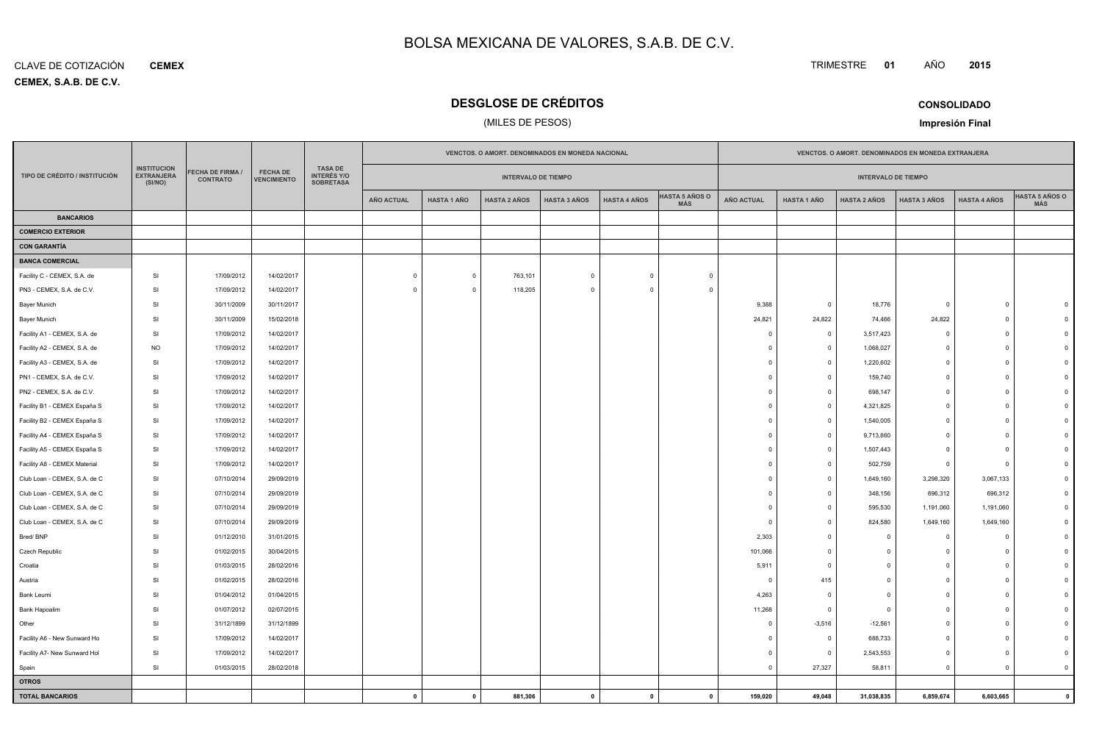**CEMEX, S.A.B. DE C.V.** CLAVE DE COTIZACIÓN**CEMEX**

# **DESGLOSE DE CRÉDITOS**

## (MILES DE PESOS)

TRIMESTRE **<sup>01</sup>** AÑO

**Impresión Final**

|                               |                                                    |                                     |                                       |                                                          | VENCTOS. O AMORT. DENOMINADOS EN MONEDA NACIONAL |                            |                     |                     |                     |                              | VENCTOS. O AMORT. DENOMINADOS EN MONEDA EXTRANJERA |                            |                     |                     |                     |                              |
|-------------------------------|----------------------------------------------------|-------------------------------------|---------------------------------------|----------------------------------------------------------|--------------------------------------------------|----------------------------|---------------------|---------------------|---------------------|------------------------------|----------------------------------------------------|----------------------------|---------------------|---------------------|---------------------|------------------------------|
| TIPO DE CRÉDITO / INSTITUCIÓN | <b>INSTITUCION</b><br><b>EXTRANJERA</b><br>(SI/NO) | FECHA DE FIRMA /<br><b>CONTRATO</b> | <b>FECHA DE</b><br><b>VENCIMIENTO</b> | <b>TASA DE</b><br><b>INTERÉS Y/O</b><br><b>SOBRETASA</b> |                                                  | <b>INTERVALO DE TIEMPO</b> |                     |                     |                     |                              |                                                    | <b>INTERVALO DE TIEMPO</b> |                     |                     |                     |                              |
|                               |                                                    |                                     |                                       |                                                          | <b>AÑO ACTUAL</b>                                | <b>HASTA 1 AÑO</b>         | <b>HASTA 2 AÑOS</b> | <b>HASTA 3 AÑOS</b> | <b>HASTA 4 AÑOS</b> | <b>HASTA 5 AÑOS O</b><br>MÁS | <b>AÑO ACTUAL</b>                                  | <b>HASTA 1 AÑO</b>         | <b>HASTA 2 AÑOS</b> | <b>HASTA 3 AÑOS</b> | <b>HASTA 4 AÑOS</b> | <b>HASTA 5 AÑOS O</b><br>MÁS |
| <b>BANCARIOS</b>              |                                                    |                                     |                                       |                                                          |                                                  |                            |                     |                     |                     |                              |                                                    |                            |                     |                     |                     |                              |
| <b>COMERCIO EXTERIOR</b>      |                                                    |                                     |                                       |                                                          |                                                  |                            |                     |                     |                     |                              |                                                    |                            |                     |                     |                     |                              |
| <b>CON GARANTÍA</b>           |                                                    |                                     |                                       |                                                          |                                                  |                            |                     |                     |                     |                              |                                                    |                            |                     |                     |                     |                              |
| <b>BANCA COMERCIAL</b>        |                                                    |                                     |                                       |                                                          |                                                  |                            |                     |                     |                     |                              |                                                    |                            |                     |                     |                     |                              |
| Facility C - CEMEX, S.A. de   | SI                                                 | 17/09/2012                          | 14/02/2017                            |                                                          | $\mathbf 0$                                      | $\mathbf 0$                | 763,101             | $\Omega$            | $\overline{0}$      | $\Omega$                     |                                                    |                            |                     |                     |                     |                              |
| PN3 - CEMEX, S.A. de C.V.     | SI                                                 | 17/09/2012                          | 14/02/2017                            |                                                          |                                                  | $\circ$                    | 118,205             | $\Omega$            | $\Omega$            | $\Omega$                     |                                                    |                            |                     |                     |                     |                              |
| <b>Bayer Munich</b>           | <b>SI</b>                                          | 30/11/2009                          | 30/11/2017                            |                                                          |                                                  |                            |                     |                     |                     |                              | 9,388                                              | $\overline{0}$             | 18,776              | $\Omega$            | $\Omega$            |                              |
| Bayer Munich                  | SI                                                 | 30/11/2009                          | 15/02/2018                            |                                                          |                                                  |                            |                     |                     |                     |                              | 24,821                                             | 24,822                     | 74,466              | 24,822              | $\Omega$            |                              |
| Facility A1 - CEMEX, S.A. de  | SI                                                 | 17/09/2012                          | 14/02/2017                            |                                                          |                                                  |                            |                     |                     |                     |                              | $^{\circ}$                                         | $\overline{\mathbf{0}}$    | 3,517,423           | $^{\circ}$          | $\Omega$            |                              |
| Facility A2 - CEMEX, S.A. de  | <b>NO</b>                                          | 17/09/2012                          | 14/02/2017                            |                                                          |                                                  |                            |                     |                     |                     |                              | $\Omega$                                           | $\overline{0}$             | 1,068,027           | $^{\circ}$          | $\Omega$            |                              |
| Facility A3 - CEMEX, S.A. de  | SI                                                 | 17/09/2012                          | 14/02/2017                            |                                                          |                                                  |                            |                     |                     |                     |                              | $\Omega$                                           | $\overline{0}$             | 1,220,602           | $^{\circ}$          | $\Omega$            |                              |
| PN1 - CEMEX, S.A. de C.V.     | <b>SI</b>                                          | 17/09/2012                          | 14/02/2017                            |                                                          |                                                  |                            |                     |                     |                     |                              | $\Omega$                                           | $\overline{0}$             | 159,740             | $\mathbf 0$         | $\Omega$            |                              |
| PN2 - CEMEX, S.A. de C.V.     | SI                                                 | 17/09/2012                          | 14/02/2017                            |                                                          |                                                  |                            |                     |                     |                     |                              | $\Omega$                                           | $\overline{0}$             | 698,147             | $\mathbf 0$         | $\Omega$            |                              |
| Facility B1 - CEMEX España S  | SI                                                 | 17/09/2012                          | 14/02/2017                            |                                                          |                                                  |                            |                     |                     |                     |                              | $\Omega$                                           | $\overline{\mathbf{0}}$    | 4,321,825           | $^{\circ}$          | $\Omega$            |                              |
| Facility B2 - CEMEX España S  | SI                                                 | 17/09/2012                          | 14/02/2017                            |                                                          |                                                  |                            |                     |                     |                     |                              | $\Omega$                                           | $\overline{0}$             | 1,540,005           | $^{\circ}$          | $\Omega$            |                              |
| Facility A4 - CEMEX España S  | SI                                                 | 17/09/2012                          | 14/02/2017                            |                                                          |                                                  |                            |                     |                     |                     |                              | $\mathbf 0$                                        | $\overline{0}$             | 9,713,660           | $\overline{0}$      | $\Omega$            |                              |
| Facility A5 - CEMEX España S  | SI                                                 | 17/09/2012                          | 14/02/2017                            |                                                          |                                                  |                            |                     |                     |                     |                              | $^{\circ}$                                         | $\overline{0}$             | 1,507,443           | $\mathbf 0$         | $\Omega$            |                              |
| Facility A8 - CEMEX Material  | SI                                                 | 17/09/2012                          | 14/02/2017                            |                                                          |                                                  |                            |                     |                     |                     |                              | $\Omega$                                           | $\overline{0}$             | 502,759             | $\mathbf 0$         | $\Omega$            |                              |
| Club Loan - CEMEX, S.A. de C  | SI                                                 | 07/10/2014                          | 29/09/2019                            |                                                          |                                                  |                            |                     |                     |                     |                              | $\Omega$                                           | $\overline{0}$             | 1,649,160           | 3,298,320           | 3,067,133           |                              |
| Club Loan - CEMEX, S.A. de C  | <b>SI</b>                                          | 07/10/2014                          | 29/09/2019                            |                                                          |                                                  |                            |                     |                     |                     |                              | $\Omega$                                           | $^{\circ}$                 | 348,156             | 696,312             | 696,312             |                              |
| Club Loan - CEMEX, S.A. de C  | SI                                                 | 07/10/2014                          | 29/09/2019                            |                                                          |                                                  |                            |                     |                     |                     |                              | $\mathbf 0$                                        | $^{\circ}$                 | 595,530             | 1,191,060           | 1,191,060           |                              |
| Club Loan - CEMEX, S.A. de C  | SI                                                 | 07/10/2014                          | 29/09/2019                            |                                                          |                                                  |                            |                     |                     |                     |                              | $\Omega$                                           | $\Omega$                   | 824,580             | 1,649,160           | 1,649,160           |                              |
| Bred/BNP                      | SI                                                 | 01/12/2010                          | 31/01/2015                            |                                                          |                                                  |                            |                     |                     |                     |                              | 2,303                                              | $\overline{0}$             | $\Omega$            | $\mathbf 0$         | $\Omega$            |                              |
| Czech Republic                | SI                                                 | 01/02/2015                          | 30/04/2015                            |                                                          |                                                  |                            |                     |                     |                     |                              | 101,066                                            | $\overline{\mathbf{0}}$    | $\Omega$            | $\mathbf 0$         | $\mathbf 0$         |                              |
| Croatia                       | SI                                                 | 01/03/2015                          | 28/02/2016                            |                                                          |                                                  |                            |                     |                     |                     |                              | 5,911                                              | $^{\circ}$                 | $\Omega$            | $\mathbf 0$         | $\mathbf 0$         |                              |
| Austria                       | SI                                                 | 01/02/2015                          | 28/02/2016                            |                                                          |                                                  |                            |                     |                     |                     |                              | $\overline{\mathbf{0}}$                            | 415                        | $\Omega$            | $\overline{0}$      | $\Omega$            |                              |
| Bank Leumi                    | SI                                                 | 01/04/2012                          | 01/04/2015                            |                                                          |                                                  |                            |                     |                     |                     |                              | 4,263                                              | $\overline{0}$             | $\Omega$            | $\overline{0}$      | $\Omega$            |                              |
| Bank Hapoalim                 | SI                                                 | 01/07/2012                          | 02/07/2015                            |                                                          |                                                  |                            |                     |                     |                     |                              | 11,268                                             | $\overline{0}$             | $\Omega$            | $\circ$             | $\Omega$            |                              |
| Other                         | <b>SI</b>                                          | 31/12/1899                          | 31/12/1899                            |                                                          |                                                  |                            |                     |                     |                     |                              | $\Omega$                                           | $-3,516$                   | $-12,561$           | $^{\circ}$          | $\Omega$            |                              |
| Facility A6 - New Sunward Ho  | SI                                                 | 17/09/2012                          | 14/02/2017                            |                                                          |                                                  |                            |                     |                     |                     |                              | $\Omega$                                           | $\overline{\mathbf{0}}$    | 688,733             | $\mathbf 0$         | $\Omega$            |                              |
| Facility A7- New Sunward Hol  | SI                                                 | 17/09/2012                          | 14/02/2017                            |                                                          |                                                  |                            |                     |                     |                     |                              | $\Omega$                                           | $\overline{0}$             | 2,543,553           | $^{\circ}$          | $\Omega$            |                              |
| Spain                         | SI                                                 | 01/03/2015                          | 28/02/2018                            |                                                          |                                                  |                            |                     |                     |                     |                              | $\Omega$                                           | 27,327                     | 58,811              | $\circ$             | $\Omega$            |                              |
| <b>OTROS</b>                  |                                                    |                                     |                                       |                                                          |                                                  |                            |                     |                     |                     |                              |                                                    |                            |                     |                     |                     |                              |
| <b>TOTAL BANCARIOS</b>        |                                                    |                                     |                                       |                                                          | $\mathbf{0}$                                     | $\mathbf{0}$               | 881,306             | $\mathbf 0$         | $\mathbf{0}$        | $\mathbf{0}$                 | 159,020                                            | 49,048                     | 31,038,835          | 6,859,674           | 6,603,665           | $\mathbf{0}$                 |

**CONSOLIDADO**

**<sup>2015</sup>**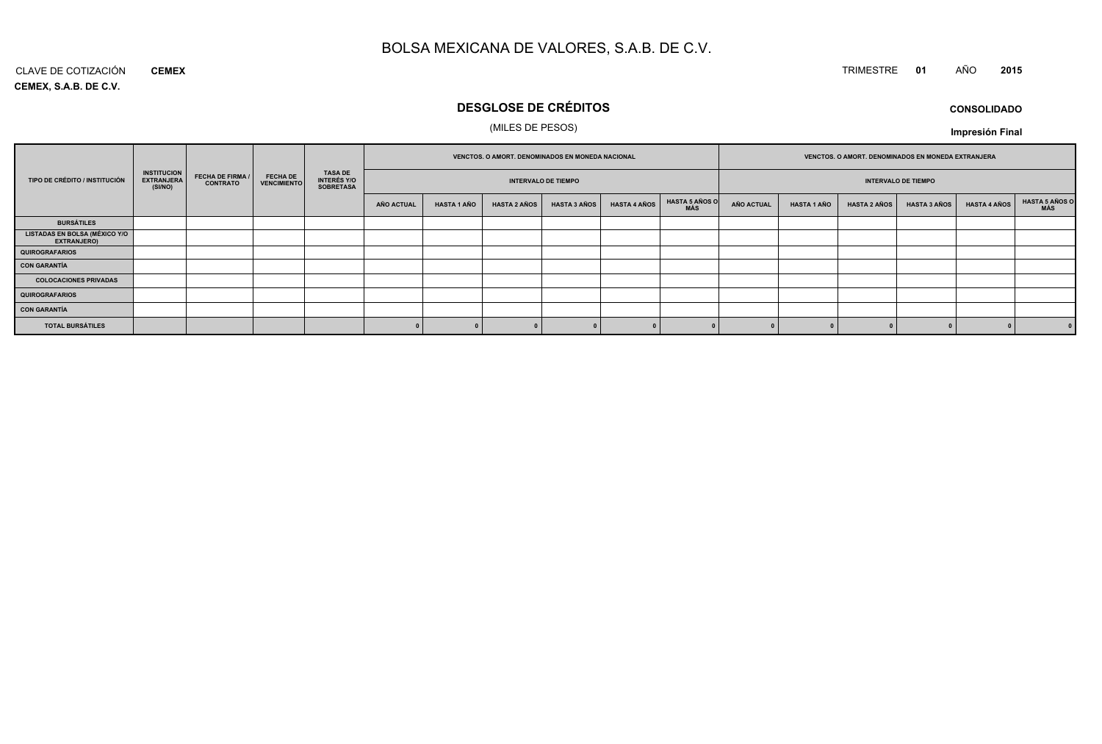#### CLAVE DE COTIZACIÓN TRIMESTRE **<sup>01</sup>** AÑO **<sup>2015</sup> CEMEX**

**CEMEX, S.A.B. DE C.V.**

# **DESGLOSE DE CRÉDITOS**

## (MILES DE PESOS)

**Impresión Final**

|                                                            |                                                    |                                            |                                       |                                            |            | VENCTOS. O AMORT. DENOMINADOS EN MONEDA NACIONAL |                     |                            |                     | VENCTOS. O AMORT. DENOMINADOS EN MONEDA EXTRANJERA |                   |                    |                     |                            |                     |                              |
|------------------------------------------------------------|----------------------------------------------------|--------------------------------------------|---------------------------------------|--------------------------------------------|------------|--------------------------------------------------|---------------------|----------------------------|---------------------|----------------------------------------------------|-------------------|--------------------|---------------------|----------------------------|---------------------|------------------------------|
| TIPO DE CRÉDITO / INSTITUCIÓN                              | <b>INSTITUCION</b><br><b>EXTRANJERA</b><br>(SI/NO) | <b>FECHA DE FIRMA /</b><br><b>CONTRATO</b> | <b>FECHA DE</b><br><b>VENCIMIENTO</b> | TASA DE<br>INTERÉS Y/O<br><b>SOBRETASA</b> |            |                                                  |                     | <b>INTERVALO DE TIEMPO</b> |                     |                                                    |                   |                    |                     | <b>INTERVALO DE TIEMPO</b> |                     |                              |
|                                                            |                                                    |                                            |                                       |                                            | AÑO ACTUAL | HASTA 1 AÑO                                      | <b>HASTA 2 AÑOS</b> | <b>HASTA 3 AÑOS</b>        | <b>HASTA 4 AÑOS</b> | <b>HASTA 5 AÑOS O</b><br>MÁS                       | <b>AÑO ACTUAL</b> | <b>HASTA 1 AÑO</b> | <b>HASTA 2 AÑOS</b> | <b>HASTA 3 AÑOS</b>        | <b>HASTA 4 AÑOS</b> | <b>HASTA 5 AÑOS O</b><br>MÁS |
| <b>BURSÁTILES</b>                                          |                                                    |                                            |                                       |                                            |            |                                                  |                     |                            |                     |                                                    |                   |                    |                     |                            |                     |                              |
| <b>LISTADAS EN BOLSA (MÉXICO Y/O</b><br><b>EXTRANJERO)</b> |                                                    |                                            |                                       |                                            |            |                                                  |                     |                            |                     |                                                    |                   |                    |                     |                            |                     |                              |
| QUIROGRAFARIOS                                             |                                                    |                                            |                                       |                                            |            |                                                  |                     |                            |                     |                                                    |                   |                    |                     |                            |                     |                              |
| <b>CON GARANTÍA</b>                                        |                                                    |                                            |                                       |                                            |            |                                                  |                     |                            |                     |                                                    |                   |                    |                     |                            |                     |                              |
| <b>COLOCACIONES PRIVADAS</b>                               |                                                    |                                            |                                       |                                            |            |                                                  |                     |                            |                     |                                                    |                   |                    |                     |                            |                     |                              |
| <b>QUIROGRAFARIOS</b>                                      |                                                    |                                            |                                       |                                            |            |                                                  |                     |                            |                     |                                                    |                   |                    |                     |                            |                     |                              |
| <b>CON GARANTÍA</b>                                        |                                                    |                                            |                                       |                                            |            |                                                  |                     |                            |                     |                                                    |                   |                    |                     |                            |                     |                              |
| <b>TOTAL BURSÁTILES</b>                                    |                                                    |                                            |                                       |                                            |            |                                                  |                     |                            |                     |                                                    |                   |                    |                     |                            |                     |                              |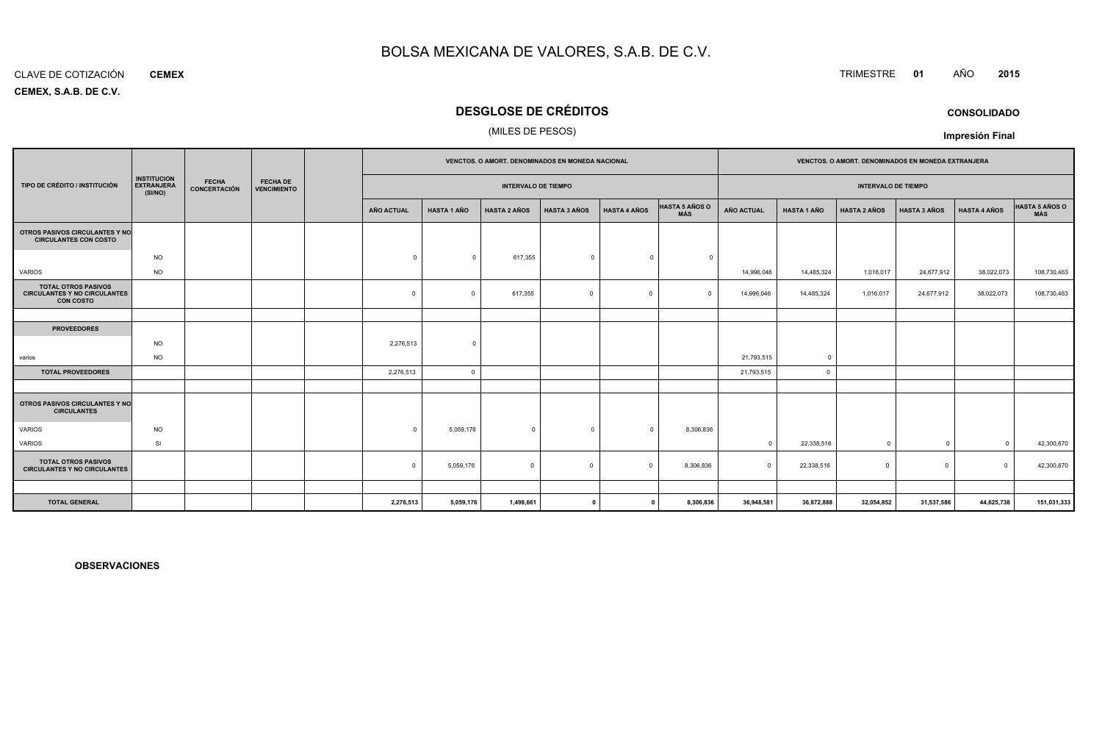#### CLAVE DE COTIZACIÓN**CEMEX**

**CEMEX, S.A.B. DE C.V.**

## **DESGLOSE DE CRÉDITOS**

## (MILES DE PESOS)

|                                                                                       |                                                    |                              |                                       |                            |                    | <b>VENCTOS, O AMORT, DENOMINADOS EN MONEDA NACIONAL</b> |                     |                     |                              |            |                    | <b>VENCTOS, O AMORT, DENOMINADOS EN MONEDA EXTRANJERA</b> |                     |                     |                              |
|---------------------------------------------------------------------------------------|----------------------------------------------------|------------------------------|---------------------------------------|----------------------------|--------------------|---------------------------------------------------------|---------------------|---------------------|------------------------------|------------|--------------------|-----------------------------------------------------------|---------------------|---------------------|------------------------------|
| TIPO DE CRÉDITO / INSTITUCIÓN                                                         | <b>INSTITUCION</b><br><b>EXTRANJERA</b><br>(SI/NO) | <b>FECHA</b><br>CONCERTACIÓN | <b>FECHA DE</b><br><b>VENCIMIENTO</b> | <b>INTERVALO DE TIEMPO</b> |                    |                                                         |                     |                     | <b>INTERVALO DE TIEMPO</b>   |            |                    |                                                           |                     |                     |                              |
|                                                                                       |                                                    |                              |                                       | AÑO ACTUAL                 | <b>HASTA 1 AÑO</b> | <b>HASTA 2 AÑOS</b>                                     | <b>HASTA 3 AÑOS</b> | <b>HASTA 4 AÑOS</b> | <b>HASTA 5 AÑOS O</b><br>MÁS | AÑO ACTUAL | <b>HASTA 1 AÑO</b> | <b>HASTA 2 AÑOS</b>                                       | <b>HASTA 3 AÑOS</b> | <b>HASTA 4 AÑOS</b> | <b>HASTA 5 AÑOS O</b><br>MÁS |
| OTROS PASIVOS CIRCULANTES Y NO<br><b>CIRCULANTES CON COSTO</b>                        |                                                    |                              |                                       |                            |                    |                                                         |                     |                     |                              |            |                    |                                                           |                     |                     |                              |
|                                                                                       | <b>NO</b>                                          |                              |                                       | $\Omega$                   | $\Omega$           | 617,355                                                 | $\Omega$            | $\Omega$            | $\overline{0}$               |            |                    |                                                           |                     |                     |                              |
| VARIOS                                                                                | <b>NO</b>                                          |                              |                                       |                            |                    |                                                         |                     |                     |                              | 14,996,046 | 14,485,324         | 1,016,017                                                 | 24,677,912          | 38,022,073          | 108,730,463                  |
| <b>TOTAL OTROS PASIVOS</b><br><b>CIRCULANTES Y NO CIRCULANTES</b><br><b>CON COSTO</b> |                                                    |                              |                                       | $\mathbf 0$                | $\Omega$           | 617,355                                                 | $\Omega$            | $\Omega$            | $\sqrt{ }$                   | 14,996,046 | 14,485,324         | 1,016,017                                                 | 24,677,912          | 38,022,073          | 108,730,463                  |
|                                                                                       |                                                    |                              |                                       |                            |                    |                                                         |                     |                     |                              |            |                    |                                                           |                     |                     |                              |
| <b>PROVEEDORES</b>                                                                    |                                                    |                              |                                       |                            |                    |                                                         |                     |                     |                              |            |                    |                                                           |                     |                     |                              |
|                                                                                       | <b>NO</b>                                          |                              |                                       | 2,276,513                  | $\Omega$           |                                                         |                     |                     |                              |            |                    |                                                           |                     |                     |                              |
| varios                                                                                | <b>NO</b>                                          |                              |                                       |                            |                    |                                                         |                     |                     |                              | 21,793,515 | $\overline{0}$     |                                                           |                     |                     |                              |
| <b>TOTAL PROVEEDORES</b>                                                              |                                                    |                              |                                       | 2,276,513                  | $\overline{0}$     |                                                         |                     |                     |                              | 21,793,515 | $\circ$            |                                                           |                     |                     |                              |
|                                                                                       |                                                    |                              |                                       |                            |                    |                                                         |                     |                     |                              |            |                    |                                                           |                     |                     |                              |
| OTROS PASIVOS CIRCULANTES Y NO<br><b>CIRCULANTES</b>                                  |                                                    |                              |                                       |                            |                    |                                                         |                     |                     |                              |            |                    |                                                           |                     |                     |                              |
| <b>VARIOS</b>                                                                         | <b>NO</b>                                          |                              |                                       | $\Omega$                   | 5,059,176          | $\mathbf{0}$                                            | $\Omega$            | $\Omega$            | 8,306,836                    |            |                    |                                                           |                     |                     |                              |
| VARIOS                                                                                | SI                                                 |                              |                                       |                            |                    |                                                         |                     |                     |                              | $\Omega$   | 22,338,516         | $\Omega$                                                  | $\overline{0}$      | $\Omega$            | 42,300,870                   |
| <b>TOTAL OTROS PASIVOS</b><br><b>CIRCULANTES Y NO CIRCULANTES</b>                     |                                                    |                              |                                       | $^{\circ}$                 | 5,059,176          | $\mathbf 0$                                             | $\Omega$            | $\Omega$            | 8,306,836                    | $\Omega$   | 22,338,516         | $\Omega$                                                  | $^{\circ}$          | $\Omega$            | 42,300,870                   |
|                                                                                       |                                                    |                              |                                       |                            |                    |                                                         |                     |                     |                              |            |                    |                                                           |                     |                     |                              |
| <b>TOTAL GENERAL</b>                                                                  |                                                    |                              |                                       | 2,276,513                  | 5,059,176          | 1,498,661                                               |                     |                     | 8,306,836                    | 36,948,581 | 36,872,888         | 32,054,852                                                | 31,537,586          | 44,625,738          | 151,031,333                  |

**OBSERVACIONES**

TRIMESTRE **<sup>01</sup>** AÑO **<sup>2015</sup>**

**CONSOLIDADO**

**Impresión Final**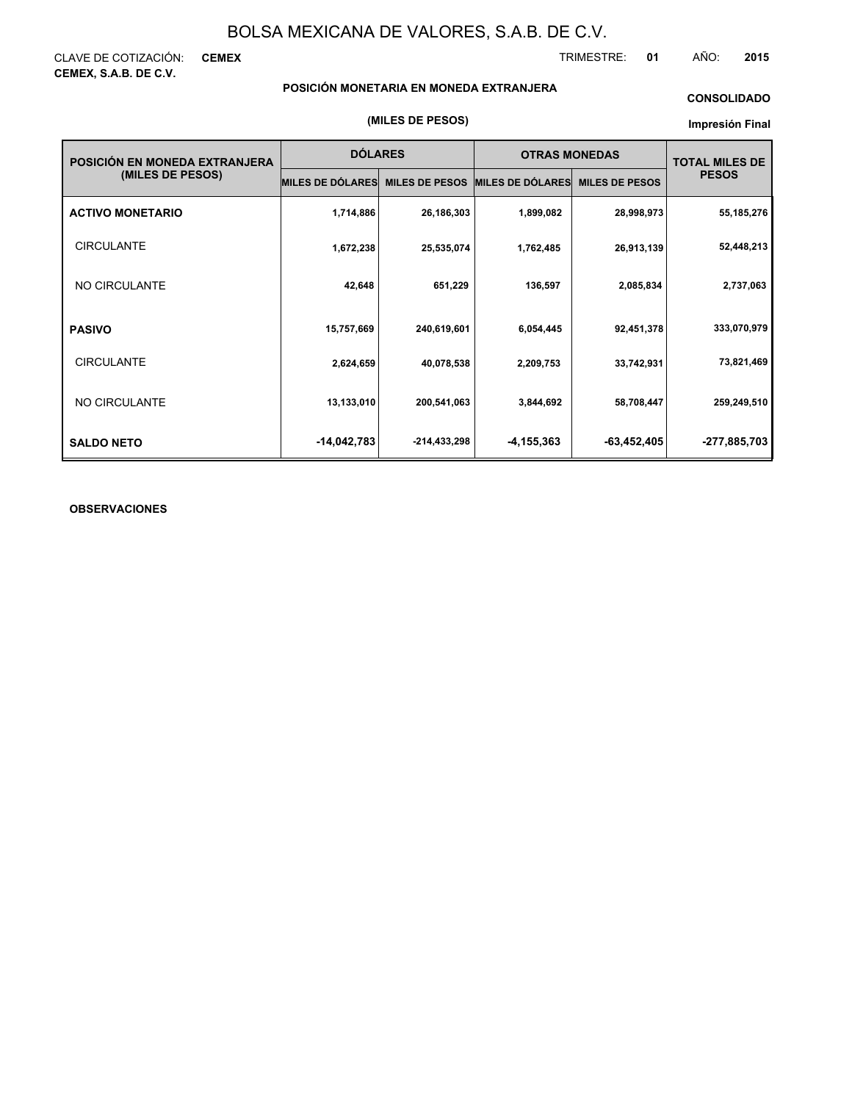CLAVE DE COTIZACIÓN: **CEMEX CEMEX, S.A.B. DE C.V.**

TRIMESTRE: **01** AÑO: **2015**

## **POSICIÓN MONETARIA EN MONEDA EXTRANJERA**

## **CONSOLIDADO**

## **Impresión Final**

| POSICIÓN EN MONEDA EXTRANJERA | <b>DÓLARES</b>          |                       | <b>OTRAS MONEDAS</b>    |                       | <b>TOTAL MILES DE</b> |
|-------------------------------|-------------------------|-----------------------|-------------------------|-----------------------|-----------------------|
| (MILES DE PESOS)              | <b>MILES DE DÓLARES</b> | <b>MILES DE PESOS</b> | <b>MILES DE DÓLARES</b> | <b>MILES DE PESOS</b> | <b>PESOS</b>          |
| <b>ACTIVO MONETARIO</b>       | 1,714,886               | 26,186,303            | 1,899,082               | 28,998,973            | 55,185,276            |
| <b>CIRCULANTE</b>             | 1,672,238               | 25,535,074            | 1,762,485               | 26,913,139            | 52,448,213            |
| NO CIRCULANTE                 | 42,648                  | 651,229               | 136,597                 | 2,085,834             | 2,737,063             |
| <b>PASIVO</b>                 | 15,757,669              | 240,619,601           | 6,054,445               | 92,451,378            | 333,070,979           |
| <b>CIRCULANTE</b>             | 2,624,659               | 40,078,538            | 2,209,753               | 33,742,931            | 73,821,469            |
| NO CIRCULANTE                 | 13,133,010              | 200,541,063           | 3,844,692               | 58,708,447            | 259,249,510           |
| <b>SALDO NETO</b>             | $-14,042,783$           | -214,433,298          | -4,155,363              | $-63,452,405$         | -277,885,703          |

## **OBSERVACIONES**

## **(MILES DE PESOS)**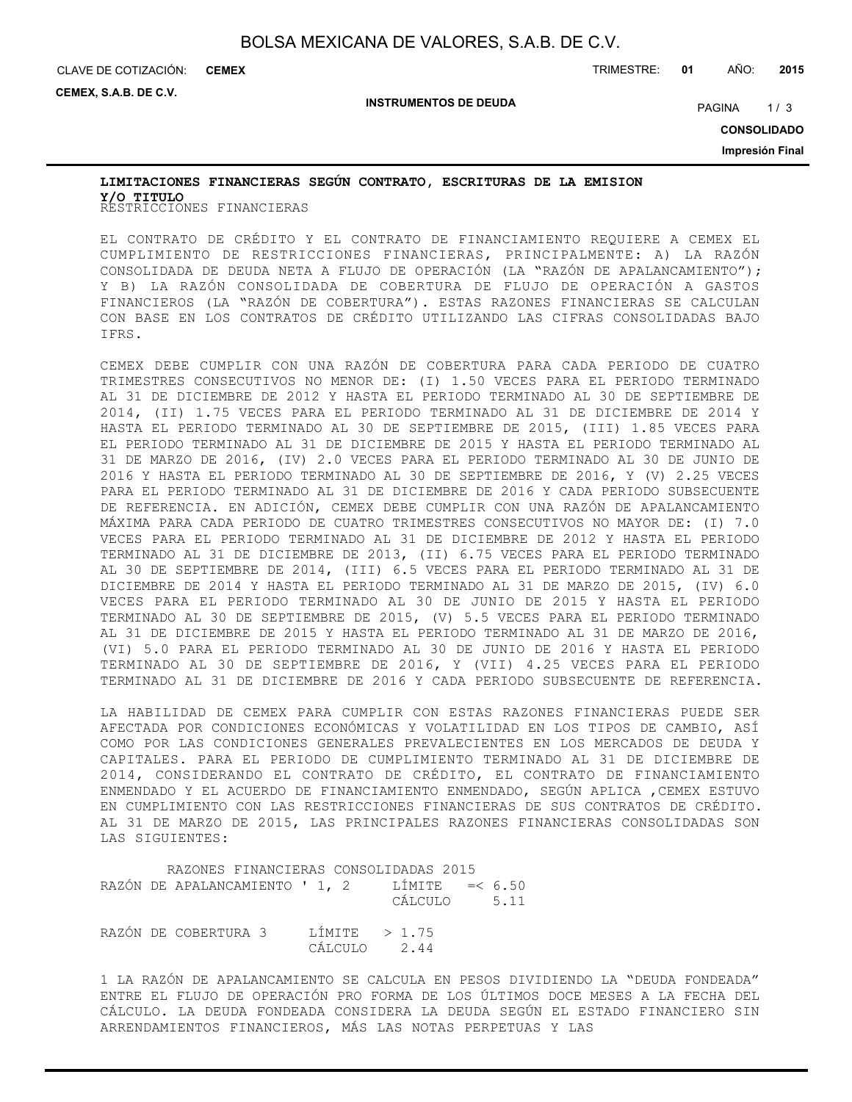CLAVE DE COTIZACIÓN: TRIMESTRE: **01** AÑO: **2015 CEMEX**

**CEMEX, S.A.B. DE C.V.**

**INSTRUMENTOS DE DEUDA**

PAGINA 1/3

**CONSOLIDADO**

**Impresión Final**

# RESTRICCIONES FINANCIERAS **Y/O TITULOLIMITACIONES FINANCIERAS SEGÚN CONTRATO, ESCRITURAS DE LA EMISION**

EL CONTRATO DE CRÉDITO Y EL CONTRATO DE FINANCIAMIENTO REQUIERE A CEMEX EL CUMPLIMIENTO DE RESTRICCIONES FINANCIERAS, PRINCIPALMENTE: A) LA RAZÓN CONSOLIDADA DE DEUDA NETA A FLUJO DE OPERACIÓN (LA "RAZÓN DE APALANCAMIENTO"); Y B) LA RAZÓN CONSOLIDADA DE COBERTURA DE FLUJO DE OPERACIÓN A GASTOS FINANCIEROS (LA "RAZÓN DE COBERTURA"). ESTAS RAZONES FINANCIERAS SE CALCULAN CON BASE EN LOS CONTRATOS DE CRÉDITO UTILIZANDO LAS CIFRAS CONSOLIDADAS BAJO IFRS.

CEMEX DEBE CUMPLIR CON UNA RAZÓN DE COBERTURA PARA CADA PERIODO DE CUATRO TRIMESTRES CONSECUTIVOS NO MENOR DE: (I) 1.50 VECES PARA EL PERIODO TERMINADO AL 31 DE DICIEMBRE DE 2012 Y HASTA EL PERIODO TERMINADO AL 30 DE SEPTIEMBRE DE 2014, (II) 1.75 VECES PARA EL PERIODO TERMINADO AL 31 DE DICIEMBRE DE 2014 Y HASTA EL PERIODO TERMINADO AL 30 DE SEPTIEMBRE DE 2015, (III) 1.85 VECES PARA EL PERIODO TERMINADO AL 31 DE DICIEMBRE DE 2015 Y HASTA EL PERIODO TERMINADO AL 31 DE MARZO DE 2016, (IV) 2.0 VECES PARA EL PERIODO TERMINADO AL 30 DE JUNIO DE 2016 Y HASTA EL PERIODO TERMINADO AL 30 DE SEPTIEMBRE DE 2016, Y (V) 2.25 VECES PARA EL PERIODO TERMINADO AL 31 DE DICIEMBRE DE 2016 Y CADA PERIODO SUBSECUENTE DE REFERENCIA. EN ADICIÓN, CEMEX DEBE CUMPLIR CON UNA RAZÓN DE APALANCAMIENTO MÁXIMA PARA CADA PERIODO DE CUATRO TRIMESTRES CONSECUTIVOS NO MAYOR DE: (I) 7.0 VECES PARA EL PERIODO TERMINADO AL 31 DE DICIEMBRE DE 2012 Y HASTA EL PERIODO TERMINADO AL 31 DE DICIEMBRE DE 2013, (II) 6.75 VECES PARA EL PERIODO TERMINADO AL 30 DE SEPTIEMBRE DE 2014, (III) 6.5 VECES PARA EL PERIODO TERMINADO AL 31 DE DICIEMBRE DE 2014 Y HASTA EL PERIODO TERMINADO AL 31 DE MARZO DE 2015, (IV) 6.0 VECES PARA EL PERIODO TERMINADO AL 30 DE JUNIO DE 2015 Y HASTA EL PERIODO TERMINADO AL 30 DE SEPTIEMBRE DE 2015, (V) 5.5 VECES PARA EL PERIODO TERMINADO AL 31 DE DICIEMBRE DE 2015 Y HASTA EL PERIODO TERMINADO AL 31 DE MARZO DE 2016, (VI) 5.0 PARA EL PERIODO TERMINADO AL 30 DE JUNIO DE 2016 Y HASTA EL PERIODO TERMINADO AL 30 DE SEPTIEMBRE DE 2016, Y (VII) 4.25 VECES PARA EL PERIODO TERMINADO AL 31 DE DICIEMBRE DE 2016 Y CADA PERIODO SUBSECUENTE DE REFERENCIA.

LA HABILIDAD DE CEMEX PARA CUMPLIR CON ESTAS RAZONES FINANCIERAS PUEDE SER AFECTADA POR CONDICIONES ECONÓMICAS Y VOLATILIDAD EN LOS TIPOS DE CAMBIO, ASÍ COMO POR LAS CONDICIONES GENERALES PREVALECIENTES EN LOS MERCADOS DE DEUDA Y CAPITALES. PARA EL PERIODO DE CUMPLIMIENTO TERMINADO AL 31 DE DICIEMBRE DE 2014, CONSIDERANDO EL CONTRATO DE CRÉDITO, EL CONTRATO DE FINANCIAMIENTO ENMENDADO Y EL ACUERDO DE FINANCIAMIENTO ENMENDADO, SEGÚN APLICA ,CEMEX ESTUVO EN CUMPLIMIENTO CON LAS RESTRICCIONES FINANCIERAS DE SUS CONTRATOS DE CRÉDITO. AL 31 DE MARZO DE 2015, LAS PRINCIPALES RAZONES FINANCIERAS CONSOLIDADAS SON LAS SIGUIENTES:

|  |  | RAZÓN DE COBERTURA 3 LÍMITE $>1.75$<br>CÁLCULO 2.44 | RAZONES FINANCIERAS CONSOLIDADAS 2015<br>RAZÓN DE APALANCAMIENTO ' 1, 2 LÍMITE =< $6.50$<br>CÁLCULO 5.11 |
|--|--|-----------------------------------------------------|----------------------------------------------------------------------------------------------------------|

1 LA RAZÓN DE APALANCAMIENTO SE CALCULA EN PESOS DIVIDIENDO LA "DEUDA FONDEADA" ENTRE EL FLUJO DE OPERACIÓN PRO FORMA DE LOS ÚLTIMOS DOCE MESES A LA FECHA DEL CÁLCULO. LA DEUDA FONDEADA CONSIDERA LA DEUDA SEGÚN EL ESTADO FINANCIERO SIN ARRENDAMIENTOS FINANCIEROS, MÁS LAS NOTAS PERPETUAS Y LAS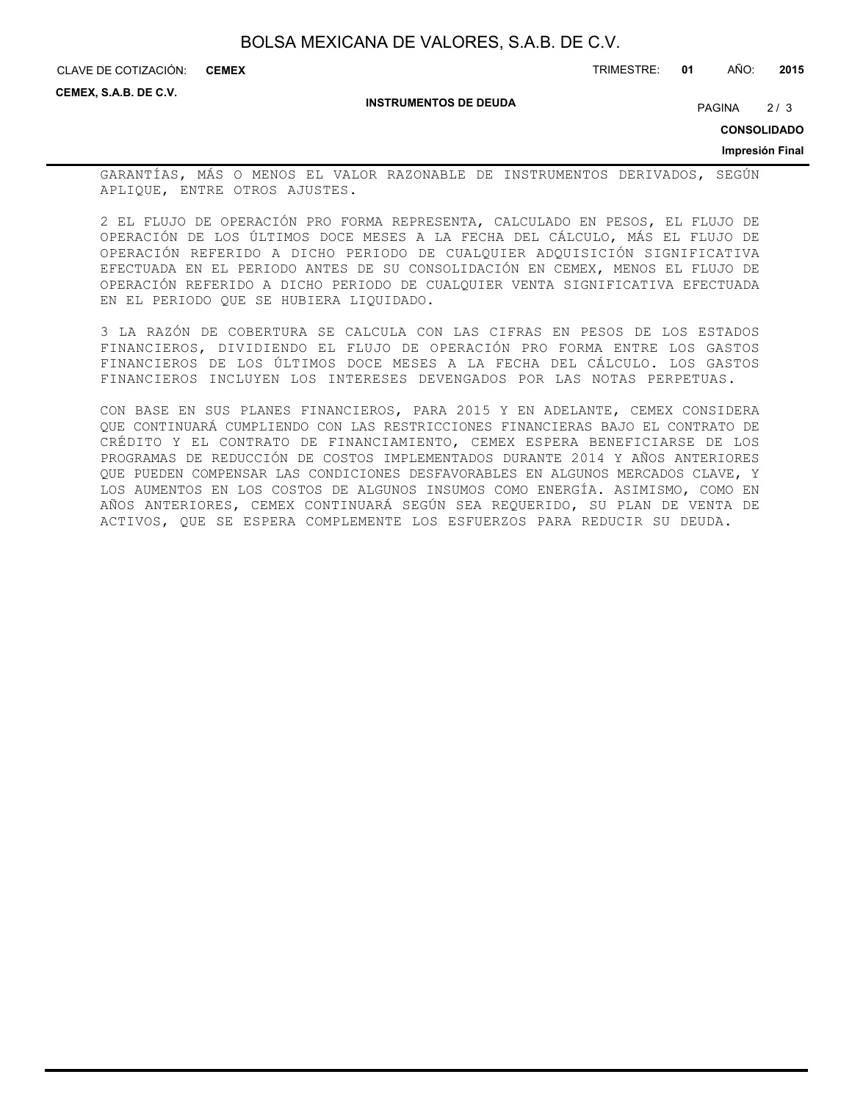**CEMEX**

CLAVE DE COTIZACIÓN: TRIMESTRE: **01** AÑO: **2015**

**CEMEX, S.A.B. DE C.V.**

#### **INSTRUMENTOS DE DEUDA**

PAGINA 2/3

**CONSOLIDADO**

## **Impresión Final**

GARANTÍAS, MÁS O MENOS EL VALOR RAZONABLE DE INSTRUMENTOS DERIVADOS, SEGÚN APLIQUE, ENTRE OTROS AJUSTES.

2 EL FLUJO DE OPERACIÓN PRO FORMA REPRESENTA, CALCULADO EN PESOS, EL FLUJO DE OPERACIÓN DE LOS ÚLTIMOS DOCE MESES A LA FECHA DEL CÁLCULO, MÁS EL FLUJO DE OPERACIÓN REFERIDO A DICHO PERIODO DE CUALQUIER ADQUISICIÓN SIGNIFICATIVA EFECTUADA EN EL PERIODO ANTES DE SU CONSOLIDACIÓN EN CEMEX, MENOS EL FLUJO DE OPERACIÓN REFERIDO A DICHO PERIODO DE CUALQUIER VENTA SIGNIFICATIVA EFECTUADA EN EL PERIODO QUE SE HUBIERA LIQUIDADO.

3 LA RAZÓN DE COBERTURA SE CALCULA CON LAS CIFRAS EN PESOS DE LOS ESTADOS FINANCIEROS, DIVIDIENDO EL FLUJO DE OPERACIÓN PRO FORMA ENTRE LOS GASTOS FINANCIEROS DE LOS ÚLTIMOS DOCE MESES A LA FECHA DEL CÁLCULO. LOS GASTOS FINANCIEROS INCLUYEN LOS INTERESES DEVENGADOS POR LAS NOTAS PERPETUAS.

CON BASE EN SUS PLANES FINANCIEROS, PARA 2015 Y EN ADELANTE, CEMEX CONSIDERA QUE CONTINUARÁ CUMPLIENDO CON LAS RESTRICCIONES FINANCIERAS BAJO EL CONTRATO DE CRÉDITO Y EL CONTRATO DE FINANCIAMIENTO, CEMEX ESPERA BENEFICIARSE DE LOS PROGRAMAS DE REDUCCIÓN DE COSTOS IMPLEMENTADOS DURANTE 2014 Y AÑOS ANTERIORES QUE PUEDEN COMPENSAR LAS CONDICIONES DESFAVORABLES EN ALGUNOS MERCADOS CLAVE, Y LOS AUMENTOS EN LOS COSTOS DE ALGUNOS INSUMOS COMO ENERGÍA. ASIMISMO, COMO EN AÑOS ANTERIORES, CEMEX CONTINUARÁ SEGÚN SEA REQUERIDO, SU PLAN DE VENTA DE ACTIVOS, QUE SE ESPERA COMPLEMENTE LOS ESFUERZOS PARA REDUCIR SU DEUDA.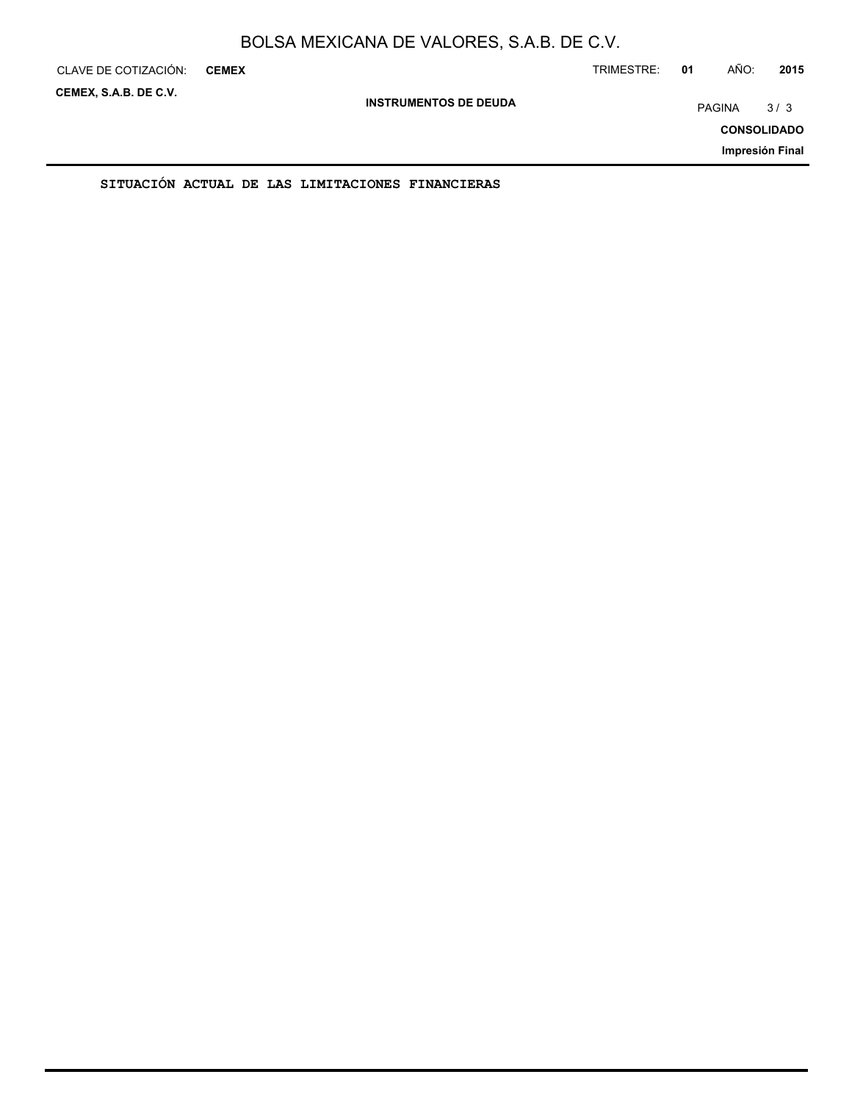| CLAVE DE COTIZACIÓN:  | <b>CEMEX</b> |                                                  |                              | TRIMESTRE: | 01 | AÑO:          | 2015               |
|-----------------------|--------------|--------------------------------------------------|------------------------------|------------|----|---------------|--------------------|
| CEMEX, S.A.B. DE C.V. |              |                                                  | <b>INSTRUMENTOS DE DEUDA</b> |            |    | <b>PAGINA</b> | 3/3                |
|                       |              |                                                  |                              |            |    |               | <b>CONSOLIDADO</b> |
|                       |              |                                                  |                              |            |    |               | Impresión Final    |
|                       |              | SITUACIÓN ACTUAL DE LAS LIMITACIONES FINANCIERAS |                              |            |    |               |                    |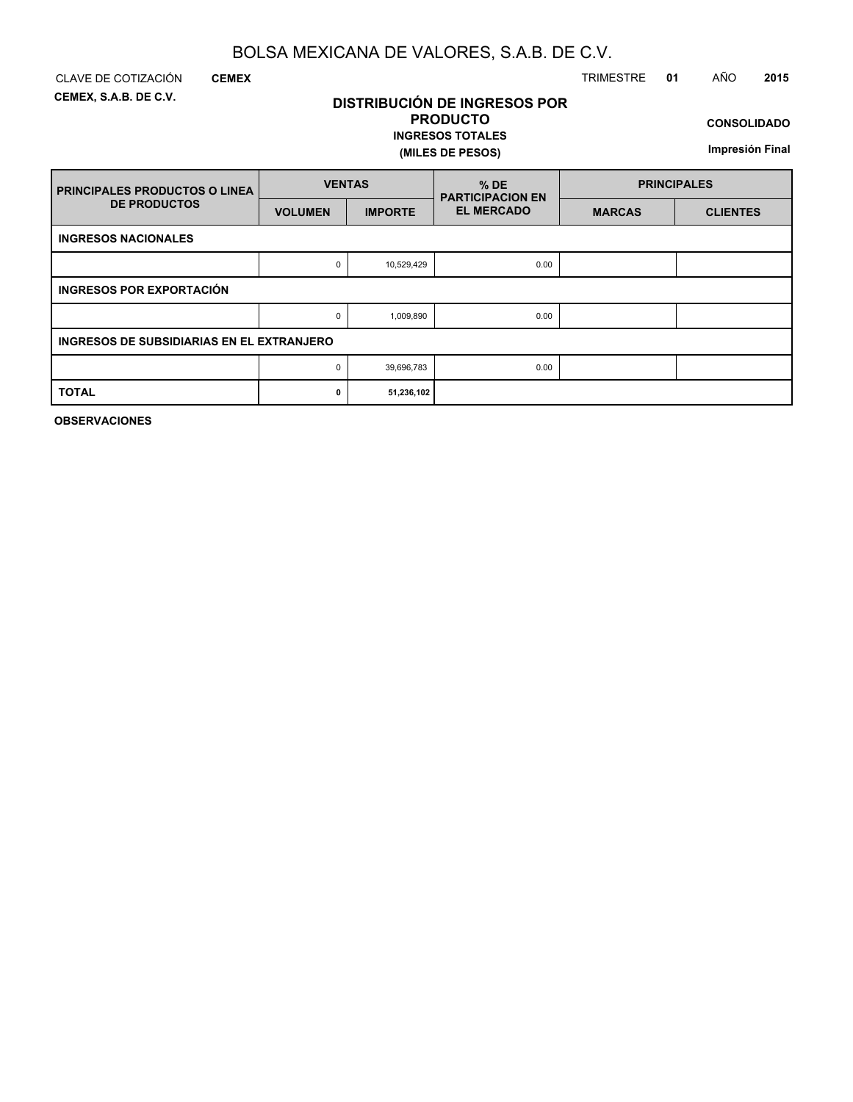**DISTRIBUCIÓN DE INGRESOS POR PRODUCTO**

**INGRESOS TOTALES**

**(MILES DE PESOS)**

**CEMEX, S.A.B. DE C.V.**

## CLAVE DE COTIZACIÓN TRIMESTRE **01** AÑO **2015**

**CONSOLIDADO**

**Impresión Final**

| <b>FRINCIPALES PRODUCTOS O LINEA</b>      | <b>VENTAS</b>  |                | $%$ DE<br><b>PARTICIPACION EN</b> | <b>PRINCIPALES</b> |                 |  |
|-------------------------------------------|----------------|----------------|-----------------------------------|--------------------|-----------------|--|
| <b>DE PRODUCTOS</b>                       | <b>VOLUMEN</b> | <b>IMPORTE</b> | <b>EL MERCADO</b>                 | <b>MARCAS</b>      | <b>CLIENTES</b> |  |
| <b>INGRESOS NACIONALES</b>                |                |                |                                   |                    |                 |  |
|                                           | $\Omega$       | 10,529,429     | 0.00                              |                    |                 |  |
| <b>INGRESOS POR EXPORTACIÓN</b>           |                |                |                                   |                    |                 |  |
|                                           | $\Omega$       | 1,009,890      | 0.00                              |                    |                 |  |
| INGRESOS DE SUBSIDIARIAS EN EL EXTRANJERO |                |                |                                   |                    |                 |  |
|                                           | 0              | 39,696,783     | 0.00                              |                    |                 |  |
| <b>TOTAL</b>                              | 0              | 51,236,102     |                                   |                    |                 |  |

**OBSERVACIONES**

**CEMEX**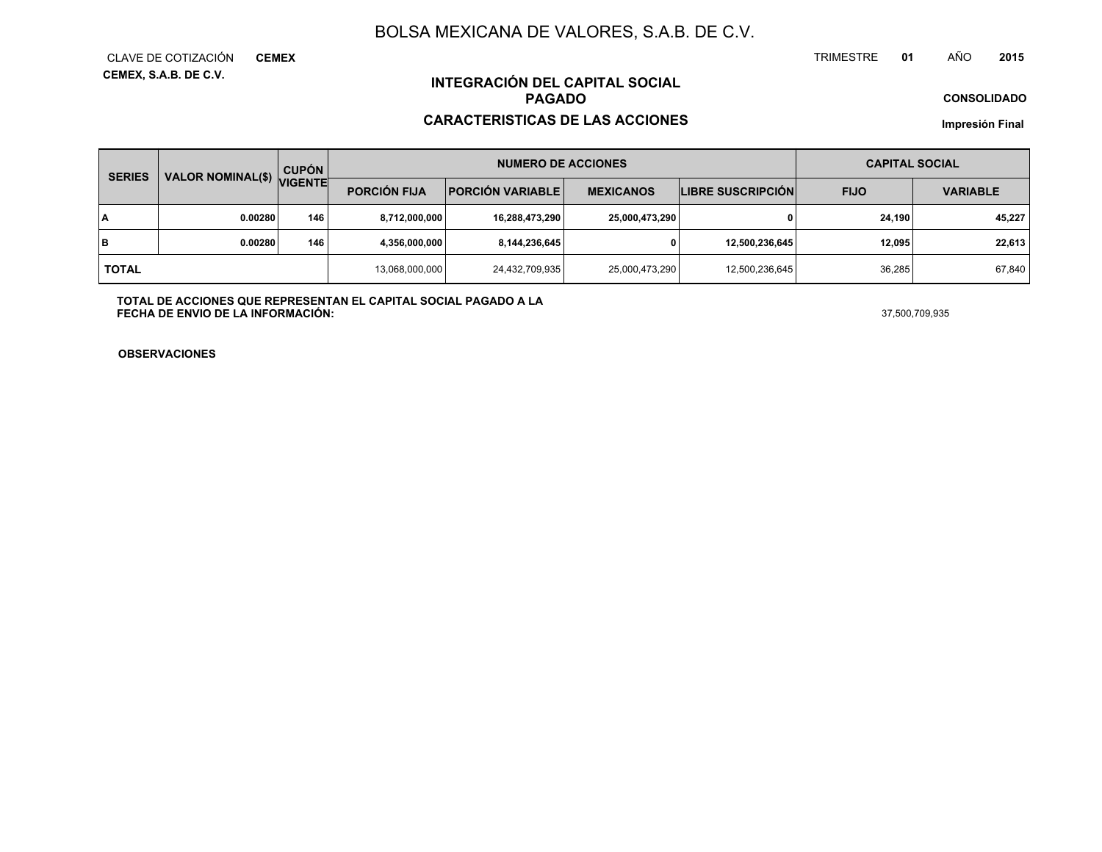**CEMEX, S.A.B. DE C.V.** CLAVE DE COTIZACIÓN**CEMEX**

#### TRIMESTRE **<sup>01</sup>** AÑO**<sup>2015</sup>**

**CONSOLIDADO**

## **INTEGRACIÓN DEL CAPITAL SOCIALPAGADO**

## **CARACTERISTICAS DE LAS ACCIONES**

**Impresión Final**

| <b>SERIES</b> | VALOR NOMINAL(\$) VIGENTE | <b>CUPÓN</b> | <b>NUMERO DE ACCIONES</b> |                           |                  |                          | <b>CAPITAL SOCIAL</b> |                 |
|---------------|---------------------------|--------------|---------------------------|---------------------------|------------------|--------------------------|-----------------------|-----------------|
|               |                           |              | <b>PORCIÓN FIJA</b>       | <b>PORCIÓN VARIABLE  </b> | <b>MEXICANOS</b> | <b>LIBRE SUSCRIPCIÓN</b> | <b>FIJO</b>           | <b>VARIABLE</b> |
| I٨            | 0.00280                   | 146          | 8,712,000,000             | 16,288,473,290            | 25,000,473,290   |                          | 24,190                | 45,227          |
| lв            | 0.00280                   | 146          | 4,356,000,000             | 8,144,236,645             |                  | 12,500,236,645           | 12,095                | 22,613          |
| <b>TOTAL</b>  |                           |              | 13,068,000,000            | 24,432,709,935            | 25,000,473,290   | 12,500,236,645           | 36.285                | 67,840          |

**TOTAL DE ACCIONES QUE REPRESENTAN EL CAPITAL SOCIAL PAGADO A LAFECHA DE ENVIO DE LA INFORMACIÓN:**37,500,709,935

**OBSERVACIONES**